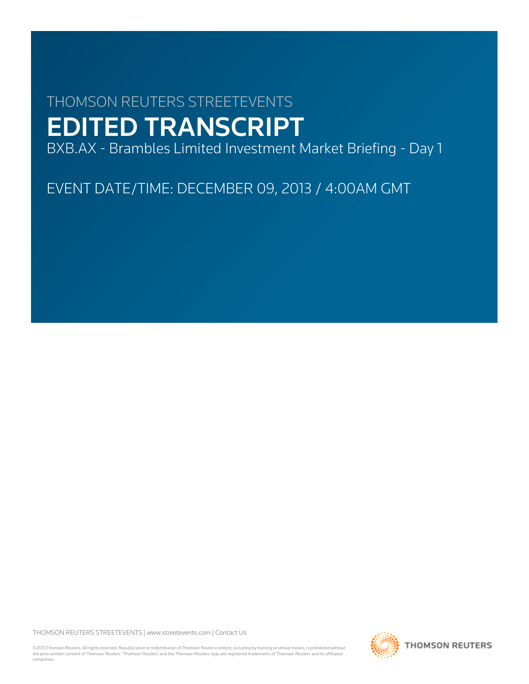# THOMSON REUTERS STREETEVENTS EDITED TRANSCRIPT

BXB.AX - Brambles Limited Investment Market Briefing - Day 1

EVENT DATE/TIME: DECEMBER 09, 2013 / 4:00AM GMT

THOMSON REUTERS STREETEVENTS | [www.streetevents.com](http://www.streetevents.com) | [Contact Us](http://www010.streetevents.com/contact.asp)

©2013 Thomson Reuters. All rights reserved. Republication or redistribution of Thomson Reuters content, including by framing or similar means, is prohibited without the prior written consent of Thomson Reuters. 'Thomson Reuters' and the Thomson Reuters logo are registered trademarks of Thomson Reuters and its affiliated companies.

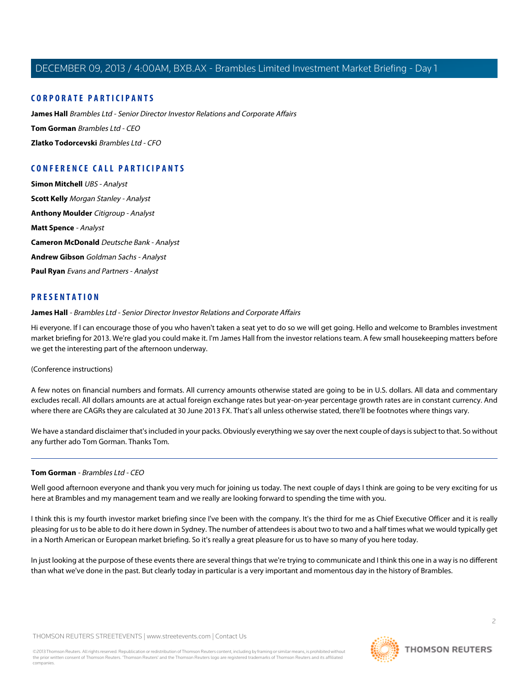# **CORPORATE PARTICIPANTS**

**[James Hall](#page-1-0)** Brambles Ltd - Senior Director Investor Relations and Corporate Affairs **[Tom Gorman](#page-1-1)** Brambles Ltd - CEO **[Zlatko Todorcevski](#page-7-0)** Brambles Ltd - CFO

# **CONFERENCE CALL PARTICIPANTS**

**[Simon Mitchell](#page-14-0)** UBS - Analyst **[Scott Kelly](#page-15-0)** Morgan Stanley - Analyst **[Anthony Moulder](#page-16-0)** Citigroup - Analyst **[Matt Spence](#page-18-0)** - Analyst **[Cameron McDonald](#page-20-0)** Deutsche Bank - Analyst **[Andrew Gibson](#page-22-0)** Goldman Sachs - Analyst **[Paul Ryan](#page-23-0)** Evans and Partners - Analyst

# <span id="page-1-0"></span>**PRESENTATION**

**James Hall** - Brambles Ltd - Senior Director Investor Relations and Corporate Affairs

Hi everyone. If I can encourage those of you who haven't taken a seat yet to do so we will get going. Hello and welcome to Brambles investment market briefing for 2013. We're glad you could make it. I'm James Hall from the investor relations team. A few small housekeeping matters before we get the interesting part of the afternoon underway.

## (Conference instructions)

A few notes on financial numbers and formats. All currency amounts otherwise stated are going to be in U.S. dollars. All data and commentary excludes recall. All dollars amounts are at actual foreign exchange rates but year-on-year percentage growth rates are in constant currency. And where there are CAGRs they are calculated at 30 June 2013 FX. That's all unless otherwise stated, there'll be footnotes where things vary.

<span id="page-1-1"></span>We have a standard disclaimer that's included in your packs. Obviously everything we say over the next couple of days is subject to that. So without any further ado Tom Gorman. Thanks Tom.

## **Tom Gorman** - Brambles Ltd - CFO

Well good afternoon everyone and thank you very much for joining us today. The next couple of days I think are going to be very exciting for us here at Brambles and my management team and we really are looking forward to spending the time with you.

I think this is my fourth investor market briefing since I've been with the company. It's the third for me as Chief Executive Officer and it is really pleasing for us to be able to do it here down in Sydney. The number of attendees is about two to two and a half times what we would typically get in a North American or European market briefing. So it's really a great pleasure for us to have so many of you here today.

In just looking at the purpose of these events there are several things that we're trying to communicate and I think this one in a way is no different than what we've done in the past. But clearly today in particular is a very important and momentous day in the history of Brambles.

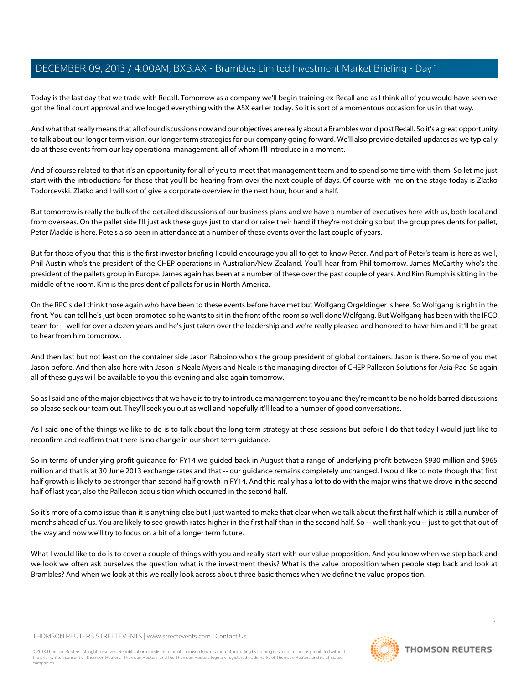Today is the last day that we trade with Recall. Tomorrow as a company we'll begin training ex-Recall and as I think all of you would have seen we got the final court approval and we lodged everything with the ASX earlier today. So it is sort of a momentous occasion for us in that way.

And what that really means that all of our discussions now and our objectives are really about a Brambles world post Recall. So it's a great opportunity to talk about our longer term vision, our longer term strategies for our company going forward. We'll also provide detailed updates as we typically do at these events from our key operational management, all of whom I'll introduce in a moment.

And of course related to that it's an opportunity for all of you to meet that management team and to spend some time with them. So let me just start with the introductions for those that you'll be hearing from over the next couple of days. Of course with me on the stage today is Zlatko Todorcevski. Zlatko and I will sort of give a corporate overview in the next hour, hour and a half.

But tomorrow is really the bulk of the detailed discussions of our business plans and we have a number of executives here with us, both local and from overseas. On the pallet side I'll just ask these guys just to stand or raise their hand if they're not doing so but the group presidents for pallet, Peter Mackie is here. Pete's also been in attendance at a number of these events over the last couple of years.

But for those of you that this is the first investor briefing I could encourage you all to get to know Peter. And part of Peter's team is here as well, Phil Austin who's the president of the CHEP operations in Australian/New Zealand. You'll hear from Phil tomorrow. James McCarthy who's the president of the pallets group in Europe. James again has been at a number of these over the past couple of years. And Kim Rumph is sitting in the middle of the room. Kim is the president of pallets for us in North America.

On the RPC side I think those again who have been to these events before have met but Wolfgang Orgeldinger is here. So Wolfgang is right in the front. You can tell he's just been promoted so he wants to sit in the front of the room so well done Wolfgang. But Wolfgang has been with the IFCO team for -- well for over a dozen years and he's just taken over the leadership and we're really pleased and honored to have him and it'll be great to hear from him tomorrow.

And then last but not least on the container side Jason Rabbino who's the group president of global containers. Jason is there. Some of you met Jason before. And then also here with Jason is Neale Myers and Neale is the managing director of CHEP Pallecon Solutions for Asia-Pac. So again all of these guys will be available to you this evening and also again tomorrow.

So as I said one of the major objectives that we have is to try to introduce management to you and they're meant to be no holds barred discussions so please seek our team out. They'll seek you out as well and hopefully it'll lead to a number of good conversations.

As I said one of the things we like to do is to talk about the long term strategy at these sessions but before I do that today I would just like to reconfirm and reaffirm that there is no change in our short term guidance.

So in terms of underlying profit guidance for FY14 we guided back in August that a range of underlying profit between \$930 million and \$965 million and that is at 30 June 2013 exchange rates and that -- our guidance remains completely unchanged. I would like to note though that first half growth is likely to be stronger than second half growth in FY14. And this really has a lot to do with the major wins that we drove in the second half of last year, also the Pallecon acquisition which occurred in the second half.

So it's more of a comp issue than it is anything else but I just wanted to make that clear when we talk about the first half which is still a number of months ahead of us. You are likely to see growth rates higher in the first half than in the second half. So -- well thank you -- just to get that out of the way and now we'll try to focus on a bit of a longer term future.

What I would like to do is to cover a couple of things with you and really start with our value proposition. And you know when we step back and we look we often ask ourselves the question what is the investment thesis? What is the value proposition when people step back and look at Brambles? And when we look at this we really look across about three basic themes when we define the value proposition.

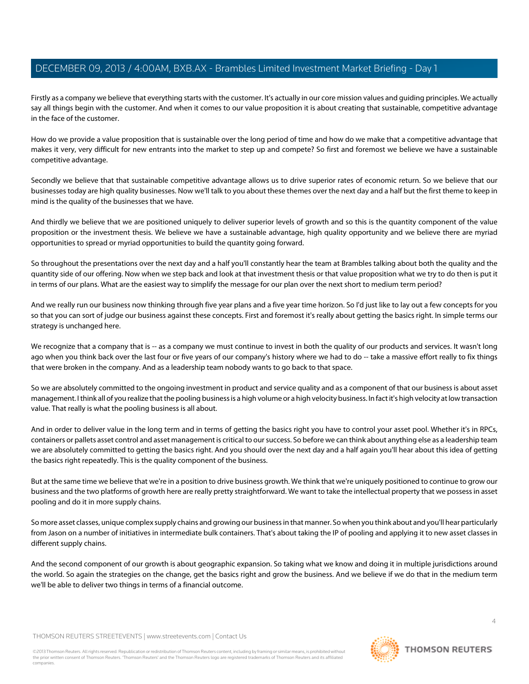Firstly as a company we believe that everything starts with the customer. It's actually in our core mission values and guiding principles. We actually say all things begin with the customer. And when it comes to our value proposition it is about creating that sustainable, competitive advantage in the face of the customer.

How do we provide a value proposition that is sustainable over the long period of time and how do we make that a competitive advantage that makes it very, very difficult for new entrants into the market to step up and compete? So first and foremost we believe we have a sustainable competitive advantage.

Secondly we believe that that sustainable competitive advantage allows us to drive superior rates of economic return. So we believe that our businesses today are high quality businesses. Now we'll talk to you about these themes over the next day and a half but the first theme to keep in mind is the quality of the businesses that we have.

And thirdly we believe that we are positioned uniquely to deliver superior levels of growth and so this is the quantity component of the value proposition or the investment thesis. We believe we have a sustainable advantage, high quality opportunity and we believe there are myriad opportunities to spread or myriad opportunities to build the quantity going forward.

So throughout the presentations over the next day and a half you'll constantly hear the team at Brambles talking about both the quality and the quantity side of our offering. Now when we step back and look at that investment thesis or that value proposition what we try to do then is put it in terms of our plans. What are the easiest way to simplify the message for our plan over the next short to medium term period?

And we really run our business now thinking through five year plans and a five year time horizon. So I'd just like to lay out a few concepts for you so that you can sort of judge our business against these concepts. First and foremost it's really about getting the basics right. In simple terms our strategy is unchanged here.

We recognize that a company that is -- as a company we must continue to invest in both the quality of our products and services. It wasn't long ago when you think back over the last four or five years of our company's history where we had to do -- take a massive effort really to fix things that were broken in the company. And as a leadership team nobody wants to go back to that space.

So we are absolutely committed to the ongoing investment in product and service quality and as a component of that our business is about asset management. I think all of you realize that the pooling business is a high volume or a high velocity business. In fact it's high velocity at low transaction value. That really is what the pooling business is all about.

And in order to deliver value in the long term and in terms of getting the basics right you have to control your asset pool. Whether it's in RPCs, containers or pallets asset control and asset management is critical to our success. So before we can think about anything else as a leadership team we are absolutely committed to getting the basics right. And you should over the next day and a half again you'll hear about this idea of getting the basics right repeatedly. This is the quality component of the business.

But at the same time we believe that we're in a position to drive business growth. We think that we're uniquely positioned to continue to grow our business and the two platforms of growth here are really pretty straightforward. We want to take the intellectual property that we possess in asset pooling and do it in more supply chains.

So more asset classes, unique complex supply chains and growing our business in that manner. So when you think about and you'll hear particularly from Jason on a number of initiatives in intermediate bulk containers. That's about taking the IP of pooling and applying it to new asset classes in different supply chains.

And the second component of our growth is about geographic expansion. So taking what we know and doing it in multiple jurisdictions around the world. So again the strategies on the change, get the basics right and grow the business. And we believe if we do that in the medium term we'll be able to deliver two things in terms of a financial outcome.

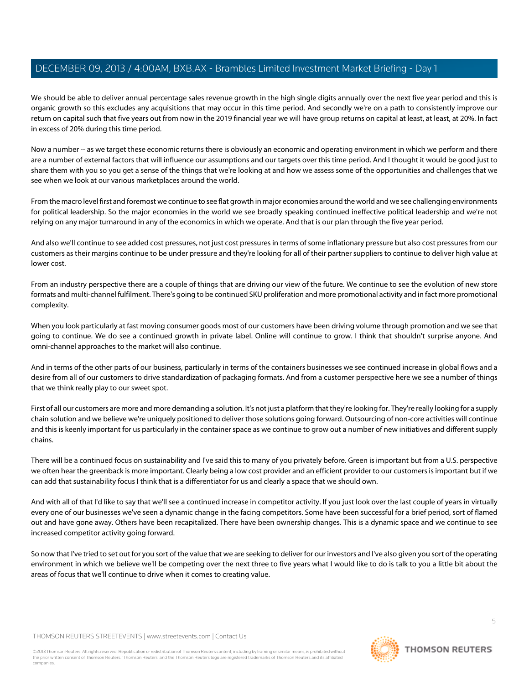We should be able to deliver annual percentage sales revenue growth in the high single digits annually over the next five year period and this is organic growth so this excludes any acquisitions that may occur in this time period. And secondly we're on a path to consistently improve our return on capital such that five years out from now in the 2019 financial year we will have group returns on capital at least, at least, at 20%. In fact in excess of 20% during this time period.

Now a number -- as we target these economic returns there is obviously an economic and operating environment in which we perform and there are a number of external factors that will influence our assumptions and our targets over this time period. And I thought it would be good just to share them with you so you get a sense of the things that we're looking at and how we assess some of the opportunities and challenges that we see when we look at our various marketplaces around the world.

From the macro level first and foremost we continue to see flat growth in major economies around the world and we see challenging environments for political leadership. So the major economies in the world we see broadly speaking continued ineffective political leadership and we're not relying on any major turnaround in any of the economics in which we operate. And that is our plan through the five year period.

And also we'll continue to see added cost pressures, not just cost pressures in terms of some inflationary pressure but also cost pressures from our customers as their margins continue to be under pressure and they're looking for all of their partner suppliers to continue to deliver high value at lower cost.

From an industry perspective there are a couple of things that are driving our view of the future. We continue to see the evolution of new store formats and multi-channel fulfilment. There's going to be continued SKU proliferation and more promotional activity and in fact more promotional complexity.

When you look particularly at fast moving consumer goods most of our customers have been driving volume through promotion and we see that going to continue. We do see a continued growth in private label. Online will continue to grow. I think that shouldn't surprise anyone. And omni-channel approaches to the market will also continue.

And in terms of the other parts of our business, particularly in terms of the containers businesses we see continued increase in global flows and a desire from all of our customers to drive standardization of packaging formats. And from a customer perspective here we see a number of things that we think really play to our sweet spot.

First of all our customers are more and more demanding a solution. It's not just a platform that they're looking for. They're really looking for a supply chain solution and we believe we're uniquely positioned to deliver those solutions going forward. Outsourcing of non-core activities will continue and this is keenly important for us particularly in the container space as we continue to grow out a number of new initiatives and different supply chains.

There will be a continued focus on sustainability and I've said this to many of you privately before. Green is important but from a U.S. perspective we often hear the greenback is more important. Clearly being a low cost provider and an efficient provider to our customers is important but if we can add that sustainability focus I think that is a differentiator for us and clearly a space that we should own.

And with all of that I'd like to say that we'll see a continued increase in competitor activity. If you just look over the last couple of years in virtually every one of our businesses we've seen a dynamic change in the facing competitors. Some have been successful for a brief period, sort of flamed out and have gone away. Others have been recapitalized. There have been ownership changes. This is a dynamic space and we continue to see increased competitor activity going forward.

So now that I've tried to set out for you sort of the value that we are seeking to deliver for our investors and I've also given you sort of the operating environment in which we believe we'll be competing over the next three to five years what I would like to do is talk to you a little bit about the areas of focus that we'll continue to drive when it comes to creating value.

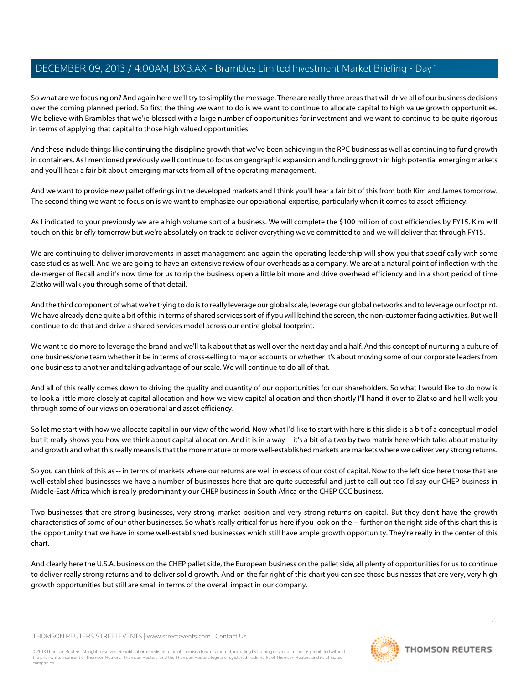So what are we focusing on? And again here we'll try to simplify the message. There are really three areas that will drive all of our business decisions over the coming planned period. So first the thing we want to do is we want to continue to allocate capital to high value growth opportunities. We believe with Brambles that we're blessed with a large number of opportunities for investment and we want to continue to be quite rigorous in terms of applying that capital to those high valued opportunities.

And these include things like continuing the discipline growth that we've been achieving in the RPC business as well as continuing to fund growth in containers. As I mentioned previously we'll continue to focus on geographic expansion and funding growth in high potential emerging markets and you'll hear a fair bit about emerging markets from all of the operating management.

And we want to provide new pallet offerings in the developed markets and I think you'll hear a fair bit of this from both Kim and James tomorrow. The second thing we want to focus on is we want to emphasize our operational expertise, particularly when it comes to asset efficiency.

As I indicated to your previously we are a high volume sort of a business. We will complete the \$100 million of cost efficiencies by FY15. Kim will touch on this briefly tomorrow but we're absolutely on track to deliver everything we've committed to and we will deliver that through FY15.

We are continuing to deliver improvements in asset management and again the operating leadership will show you that specifically with some case studies as well. And we are going to have an extensive review of our overheads as a company. We are at a natural point of inflection with the de-merger of Recall and it's now time for us to rip the business open a little bit more and drive overhead efficiency and in a short period of time Zlatko will walk you through some of that detail.

And the third component of what we're trying to do is to really leverage our global scale, leverage our global networks and to leverage our footprint. We have already done quite a bit of this in terms of shared services sort of if you will behind the screen, the non-customer facing activities. But we'll continue to do that and drive a shared services model across our entire global footprint.

We want to do more to leverage the brand and we'll talk about that as well over the next day and a half. And this concept of nurturing a culture of one business/one team whether it be in terms of cross-selling to major accounts or whether it's about moving some of our corporate leaders from one business to another and taking advantage of our scale. We will continue to do all of that.

And all of this really comes down to driving the quality and quantity of our opportunities for our shareholders. So what I would like to do now is to look a little more closely at capital allocation and how we view capital allocation and then shortly I'll hand it over to Zlatko and he'll walk you through some of our views on operational and asset efficiency.

So let me start with how we allocate capital in our view of the world. Now what I'd like to start with here is this slide is a bit of a conceptual model but it really shows you how we think about capital allocation. And it is in a way -- it's a bit of a two by two matrix here which talks about maturity and growth and what this really means is that the more mature or more well-established markets are markets where we deliver very strong returns.

So you can think of this as -- in terms of markets where our returns are well in excess of our cost of capital. Now to the left side here those that are well-established businesses we have a number of businesses here that are quite successful and just to call out too I'd say our CHEP business in Middle-East Africa which is really predominantly our CHEP business in South Africa or the CHEP CCC business.

Two businesses that are strong businesses, very strong market position and very strong returns on capital. But they don't have the growth characteristics of some of our other businesses. So what's really critical for us here if you look on the -- further on the right side of this chart this is the opportunity that we have in some well-established businesses which still have ample growth opportunity. They're really in the center of this chart.

And clearly here the U.S.A. business on the CHEP pallet side, the European business on the pallet side, all plenty of opportunities for us to continue to deliver really strong returns and to deliver solid growth. And on the far right of this chart you can see those businesses that are very, very high growth opportunities but still are small in terms of the overall impact in our company.

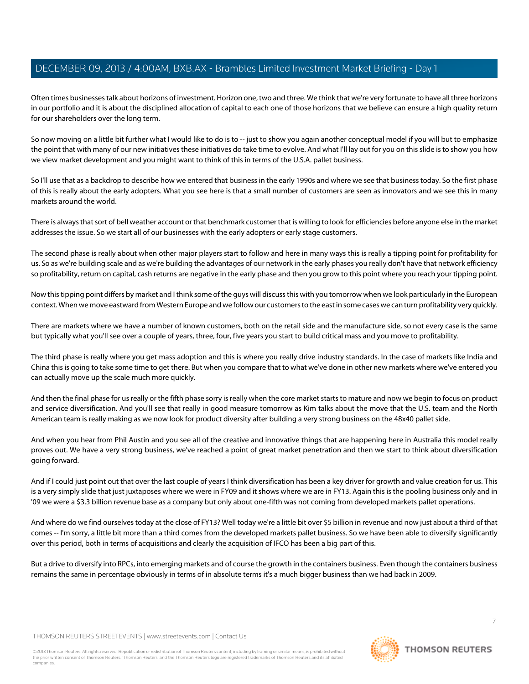Often times businesses talk about horizons of investment. Horizon one, two and three. We think that we're very fortunate to have all three horizons in our portfolio and it is about the disciplined allocation of capital to each one of those horizons that we believe can ensure a high quality return for our shareholders over the long term.

So now moving on a little bit further what I would like to do is to -- just to show you again another conceptual model if you will but to emphasize the point that with many of our new initiatives these initiatives do take time to evolve. And what I'll lay out for you on this slide is to show you how we view market development and you might want to think of this in terms of the U.S.A. pallet business.

So I'll use that as a backdrop to describe how we entered that business in the early 1990s and where we see that business today. So the first phase of this is really about the early adopters. What you see here is that a small number of customers are seen as innovators and we see this in many markets around the world.

There is always that sort of bell weather account or that benchmark customer that is willing to look for efficiencies before anyone else in the market addresses the issue. So we start all of our businesses with the early adopters or early stage customers.

The second phase is really about when other major players start to follow and here in many ways this is really a tipping point for profitability for us. So as we're building scale and as we're building the advantages of our network in the early phases you really don't have that network efficiency so profitability, return on capital, cash returns are negative in the early phase and then you grow to this point where you reach your tipping point.

Now this tipping point differs by market and I think some of the guys will discuss this with you tomorrow when we look particularly in the European context. When we move eastward from Western Europe and we follow our customers to the east in some cases we can turn profitability very quickly.

There are markets where we have a number of known customers, both on the retail side and the manufacture side, so not every case is the same but typically what you'll see over a couple of years, three, four, five years you start to build critical mass and you move to profitability.

The third phase is really where you get mass adoption and this is where you really drive industry standards. In the case of markets like India and China this is going to take some time to get there. But when you compare that to what we've done in other new markets where we've entered you can actually move up the scale much more quickly.

And then the final phase for us really or the fifth phase sorry is really when the core market starts to mature and now we begin to focus on product and service diversification. And you'll see that really in good measure tomorrow as Kim talks about the move that the U.S. team and the North American team is really making as we now look for product diversity after building a very strong business on the 48x40 pallet side.

And when you hear from Phil Austin and you see all of the creative and innovative things that are happening here in Australia this model really proves out. We have a very strong business, we've reached a point of great market penetration and then we start to think about diversification going forward.

And if I could just point out that over the last couple of years I think diversification has been a key driver for growth and value creation for us. This is a very simply slide that just juxtaposes where we were in FY09 and it shows where we are in FY13. Again this is the pooling business only and in '09 we were a \$3.3 billion revenue base as a company but only about one-fifth was not coming from developed markets pallet operations.

And where do we find ourselves today at the close of FY13? Well today we're a little bit over \$5 billion in revenue and now just about a third of that comes -- I'm sorry, a little bit more than a third comes from the developed markets pallet business. So we have been able to diversify significantly over this period, both in terms of acquisitions and clearly the acquisition of IFCO has been a big part of this.

But a drive to diversify into RPCs, into emerging markets and of course the growth in the containers business. Even though the containers business remains the same in percentage obviously in terms of in absolute terms it's a much bigger business than we had back in 2009.

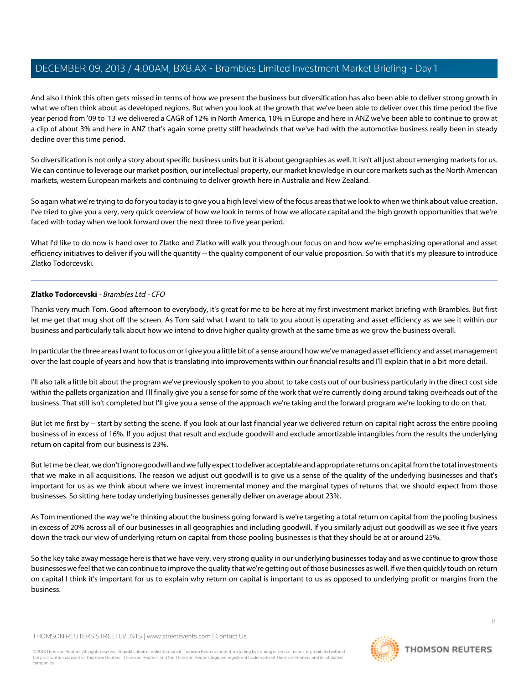And also I think this often gets missed in terms of how we present the business but diversification has also been able to deliver strong growth in what we often think about as developed regions. But when you look at the growth that we've been able to deliver over this time period the five year period from '09 to '13 we delivered a CAGR of 12% in North America, 10% in Europe and here in ANZ we've been able to continue to grow at a clip of about 3% and here in ANZ that's again some pretty stiff headwinds that we've had with the automotive business really been in steady decline over this time period.

So diversification is not only a story about specific business units but it is about geographies as well. It isn't all just about emerging markets for us. We can continue to leverage our market position, our intellectual property, our market knowledge in our core markets such as the North American markets, western European markets and continuing to deliver growth here in Australia and New Zealand.

So again what we're trying to do for you today is to give you a high level view of the focus areas that we look to when we think about value creation. I've tried to give you a very, very quick overview of how we look in terms of how we allocate capital and the high growth opportunities that we're faced with today when we look forward over the next three to five year period.

<span id="page-7-0"></span>What I'd like to do now is hand over to Zlatko and Zlatko will walk you through our focus on and how we're emphasizing operational and asset efficiency initiatives to deliver if you will the quantity -- the quality component of our value proposition. So with that it's my pleasure to introduce Zlatko Todorcevski.

## **Zlatko Todorcevski** - Brambles Ltd - CFO

Thanks very much Tom. Good afternoon to everybody, it's great for me to be here at my first investment market briefing with Brambles. But first let me get that mug shot off the screen. As Tom said what I want to talk to you about is operating and asset efficiency as we see it within our business and particularly talk about how we intend to drive higher quality growth at the same time as we grow the business overall.

In particular the three areas I want to focus on or I give you a little bit of a sense around how we've managed asset efficiency and asset management over the last couple of years and how that is translating into improvements within our financial results and I'll explain that in a bit more detail.

I'll also talk a little bit about the program we've previously spoken to you about to take costs out of our business particularly in the direct cost side within the pallets organization and I'll finally give you a sense for some of the work that we're currently doing around taking overheads out of the business. That still isn't completed but I'll give you a sense of the approach we're taking and the forward program we're looking to do on that.

But let me first by -- start by setting the scene. If you look at our last financial year we delivered return on capital right across the entire pooling business of in excess of 16%. If you adjust that result and exclude goodwill and exclude amortizable intangibles from the results the underlying return on capital from our business is 23%.

But let me be clear, we don't ignore goodwill and we fully expect to deliver acceptable and appropriate returns on capital from the total investments that we make in all acquisitions. The reason we adjust out goodwill is to give us a sense of the quality of the underlying businesses and that's important for us as we think about where we invest incremental money and the marginal types of returns that we should expect from those businesses. So sitting here today underlying businesses generally deliver on average about 23%.

As Tom mentioned the way we're thinking about the business going forward is we're targeting a total return on capital from the pooling business in excess of 20% across all of our businesses in all geographies and including goodwill. If you similarly adjust out goodwill as we see it five years down the track our view of underlying return on capital from those pooling businesses is that they should be at or around 25%.

So the key take away message here is that we have very, very strong quality in our underlying businesses today and as we continue to grow those businesses we feel that we can continue to improve the quality that we're getting out of those businesses as well. If we then quickly touch on return on capital I think it's important for us to explain why return on capital is important to us as opposed to underlying profit or margins from the business.

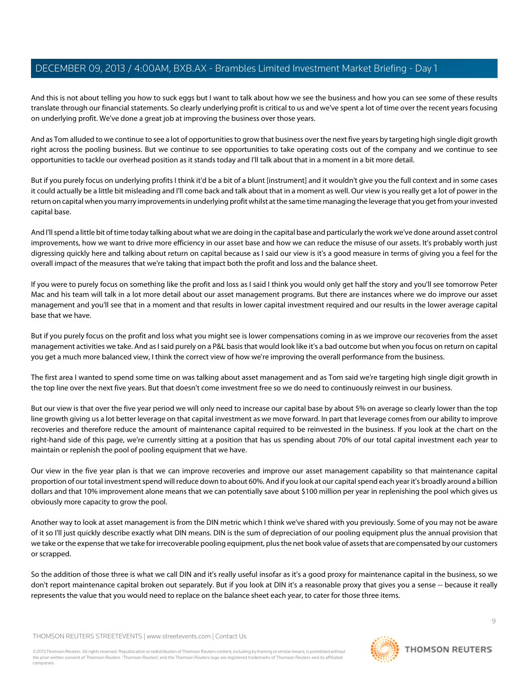And this is not about telling you how to suck eggs but I want to talk about how we see the business and how you can see some of these results translate through our financial statements. So clearly underlying profit is critical to us and we've spent a lot of time over the recent years focusing on underlying profit. We've done a great job at improving the business over those years.

And as Tom alluded to we continue to see a lot of opportunities to grow that business over the next five years by targeting high single digit growth right across the pooling business. But we continue to see opportunities to take operating costs out of the company and we continue to see opportunities to tackle our overhead position as it stands today and I'll talk about that in a moment in a bit more detail.

But if you purely focus on underlying profits I think it'd be a bit of a blunt [instrument] and it wouldn't give you the full context and in some cases it could actually be a little bit misleading and I'll come back and talk about that in a moment as well. Our view is you really get a lot of power in the return on capital when you marry improvements in underlying profit whilst at the same time managing the leverage that you get from your invested capital base.

And I'll spend a little bit of time today talking about what we are doing in the capital base and particularly the work we've done around asset control improvements, how we want to drive more efficiency in our asset base and how we can reduce the misuse of our assets. It's probably worth just digressing quickly here and talking about return on capital because as I said our view is it's a good measure in terms of giving you a feel for the overall impact of the measures that we're taking that impact both the profit and loss and the balance sheet.

If you were to purely focus on something like the profit and loss as I said I think you would only get half the story and you'll see tomorrow Peter Mac and his team will talk in a lot more detail about our asset management programs. But there are instances where we do improve our asset management and you'll see that in a moment and that results in lower capital investment required and our results in the lower average capital base that we have.

But if you purely focus on the profit and loss what you might see is lower compensations coming in as we improve our recoveries from the asset management activities we take. And as I said purely on a P&L basis that would look like it's a bad outcome but when you focus on return on capital you get a much more balanced view, I think the correct view of how we're improving the overall performance from the business.

The first area I wanted to spend some time on was talking about asset management and as Tom said we're targeting high single digit growth in the top line over the next five years. But that doesn't come investment free so we do need to continuously reinvest in our business.

But our view is that over the five year period we will only need to increase our capital base by about 5% on average so clearly lower than the top line growth giving us a lot better leverage on that capital investment as we move forward. In part that leverage comes from our ability to improve recoveries and therefore reduce the amount of maintenance capital required to be reinvested in the business. If you look at the chart on the right-hand side of this page, we're currently sitting at a position that has us spending about 70% of our total capital investment each year to maintain or replenish the pool of pooling equipment that we have.

Our view in the five year plan is that we can improve recoveries and improve our asset management capability so that maintenance capital proportion of our total investment spend will reduce down to about 60%. And if you look at our capital spend each year it's broadly around a billion dollars and that 10% improvement alone means that we can potentially save about \$100 million per year in replenishing the pool which gives us obviously more capacity to grow the pool.

Another way to look at asset management is from the DIN metric which I think we've shared with you previously. Some of you may not be aware of it so I'll just quickly describe exactly what DIN means. DIN is the sum of depreciation of our pooling equipment plus the annual provision that we take or the expense that we take for irrecoverable pooling equipment, plus the net book value of assets that are compensated by our customers or scrapped.

So the addition of those three is what we call DIN and it's really useful insofar as it's a good proxy for maintenance capital in the business, so we don't report maintenance capital broken out separately. But if you look at DIN it's a reasonable proxy that gives you a sense -- because it really represents the value that you would need to replace on the balance sheet each year, to cater for those three items.

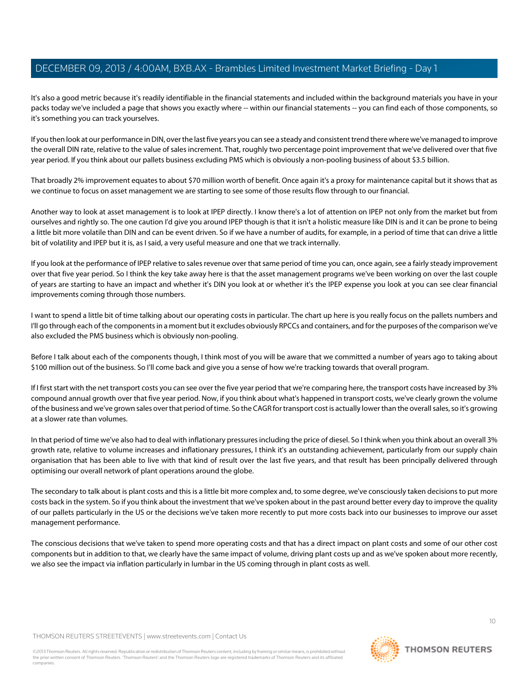It's also a good metric because it's readily identifiable in the financial statements and included within the background materials you have in your packs today we've included a page that shows you exactly where -- within our financial statements -- you can find each of those components, so it's something you can track yourselves.

If you then look at our performance in DIN, over the last five years you can see a steady and consistent trend there where we've managed to improve the overall DIN rate, relative to the value of sales increment. That, roughly two percentage point improvement that we've delivered over that five year period. If you think about our pallets business excluding PMS which is obviously a non-pooling business of about \$3.5 billion.

That broadly 2% improvement equates to about \$70 million worth of benefit. Once again it's a proxy for maintenance capital but it shows that as we continue to focus on asset management we are starting to see some of those results flow through to our financial.

Another way to look at asset management is to look at IPEP directly. I know there's a lot of attention on IPEP not only from the market but from ourselves and rightly so. The one caution I'd give you around IPEP though is that it isn't a holistic measure like DIN is and it can be prone to being a little bit more volatile than DIN and can be event driven. So if we have a number of audits, for example, in a period of time that can drive a little bit of volatility and IPEP but it is, as I said, a very useful measure and one that we track internally.

If you look at the performance of IPEP relative to sales revenue over that same period of time you can, once again, see a fairly steady improvement over that five year period. So I think the key take away here is that the asset management programs we've been working on over the last couple of years are starting to have an impact and whether it's DIN you look at or whether it's the IPEP expense you look at you can see clear financial improvements coming through those numbers.

I want to spend a little bit of time talking about our operating costs in particular. The chart up here is you really focus on the pallets numbers and I'll go through each of the components in a moment but it excludes obviously RPCCs and containers, and for the purposes of the comparison we've also excluded the PMS business which is obviously non-pooling.

Before I talk about each of the components though, I think most of you will be aware that we committed a number of years ago to taking about \$100 million out of the business. So I'll come back and give you a sense of how we're tracking towards that overall program.

If I first start with the net transport costs you can see over the five year period that we're comparing here, the transport costs have increased by 3% compound annual growth over that five year period. Now, if you think about what's happened in transport costs, we've clearly grown the volume of the business and we've grown sales over that period of time. So the CAGR for transport cost is actually lower than the overall sales, so it's growing at a slower rate than volumes.

In that period of time we've also had to deal with inflationary pressures including the price of diesel. So I think when you think about an overall 3% growth rate, relative to volume increases and inflationary pressures, I think it's an outstanding achievement, particularly from our supply chain organisation that has been able to live with that kind of result over the last five years, and that result has been principally delivered through optimising our overall network of plant operations around the globe.

The secondary to talk about is plant costs and this is a little bit more complex and, to some degree, we've consciously taken decisions to put more costs back in the system. So if you think about the investment that we've spoken about in the past around better every day to improve the quality of our pallets particularly in the US or the decisions we've taken more recently to put more costs back into our businesses to improve our asset management performance.

The conscious decisions that we've taken to spend more operating costs and that has a direct impact on plant costs and some of our other cost components but in addition to that, we clearly have the same impact of volume, driving plant costs up and as we've spoken about more recently, we also see the impact via inflation particularly in lumbar in the US coming through in plant costs as well.

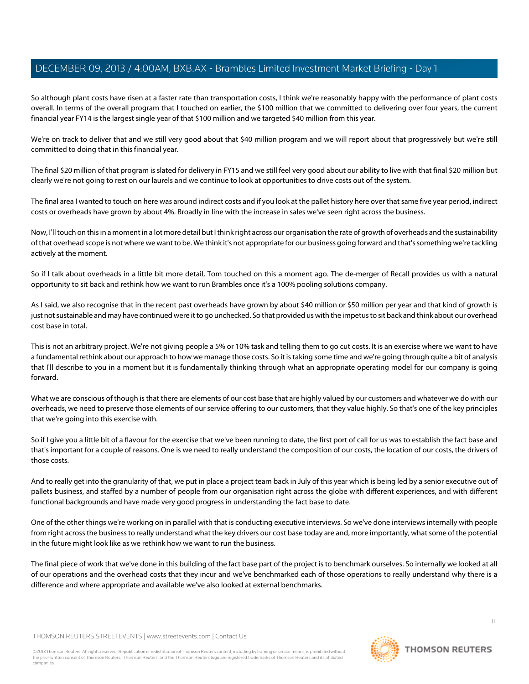So although plant costs have risen at a faster rate than transportation costs, I think we're reasonably happy with the performance of plant costs overall. In terms of the overall program that I touched on earlier, the \$100 million that we committed to delivering over four years, the current financial year FY14 is the largest single year of that \$100 million and we targeted \$40 million from this year.

We're on track to deliver that and we still very good about that \$40 million program and we will report about that progressively but we're still committed to doing that in this financial year.

The final \$20 million of that program is slated for delivery in FY15 and we still feel very good about our ability to live with that final \$20 million but clearly we're not going to rest on our laurels and we continue to look at opportunities to drive costs out of the system.

The final area I wanted to touch on here was around indirect costs and if you look at the pallet history here over that same five year period, indirect costs or overheads have grown by about 4%. Broadly in line with the increase in sales we've seen right across the business.

Now, I'll touch on this in a moment in a lot more detail but I think right across our organisation the rate of growth of overheads and the sustainability of that overhead scope is not where we want to be. We think it's not appropriate for our business going forward and that's something we're tackling actively at the moment.

So if I talk about overheads in a little bit more detail, Tom touched on this a moment ago. The de-merger of Recall provides us with a natural opportunity to sit back and rethink how we want to run Brambles once it's a 100% pooling solutions company.

As I said, we also recognise that in the recent past overheads have grown by about \$40 million or \$50 million per year and that kind of growth is just not sustainable and may have continued were it to go unchecked. So that provided us with the impetus to sit back and think about our overhead cost base in total.

This is not an arbitrary project. We're not giving people a 5% or 10% task and telling them to go cut costs. It is an exercise where we want to have a fundamental rethink about our approach to how we manage those costs. So it is taking some time and we're going through quite a bit of analysis that I'll describe to you in a moment but it is fundamentally thinking through what an appropriate operating model for our company is going forward.

What we are conscious of though is that there are elements of our cost base that are highly valued by our customers and whatever we do with our overheads, we need to preserve those elements of our service offering to our customers, that they value highly. So that's one of the key principles that we're going into this exercise with.

So if I give you a little bit of a flavour for the exercise that we've been running to date, the first port of call for us was to establish the fact base and that's important for a couple of reasons. One is we need to really understand the composition of our costs, the location of our costs, the drivers of those costs.

And to really get into the granularity of that, we put in place a project team back in July of this year which is being led by a senior executive out of pallets business, and staffed by a number of people from our organisation right across the globe with different experiences, and with different functional backgrounds and have made very good progress in understanding the fact base to date.

One of the other things we're working on in parallel with that is conducting executive interviews. So we've done interviews internally with people from right across the business to really understand what the key drivers our cost base today are and, more importantly, what some of the potential in the future might look like as we rethink how we want to run the business.

The final piece of work that we've done in this building of the fact base part of the project is to benchmark ourselves. So internally we looked at all of our operations and the overhead costs that they incur and we've benchmarked each of those operations to really understand why there is a difference and where appropriate and available we've also looked at external benchmarks.

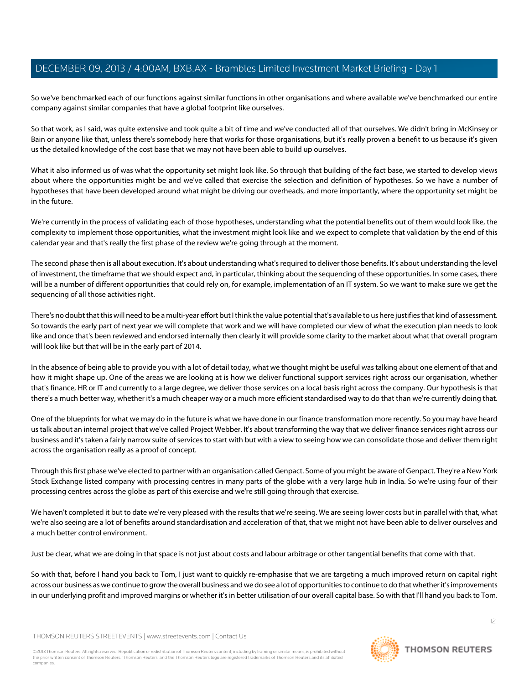So we've benchmarked each of our functions against similar functions in other organisations and where available we've benchmarked our entire company against similar companies that have a global footprint like ourselves.

So that work, as I said, was quite extensive and took quite a bit of time and we've conducted all of that ourselves. We didn't bring in McKinsey or Bain or anyone like that, unless there's somebody here that works for those organisations, but it's really proven a benefit to us because it's given us the detailed knowledge of the cost base that we may not have been able to build up ourselves.

What it also informed us of was what the opportunity set might look like. So through that building of the fact base, we started to develop views about where the opportunities might be and we've called that exercise the selection and definition of hypotheses. So we have a number of hypotheses that have been developed around what might be driving our overheads, and more importantly, where the opportunity set might be in the future.

We're currently in the process of validating each of those hypotheses, understanding what the potential benefits out of them would look like, the complexity to implement those opportunities, what the investment might look like and we expect to complete that validation by the end of this calendar year and that's really the first phase of the review we're going through at the moment.

The second phase then is all about execution. It's about understanding what's required to deliver those benefits. It's about understanding the level of investment, the timeframe that we should expect and, in particular, thinking about the sequencing of these opportunities. In some cases, there will be a number of different opportunities that could rely on, for example, implementation of an IT system. So we want to make sure we get the sequencing of all those activities right.

There's no doubt that this will need to be a multi-year effort but I think the value potential that's available to us here justifies that kind of assessment. So towards the early part of next year we will complete that work and we will have completed our view of what the execution plan needs to look like and once that's been reviewed and endorsed internally then clearly it will provide some clarity to the market about what that overall program will look like but that will be in the early part of 2014.

In the absence of being able to provide you with a lot of detail today, what we thought might be useful was talking about one element of that and how it might shape up. One of the areas we are looking at is how we deliver functional support services right across our organisation, whether that's finance, HR or IT and currently to a large degree, we deliver those services on a local basis right across the company. Our hypothesis is that there's a much better way, whether it's a much cheaper way or a much more efficient standardised way to do that than we're currently doing that.

One of the blueprints for what we may do in the future is what we have done in our finance transformation more recently. So you may have heard us talk about an internal project that we've called Project Webber. It's about transforming the way that we deliver finance services right across our business and it's taken a fairly narrow suite of services to start with but with a view to seeing how we can consolidate those and deliver them right across the organisation really as a proof of concept.

Through this first phase we've elected to partner with an organisation called Genpact. Some of you might be aware of Genpact. They're a New York Stock Exchange listed company with processing centres in many parts of the globe with a very large hub in India. So we're using four of their processing centres across the globe as part of this exercise and we're still going through that exercise.

We haven't completed it but to date we're very pleased with the results that we're seeing. We are seeing lower costs but in parallel with that, what we're also seeing are a lot of benefits around standardisation and acceleration of that, that we might not have been able to deliver ourselves and a much better control environment.

Just be clear, what we are doing in that space is not just about costs and labour arbitrage or other tangential benefits that come with that.

So with that, before I hand you back to Tom, I just want to quickly re-emphasise that we are targeting a much improved return on capital right across our business as we continue to grow the overall business and we do see a lot of opportunities to continue to do that whether it's improvements in our underlying profit and improved margins or whether it's in better utilisation of our overall capital base. So with that I'll hand you back to Tom.

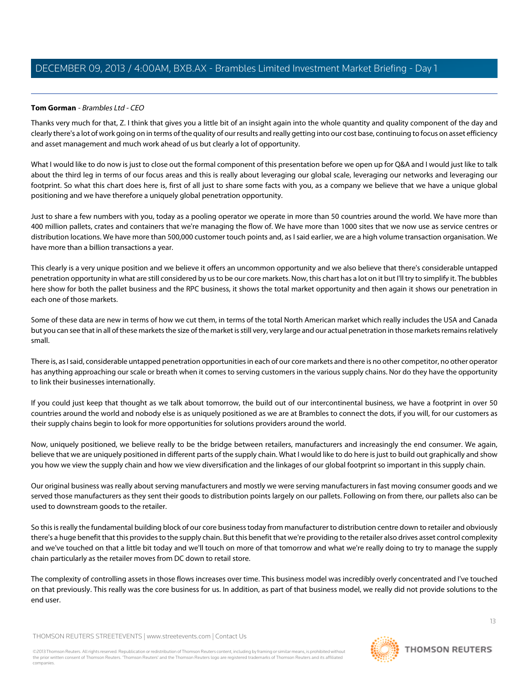# **Tom Gorman** - Brambles Ltd - CEO

Thanks very much for that, Z. I think that gives you a little bit of an insight again into the whole quantity and quality component of the day and clearly there's a lot of work going on in terms of the quality of our results and really getting into our cost base, continuing to focus on asset efficiency and asset management and much work ahead of us but clearly a lot of opportunity.

What I would like to do now is just to close out the formal component of this presentation before we open up for Q&A and I would just like to talk about the third leg in terms of our focus areas and this is really about leveraging our global scale, leveraging our networks and leveraging our footprint. So what this chart does here is, first of all just to share some facts with you, as a company we believe that we have a unique global positioning and we have therefore a uniquely global penetration opportunity.

Just to share a few numbers with you, today as a pooling operator we operate in more than 50 countries around the world. We have more than 400 million pallets, crates and containers that we're managing the flow of. We have more than 1000 sites that we now use as service centres or distribution locations. We have more than 500,000 customer touch points and, as I said earlier, we are a high volume transaction organisation. We have more than a billion transactions a year.

This clearly is a very unique position and we believe it offers an uncommon opportunity and we also believe that there's considerable untapped penetration opportunity in what are still considered by us to be our core markets. Now, this chart has a lot on it but I'll try to simplify it. The bubbles here show for both the pallet business and the RPC business, it shows the total market opportunity and then again it shows our penetration in each one of those markets.

Some of these data are new in terms of how we cut them, in terms of the total North American market which really includes the USA and Canada but you can see that in all of these markets the size of the market is still very, very large and our actual penetration in those markets remains relatively small.

There is, as I said, considerable untapped penetration opportunities in each of our core markets and there is no other competitor, no other operator has anything approaching our scale or breath when it comes to serving customers in the various supply chains. Nor do they have the opportunity to link their businesses internationally.

If you could just keep that thought as we talk about tomorrow, the build out of our intercontinental business, we have a footprint in over 50 countries around the world and nobody else is as uniquely positioned as we are at Brambles to connect the dots, if you will, for our customers as their supply chains begin to look for more opportunities for solutions providers around the world.

Now, uniquely positioned, we believe really to be the bridge between retailers, manufacturers and increasingly the end consumer. We again, believe that we are uniquely positioned in different parts of the supply chain. What I would like to do here is just to build out graphically and show you how we view the supply chain and how we view diversification and the linkages of our global footprint so important in this supply chain.

Our original business was really about serving manufacturers and mostly we were serving manufacturers in fast moving consumer goods and we served those manufacturers as they sent their goods to distribution points largely on our pallets. Following on from there, our pallets also can be used to downstream goods to the retailer.

So this is really the fundamental building block of our core business today from manufacturer to distribution centre down to retailer and obviously there's a huge benefit that this provides to the supply chain. But this benefit that we're providing to the retailer also drives asset control complexity and we've touched on that a little bit today and we'll touch on more of that tomorrow and what we're really doing to try to manage the supply chain particularly as the retailer moves from DC down to retail store.

The complexity of controlling assets in those flows increases over time. This business model was incredibly overly concentrated and I've touched on that previously. This really was the core business for us. In addition, as part of that business model, we really did not provide solutions to the end user.

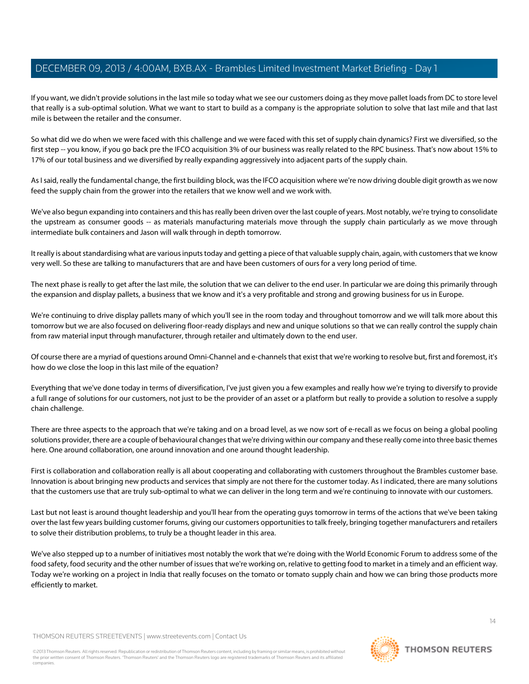If you want, we didn't provide solutions in the last mile so today what we see our customers doing as they move pallet loads from DC to store level that really is a sub-optimal solution. What we want to start to build as a company is the appropriate solution to solve that last mile and that last mile is between the retailer and the consumer.

So what did we do when we were faced with this challenge and we were faced with this set of supply chain dynamics? First we diversified, so the first step -- you know, if you go back pre the IFCO acquisition 3% of our business was really related to the RPC business. That's now about 15% to 17% of our total business and we diversified by really expanding aggressively into adjacent parts of the supply chain.

As I said, really the fundamental change, the first building block, was the IFCO acquisition where we're now driving double digit growth as we now feed the supply chain from the grower into the retailers that we know well and we work with.

We've also begun expanding into containers and this has really been driven over the last couple of years. Most notably, we're trying to consolidate the upstream as consumer goods -- as materials manufacturing materials move through the supply chain particularly as we move through intermediate bulk containers and Jason will walk through in depth tomorrow.

It really is about standardising what are various inputs today and getting a piece of that valuable supply chain, again, with customers that we know very well. So these are talking to manufacturers that are and have been customers of ours for a very long period of time.

The next phase is really to get after the last mile, the solution that we can deliver to the end user. In particular we are doing this primarily through the expansion and display pallets, a business that we know and it's a very profitable and strong and growing business for us in Europe.

We're continuing to drive display pallets many of which you'll see in the room today and throughout tomorrow and we will talk more about this tomorrow but we are also focused on delivering floor-ready displays and new and unique solutions so that we can really control the supply chain from raw material input through manufacturer, through retailer and ultimately down to the end user.

Of course there are a myriad of questions around Omni-Channel and e-channels that exist that we're working to resolve but, first and foremost, it's how do we close the loop in this last mile of the equation?

Everything that we've done today in terms of diversification, I've just given you a few examples and really how we're trying to diversify to provide a full range of solutions for our customers, not just to be the provider of an asset or a platform but really to provide a solution to resolve a supply chain challenge.

There are three aspects to the approach that we're taking and on a broad level, as we now sort of e-recall as we focus on being a global pooling solutions provider, there are a couple of behavioural changes that we're driving within our company and these really come into three basic themes here. One around collaboration, one around innovation and one around thought leadership.

First is collaboration and collaboration really is all about cooperating and collaborating with customers throughout the Brambles customer base. Innovation is about bringing new products and services that simply are not there for the customer today. As I indicated, there are many solutions that the customers use that are truly sub-optimal to what we can deliver in the long term and we're continuing to innovate with our customers.

Last but not least is around thought leadership and you'll hear from the operating guys tomorrow in terms of the actions that we've been taking over the last few years building customer forums, giving our customers opportunities to talk freely, bringing together manufacturers and retailers to solve their distribution problems, to truly be a thought leader in this area.

We've also stepped up to a number of initiatives most notably the work that we're doing with the World Economic Forum to address some of the food safety, food security and the other number of issues that we're working on, relative to getting food to market in a timely and an efficient way. Today we're working on a project in India that really focuses on the tomato or tomato supply chain and how we can bring those products more efficiently to market.

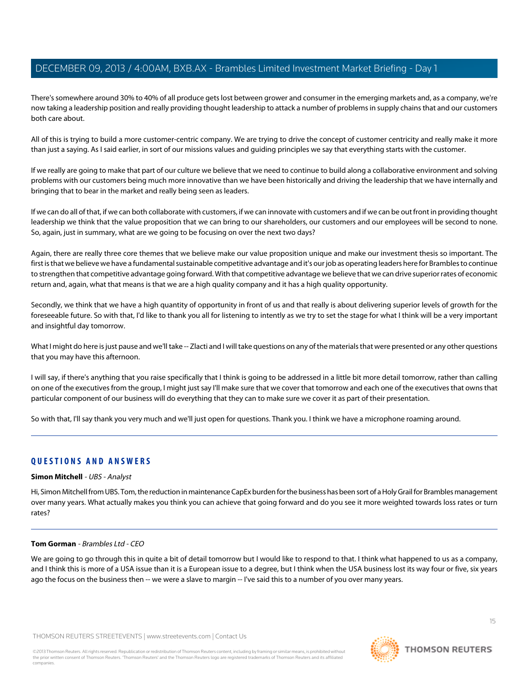There's somewhere around 30% to 40% of all produce gets lost between grower and consumer in the emerging markets and, as a company, we're now taking a leadership position and really providing thought leadership to attack a number of problems in supply chains that and our customers both care about.

All of this is trying to build a more customer-centric company. We are trying to drive the concept of customer centricity and really make it more than just a saying. As I said earlier, in sort of our missions values and guiding principles we say that everything starts with the customer.

If we really are going to make that part of our culture we believe that we need to continue to build along a collaborative environment and solving problems with our customers being much more innovative than we have been historically and driving the leadership that we have internally and bringing that to bear in the market and really being seen as leaders.

If we can do all of that, if we can both collaborate with customers, if we can innovate with customers and if we can be out front in providing thought leadership we think that the value proposition that we can bring to our shareholders, our customers and our employees will be second to none. So, again, just in summary, what are we going to be focusing on over the next two days?

Again, there are really three core themes that we believe make our value proposition unique and make our investment thesis so important. The first is that we believe we have a fundamental sustainable competitive advantage and it's our job as operating leaders here for Brambles to continue to strengthen that competitive advantage going forward. With that competitive advantage we believe that we can drive superior rates of economic return and, again, what that means is that we are a high quality company and it has a high quality opportunity.

Secondly, we think that we have a high quantity of opportunity in front of us and that really is about delivering superior levels of growth for the foreseeable future. So with that, I'd like to thank you all for listening to intently as we try to set the stage for what I think will be a very important and insightful day tomorrow.

What I might do here is just pause and we'll take -- Zlacti and I will take questions on any of the materials that were presented or any other questions that you may have this afternoon.

I will say, if there's anything that you raise specifically that I think is going to be addressed in a little bit more detail tomorrow, rather than calling on one of the executives from the group, I might just say I'll make sure that we cover that tomorrow and each one of the executives that owns that particular component of our business will do everything that they can to make sure we cover it as part of their presentation.

<span id="page-14-0"></span>So with that, I'll say thank you very much and we'll just open for questions. Thank you. I think we have a microphone roaming around.

# **QUESTIONS AND ANSWERS**

# **Simon Mitchell** - UBS - Analyst

Hi, Simon Mitchell from UBS. Tom, the reduction in maintenance CapEx burden for the business has been sort of a Holy Grail for Brambles management over many years. What actually makes you think you can achieve that going forward and do you see it more weighted towards loss rates or turn rates?

## **Tom Gorman** - Brambles Ltd - CEO

We are going to go through this in quite a bit of detail tomorrow but I would like to respond to that. I think what happened to us as a company, and I think this is more of a USA issue than it is a European issue to a degree, but I think when the USA business lost its way four or five, six years ago the focus on the business then -- we were a slave to margin -- I've said this to a number of you over many years.

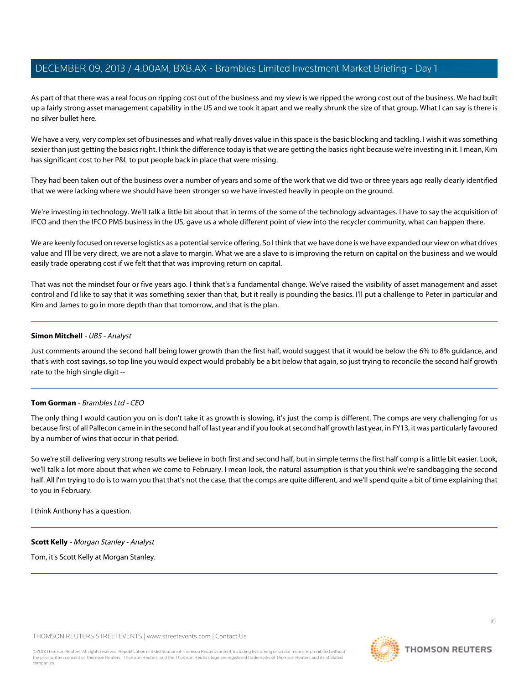As part of that there was a real focus on ripping cost out of the business and my view is we ripped the wrong cost out of the business. We had built up a fairly strong asset management capability in the US and we took it apart and we really shrunk the size of that group. What I can say is there is no silver bullet here.

We have a very, very complex set of businesses and what really drives value in this space is the basic blocking and tackling. I wish it was something sexier than just getting the basics right. I think the difference today is that we are getting the basics right because we're investing in it. I mean, Kim has significant cost to her P&L to put people back in place that were missing.

They had been taken out of the business over a number of years and some of the work that we did two or three years ago really clearly identified that we were lacking where we should have been stronger so we have invested heavily in people on the ground.

We're investing in technology. We'll talk a little bit about that in terms of the some of the technology advantages. I have to say the acquisition of IFCO and then the IFCO PMS business in the US, gave us a whole different point of view into the recycler community, what can happen there.

We are keenly focused on reverse logistics as a potential service offering. So I think that we have done is we have expanded our view on what drives value and I'll be very direct, we are not a slave to margin. What we are a slave to is improving the return on capital on the business and we would easily trade operating cost if we felt that that was improving return on capital.

That was not the mindset four or five years ago. I think that's a fundamental change. We've raised the visibility of asset management and asset control and I'd like to say that it was something sexier than that, but it really is pounding the basics. I'll put a challenge to Peter in particular and Kim and James to go in more depth than that tomorrow, and that is the plan.

## **Simon Mitchell** - UBS - Analyst

Just comments around the second half being lower growth than the first half, would suggest that it would be below the 6% to 8% guidance, and that's with cost savings, so top line you would expect would probably be a bit below that again, so just trying to reconcile the second half growth rate to the high single digit --

## **Tom Gorman** - Brambles Ltd - CEO

The only thing I would caution you on is don't take it as growth is slowing, it's just the comp is different. The comps are very challenging for us because first of all Pallecon came in in the second half of last year and if you look at second half growth last year, in FY13, it was particularly favoured by a number of wins that occur in that period.

So we're still delivering very strong results we believe in both first and second half, but in simple terms the first half comp is a little bit easier. Look, we'll talk a lot more about that when we come to February. I mean look, the natural assumption is that you think we're sandbagging the second half. All I'm trying to do is to warn you that that's not the case, that the comps are quite different, and we'll spend quite a bit of time explaining that to you in February.

<span id="page-15-0"></span>I think Anthony has a question.

**Scott Kelly** - Morgan Stanley - Analyst Tom, it's Scott Kelly at Morgan Stanley.

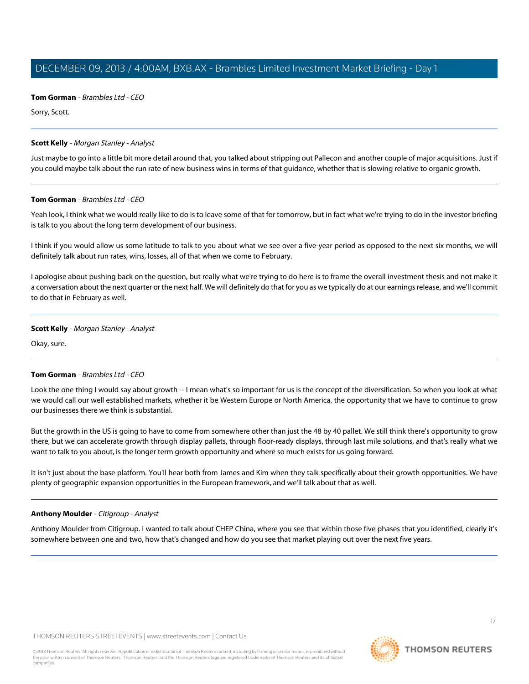**Tom Gorman** - Brambles Ltd - CEO

Sorry, Scott.

## **Scott Kelly** - Morgan Stanley - Analyst

Just maybe to go into a little bit more detail around that, you talked about stripping out Pallecon and another couple of major acquisitions. Just if you could maybe talk about the run rate of new business wins in terms of that guidance, whether that is slowing relative to organic growth.

## **Tom Gorman** - Brambles Ltd - CEO

Yeah look, I think what we would really like to do is to leave some of that for tomorrow, but in fact what we're trying to do in the investor briefing is talk to you about the long term development of our business.

I think if you would allow us some latitude to talk to you about what we see over a five-year period as opposed to the next six months, we will definitely talk about run rates, wins, losses, all of that when we come to February.

I apologise about pushing back on the question, but really what we're trying to do here is to frame the overall investment thesis and not make it a conversation about the next quarter or the next half. We will definitely do that for you as we typically do at our earnings release, and we'll commit to do that in February as well.

## **Scott Kelly** - Morgan Stanley - Analyst

Okay, sure.

# **Tom Gorman** - Brambles Ltd - CEO

Look the one thing I would say about growth -- I mean what's so important for us is the concept of the diversification. So when you look at what we would call our well established markets, whether it be Western Europe or North America, the opportunity that we have to continue to grow our businesses there we think is substantial.

But the growth in the US is going to have to come from somewhere other than just the 48 by 40 pallet. We still think there's opportunity to grow there, but we can accelerate growth through display pallets, through floor-ready displays, through last mile solutions, and that's really what we want to talk to you about, is the longer term growth opportunity and where so much exists for us going forward.

<span id="page-16-0"></span>It isn't just about the base platform. You'll hear both from James and Kim when they talk specifically about their growth opportunities. We have plenty of geographic expansion opportunities in the European framework, and we'll talk about that as well.

## **Anthony Moulder** - Citigroup - Analyst

Anthony Moulder from Citigroup. I wanted to talk about CHEP China, where you see that within those five phases that you identified, clearly it's somewhere between one and two, how that's changed and how do you see that market playing out over the next five years.

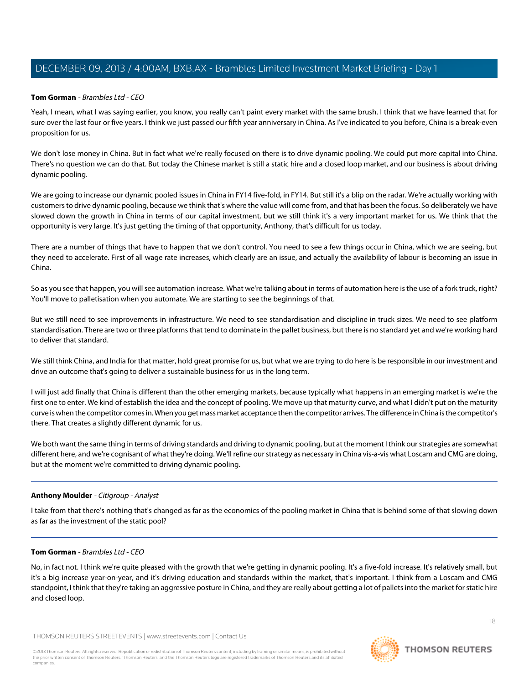## **Tom Gorman** - Brambles Ltd - CEO

Yeah, I mean, what I was saying earlier, you know, you really can't paint every market with the same brush. I think that we have learned that for sure over the last four or five years. I think we just passed our fifth year anniversary in China. As I've indicated to you before, China is a break-even proposition for us.

We don't lose money in China. But in fact what we're really focused on there is to drive dynamic pooling. We could put more capital into China. There's no question we can do that. But today the Chinese market is still a static hire and a closed loop market, and our business is about driving dynamic pooling.

We are going to increase our dynamic pooled issues in China in FY14 five-fold, in FY14. But still it's a blip on the radar. We're actually working with customers to drive dynamic pooling, because we think that's where the value will come from, and that has been the focus. So deliberately we have slowed down the growth in China in terms of our capital investment, but we still think it's a very important market for us. We think that the opportunity is very large. It's just getting the timing of that opportunity, Anthony, that's difficult for us today.

There are a number of things that have to happen that we don't control. You need to see a few things occur in China, which we are seeing, but they need to accelerate. First of all wage rate increases, which clearly are an issue, and actually the availability of labour is becoming an issue in China.

So as you see that happen, you will see automation increase. What we're talking about in terms of automation here is the use of a fork truck, right? You'll move to palletisation when you automate. We are starting to see the beginnings of that.

But we still need to see improvements in infrastructure. We need to see standardisation and discipline in truck sizes. We need to see platform standardisation. There are two or three platforms that tend to dominate in the pallet business, but there is no standard yet and we're working hard to deliver that standard.

We still think China, and India for that matter, hold great promise for us, but what we are trying to do here is be responsible in our investment and drive an outcome that's going to deliver a sustainable business for us in the long term.

I will just add finally that China is different than the other emerging markets, because typically what happens in an emerging market is we're the first one to enter. We kind of establish the idea and the concept of pooling. We move up that maturity curve, and what I didn't put on the maturity curve is when the competitor comes in. When you get mass market acceptance then the competitor arrives. The difference in China is the competitor's there. That creates a slightly different dynamic for us.

We both want the same thing in terms of driving standards and driving to dynamic pooling, but at the moment I think our strategies are somewhat different here, and we're cognisant of what they're doing. We'll refine our strategy as necessary in China vis-a-vis what Loscam and CMG are doing, but at the moment we're committed to driving dynamic pooling.

## **Anthony Moulder** - Citigroup - Analyst

I take from that there's nothing that's changed as far as the economics of the pooling market in China that is behind some of that slowing down as far as the investment of the static pool?

## **Tom Gorman** - Brambles Ltd - CEO

No, in fact not. I think we're quite pleased with the growth that we're getting in dynamic pooling. It's a five-fold increase. It's relatively small, but it's a big increase year-on-year, and it's driving education and standards within the market, that's important. I think from a Loscam and CMG standpoint, I think that they're taking an aggressive posture in China, and they are really about getting a lot of pallets into the market for static hire and closed loop.

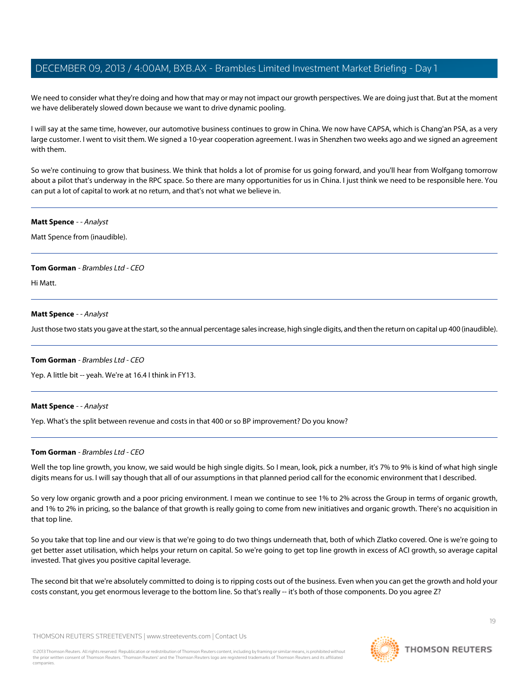We need to consider what they're doing and how that may or may not impact our growth perspectives. We are doing just that. But at the moment we have deliberately slowed down because we want to drive dynamic pooling.

I will say at the same time, however, our automotive business continues to grow in China. We now have CAPSA, which is Chang'an PSA, as a very large customer. I went to visit them. We signed a 10-year cooperation agreement. I was in Shenzhen two weeks ago and we signed an agreement with them.

So we're continuing to grow that business. We think that holds a lot of promise for us going forward, and you'll hear from Wolfgang tomorrow about a pilot that's underway in the RPC space. So there are many opportunities for us in China. I just think we need to be responsible here. You can put a lot of capital to work at no return, and that's not what we believe in.

## <span id="page-18-0"></span>**Matt Spence** - - Analyst

Matt Spence from (inaudible).

## **Tom Gorman** - Brambles Ltd - CEO

Hi Matt.

## **Matt Spence** - - Analyst

Just those two stats you gave at the start, so the annual percentage sales increase, high single digits, and then the return on capital up 400 (inaudible).

## **Tom Gorman** - Brambles Ltd - CEO

Yep. A little bit -- yeah. We're at 16.4 I think in FY13.

## **Matt Spence** - - Analyst

Yep. What's the split between revenue and costs in that 400 or so BP improvement? Do you know?

## **Tom Gorman** - Brambles Ltd - CEO

Well the top line growth, you know, we said would be high single digits. So I mean, look, pick a number, it's 7% to 9% is kind of what high single digits means for us. I will say though that all of our assumptions in that planned period call for the economic environment that I described.

So very low organic growth and a poor pricing environment. I mean we continue to see 1% to 2% across the Group in terms of organic growth, and 1% to 2% in pricing, so the balance of that growth is really going to come from new initiatives and organic growth. There's no acquisition in that top line.

So you take that top line and our view is that we're going to do two things underneath that, both of which Zlatko covered. One is we're going to get better asset utilisation, which helps your return on capital. So we're going to get top line growth in excess of ACI growth, so average capital invested. That gives you positive capital leverage.

The second bit that we're absolutely committed to doing is to ripping costs out of the business. Even when you can get the growth and hold your costs constant, you get enormous leverage to the bottom line. So that's really -- it's both of those components. Do you agree Z?

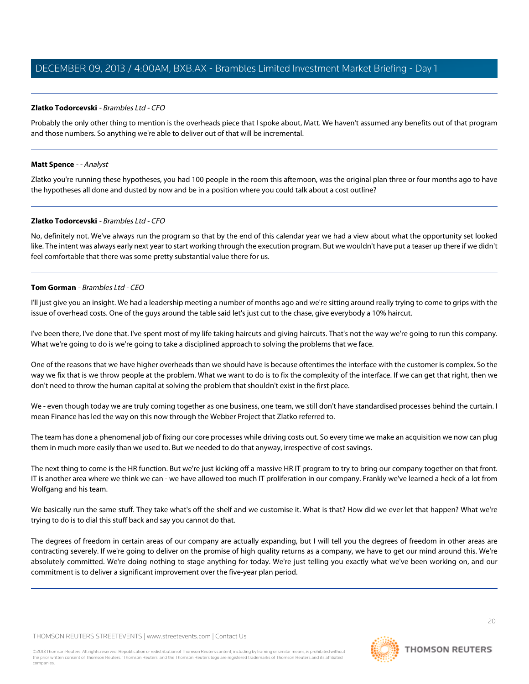## **Zlatko Todorcevski** - Brambles Ltd - CFO

Probably the only other thing to mention is the overheads piece that I spoke about, Matt. We haven't assumed any benefits out of that program and those numbers. So anything we're able to deliver out of that will be incremental.

## **Matt Spence** - - Analyst

Zlatko you're running these hypotheses, you had 100 people in the room this afternoon, was the original plan three or four months ago to have the hypotheses all done and dusted by now and be in a position where you could talk about a cost outline?

## **Zlatko Todorcevski** - Brambles Ltd - CFO

No, definitely not. We've always run the program so that by the end of this calendar year we had a view about what the opportunity set looked like. The intent was always early next year to start working through the execution program. But we wouldn't have put a teaser up there if we didn't feel comfortable that there was some pretty substantial value there for us.

#### **Tom Gorman** - Brambles Ltd - CEO

I'll just give you an insight. We had a leadership meeting a number of months ago and we're sitting around really trying to come to grips with the issue of overhead costs. One of the guys around the table said let's just cut to the chase, give everybody a 10% haircut.

I've been there, I've done that. I've spent most of my life taking haircuts and giving haircuts. That's not the way we're going to run this company. What we're going to do is we're going to take a disciplined approach to solving the problems that we face.

One of the reasons that we have higher overheads than we should have is because oftentimes the interface with the customer is complex. So the way we fix that is we throw people at the problem. What we want to do is to fix the complexity of the interface. If we can get that right, then we don't need to throw the human capital at solving the problem that shouldn't exist in the first place.

We - even though today we are truly coming together as one business, one team, we still don't have standardised processes behind the curtain. I mean Finance has led the way on this now through the Webber Project that Zlatko referred to.

The team has done a phenomenal job of fixing our core processes while driving costs out. So every time we make an acquisition we now can plug them in much more easily than we used to. But we needed to do that anyway, irrespective of cost savings.

The next thing to come is the HR function. But we're just kicking off a massive HR IT program to try to bring our company together on that front. IT is another area where we think we can - we have allowed too much IT proliferation in our company. Frankly we've learned a heck of a lot from Wolfgang and his team.

We basically run the same stuff. They take what's off the shelf and we customise it. What is that? How did we ever let that happen? What we're trying to do is to dial this stuff back and say you cannot do that.

The degrees of freedom in certain areas of our company are actually expanding, but I will tell you the degrees of freedom in other areas are contracting severely. If we're going to deliver on the promise of high quality returns as a company, we have to get our mind around this. We're absolutely committed. We're doing nothing to stage anything for today. We're just telling you exactly what we've been working on, and our commitment is to deliver a significant improvement over the five-year plan period.

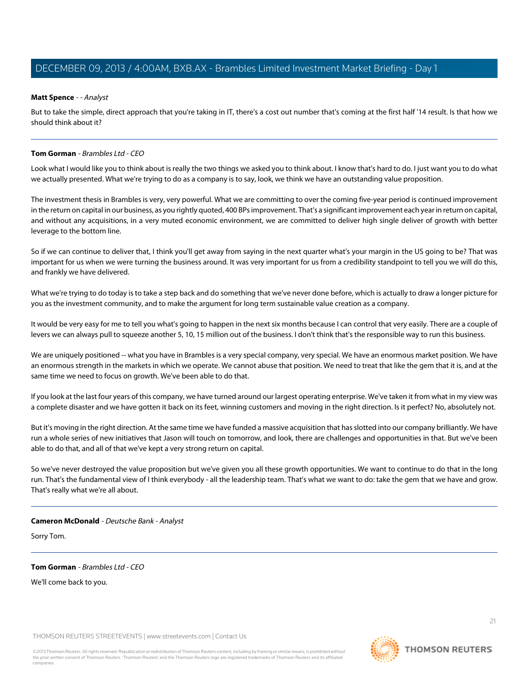## **Matt Spence** - - Analyst

But to take the simple, direct approach that you're taking in IT, there's a cost out number that's coming at the first half '14 result. Is that how we should think about it?

## **Tom Gorman** - Brambles Ltd - CEO

Look what I would like you to think about is really the two things we asked you to think about. I know that's hard to do. I just want you to do what we actually presented. What we're trying to do as a company is to say, look, we think we have an outstanding value proposition.

The investment thesis in Brambles is very, very powerful. What we are committing to over the coming five-year period is continued improvement in the return on capital in our business, as you rightly quoted, 400 BPs improvement. That's a significant improvement each year in return on capital, and without any acquisitions, in a very muted economic environment, we are committed to deliver high single deliver of growth with better leverage to the bottom line.

So if we can continue to deliver that, I think you'll get away from saying in the next quarter what's your margin in the US going to be? That was important for us when we were turning the business around. It was very important for us from a credibility standpoint to tell you we will do this, and frankly we have delivered.

What we're trying to do today is to take a step back and do something that we've never done before, which is actually to draw a longer picture for you as the investment community, and to make the argument for long term sustainable value creation as a company.

It would be very easy for me to tell you what's going to happen in the next six months because I can control that very easily. There are a couple of levers we can always pull to squeeze another 5, 10, 15 million out of the business. I don't think that's the responsible way to run this business.

We are uniquely positioned -- what you have in Brambles is a very special company, very special. We have an enormous market position. We have an enormous strength in the markets in which we operate. We cannot abuse that position. We need to treat that like the gem that it is, and at the same time we need to focus on growth. We've been able to do that.

If you look at the last four years of this company, we have turned around our largest operating enterprise. We've taken it from what in my view was a complete disaster and we have gotten it back on its feet, winning customers and moving in the right direction. Is it perfect? No, absolutely not.

But it's moving in the right direction. At the same time we have funded a massive acquisition that has slotted into our company brilliantly. We have run a whole series of new initiatives that Jason will touch on tomorrow, and look, there are challenges and opportunities in that. But we've been able to do that, and all of that we've kept a very strong return on capital.

<span id="page-20-0"></span>So we've never destroyed the value proposition but we've given you all these growth opportunities. We want to continue to do that in the long run. That's the fundamental view of I think everybody - all the leadership team. That's what we want to do: take the gem that we have and grow. That's really what we're all about.

## **Cameron McDonald** - Deutsche Bank - Analyst

Sorry Tom.

# **Tom Gorman** - Brambles Ltd - CEO

We'll come back to you.

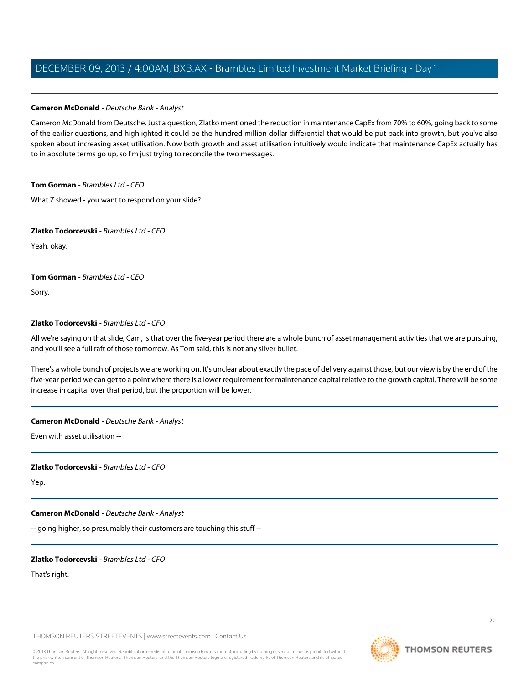## **Cameron McDonald** - Deutsche Bank - Analyst

Cameron McDonald from Deutsche. Just a question, Zlatko mentioned the reduction in maintenance CapEx from 70% to 60%, going back to some of the earlier questions, and highlighted it could be the hundred million dollar differential that would be put back into growth, but you've also spoken about increasing asset utilisation. Now both growth and asset utilisation intuitively would indicate that maintenance CapEx actually has to in absolute terms go up, so I'm just trying to reconcile the two messages.

## **Tom Gorman** - Brambles Ltd - CEO

What Z showed - you want to respond on your slide?

## **Zlatko Todorcevski** - Brambles Ltd - CFO

Yeah, okay.

## **Tom Gorman** - Brambles Ltd - CEO

Sorry.

# **Zlatko Todorcevski** - Brambles Ltd - CFO

All we're saying on that slide, Cam, is that over the five-year period there are a whole bunch of asset management activities that we are pursuing, and you'll see a full raft of those tomorrow. As Tom said, this is not any silver bullet.

There's a whole bunch of projects we are working on. It's unclear about exactly the pace of delivery against those, but our view is by the end of the five-year period we can get to a point where there is a lower requirement for maintenance capital relative to the growth capital. There will be some increase in capital over that period, but the proportion will be lower.

# **Cameron McDonald** - Deutsche Bank - Analyst

Even with asset utilisation --

# **Zlatko Todorcevski** - Brambles Ltd - CFO

Yep.

# **Cameron McDonald** - Deutsche Bank - Analyst

-- going higher, so presumably their customers are touching this stuff --

# **Zlatko Todorcevski** - Brambles Ltd - CFO

That's right.

THOMSON REUTERS STREETEVENTS | [www.streetevents.com](http://www.streetevents.com) | [Contact Us](http://www010.streetevents.com/contact.asp)

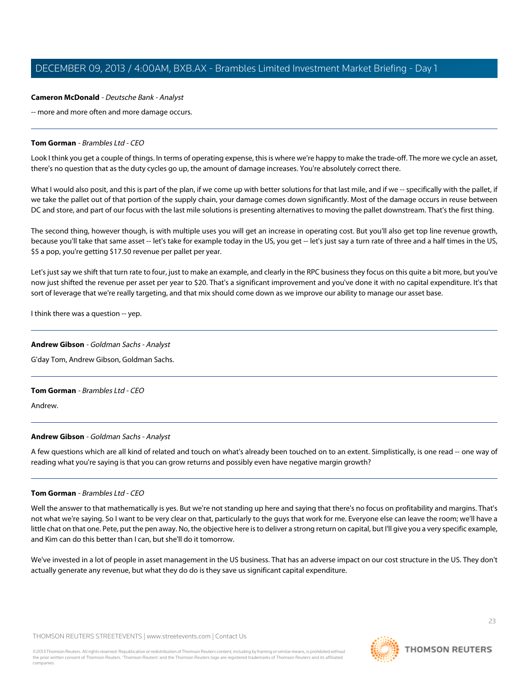## **Cameron McDonald** - Deutsche Bank - Analyst

-- more and more often and more damage occurs.

## **Tom Gorman** - Brambles Ltd - CEO

Look I think you get a couple of things. In terms of operating expense, this is where we're happy to make the trade-off. The more we cycle an asset, there's no question that as the duty cycles go up, the amount of damage increases. You're absolutely correct there.

What I would also posit, and this is part of the plan, if we come up with better solutions for that last mile, and if we -- specifically with the pallet, if we take the pallet out of that portion of the supply chain, your damage comes down significantly. Most of the damage occurs in reuse between DC and store, and part of our focus with the last mile solutions is presenting alternatives to moving the pallet downstream. That's the first thing.

The second thing, however though, is with multiple uses you will get an increase in operating cost. But you'll also get top line revenue growth, because you'll take that same asset -- let's take for example today in the US, you get -- let's just say a turn rate of three and a half times in the US, \$5 a pop, you're getting \$17.50 revenue per pallet per year.

Let's just say we shift that turn rate to four, just to make an example, and clearly in the RPC business they focus on this quite a bit more, but you've now just shifted the revenue per asset per year to \$20. That's a significant improvement and you've done it with no capital expenditure. It's that sort of leverage that we're really targeting, and that mix should come down as we improve our ability to manage our asset base.

<span id="page-22-0"></span>I think there was a question -- yep.

## **Andrew Gibson** - Goldman Sachs - Analyst

G'day Tom, Andrew Gibson, Goldman Sachs.

# **Tom Gorman** - Brambles Ltd - CEO

Andrew.

# **Andrew Gibson** - Goldman Sachs - Analyst

A few questions which are all kind of related and touch on what's already been touched on to an extent. Simplistically, is one read -- one way of reading what you're saying is that you can grow returns and possibly even have negative margin growth?

## **Tom Gorman** - Brambles Ltd - CEO

Well the answer to that mathematically is yes. But we're not standing up here and saying that there's no focus on profitability and margins. That's not what we're saying. So I want to be very clear on that, particularly to the guys that work for me. Everyone else can leave the room; we'll have a little chat on that one. Pete, put the pen away. No, the objective here is to deliver a strong return on capital, but I'll give you a very specific example, and Kim can do this better than I can, but she'll do it tomorrow.

We've invested in a lot of people in asset management in the US business. That has an adverse impact on our cost structure in the US. They don't actually generate any revenue, but what they do do is they save us significant capital expenditure.

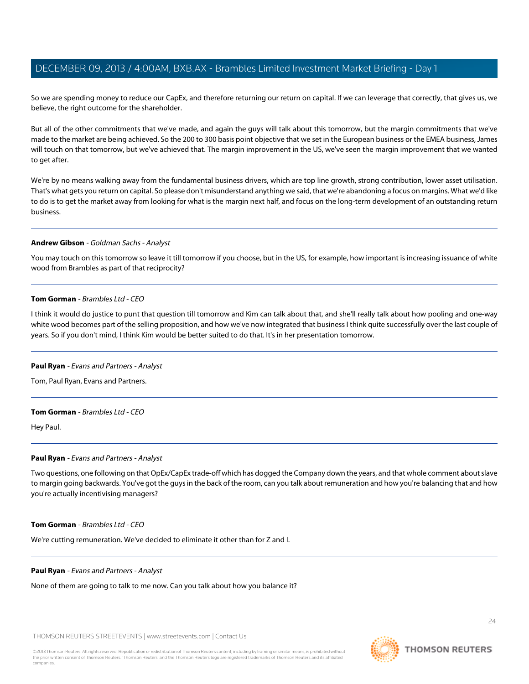So we are spending money to reduce our CapEx, and therefore returning our return on capital. If we can leverage that correctly, that gives us, we believe, the right outcome for the shareholder.

But all of the other commitments that we've made, and again the guys will talk about this tomorrow, but the margin commitments that we've made to the market are being achieved. So the 200 to 300 basis point objective that we set in the European business or the EMEA business, James will touch on that tomorrow, but we've achieved that. The margin improvement in the US, we've seen the margin improvement that we wanted to get after.

We're by no means walking away from the fundamental business drivers, which are top line growth, strong contribution, lower asset utilisation. That's what gets you return on capital. So please don't misunderstand anything we said, that we're abandoning a focus on margins. What we'd like to do is to get the market away from looking for what is the margin next half, and focus on the long-term development of an outstanding return business.

## **Andrew Gibson** - Goldman Sachs - Analyst

You may touch on this tomorrow so leave it till tomorrow if you choose, but in the US, for example, how important is increasing issuance of white wood from Brambles as part of that reciprocity?

## **Tom Gorman** - Brambles Ltd - CEO

<span id="page-23-0"></span>I think it would do justice to punt that question till tomorrow and Kim can talk about that, and she'll really talk about how pooling and one-way white wood becomes part of the selling proposition, and how we've now integrated that business I think quite successfully over the last couple of years. So if you don't mind, I think Kim would be better suited to do that. It's in her presentation tomorrow.

## **Paul Ryan** - Evans and Partners - Analyst

Tom, Paul Ryan, Evans and Partners.

## **Tom Gorman** - Brambles Ltd - CEO

Hey Paul.

## **Paul Ryan** - Evans and Partners - Analyst

Two questions, one following on that OpEx/CapEx trade-off which has dogged the Company down the years, and that whole comment about slave to margin going backwards. You've got the guys in the back of the room, can you talk about remuneration and how you're balancing that and how you're actually incentivising managers?

## **Tom Gorman** - Brambles Ltd - CEO

We're cutting remuneration. We've decided to eliminate it other than for Z and I.

## **Paul Ryan** - Evans and Partners - Analyst

None of them are going to talk to me now. Can you talk about how you balance it?

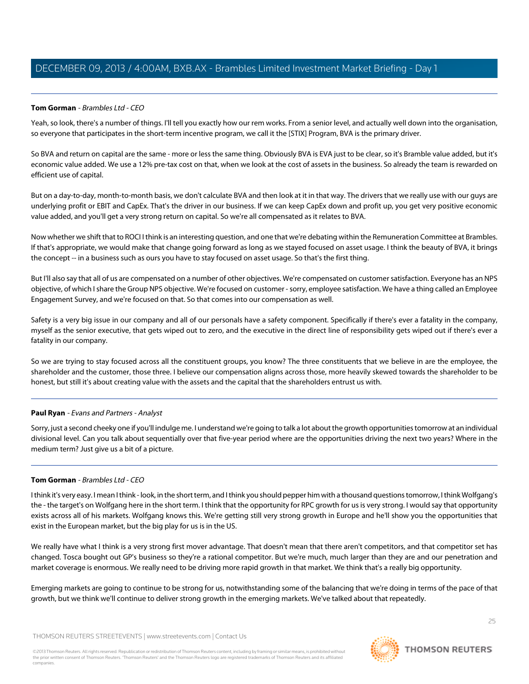# **Tom Gorman** - Brambles Ltd - CEO

Yeah, so look, there's a number of things. I'll tell you exactly how our rem works. From a senior level, and actually well down into the organisation, so everyone that participates in the short-term incentive program, we call it the [STIX] Program, BVA is the primary driver.

So BVA and return on capital are the same - more or less the same thing. Obviously BVA is EVA just to be clear, so it's Bramble value added, but it's economic value added. We use a 12% pre-tax cost on that, when we look at the cost of assets in the business. So already the team is rewarded on efficient use of capital.

But on a day-to-day, month-to-month basis, we don't calculate BVA and then look at it in that way. The drivers that we really use with our guys are underlying profit or EBIT and CapEx. That's the driver in our business. If we can keep CapEx down and profit up, you get very positive economic value added, and you'll get a very strong return on capital. So we're all compensated as it relates to BVA.

Now whether we shift that to ROCI I think is an interesting question, and one that we're debating within the Remuneration Committee at Brambles. If that's appropriate, we would make that change going forward as long as we stayed focused on asset usage. I think the beauty of BVA, it brings the concept -- in a business such as ours you have to stay focused on asset usage. So that's the first thing.

But I'll also say that all of us are compensated on a number of other objectives. We're compensated on customer satisfaction. Everyone has an NPS objective, of which I share the Group NPS objective. We're focused on customer - sorry, employee satisfaction. We have a thing called an Employee Engagement Survey, and we're focused on that. So that comes into our compensation as well.

Safety is a very big issue in our company and all of our personals have a safety component. Specifically if there's ever a fatality in the company, myself as the senior executive, that gets wiped out to zero, and the executive in the direct line of responsibility gets wiped out if there's ever a fatality in our company.

So we are trying to stay focused across all the constituent groups, you know? The three constituents that we believe in are the employee, the shareholder and the customer, those three. I believe our compensation aligns across those, more heavily skewed towards the shareholder to be honest, but still it's about creating value with the assets and the capital that the shareholders entrust us with.

# **Paul Ryan** - Evans and Partners - Analyst

Sorry, just a second cheeky one if you'll indulge me. I understand we're going to talk a lot about the growth opportunities tomorrow at an individual divisional level. Can you talk about sequentially over that five-year period where are the opportunities driving the next two years? Where in the medium term? Just give us a bit of a picture.

# **Tom Gorman** - Brambles Ltd - CEO

I think it's very easy. I mean I think - look, in the short term, and I think you should pepper him with a thousand questions tomorrow, I think Wolfgang's the - the target's on Wolfgang here in the short term. I think that the opportunity for RPC growth for us is very strong. I would say that opportunity exists across all of his markets. Wolfgang knows this. We're getting still very strong growth in Europe and he'll show you the opportunities that exist in the European market, but the big play for us is in the US.

We really have what I think is a very strong first mover advantage. That doesn't mean that there aren't competitors, and that competitor set has changed. Tosca bought out GP's business so they're a rational competitor. But we're much, much larger than they are and our penetration and market coverage is enormous. We really need to be driving more rapid growth in that market. We think that's a really big opportunity.

Emerging markets are going to continue to be strong for us, notwithstanding some of the balancing that we're doing in terms of the pace of that growth, but we think we'll continue to deliver strong growth in the emerging markets. We've talked about that repeatedly.

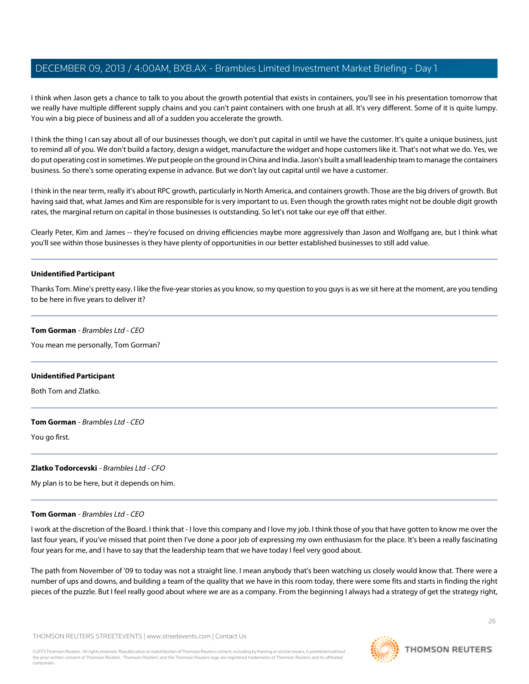I think when Jason gets a chance to talk to you about the growth potential that exists in containers, you'll see in his presentation tomorrow that we really have multiple different supply chains and you can't paint containers with one brush at all. It's very different. Some of it is quite lumpy. You win a big piece of business and all of a sudden you accelerate the growth.

I think the thing I can say about all of our businesses though, we don't put capital in until we have the customer. It's quite a unique business, just to remind all of you. We don't build a factory, design a widget, manufacture the widget and hope customers like it. That's not what we do. Yes, we do put operating cost in sometimes. We put people on the ground in China and India. Jason's built a small leadership team to manage the containers business. So there's some operating expense in advance. But we don't lay out capital until we have a customer.

I think in the near term, really it's about RPC growth, particularly in North America, and containers growth. Those are the big drivers of growth. But having said that, what James and Kim are responsible for is very important to us. Even though the growth rates might not be double digit growth rates, the marginal return on capital in those businesses is outstanding. So let's not take our eye off that either.

Clearly Peter, Kim and James -- they're focused on driving efficiencies maybe more aggressively than Jason and Wolfgang are, but I think what you'll see within those businesses is they have plenty of opportunities in our better established businesses to still add value.

## **Unidentified Participant**

Thanks Tom. Mine's pretty easy. I like the five-year stories as you know, so my question to you guys is as we sit here at the moment, are you tending to be here in five years to deliver it?

#### **Tom Gorman** - Brambles Ltd - CEO

You mean me personally, Tom Gorman?

## **Unidentified Participant**

Both Tom and Zlatko.

## **Tom Gorman** - Brambles Ltd - CEO

You go first.

# **Zlatko Todorcevski** - Brambles Ltd - CFO

My plan is to be here, but it depends on him.

## **Tom Gorman** - Brambles Ltd - CEO

I work at the discretion of the Board. I think that - I love this company and I love my job. I think those of you that have gotten to know me over the last four years, if you've missed that point then I've done a poor job of expressing my own enthusiasm for the place. It's been a really fascinating four years for me, and I have to say that the leadership team that we have today I feel very good about.

The path from November of '09 to today was not a straight line. I mean anybody that's been watching us closely would know that. There were a number of ups and downs, and building a team of the quality that we have in this room today, there were some fits and starts in finding the right pieces of the puzzle. But I feel really good about where we are as a company. From the beginning I always had a strategy of get the strategy right,

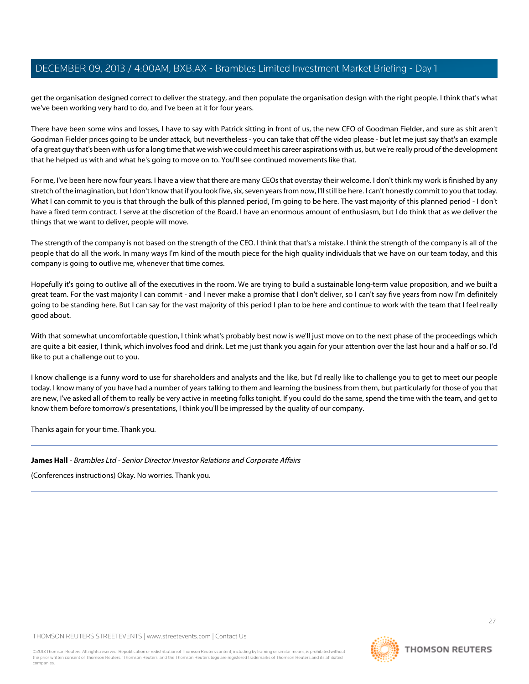get the organisation designed correct to deliver the strategy, and then populate the organisation design with the right people. I think that's what we've been working very hard to do, and I've been at it for four years.

There have been some wins and losses, I have to say with Patrick sitting in front of us, the new CFO of Goodman Fielder, and sure as shit aren't Goodman Fielder prices going to be under attack, but nevertheless - you can take that off the video please - but let me just say that's an example of a great guy that's been with us for a long time that we wish we could meet his career aspirations with us, but we're really proud of the development that he helped us with and what he's going to move on to. You'll see continued movements like that.

For me, I've been here now four years. I have a view that there are many CEOs that overstay their welcome. I don't think my work is finished by any stretch of the imagination, but I don't know that if you look five, six, seven years from now, I'll still be here. I can't honestly commit to you that today. What I can commit to you is that through the bulk of this planned period, I'm going to be here. The vast majority of this planned period - I don't have a fixed term contract. I serve at the discretion of the Board. I have an enormous amount of enthusiasm, but I do think that as we deliver the things that we want to deliver, people will move.

The strength of the company is not based on the strength of the CEO. I think that that's a mistake. I think the strength of the company is all of the people that do all the work. In many ways I'm kind of the mouth piece for the high quality individuals that we have on our team today, and this company is going to outlive me, whenever that time comes.

Hopefully it's going to outlive all of the executives in the room. We are trying to build a sustainable long-term value proposition, and we built a great team. For the vast majority I can commit - and I never make a promise that I don't deliver, so I can't say five years from now I'm definitely going to be standing here. But I can say for the vast majority of this period I plan to be here and continue to work with the team that I feel really good about.

With that somewhat uncomfortable question, I think what's probably best now is we'll just move on to the next phase of the proceedings which are quite a bit easier, I think, which involves food and drink. Let me just thank you again for your attention over the last hour and a half or so. I'd like to put a challenge out to you.

I know challenge is a funny word to use for shareholders and analysts and the like, but I'd really like to challenge you to get to meet our people today. I know many of you have had a number of years talking to them and learning the business from them, but particularly for those of you that are new, I've asked all of them to really be very active in meeting folks tonight. If you could do the same, spend the time with the team, and get to know them before tomorrow's presentations, I think you'll be impressed by the quality of our company.

Thanks again for your time. Thank you.

# **James Hall** - Brambles Ltd - Senior Director Investor Relations and Corporate Affairs

(Conferences instructions) Okay. No worries. Thank you.

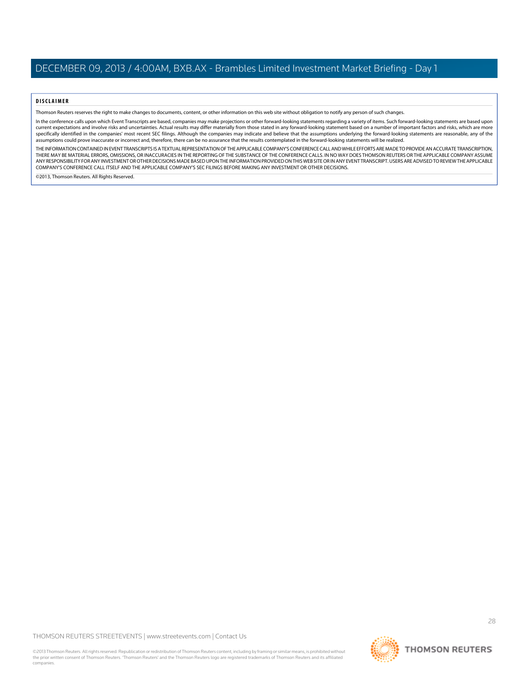#### **DISCLAIMER**

Thomson Reuters reserves the right to make changes to documents, content, or other information on this web site without obligation to notify any person of such changes.

In the conference calls upon which Event Transcripts are based, companies may make projections or other forward-looking statements regarding a variety of items. Such forward-looking statements are based upon current expectations and involve risks and uncertainties. Actual results may differ materially from those stated in any forward-looking statement based on a number of important factors and risks, which are more specifically identified in the companies' most recent SEC filings. Although the companies may indicate and believe that the assumptions underlying the forward-looking statements are reasonable, any of the assumptions could prove inaccurate or incorrect and, therefore, there can be no assurance that the results contemplated in the forward-looking statements will be realized.

THE INFORMATION CONTAINED IN EVENT TRANSCRIPTS IS A TEXTUAL REPRESENTATION OF THE APPLICABLE COMPANY'S CONFERENCE CALL AND WHILE EFFORTS ARE MADE TO PROVIDE AN ACCURATE TRANSCRIPTION, THERE MAY BE MATERIAL ERRORS, OMISSIONS, OR INACCURACIES IN THE REPORTING OF THE SUBSTANCE OF THE CONFERENCE CALLS. IN NO WAY DOES THOMSON REUTERS OR THE APPLICABLE COMPANY ASSUME ANY RESPONSIBILITY FOR ANY INVESTMENT OR OTHER DECISIONS MADE BASED UPON THE INFORMATION PROVIDED ON THIS WEB SITE OR IN ANY EVENT TRANSCRIPT. USERS ARE ADVISED TO REVIEW THE APPLICABLE COMPANY'S CONFERENCE CALL ITSELF AND THE APPLICABLE COMPANY'S SEC FILINGS BEFORE MAKING ANY INVESTMENT OR OTHER DECISIONS.

©2013, Thomson Reuters. All Rights Reserved.

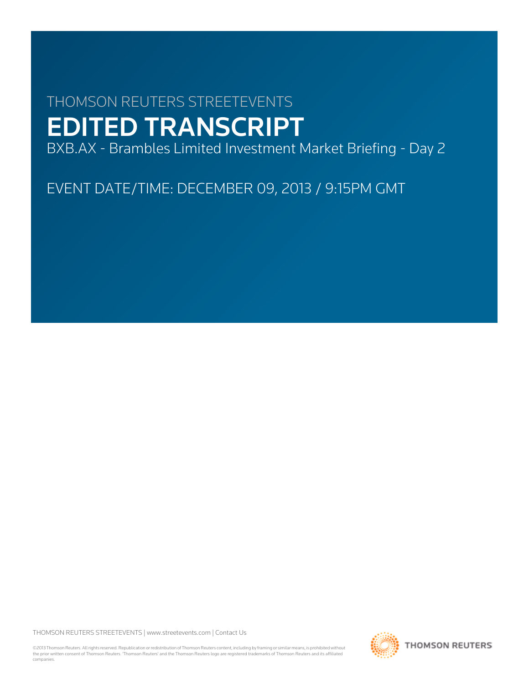# THOMSON REUTERS STREETEVENTS EDITED TRANSCRIPT

BXB.AX - Brambles Limited Investment Market Briefing - Day 2

EVENT DATE/TIME: DECEMBER 09, 2013 / 9:15PM GMT

THOMSON REUTERS STREETEVENTS | [www.streetevents.com](http://www.streetevents.com) | [Contact Us](http://www010.streetevents.com/contact.asp)

©2013 Thomson Reuters. All rights reserved. Republication or redistribution of Thomson Reuters content, including by framing or similar means, is prohibited without the prior written consent of Thomson Reuters. 'Thomson Reuters' and the Thomson Reuters logo are registered trademarks of Thomson Reuters and its affiliated companies.

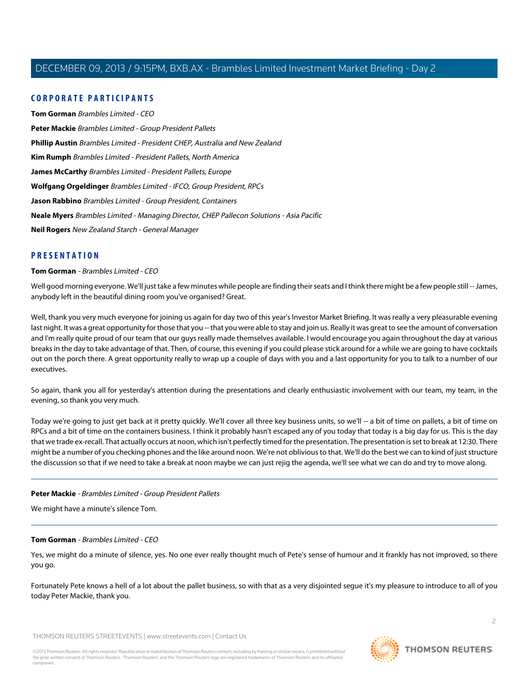# **CORPORATE PARTICIPANTS**

**[Tom Gorman](#page-29-0)** Brambles Limited - CEO **[Peter Mackie](#page-29-1)** Brambles Limited - Group President Pallets **[Phillip Austin](#page-34-0)** Brambles Limited - President CHEP, Australia and New Zealand **[Kim Rumph](#page-47-0)** Brambles Limited - President Pallets, North America **[James McCarthy](#page-48-0)** Brambles Limited - President Pallets, Europe **[Wolfgang Orgeldinger](#page-78-0)** Brambles Limited - IFCO, Group President, RPCs **[Jason Rabbino](#page-88-0)** Brambles Limited - Group President, Containers **[Neale Myers](#page-107-0)** Brambles Limited - Managing Director, CHEP Pallecon Solutions - Asia Pacific **[Neil Rogers](#page-108-0)** New Zealand Starch - General Manager

# <span id="page-29-0"></span>**PRESENTATION**

## **Tom Gorman** - Brambles Limited - CEO

Well good morning everyone. We'll just take a few minutes while people are finding their seats and I think there might be a few people still -- James, anybody left in the beautiful dining room you've organised? Great.

Well, thank you very much everyone for joining us again for day two of this year's Investor Market Briefing. It was really a very pleasurable evening last night. It was a great opportunity for those that you -- that you were able to stay and join us. Really it was great to see the amount of conversation and I'm really quite proud of our team that our guys really made themselves available. I would encourage you again throughout the day at various breaks in the day to take advantage of that. Then, of course, this evening if you could please stick around for a while we are going to have cocktails out on the porch there. A great opportunity really to wrap up a couple of days with you and a last opportunity for you to talk to a number of our executives.

So again, thank you all for yesterday's attention during the presentations and clearly enthusiastic involvement with our team, my team, in the evening, so thank you very much.

<span id="page-29-1"></span>Today we're going to just get back at it pretty quickly. We'll cover all three key business units, so we'll -- a bit of time on pallets, a bit of time on RPCs and a bit of time on the containers business. I think it probably hasn't escaped any of you today that today is a big day for us. This is the day that we trade ex-recall. That actually occurs at noon, which isn't perfectly timed for the presentation. The presentation is set to break at 12:30. There might be a number of you checking phones and the like around noon. We're not oblivious to that. We'll do the best we can to kind of just structure the discussion so that if we need to take a break at noon maybe we can just rejig the agenda, we'll see what we can do and try to move along.

## **Peter Mackie** - Brambles Limited - Group President Pallets

We might have a minute's silence Tom.

## **Tom Gorman** - Brambles Limited - CEO

Yes, we might do a minute of silence, yes. No one ever really thought much of Pete's sense of humour and it frankly has not improved, so there you go.

Fortunately Pete knows a hell of a lot about the pallet business, so with that as a very disjointed segue it's my pleasure to introduce to all of you today Peter Mackie, thank you.

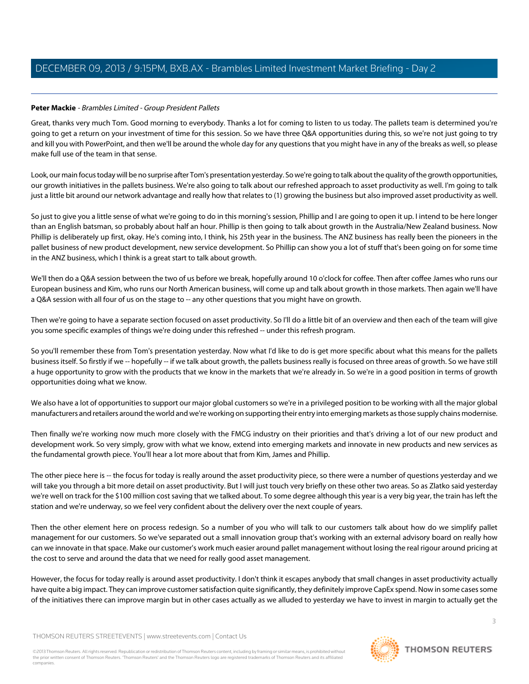# **Peter Mackie** - Brambles Limited - Group President Pallets

Great, thanks very much Tom. Good morning to everybody. Thanks a lot for coming to listen to us today. The pallets team is determined you're going to get a return on your investment of time for this session. So we have three Q&A opportunities during this, so we're not just going to try and kill you with PowerPoint, and then we'll be around the whole day for any questions that you might have in any of the breaks as well, so please make full use of the team in that sense.

Look, our main focus today will be no surprise after Tom's presentation yesterday. So we're going to talk about the quality of the growth opportunities, our growth initiatives in the pallets business. We're also going to talk about our refreshed approach to asset productivity as well. I'm going to talk just a little bit around our network advantage and really how that relates to (1) growing the business but also improved asset productivity as well.

So just to give you a little sense of what we're going to do in this morning's session, Phillip and I are going to open it up. I intend to be here longer than an English batsman, so probably about half an hour. Phillip is then going to talk about growth in the Australia/New Zealand business. Now Phillip is deliberately up first, okay. He's coming into, I think, his 25th year in the business. The ANZ business has really been the pioneers in the pallet business of new product development, new service development. So Phillip can show you a lot of stuff that's been going on for some time in the ANZ business, which I think is a great start to talk about growth.

We'll then do a Q&A session between the two of us before we break, hopefully around 10 o'clock for coffee. Then after coffee James who runs our European business and Kim, who runs our North American business, will come up and talk about growth in those markets. Then again we'll have a Q&A session with all four of us on the stage to -- any other questions that you might have on growth.

Then we're going to have a separate section focused on asset productivity. So I'll do a little bit of an overview and then each of the team will give you some specific examples of things we're doing under this refreshed -- under this refresh program.

So you'll remember these from Tom's presentation yesterday. Now what I'd like to do is get more specific about what this means for the pallets business itself. So firstly if we -- hopefully -- if we talk about growth, the pallets business really is focused on three areas of growth. So we have still a huge opportunity to grow with the products that we know in the markets that we're already in. So we're in a good position in terms of growth opportunities doing what we know.

We also have a lot of opportunities to support our major global customers so we're in a privileged position to be working with all the major global manufacturers and retailers around the world and we're working on supporting their entry into emerging markets as those supply chains modernise.

Then finally we're working now much more closely with the FMCG industry on their priorities and that's driving a lot of our new product and development work. So very simply, grow with what we know, extend into emerging markets and innovate in new products and new services as the fundamental growth piece. You'll hear a lot more about that from Kim, James and Phillip.

The other piece here is -- the focus for today is really around the asset productivity piece, so there were a number of questions yesterday and we will take you through a bit more detail on asset productivity. But I will just touch very briefly on these other two areas. So as Zlatko said yesterday we're well on track for the \$100 million cost saving that we talked about. To some degree although this year is a very big year, the train has left the station and we're underway, so we feel very confident about the delivery over the next couple of years.

Then the other element here on process redesign. So a number of you who will talk to our customers talk about how do we simplify pallet management for our customers. So we've separated out a small innovation group that's working with an external advisory board on really how can we innovate in that space. Make our customer's work much easier around pallet management without losing the real rigour around pricing at the cost to serve and around the data that we need for really good asset management.

However, the focus for today really is around asset productivity. I don't think it escapes anybody that small changes in asset productivity actually have quite a big impact. They can improve customer satisfaction quite significantly, they definitely improve CapEx spend. Now in some cases some of the initiatives there can improve margin but in other cases actually as we alluded to yesterday we have to invest in margin to actually get the

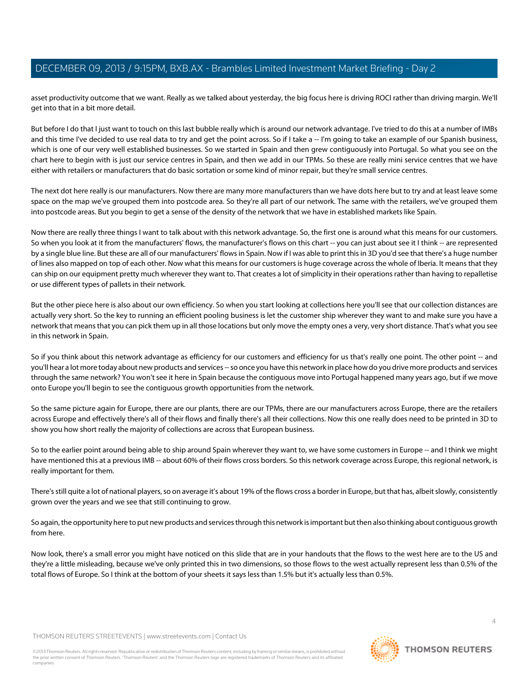asset productivity outcome that we want. Really as we talked about yesterday, the big focus here is driving ROCI rather than driving margin. We'll get into that in a bit more detail.

But before I do that I just want to touch on this last bubble really which is around our network advantage. I've tried to do this at a number of IMBs and this time I've decided to use real data to try and get the point across. So if I take a -- I'm going to take an example of our Spanish business, which is one of our very well established businesses. So we started in Spain and then grew contiguously into Portugal. So what you see on the chart here to begin with is just our service centres in Spain, and then we add in our TPMs. So these are really mini service centres that we have either with retailers or manufacturers that do basic sortation or some kind of minor repair, but they're small service centres.

The next dot here really is our manufacturers. Now there are many more manufacturers than we have dots here but to try and at least leave some space on the map we've grouped them into postcode area. So they're all part of our network. The same with the retailers, we've grouped them into postcode areas. But you begin to get a sense of the density of the network that we have in established markets like Spain.

Now there are really three things I want to talk about with this network advantage. So, the first one is around what this means for our customers. So when you look at it from the manufacturers' flows, the manufacturer's flows on this chart -- you can just about see it I think -- are represented by a single blue line. But these are all of our manufacturers' flows in Spain. Now if I was able to print this in 3D you'd see that there's a huge number of lines also mapped on top of each other. Now what this means for our customers is huge coverage across the whole of Iberia. It means that they can ship on our equipment pretty much wherever they want to. That creates a lot of simplicity in their operations rather than having to repalletise or use different types of pallets in their network.

But the other piece here is also about our own efficiency. So when you start looking at collections here you'll see that our collection distances are actually very short. So the key to running an efficient pooling business is let the customer ship wherever they want to and make sure you have a network that means that you can pick them up in all those locations but only move the empty ones a very, very short distance. That's what you see in this network in Spain.

So if you think about this network advantage as efficiency for our customers and efficiency for us that's really one point. The other point -- and you'll hear a lot more today about new products and services -- so once you have this network in place how do you drive more products and services through the same network? You won't see it here in Spain because the contiguous move into Portugal happened many years ago, but if we move onto Europe you'll begin to see the contiguous growth opportunities from the network.

So the same picture again for Europe, there are our plants, there are our TPMs, there are our manufacturers across Europe, there are the retailers across Europe and effectively there's all of their flows and finally there's all their collections. Now this one really does need to be printed in 3D to show you how short really the majority of collections are across that European business.

So to the earlier point around being able to ship around Spain wherever they want to, we have some customers in Europe -- and I think we might have mentioned this at a previous IMB -- about 60% of their flows cross borders. So this network coverage across Europe, this regional network, is really important for them.

There's still quite a lot of national players, so on average it's about 19% of the flows cross a border in Europe, but that has, albeit slowly, consistently grown over the years and we see that still continuing to grow.

So again, the opportunity here to put new products and services through this network is important but then also thinking about contiguous growth from here.

Now look, there's a small error you might have noticed on this slide that are in your handouts that the flows to the west here are to the US and they're a little misleading, because we've only printed this in two dimensions, so those flows to the west actually represent less than 0.5% of the total flows of Europe. So I think at the bottom of your sheets it says less than 1.5% but it's actually less than 0.5%.

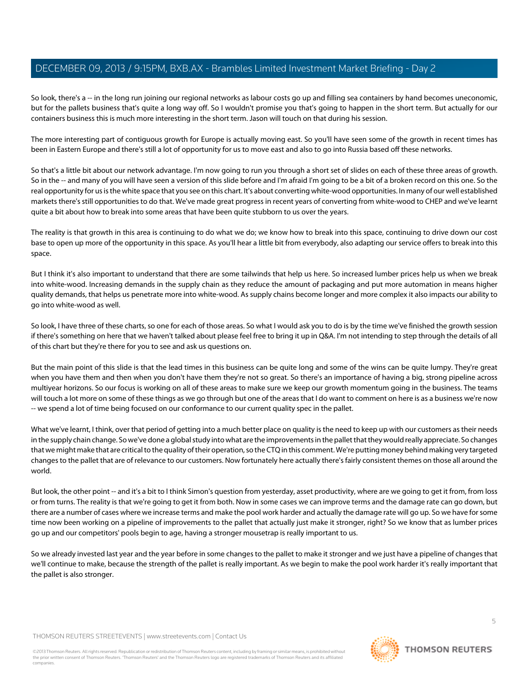So look, there's a -- in the long run joining our regional networks as labour costs go up and filling sea containers by hand becomes uneconomic, but for the pallets business that's quite a long way off. So I wouldn't promise you that's going to happen in the short term. But actually for our containers business this is much more interesting in the short term. Jason will touch on that during his session.

The more interesting part of contiguous growth for Europe is actually moving east. So you'll have seen some of the growth in recent times has been in Eastern Europe and there's still a lot of opportunity for us to move east and also to go into Russia based off these networks.

So that's a little bit about our network advantage. I'm now going to run you through a short set of slides on each of these three areas of growth. So in the -- and many of you will have seen a version of this slide before and I'm afraid I'm going to be a bit of a broken record on this one. So the real opportunity for us is the white space that you see on this chart. It's about converting white-wood opportunities. In many of our well established markets there's still opportunities to do that. We've made great progress in recent years of converting from white-wood to CHEP and we've learnt quite a bit about how to break into some areas that have been quite stubborn to us over the years.

The reality is that growth in this area is continuing to do what we do; we know how to break into this space, continuing to drive down our cost base to open up more of the opportunity in this space. As you'll hear a little bit from everybody, also adapting our service offers to break into this space.

But I think it's also important to understand that there are some tailwinds that help us here. So increased lumber prices help us when we break into white-wood. Increasing demands in the supply chain as they reduce the amount of packaging and put more automation in means higher quality demands, that helps us penetrate more into white-wood. As supply chains become longer and more complex it also impacts our ability to go into white-wood as well.

So look, I have three of these charts, so one for each of those areas. So what I would ask you to do is by the time we've finished the growth session if there's something on here that we haven't talked about please feel free to bring it up in Q&A. I'm not intending to step through the details of all of this chart but they're there for you to see and ask us questions on.

But the main point of this slide is that the lead times in this business can be quite long and some of the wins can be quite lumpy. They're great when you have them and then when you don't have them they're not so great. So there's an importance of having a big, strong pipeline across multiyear horizons. So our focus is working on all of these areas to make sure we keep our growth momentum going in the business. The teams will touch a lot more on some of these things as we go through but one of the areas that I do want to comment on here is as a business we're now -- we spend a lot of time being focused on our conformance to our current quality spec in the pallet.

What we've learnt, I think, over that period of getting into a much better place on quality is the need to keep up with our customers as their needs in the supply chain change. So we've done a global study into what are the improvements in the pallet that they would really appreciate. So changes that we might make that are critical to the quality of their operation, so the CTQ in this comment. We're putting money behind making very targeted changes to the pallet that are of relevance to our customers. Now fortunately here actually there's fairly consistent themes on those all around the world.

But look, the other point -- and it's a bit to I think Simon's question from yesterday, asset productivity, where are we going to get it from, from loss or from turns. The reality is that we're going to get it from both. Now in some cases we can improve terms and the damage rate can go down, but there are a number of cases where we increase terms and make the pool work harder and actually the damage rate will go up. So we have for some time now been working on a pipeline of improvements to the pallet that actually just make it stronger, right? So we know that as lumber prices go up and our competitors' pools begin to age, having a stronger mousetrap is really important to us.

So we already invested last year and the year before in some changes to the pallet to make it stronger and we just have a pipeline of changes that we'll continue to make, because the strength of the pallet is really important. As we begin to make the pool work harder it's really important that the pallet is also stronger.

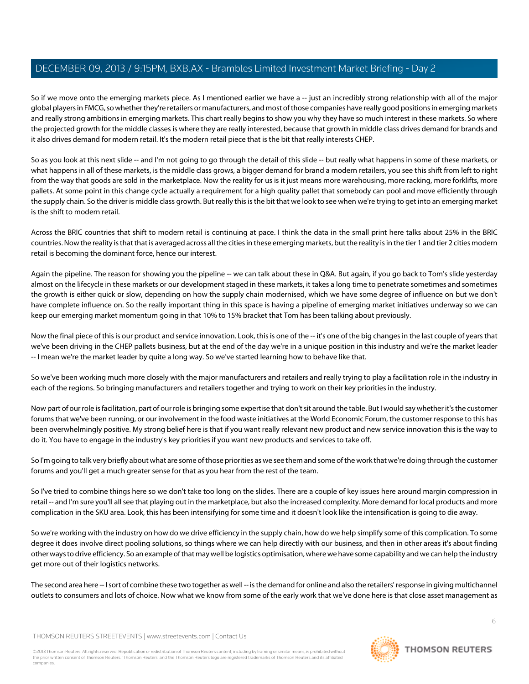So if we move onto the emerging markets piece. As I mentioned earlier we have a -- just an incredibly strong relationship with all of the major global players in FMCG, so whether they're retailers or manufacturers, and most of those companies have really good positions in emerging markets and really strong ambitions in emerging markets. This chart really begins to show you why they have so much interest in these markets. So where the projected growth for the middle classes is where they are really interested, because that growth in middle class drives demand for brands and it also drives demand for modern retail. It's the modern retail piece that is the bit that really interests CHEP.

So as you look at this next slide -- and I'm not going to go through the detail of this slide -- but really what happens in some of these markets, or what happens in all of these markets, is the middle class grows, a bigger demand for brand a modern retailers, you see this shift from left to right from the way that goods are sold in the marketplace. Now the reality for us is it just means more warehousing, more racking, more forklifts, more pallets. At some point in this change cycle actually a requirement for a high quality pallet that somebody can pool and move efficiently through the supply chain. So the driver is middle class growth. But really this is the bit that we look to see when we're trying to get into an emerging market is the shift to modern retail.

Across the BRIC countries that shift to modern retail is continuing at pace. I think the data in the small print here talks about 25% in the BRIC countries. Now the reality is that that is averaged across all the cities in these emerging markets, but the reality is in the tier 1 and tier 2 cities modern retail is becoming the dominant force, hence our interest.

Again the pipeline. The reason for showing you the pipeline -- we can talk about these in Q&A. But again, if you go back to Tom's slide yesterday almost on the lifecycle in these markets or our development staged in these markets, it takes a long time to penetrate sometimes and sometimes the growth is either quick or slow, depending on how the supply chain modernised, which we have some degree of influence on but we don't have complete influence on. So the really important thing in this space is having a pipeline of emerging market initiatives underway so we can keep our emerging market momentum going in that 10% to 15% bracket that Tom has been talking about previously.

Now the final piece of this is our product and service innovation. Look, this is one of the -- it's one of the big changes in the last couple of years that we've been driving in the CHEP pallets business, but at the end of the day we're in a unique position in this industry and we're the market leader -- I mean we're the market leader by quite a long way. So we've started learning how to behave like that.

So we've been working much more closely with the major manufacturers and retailers and really trying to play a facilitation role in the industry in each of the regions. So bringing manufacturers and retailers together and trying to work on their key priorities in the industry.

Now part of our role is facilitation, part of our role is bringing some expertise that don't sit around the table. But I would say whether it's the customer forums that we've been running, or our involvement in the food waste initiatives at the World Economic Forum, the customer response to this has been overwhelmingly positive. My strong belief here is that if you want really relevant new product and new service innovation this is the way to do it. You have to engage in the industry's key priorities if you want new products and services to take off.

So I'm going to talk very briefly about what are some of those priorities as we see them and some of the work that we're doing through the customer forums and you'll get a much greater sense for that as you hear from the rest of the team.

So I've tried to combine things here so we don't take too long on the slides. There are a couple of key issues here around margin compression in retail -- and I'm sure you'll all see that playing out in the marketplace, but also the increased complexity. More demand for local products and more complication in the SKU area. Look, this has been intensifying for some time and it doesn't look like the intensification is going to die away.

So we're working with the industry on how do we drive efficiency in the supply chain, how do we help simplify some of this complication. To some degree it does involve direct pooling solutions, so things where we can help directly with our business, and then in other areas it's about finding other ways to drive efficiency. So an example of that may well be logistics optimisation, where we have some capability and we can help the industry get more out of their logistics networks.

The second area here -- I sort of combine these two together as well -- is the demand for online and also the retailers' response in giving multichannel outlets to consumers and lots of choice. Now what we know from some of the early work that we've done here is that close asset management as

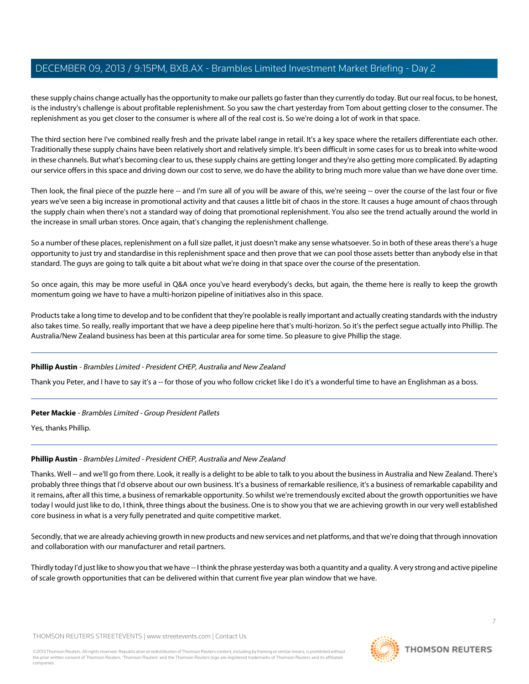these supply chains change actually has the opportunity to make our pallets go faster than they currently do today. But our real focus, to be honest, is the industry's challenge is about profitable replenishment. So you saw the chart yesterday from Tom about getting closer to the consumer. The replenishment as you get closer to the consumer is where all of the real cost is. So we're doing a lot of work in that space.

The third section here I've combined really fresh and the private label range in retail. It's a key space where the retailers differentiate each other. Traditionally these supply chains have been relatively short and relatively simple. It's been difficult in some cases for us to break into white-wood in these channels. But what's becoming clear to us, these supply chains are getting longer and they're also getting more complicated. By adapting our service offers in this space and driving down our cost to serve, we do have the ability to bring much more value than we have done over time.

Then look, the final piece of the puzzle here -- and I'm sure all of you will be aware of this, we're seeing -- over the course of the last four or five years we've seen a big increase in promotional activity and that causes a little bit of chaos in the store. It causes a huge amount of chaos through the supply chain when there's not a standard way of doing that promotional replenishment. You also see the trend actually around the world in the increase in small urban stores. Once again, that's changing the replenishment challenge.

So a number of these places, replenishment on a full size pallet, it just doesn't make any sense whatsoever. So in both of these areas there's a huge opportunity to just try and standardise in this replenishment space and then prove that we can pool those assets better than anybody else in that standard. The guys are going to talk quite a bit about what we're doing in that space over the course of the presentation.

So once again, this may be more useful in Q&A once you've heard everybody's decks, but again, the theme here is really to keep the growth momentum going we have to have a multi-horizon pipeline of initiatives also in this space.

<span id="page-34-0"></span>Products take a long time to develop and to be confident that they're poolable is really important and actually creating standards with the industry also takes time. So really, really important that we have a deep pipeline here that's multi-horizon. So it's the perfect segue actually into Phillip. The Australia/New Zealand business has been at this particular area for some time. So pleasure to give Phillip the stage.

# **Phillip Austin** - Brambles Limited - President CHEP, Australia and New Zealand

Thank you Peter, and I have to say it's a -- for those of you who follow cricket like I do it's a wonderful time to have an Englishman as a boss.

# **Peter Mackie** - Brambles Limited - Group President Pallets

Yes, thanks Phillip.

# **Phillip Austin** - Brambles Limited - President CHEP, Australia and New Zealand

Thanks. Well -- and we'll go from there. Look, it really is a delight to be able to talk to you about the business in Australia and New Zealand. There's probably three things that I'd observe about our own business. It's a business of remarkable resilience, it's a business of remarkable capability and it remains, after all this time, a business of remarkable opportunity. So whilst we're tremendously excited about the growth opportunities we have today I would just like to do, I think, three things about the business. One is to show you that we are achieving growth in our very well established core business in what is a very fully penetrated and quite competitive market.

Secondly, that we are already achieving growth in new products and new services and net platforms, and that we're doing that through innovation and collaboration with our manufacturer and retail partners.

Thirdly today I'd just like to show you that we have -- I think the phrase yesterday was both a quantity and a quality. A very strong and active pipeline of scale growth opportunities that can be delivered within that current five year plan window that we have.

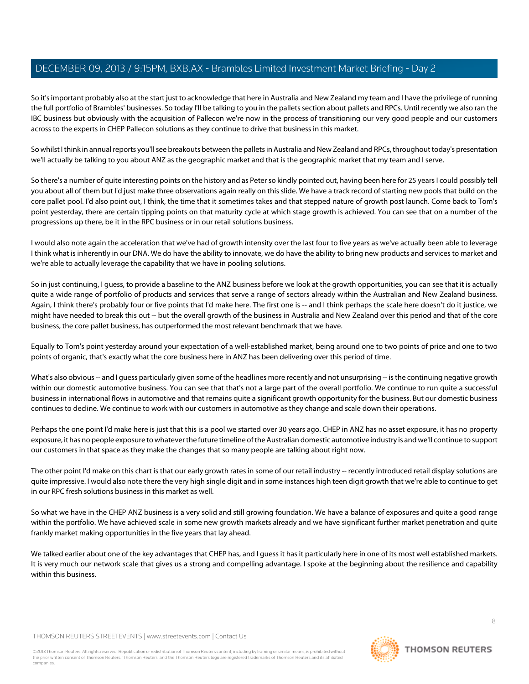So it's important probably also at the start just to acknowledge that here in Australia and New Zealand my team and I have the privilege of running the full portfolio of Brambles' businesses. So today I'll be talking to you in the pallets section about pallets and RPCs. Until recently we also ran the IBC business but obviously with the acquisition of Pallecon we're now in the process of transitioning our very good people and our customers across to the experts in CHEP Pallecon solutions as they continue to drive that business in this market.

So whilst I think in annual reports you'll see breakouts between the pallets in Australia and New Zealand and RPCs, throughout today's presentation we'll actually be talking to you about ANZ as the geographic market and that is the geographic market that my team and I serve.

So there's a number of quite interesting points on the history and as Peter so kindly pointed out, having been here for 25 years I could possibly tell you about all of them but I'd just make three observations again really on this slide. We have a track record of starting new pools that build on the core pallet pool. I'd also point out, I think, the time that it sometimes takes and that stepped nature of growth post launch. Come back to Tom's point yesterday, there are certain tipping points on that maturity cycle at which stage growth is achieved. You can see that on a number of the progressions up there, be it in the RPC business or in our retail solutions business.

I would also note again the acceleration that we've had of growth intensity over the last four to five years as we've actually been able to leverage I think what is inherently in our DNA. We do have the ability to innovate, we do have the ability to bring new products and services to market and we're able to actually leverage the capability that we have in pooling solutions.

So in just continuing, I guess, to provide a baseline to the ANZ business before we look at the growth opportunities, you can see that it is actually quite a wide range of portfolio of products and services that serve a range of sectors already within the Australian and New Zealand business. Again, I think there's probably four or five points that I'd make here. The first one is -- and I think perhaps the scale here doesn't do it justice, we might have needed to break this out -- but the overall growth of the business in Australia and New Zealand over this period and that of the core business, the core pallet business, has outperformed the most relevant benchmark that we have.

Equally to Tom's point yesterday around your expectation of a well-established market, being around one to two points of price and one to two points of organic, that's exactly what the core business here in ANZ has been delivering over this period of time.

What's also obvious -- and I quess particularly given some of the headlines more recently and not unsurprising -- is the continuing negative growth within our domestic automotive business. You can see that that's not a large part of the overall portfolio. We continue to run quite a successful business in international flows in automotive and that remains quite a significant growth opportunity for the business. But our domestic business continues to decline. We continue to work with our customers in automotive as they change and scale down their operations.

Perhaps the one point I'd make here is just that this is a pool we started over 30 years ago. CHEP in ANZ has no asset exposure, it has no property exposure, it has no people exposure to whatever the future timeline of the Australian domestic automotive industry is and we'll continue to support our customers in that space as they make the changes that so many people are talking about right now.

The other point I'd make on this chart is that our early growth rates in some of our retail industry -- recently introduced retail display solutions are quite impressive. I would also note there the very high single digit and in some instances high teen digit growth that we're able to continue to get in our RPC fresh solutions business in this market as well.

So what we have in the CHEP ANZ business is a very solid and still growing foundation. We have a balance of exposures and quite a good range within the portfolio. We have achieved scale in some new growth markets already and we have significant further market penetration and quite frankly market making opportunities in the five years that lay ahead.

We talked earlier about one of the key advantages that CHEP has, and I guess it has it particularly here in one of its most well established markets. It is very much our network scale that gives us a strong and compelling advantage. I spoke at the beginning about the resilience and capability within this business.

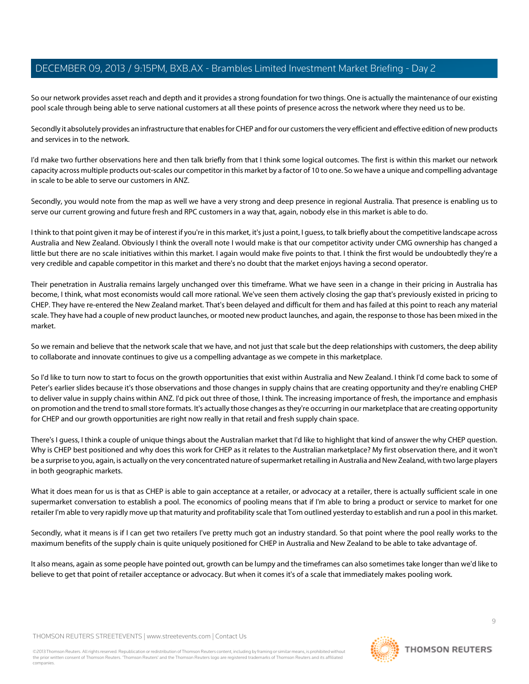So our network provides asset reach and depth and it provides a strong foundation for two things. One is actually the maintenance of our existing pool scale through being able to serve national customers at all these points of presence across the network where they need us to be.

Secondly it absolutely provides an infrastructure that enables for CHEP and for our customers the very efficient and effective edition of new products and services in to the network.

I'd make two further observations here and then talk briefly from that I think some logical outcomes. The first is within this market our network capacity across multiple products out-scales our competitor in this market by a factor of 10 to one. So we have a unique and compelling advantage in scale to be able to serve our customers in ANZ.

Secondly, you would note from the map as well we have a very strong and deep presence in regional Australia. That presence is enabling us to serve our current growing and future fresh and RPC customers in a way that, again, nobody else in this market is able to do.

I think to that point given it may be of interest if you're in this market, it's just a point, I guess, to talk briefly about the competitive landscape across Australia and New Zealand. Obviously I think the overall note I would make is that our competitor activity under CMG ownership has changed a little but there are no scale initiatives within this market. I again would make five points to that. I think the first would be undoubtedly they're a very credible and capable competitor in this market and there's no doubt that the market enjoys having a second operator.

Their penetration in Australia remains largely unchanged over this timeframe. What we have seen in a change in their pricing in Australia has become, I think, what most economists would call more rational. We've seen them actively closing the gap that's previously existed in pricing to CHEP. They have re-entered the New Zealand market. That's been delayed and difficult for them and has failed at this point to reach any material scale. They have had a couple of new product launches, or mooted new product launches, and again, the response to those has been mixed in the market.

So we remain and believe that the network scale that we have, and not just that scale but the deep relationships with customers, the deep ability to collaborate and innovate continues to give us a compelling advantage as we compete in this marketplace.

So I'd like to turn now to start to focus on the growth opportunities that exist within Australia and New Zealand. I think I'd come back to some of Peter's earlier slides because it's those observations and those changes in supply chains that are creating opportunity and they're enabling CHEP to deliver value in supply chains within ANZ. I'd pick out three of those, I think. The increasing importance of fresh, the importance and emphasis on promotion and the trend to small store formats. It's actually those changes as they're occurring in our marketplace that are creating opportunity for CHEP and our growth opportunities are right now really in that retail and fresh supply chain space.

There's I guess, I think a couple of unique things about the Australian market that I'd like to highlight that kind of answer the why CHEP question. Why is CHEP best positioned and why does this work for CHEP as it relates to the Australian marketplace? My first observation there, and it won't be a surprise to you, again, is actually on the very concentrated nature of supermarket retailing in Australia and New Zealand, with two large players in both geographic markets.

What it does mean for us is that as CHEP is able to gain acceptance at a retailer, or advocacy at a retailer, there is actually sufficient scale in one supermarket conversation to establish a pool. The economics of pooling means that if I'm able to bring a product or service to market for one retailer I'm able to very rapidly move up that maturity and profitability scale that Tom outlined yesterday to establish and run a pool in this market.

Secondly, what it means is if I can get two retailers I've pretty much got an industry standard. So that point where the pool really works to the maximum benefits of the supply chain is quite uniquely positioned for CHEP in Australia and New Zealand to be able to take advantage of.

It also means, again as some people have pointed out, growth can be lumpy and the timeframes can also sometimes take longer than we'd like to believe to get that point of retailer acceptance or advocacy. But when it comes it's of a scale that immediately makes pooling work.

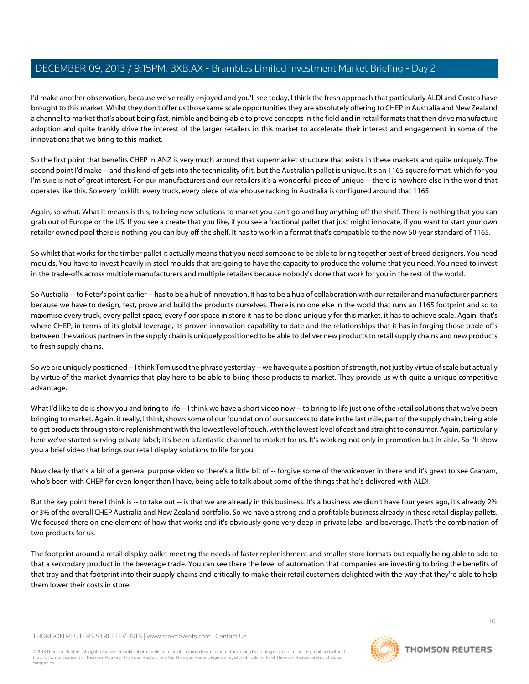I'd make another observation, because we've really enjoyed and you'll see today, I think the fresh approach that particularly ALDI and Costco have brought to this market. Whilst they don't offer us those same scale opportunities they are absolutely offering to CHEP in Australia and New Zealand a channel to market that's about being fast, nimble and being able to prove concepts in the field and in retail formats that then drive manufacture adoption and quite frankly drive the interest of the larger retailers in this market to accelerate their interest and engagement in some of the innovations that we bring to this market.

So the first point that benefits CHEP in ANZ is very much around that supermarket structure that exists in these markets and quite uniquely. The second point I'd make -- and this kind of gets into the technicality of it, but the Australian pallet is unique. It's an 1165 square format, which for you I'm sure is not of great interest. For our manufacturers and our retailers it's a wonderful piece of unique -- there is nowhere else in the world that operates like this. So every forklift, every truck, every piece of warehouse racking in Australia is configured around that 1165.

Again, so what. What it means is this; to bring new solutions to market you can't go and buy anything off the shelf. There is nothing that you can grab out of Europe or the US. If you see a create that you like, if you see a fractional pallet that just might innovate, if you want to start your own retailer owned pool there is nothing you can buy off the shelf. It has to work in a format that's compatible to the now 50-year standard of 1165.

So whilst that works for the timber pallet it actually means that you need someone to be able to bring together best of breed designers. You need moulds. You have to invest heavily in steel moulds that are going to have the capacity to produce the volume that you need. You need to invest in the trade-offs across multiple manufacturers and multiple retailers because nobody's done that work for you in the rest of the world.

So Australia -- to Peter's point earlier -- has to be a hub of innovation. It has to be a hub of collaboration with our retailer and manufacturer partners because we have to design, test, prove and build the products ourselves. There is no one else in the world that runs an 1165 footprint and so to maximise every truck, every pallet space, every floor space in store it has to be done uniquely for this market, it has to achieve scale. Again, that's where CHEP, in terms of its global leverage, its proven innovation capability to date and the relationships that it has in forging those trade-offs between the various partners in the supply chain is uniquely positioned to be able to deliver new products to retail supply chains and new products to fresh supply chains.

So we are uniquely positioned -- I think Tom used the phrase yesterday -- we have quite a position of strength, not just by virtue of scale but actually by virtue of the market dynamics that play here to be able to bring these products to market. They provide us with quite a unique competitive advantage.

What I'd like to do is show you and bring to life -- I think we have a short video now -- to bring to life just one of the retail solutions that we've been bringing to market. Again, it really, I think, shows some of our foundation of our success to date in the last mile, part of the supply chain, being able to get products through store replenishment with the lowest level of touch, with the lowest level of cost and straight to consumer. Again, particularly here we've started serving private label; it's been a fantastic channel to market for us. It's working not only in promotion but in aisle. So I'll show you a brief video that brings our retail display solutions to life for you.

Now clearly that's a bit of a general purpose video so there's a little bit of -- forgive some of the voiceover in there and it's great to see Graham, who's been with CHEP for even longer than I have, being able to talk about some of the things that he's delivered with ALDI.

But the key point here I think is -- to take out -- is that we are already in this business. It's a business we didn't have four years ago, it's already 2% or 3% of the overall CHEP Australia and New Zealand portfolio. So we have a strong and a profitable business already in these retail display pallets. We focused there on one element of how that works and it's obviously gone very deep in private label and beverage. That's the combination of two products for us.

The footprint around a retail display pallet meeting the needs of faster replenishment and smaller store formats but equally being able to add to that a secondary product in the beverage trade. You can see there the level of automation that companies are investing to bring the benefits of that tray and that footprint into their supply chains and critically to make their retail customers delighted with the way that they're able to help them lower their costs in store.

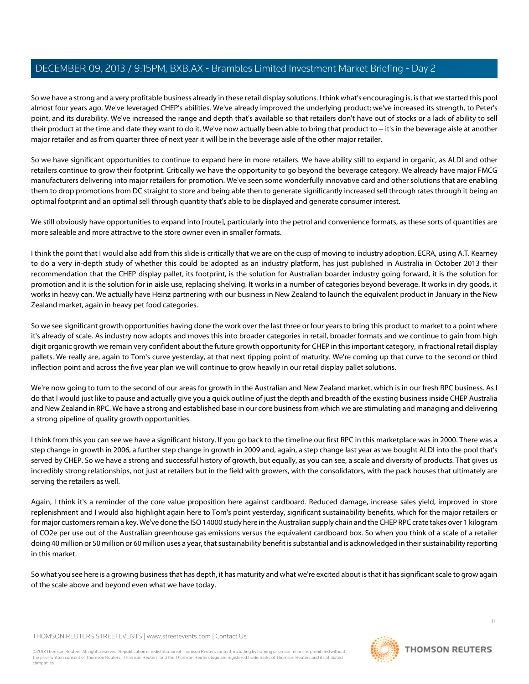So we have a strong and a very profitable business already in these retail display solutions. I think what's encouraging is, is that we started this pool almost four years ago. We've leveraged CHEP's abilities. We've already improved the underlying product; we've increased its strength, to Peter's point, and its durability. We've increased the range and depth that's available so that retailers don't have out of stocks or a lack of ability to sell their product at the time and date they want to do it. We've now actually been able to bring that product to -- it's in the beverage aisle at another major retailer and as from quarter three of next year it will be in the beverage aisle of the other major retailer.

So we have significant opportunities to continue to expand here in more retailers. We have ability still to expand in organic, as ALDI and other retailers continue to grow their footprint. Critically we have the opportunity to go beyond the beverage category. We already have major FMCG manufacturers delivering into major retailers for promotion. We've seen some wonderfully innovative card and other solutions that are enabling them to drop promotions from DC straight to store and being able then to generate significantly increased sell through rates through it being an optimal footprint and an optimal sell through quantity that's able to be displayed and generate consumer interest.

We still obviously have opportunities to expand into [route], particularly into the petrol and convenience formats, as these sorts of quantities are more saleable and more attractive to the store owner even in smaller formats.

I think the point that I would also add from this slide is critically that we are on the cusp of moving to industry adoption. ECRA, using A.T. Kearney to do a very in-depth study of whether this could be adopted as an industry platform, has just published in Australia in October 2013 their recommendation that the CHEP display pallet, its footprint, is the solution for Australian boarder industry going forward, it is the solution for promotion and it is the solution for in aisle use, replacing shelving. It works in a number of categories beyond beverage. It works in dry goods, it works in heavy can. We actually have Heinz partnering with our business in New Zealand to launch the equivalent product in January in the New Zealand market, again in heavy pet food categories.

So we see significant growth opportunities having done the work over the last three or four years to bring this product to market to a point where it's already of scale. As industry now adopts and moves this into broader categories in retail, broader formats and we continue to gain from high digit organic growth we remain very confident about the future growth opportunity for CHEP in this important category, in fractional retail display pallets. We really are, again to Tom's curve yesterday, at that next tipping point of maturity. We're coming up that curve to the second or third inflection point and across the five year plan we will continue to grow heavily in our retail display pallet solutions.

We're now going to turn to the second of our areas for growth in the Australian and New Zealand market, which is in our fresh RPC business. As I do that I would just like to pause and actually give you a quick outline of just the depth and breadth of the existing business inside CHEP Australia and New Zealand in RPC. We have a strong and established base in our core business from which we are stimulating and managing and delivering a strong pipeline of quality growth opportunities.

I think from this you can see we have a significant history. If you go back to the timeline our first RPC in this marketplace was in 2000. There was a step change in growth in 2006, a further step change in growth in 2009 and, again, a step change last year as we bought ALDI into the pool that's served by CHEP. So we have a strong and successful history of growth, but equally, as you can see, a scale and diversity of products. That gives us incredibly strong relationships, not just at retailers but in the field with growers, with the consolidators, with the pack houses that ultimately are serving the retailers as well.

Again, I think it's a reminder of the core value proposition here against cardboard. Reduced damage, increase sales yield, improved in store replenishment and I would also highlight again here to Tom's point yesterday, significant sustainability benefits, which for the major retailers or for major customers remain a key. We've done the ISO 14000 study here in the Australian supply chain and the CHEP RPC crate takes over 1 kilogram of CO2e per use out of the Australian greenhouse gas emissions versus the equivalent cardboard box. So when you think of a scale of a retailer doing 40 million or 50 million or 60 million uses a year, that sustainability benefit is substantial and is acknowledged in their sustainability reporting in this market.

So what you see here is a growing business that has depth, it has maturity and what we're excited about is that it has significant scale to grow again of the scale above and beyond even what we have today.

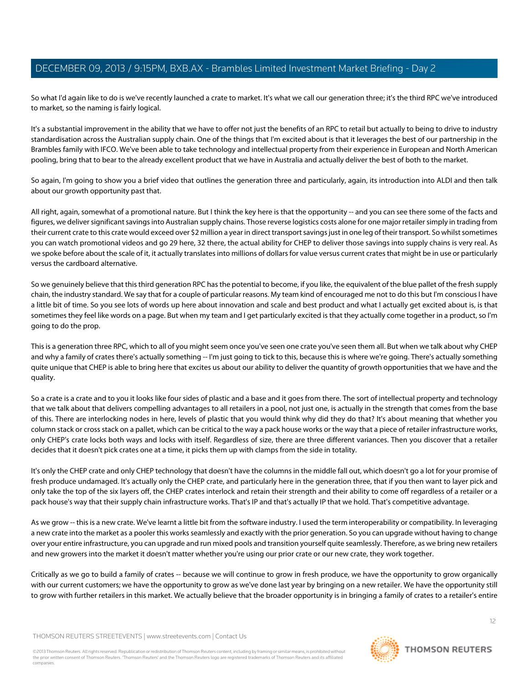So what I'd again like to do is we've recently launched a crate to market. It's what we call our generation three; it's the third RPC we've introduced to market, so the naming is fairly logical.

It's a substantial improvement in the ability that we have to offer not just the benefits of an RPC to retail but actually to being to drive to industry standardisation across the Australian supply chain. One of the things that I'm excited about is that it leverages the best of our partnership in the Brambles family with IFCO. We've been able to take technology and intellectual property from their experience in European and North American pooling, bring that to bear to the already excellent product that we have in Australia and actually deliver the best of both to the market.

So again, I'm going to show you a brief video that outlines the generation three and particularly, again, its introduction into ALDI and then talk about our growth opportunity past that.

All right, again, somewhat of a promotional nature. But I think the key here is that the opportunity -- and you can see there some of the facts and figures, we deliver significant savings into Australian supply chains. Those reverse logistics costs alone for one major retailer simply in trading from their current crate to this crate would exceed over \$2 million a year in direct transport savings just in one leg of their transport. So whilst sometimes you can watch promotional videos and go 29 here, 32 there, the actual ability for CHEP to deliver those savings into supply chains is very real. As we spoke before about the scale of it, it actually translates into millions of dollars for value versus current crates that might be in use or particularly versus the cardboard alternative.

So we genuinely believe that this third generation RPC has the potential to become, if you like, the equivalent of the blue pallet of the fresh supply chain, the industry standard. We say that for a couple of particular reasons. My team kind of encouraged me not to do this but I'm conscious I have a little bit of time. So you see lots of words up here about innovation and scale and best product and what I actually get excited about is, is that sometimes they feel like words on a page. But when my team and I get particularly excited is that they actually come together in a product, so I'm going to do the prop.

This is a generation three RPC, which to all of you might seem once you've seen one crate you've seen them all. But when we talk about why CHEP and why a family of crates there's actually something -- I'm just going to tick to this, because this is where we're going. There's actually something quite unique that CHEP is able to bring here that excites us about our ability to deliver the quantity of growth opportunities that we have and the quality.

So a crate is a crate and to you it looks like four sides of plastic and a base and it goes from there. The sort of intellectual property and technology that we talk about that delivers compelling advantages to all retailers in a pool, not just one, is actually in the strength that comes from the base of this. There are interlocking nodes in here, levels of plastic that you would think why did they do that? It's about meaning that whether you column stack or cross stack on a pallet, which can be critical to the way a pack house works or the way that a piece of retailer infrastructure works, only CHEP's crate locks both ways and locks with itself. Regardless of size, there are three different variances. Then you discover that a retailer decides that it doesn't pick crates one at a time, it picks them up with clamps from the side in totality.

It's only the CHEP crate and only CHEP technology that doesn't have the columns in the middle fall out, which doesn't go a lot for your promise of fresh produce undamaged. It's actually only the CHEP crate, and particularly here in the generation three, that if you then want to layer pick and only take the top of the six layers off, the CHEP crates interlock and retain their strength and their ability to come off regardless of a retailer or a pack house's way that their supply chain infrastructure works. That's IP and that's actually IP that we hold. That's competitive advantage.

As we grow -- this is a new crate. We've learnt a little bit from the software industry. I used the term interoperability or compatibility. In leveraging a new crate into the market as a pooler this works seamlessly and exactly with the prior generation. So you can upgrade without having to change over your entire infrastructure, you can upgrade and run mixed pools and transition yourself quite seamlessly. Therefore, as we bring new retailers and new growers into the market it doesn't matter whether you're using our prior crate or our new crate, they work together.

Critically as we go to build a family of crates -- because we will continue to grow in fresh produce, we have the opportunity to grow organically with our current customers; we have the opportunity to grow as we've done last year by bringing on a new retailer. We have the opportunity still to grow with further retailers in this market. We actually believe that the broader opportunity is in bringing a family of crates to a retailer's entire

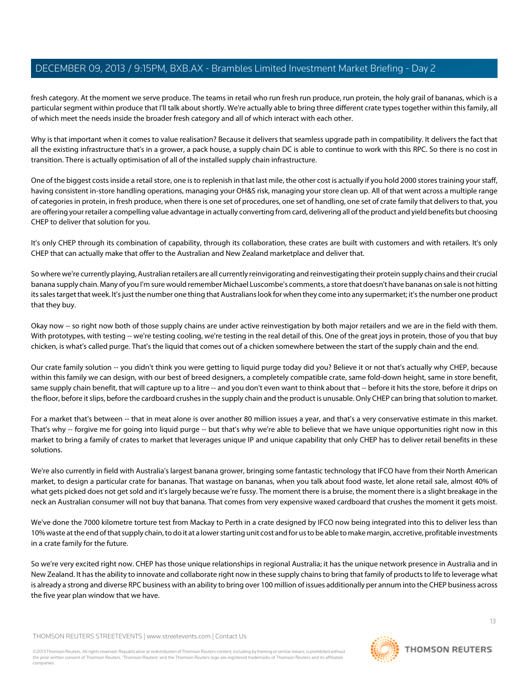fresh category. At the moment we serve produce. The teams in retail who run fresh run produce, run protein, the holy grail of bananas, which is a particular segment within produce that I'll talk about shortly. We're actually able to bring three different crate types together within this family, all of which meet the needs inside the broader fresh category and all of which interact with each other.

Why is that important when it comes to value realisation? Because it delivers that seamless upgrade path in compatibility. It delivers the fact that all the existing infrastructure that's in a grower, a pack house, a supply chain DC is able to continue to work with this RPC. So there is no cost in transition. There is actually optimisation of all of the installed supply chain infrastructure.

One of the biggest costs inside a retail store, one is to replenish in that last mile, the other cost is actually if you hold 2000 stores training your staff, having consistent in-store handling operations, managing your OH&S risk, managing your store clean up. All of that went across a multiple range of categories in protein, in fresh produce, when there is one set of procedures, one set of handling, one set of crate family that delivers to that, you are offering your retailer a compelling value advantage in actually converting from card, delivering all of the product and yield benefits but choosing CHEP to deliver that solution for you.

It's only CHEP through its combination of capability, through its collaboration, these crates are built with customers and with retailers. It's only CHEP that can actually make that offer to the Australian and New Zealand marketplace and deliver that.

So where we're currently playing, Australian retailers are all currently reinvigorating and reinvestigating their protein supply chains and their crucial banana supply chain. Many of you I'm sure would remember Michael Luscombe's comments, a store that doesn't have bananas on sale is not hitting its sales target that week. It's just the number one thing that Australians look for when they come into any supermarket; it's the number one product that they buy.

Okay now -- so right now both of those supply chains are under active reinvestigation by both major retailers and we are in the field with them. With prototypes, with testing -- we're testing cooling, we're testing in the real detail of this. One of the great joys in protein, those of you that buy chicken, is what's called purge. That's the liquid that comes out of a chicken somewhere between the start of the supply chain and the end.

Our crate family solution -- you didn't think you were getting to liquid purge today did you? Believe it or not that's actually why CHEP, because within this family we can design, with our best of breed designers, a completely compatible crate, same fold-down height, same in store benefit, same supply chain benefit, that will capture up to a litre -- and you don't even want to think about that -- before it hits the store, before it drips on the floor, before it slips, before the cardboard crushes in the supply chain and the product is unusable. Only CHEP can bring that solution to market.

For a market that's between -- that in meat alone is over another 80 million issues a year, and that's a very conservative estimate in this market. That's why -- forgive me for going into liquid purge -- but that's why we're able to believe that we have unique opportunities right now in this market to bring a family of crates to market that leverages unique IP and unique capability that only CHEP has to deliver retail benefits in these solutions.

We're also currently in field with Australia's largest banana grower, bringing some fantastic technology that IFCO have from their North American market, to design a particular crate for bananas. That wastage on bananas, when you talk about food waste, let alone retail sale, almost 40% of what gets picked does not get sold and it's largely because we're fussy. The moment there is a bruise, the moment there is a slight breakage in the neck an Australian consumer will not buy that banana. That comes from very expensive waxed cardboard that crushes the moment it gets moist.

We've done the 7000 kilometre torture test from Mackay to Perth in a crate designed by IFCO now being integrated into this to deliver less than 10% waste at the end of that supply chain, to do it at a lower starting unit cost and for us to be able to make margin, accretive, profitable investments in a crate family for the future.

So we're very excited right now. CHEP has those unique relationships in regional Australia; it has the unique network presence in Australia and in New Zealand. It has the ability to innovate and collaborate right now in these supply chains to bring that family of products to life to leverage what is already a strong and diverse RPC business with an ability to bring over 100 million of issues additionally per annum into the CHEP business across the five year plan window that we have.



**THOMSON REUTERS**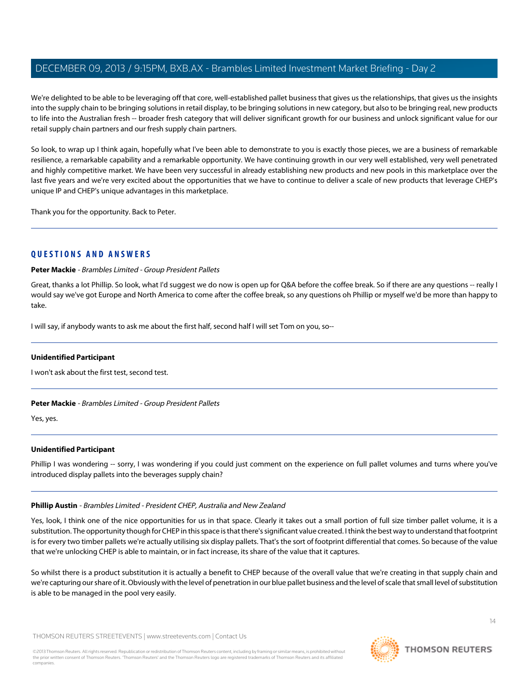We're delighted to be able to be leveraging off that core, well-established pallet business that gives us the relationships, that gives us the insights into the supply chain to be bringing solutions in retail display, to be bringing solutions in new category, but also to be bringing real, new products to life into the Australian fresh -- broader fresh category that will deliver significant growth for our business and unlock significant value for our retail supply chain partners and our fresh supply chain partners.

So look, to wrap up I think again, hopefully what I've been able to demonstrate to you is exactly those pieces, we are a business of remarkable resilience, a remarkable capability and a remarkable opportunity. We have continuing growth in our very well established, very well penetrated and highly competitive market. We have been very successful in already establishing new products and new pools in this marketplace over the last five years and we're very excited about the opportunities that we have to continue to deliver a scale of new products that leverage CHEP's unique IP and CHEP's unique advantages in this marketplace.

Thank you for the opportunity. Back to Peter.

# **QUESTIONS AND ANSWERS**

**Peter Mackie** - Brambles Limited - Group President Pallets

Great, thanks a lot Phillip. So look, what I'd suggest we do now is open up for Q&A before the coffee break. So if there are any questions -- really I would say we've got Europe and North America to come after the coffee break, so any questions oh Phillip or myself we'd be more than happy to take.

I will say, if anybody wants to ask me about the first half, second half I will set Tom on you, so--

# **Unidentified Participant**

I won't ask about the first test, second test.

# **Peter Mackie** - Brambles Limited - Group President Pallets

Yes, yes.

# **Unidentified Participant**

Phillip I was wondering -- sorry, I was wondering if you could just comment on the experience on full pallet volumes and turns where you've introduced display pallets into the beverages supply chain?

# **Phillip Austin** - Brambles Limited - President CHEP, Australia and New Zealand

Yes, look, I think one of the nice opportunities for us in that space. Clearly it takes out a small portion of full size timber pallet volume, it is a substitution. The opportunity though for CHEP in this space is that there's significant value created. I think the best way to understand that footprint is for every two timber pallets we're actually utilising six display pallets. That's the sort of footprint differential that comes. So because of the value that we're unlocking CHEP is able to maintain, or in fact increase, its share of the value that it captures.

So whilst there is a product substitution it is actually a benefit to CHEP because of the overall value that we're creating in that supply chain and we're capturing our share of it. Obviously with the level of penetration in our blue pallet business and the level of scale that small level of substitution is able to be managed in the pool very easily.

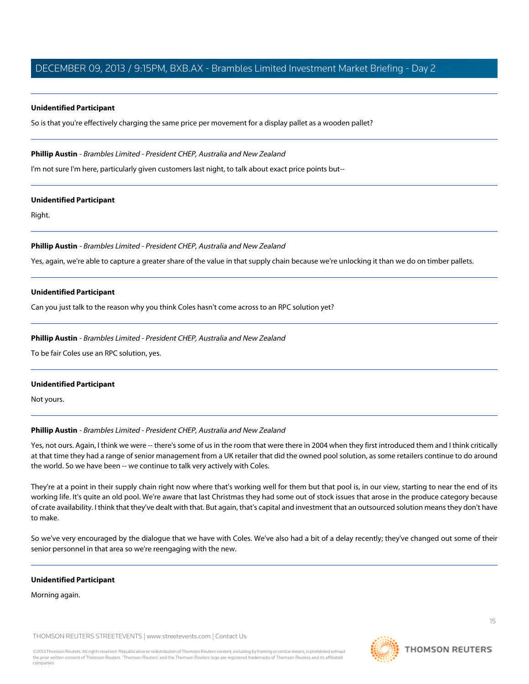#### **Unidentified Participant**

So is that you're effectively charging the same price per movement for a display pallet as a wooden pallet?

## **Phillip Austin** - Brambles Limited - President CHEP, Australia and New Zealand

I'm not sure I'm here, particularly given customers last night, to talk about exact price points but--

#### **Unidentified Participant**

Right.

## **Phillip Austin** - Brambles Limited - President CHEP, Australia and New Zealand

Yes, again, we're able to capture a greater share of the value in that supply chain because we're unlocking it than we do on timber pallets.

## **Unidentified Participant**

Can you just talk to the reason why you think Coles hasn't come across to an RPC solution yet?

## **Phillip Austin** - Brambles Limited - President CHEP, Australia and New Zealand

To be fair Coles use an RPC solution, yes.

#### **Unidentified Participant**

Not yours.

# **Phillip Austin** - Brambles Limited - President CHEP, Australia and New Zealand

Yes, not ours. Again, I think we were -- there's some of us in the room that were there in 2004 when they first introduced them and I think critically at that time they had a range of senior management from a UK retailer that did the owned pool solution, as some retailers continue to do around the world. So we have been -- we continue to talk very actively with Coles.

They're at a point in their supply chain right now where that's working well for them but that pool is, in our view, starting to near the end of its working life. It's quite an old pool. We're aware that last Christmas they had some out of stock issues that arose in the produce category because of crate availability. I think that they've dealt with that. But again, that's capital and investment that an outsourced solution means they don't have to make.

So we've very encouraged by the dialogue that we have with Coles. We've also had a bit of a delay recently; they've changed out some of their senior personnel in that area so we're reengaging with the new.

#### **Unidentified Participant**

Morning again.

THOMSON REUTERS STREETEVENTS | [www.streetevents.com](http://www.streetevents.com) | [Contact Us](http://www010.streetevents.com/contact.asp)

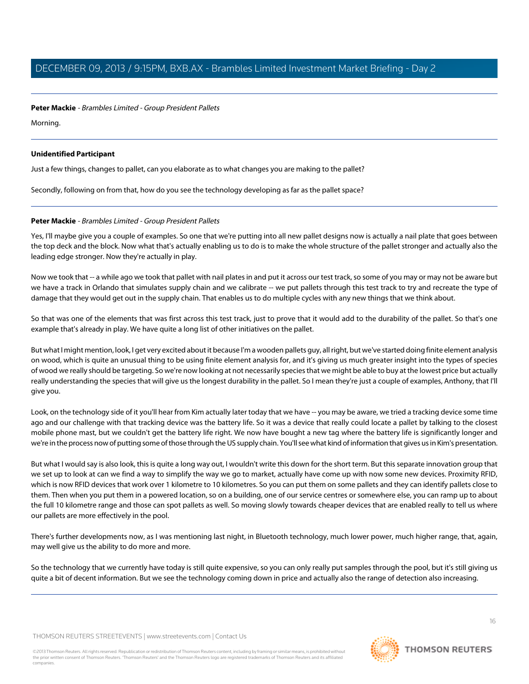**Peter Mackie** - Brambles Limited - Group President Pallets

Morning.

## **Unidentified Participant**

Just a few things, changes to pallet, can you elaborate as to what changes you are making to the pallet?

Secondly, following on from that, how do you see the technology developing as far as the pallet space?

# **Peter Mackie** - Brambles Limited - Group President Pallets

Yes, I'll maybe give you a couple of examples. So one that we're putting into all new pallet designs now is actually a nail plate that goes between the top deck and the block. Now what that's actually enabling us to do is to make the whole structure of the pallet stronger and actually also the leading edge stronger. Now they're actually in play.

Now we took that -- a while ago we took that pallet with nail plates in and put it across our test track, so some of you may or may not be aware but we have a track in Orlando that simulates supply chain and we calibrate -- we put pallets through this test track to try and recreate the type of damage that they would get out in the supply chain. That enables us to do multiple cycles with any new things that we think about.

So that was one of the elements that was first across this test track, just to prove that it would add to the durability of the pallet. So that's one example that's already in play. We have quite a long list of other initiatives on the pallet.

But what I might mention, look, I get very excited about it because I'm a wooden pallets guy, all right, but we've started doing finite element analysis on wood, which is quite an unusual thing to be using finite element analysis for, and it's giving us much greater insight into the types of species of wood we really should be targeting. So we're now looking at not necessarily species that we might be able to buy at the lowest price but actually really understanding the species that will give us the longest durability in the pallet. So I mean they're just a couple of examples, Anthony, that I'll give you.

Look, on the technology side of it you'll hear from Kim actually later today that we have -- you may be aware, we tried a tracking device some time ago and our challenge with that tracking device was the battery life. So it was a device that really could locate a pallet by talking to the closest mobile phone mast, but we couldn't get the battery life right. We now have bought a new tag where the battery life is significantly longer and we're in the process now of putting some of those through the US supply chain. You'll see what kind of information that gives us in Kim's presentation.

But what I would say is also look, this is quite a long way out, I wouldn't write this down for the short term. But this separate innovation group that we set up to look at can we find a way to simplify the way we go to market, actually have come up with now some new devices. Proximity RFID, which is now RFID devices that work over 1 kilometre to 10 kilometres. So you can put them on some pallets and they can identify pallets close to them. Then when you put them in a powered location, so on a building, one of our service centres or somewhere else, you can ramp up to about the full 10 kilometre range and those can spot pallets as well. So moving slowly towards cheaper devices that are enabled really to tell us where our pallets are more effectively in the pool.

There's further developments now, as I was mentioning last night, in Bluetooth technology, much lower power, much higher range, that, again, may well give us the ability to do more and more.

So the technology that we currently have today is still quite expensive, so you can only really put samples through the pool, but it's still giving us quite a bit of decent information. But we see the technology coming down in price and actually also the range of detection also increasing.

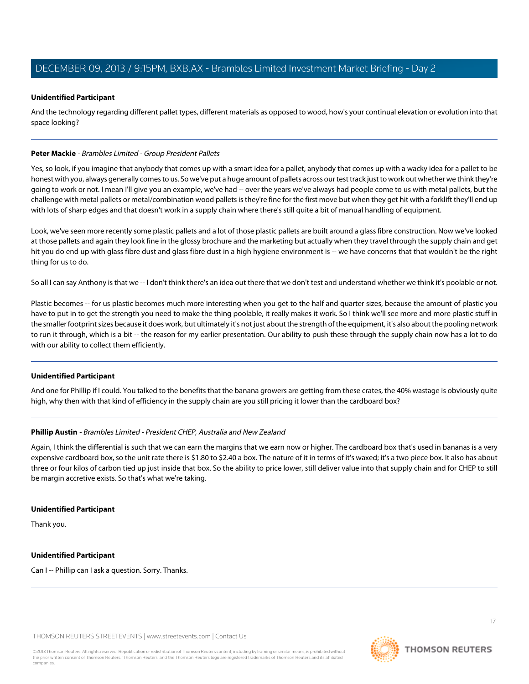## **Unidentified Participant**

And the technology regarding different pallet types, different materials as opposed to wood, how's your continual elevation or evolution into that space looking?

#### **Peter Mackie** - Brambles Limited - Group President Pallets

Yes, so look, if you imagine that anybody that comes up with a smart idea for a pallet, anybody that comes up with a wacky idea for a pallet to be honest with you, always generally comes to us. So we've put a huge amount of pallets across our test track just to work out whether we think they're going to work or not. I mean I'll give you an example, we've had -- over the years we've always had people come to us with metal pallets, but the challenge with metal pallets or metal/combination wood pallets is they're fine for the first move but when they get hit with a forklift they'll end up with lots of sharp edges and that doesn't work in a supply chain where there's still quite a bit of manual handling of equipment.

Look, we've seen more recently some plastic pallets and a lot of those plastic pallets are built around a glass fibre construction. Now we've looked at those pallets and again they look fine in the glossy brochure and the marketing but actually when they travel through the supply chain and get hit you do end up with glass fibre dust and glass fibre dust in a high hygiene environment is -- we have concerns that that wouldn't be the right thing for us to do.

So all I can say Anthony is that we -- I don't think there's an idea out there that we don't test and understand whether we think it's poolable or not.

Plastic becomes -- for us plastic becomes much more interesting when you get to the half and quarter sizes, because the amount of plastic you have to put in to get the strength you need to make the thing poolable, it really makes it work. So I think we'll see more and more plastic stuff in the smaller footprint sizes because it does work, but ultimately it's not just about the strength of the equipment, it's also about the pooling network to run it through, which is a bit -- the reason for my earlier presentation. Our ability to push these through the supply chain now has a lot to do with our ability to collect them efficiently.

# **Unidentified Participant**

And one for Phillip if I could. You talked to the benefits that the banana growers are getting from these crates, the 40% wastage is obviously quite high, why then with that kind of efficiency in the supply chain are you still pricing it lower than the cardboard box?

#### **Phillip Austin** - Brambles Limited - President CHEP, Australia and New Zealand

Again, I think the differential is such that we can earn the margins that we earn now or higher. The cardboard box that's used in bananas is a very expensive cardboard box, so the unit rate there is \$1.80 to \$2.40 a box. The nature of it in terms of it's waxed; it's a two piece box. It also has about three or four kilos of carbon tied up just inside that box. So the ability to price lower, still deliver value into that supply chain and for CHEP to still be margin accretive exists. So that's what we're taking.

#### **Unidentified Participant**

Thank you.

# **Unidentified Participant**

Can I -- Phillip can I ask a question. Sorry. Thanks.



**THOMSON REUTERS**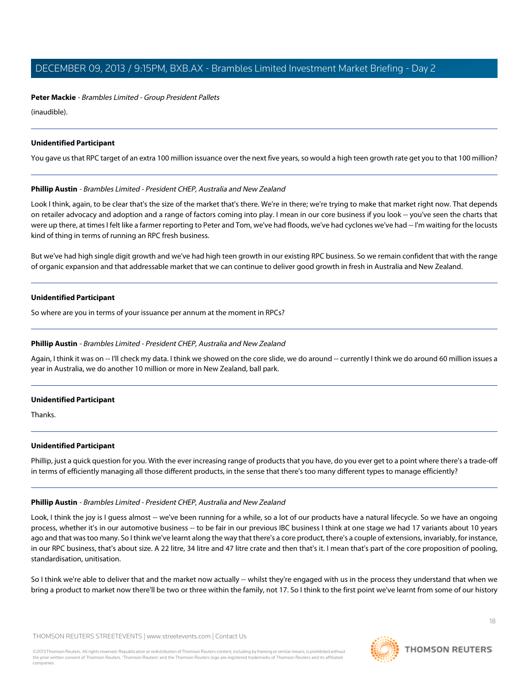**Peter Mackie** - Brambles Limited - Group President Pallets

(inaudible).

## **Unidentified Participant**

You gave us that RPC target of an extra 100 million issuance over the next five years, so would a high teen growth rate get you to that 100 million?

## **Phillip Austin** - Brambles Limited - President CHEP, Australia and New Zealand

Look I think, again, to be clear that's the size of the market that's there. We're in there; we're trying to make that market right now. That depends on retailer advocacy and adoption and a range of factors coming into play. I mean in our core business if you look -- you've seen the charts that were up there, at times I felt like a farmer reporting to Peter and Tom, we've had floods, we've had cyclones we've had -- I'm waiting for the locusts kind of thing in terms of running an RPC fresh business.

But we've had high single digit growth and we've had high teen growth in our existing RPC business. So we remain confident that with the range of organic expansion and that addressable market that we can continue to deliver good growth in fresh in Australia and New Zealand.

## **Unidentified Participant**

So where are you in terms of your issuance per annum at the moment in RPCs?

#### **Phillip Austin** - Brambles Limited - President CHEP, Australia and New Zealand

Again, I think it was on -- I'll check my data. I think we showed on the core slide, we do around -- currently I think we do around 60 million issues a year in Australia, we do another 10 million or more in New Zealand, ball park.

#### **Unidentified Participant**

Thanks.

#### **Unidentified Participant**

Phillip, just a quick question for you. With the ever increasing range of products that you have, do you ever get to a point where there's a trade-off in terms of efficiently managing all those different products, in the sense that there's too many different types to manage efficiently?

#### **Phillip Austin** - Brambles Limited - President CHEP, Australia and New Zealand

Look, I think the joy is I quess almost -- we've been running for a while, so a lot of our products have a natural lifecycle. So we have an ongoing process, whether it's in our automotive business -- to be fair in our previous IBC business I think at one stage we had 17 variants about 10 years ago and that was too many. So I think we've learnt along the way that there's a core product, there's a couple of extensions, invariably, for instance, in our RPC business, that's about size. A 22 litre, 34 litre and 47 litre crate and then that's it. I mean that's part of the core proposition of pooling, standardisation, unitisation.

So I think we're able to deliver that and the market now actually -- whilst they're engaged with us in the process they understand that when we bring a product to market now there'll be two or three within the family, not 17. So I think to the first point we've learnt from some of our history

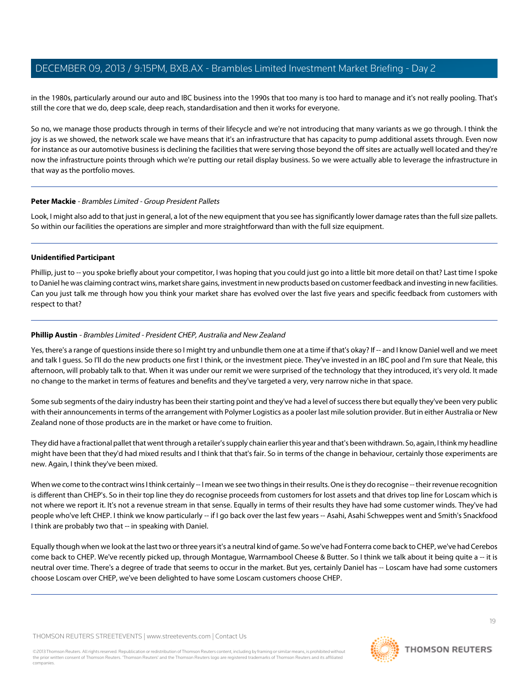in the 1980s, particularly around our auto and IBC business into the 1990s that too many is too hard to manage and it's not really pooling. That's still the core that we do, deep scale, deep reach, standardisation and then it works for everyone.

So no, we manage those products through in terms of their lifecycle and we're not introducing that many variants as we go through. I think the joy is as we showed, the network scale we have means that it's an infrastructure that has capacity to pump additional assets through. Even now for instance as our automotive business is declining the facilities that were serving those beyond the off sites are actually well located and they're now the infrastructure points through which we're putting our retail display business. So we were actually able to leverage the infrastructure in that way as the portfolio moves.

## **Peter Mackie** - Brambles Limited - Group President Pallets

Look, I might also add to that just in general, a lot of the new equipment that you see has significantly lower damage rates than the full size pallets. So within our facilities the operations are simpler and more straightforward than with the full size equipment.

## **Unidentified Participant**

Phillip, just to -- you spoke briefly about your competitor, I was hoping that you could just go into a little bit more detail on that? Last time I spoke to Daniel he was claiming contract wins, market share gains, investment in new products based on customer feedback and investing in new facilities. Can you just talk me through how you think your market share has evolved over the last five years and specific feedback from customers with respect to that?

# **Phillip Austin** - Brambles Limited - President CHEP, Australia and New Zealand

Yes, there's a range of questions inside there so I might try and unbundle them one at a time if that's okay? If -- and I know Daniel well and we meet and talk I guess. So I'll do the new products one first I think, or the investment piece. They've invested in an IBC pool and I'm sure that Neale, this afternoon, will probably talk to that. When it was under our remit we were surprised of the technology that they introduced, it's very old. It made no change to the market in terms of features and benefits and they've targeted a very, very narrow niche in that space.

Some sub segments of the dairy industry has been their starting point and they've had a level of success there but equally they've been very public with their announcements in terms of the arrangement with Polymer Logistics as a pooler last mile solution provider. But in either Australia or New Zealand none of those products are in the market or have come to fruition.

They did have a fractional pallet that went through a retailer's supply chain earlier this year and that's been withdrawn. So, again, I think my headline might have been that they'd had mixed results and I think that that's fair. So in terms of the change in behaviour, certainly those experiments are new. Again, I think they've been mixed.

When we come to the contract wins I think certainly -- I mean we see two things in their results. One is they do recognise -- their revenue recognition is different than CHEP's. So in their top line they do recognise proceeds from customers for lost assets and that drives top line for Loscam which is not where we report it. It's not a revenue stream in that sense. Equally in terms of their results they have had some customer winds. They've had people who've left CHEP. I think we know particularly -- if I go back over the last few years -- Asahi, Asahi Schweppes went and Smith's Snackfood I think are probably two that -- in speaking with Daniel.

Equally though when we look at the last two or three years it's a neutral kind of game. So we've had Fonterra come back to CHEP, we've had Cerebos come back to CHEP. We've recently picked up, through Montague, Warrnambool Cheese & Butter. So I think we talk about it being quite a -- it is neutral over time. There's a degree of trade that seems to occur in the market. But yes, certainly Daniel has -- Loscam have had some customers choose Loscam over CHEP, we've been delighted to have some Loscam customers choose CHEP.

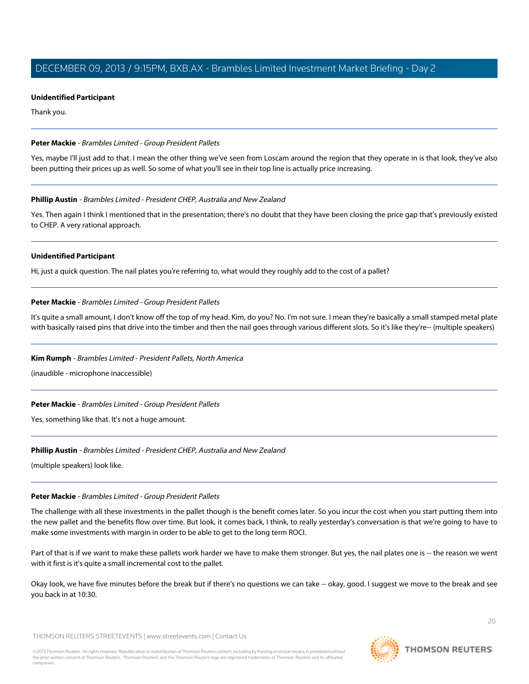#### **Unidentified Participant**

Thank you.

## **Peter Mackie** - Brambles Limited - Group President Pallets

Yes, maybe I'll just add to that. I mean the other thing we've seen from Loscam around the region that they operate in is that look, they've also been putting their prices up as well. So some of what you'll see in their top line is actually price increasing.

## **Phillip Austin** - Brambles Limited - President CHEP, Australia and New Zealand

Yes. Then again I think I mentioned that in the presentation; there's no doubt that they have been closing the price gap that's previously existed to CHEP. A very rational approach.

## **Unidentified Participant**

Hi, just a quick question. The nail plates you're referring to, what would they roughly add to the cost of a pallet?

# **Peter Mackie** - Brambles Limited - Group President Pallets

It's quite a small amount, I don't know off the top of my head. Kim, do you? No. I'm not sure. I mean they're basically a small stamped metal plate with basically raised pins that drive into the timber and then the nail goes through various different slots. So it's like they're-- (multiple speakers)

# **Kim Rumph** - Brambles Limited - President Pallets, North America

(inaudible - microphone inaccessible)

# **Peter Mackie** - Brambles Limited - Group President Pallets

Yes, something like that. It's not a huge amount.

#### **Phillip Austin** - Brambles Limited - President CHEP, Australia and New Zealand

(multiple speakers) look like.

#### **Peter Mackie** - Brambles Limited - Group President Pallets

The challenge with all these investments in the pallet though is the benefit comes later. So you incur the cost when you start putting them into the new pallet and the benefits flow over time. But look, it comes back, I think, to really yesterday's conversation is that we're going to have to make some investments with margin in order to be able to get to the long term ROCI.

Part of that is if we want to make these pallets work harder we have to make them stronger. But yes, the nail plates one is -- the reason we went with it first is it's quite a small incremental cost to the pallet.

Okay look, we have five minutes before the break but if there's no questions we can take -- okay, good. I suggest we move to the break and see you back in at 10:30.

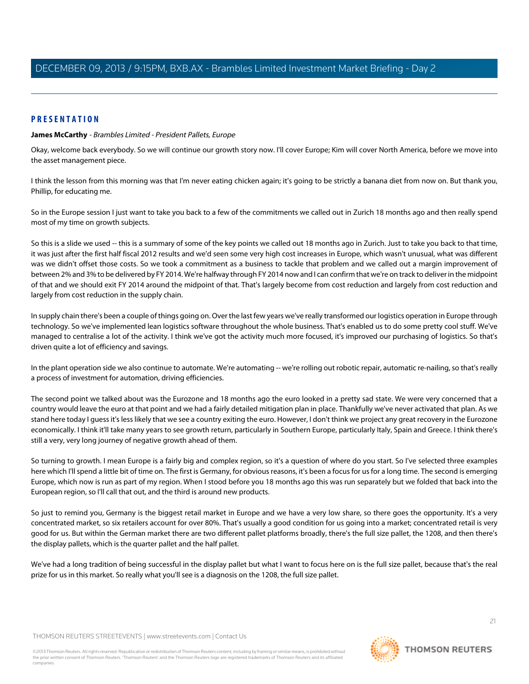# **PRESENTATION**

#### **James McCarthy** - Brambles Limited - President Pallets, Europe

Okay, welcome back everybody. So we will continue our growth story now. I'll cover Europe; Kim will cover North America, before we move into the asset management piece.

I think the lesson from this morning was that I'm never eating chicken again; it's going to be strictly a banana diet from now on. But thank you, Phillip, for educating me.

So in the Europe session I just want to take you back to a few of the commitments we called out in Zurich 18 months ago and then really spend most of my time on growth subjects.

So this is a slide we used -- this is a summary of some of the key points we called out 18 months ago in Zurich. Just to take you back to that time, it was just after the first half fiscal 2012 results and we'd seen some very high cost increases in Europe, which wasn't unusual, what was different was we didn't offset those costs. So we took a commitment as a business to tackle that problem and we called out a margin improvement of between 2% and 3% to be delivered by FY 2014. We're halfway through FY 2014 now and I can confirm that we're on track to deliver in the midpoint of that and we should exit FY 2014 around the midpoint of that. That's largely become from cost reduction and largely from cost reduction and largely from cost reduction in the supply chain.

In supply chain there's been a couple of things going on. Over the last few years we've really transformed our logistics operation in Europe through technology. So we've implemented lean logistics software throughout the whole business. That's enabled us to do some pretty cool stuff. We've managed to centralise a lot of the activity. I think we've got the activity much more focused, it's improved our purchasing of logistics. So that's driven quite a lot of efficiency and savings.

In the plant operation side we also continue to automate. We're automating -- we're rolling out robotic repair, automatic re-nailing, so that's really a process of investment for automation, driving efficiencies.

The second point we talked about was the Eurozone and 18 months ago the euro looked in a pretty sad state. We were very concerned that a country would leave the euro at that point and we had a fairly detailed mitigation plan in place. Thankfully we've never activated that plan. As we stand here today I guess it's less likely that we see a country exiting the euro. However, I don't think we project any great recovery in the Eurozone economically. I think it'll take many years to see growth return, particularly in Southern Europe, particularly Italy, Spain and Greece. I think there's still a very, very long journey of negative growth ahead of them.

So turning to growth. I mean Europe is a fairly big and complex region, so it's a question of where do you start. So I've selected three examples here which I'll spend a little bit of time on. The first is Germany, for obvious reasons, it's been a focus for us for a long time. The second is emerging Europe, which now is run as part of my region. When I stood before you 18 months ago this was run separately but we folded that back into the European region, so I'll call that out, and the third is around new products.

So just to remind you, Germany is the biggest retail market in Europe and we have a very low share, so there goes the opportunity. It's a very concentrated market, so six retailers account for over 80%. That's usually a good condition for us going into a market; concentrated retail is very good for us. But within the German market there are two different pallet platforms broadly, there's the full size pallet, the 1208, and then there's the display pallets, which is the quarter pallet and the half pallet.

We've had a long tradition of being successful in the display pallet but what I want to focus here on is the full size pallet, because that's the real prize for us in this market. So really what you'll see is a diagnosis on the 1208, the full size pallet.

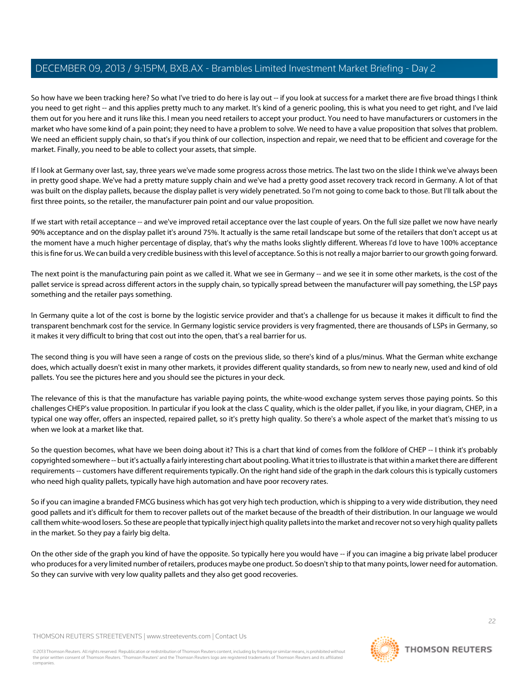So how have we been tracking here? So what I've tried to do here is lay out -- if you look at success for a market there are five broad things I think you need to get right -- and this applies pretty much to any market. It's kind of a generic pooling, this is what you need to get right, and I've laid them out for you here and it runs like this. I mean you need retailers to accept your product. You need to have manufacturers or customers in the market who have some kind of a pain point; they need to have a problem to solve. We need to have a value proposition that solves that problem. We need an efficient supply chain, so that's if you think of our collection, inspection and repair, we need that to be efficient and coverage for the market. Finally, you need to be able to collect your assets, that simple.

If I look at Germany over last, say, three years we've made some progress across those metrics. The last two on the slide I think we've always been in pretty good shape. We've had a pretty mature supply chain and we've had a pretty good asset recovery track record in Germany. A lot of that was built on the display pallets, because the display pallet is very widely penetrated. So I'm not going to come back to those. But I'll talk about the first three points, so the retailer, the manufacturer pain point and our value proposition.

If we start with retail acceptance -- and we've improved retail acceptance over the last couple of years. On the full size pallet we now have nearly 90% acceptance and on the display pallet it's around 75%. It actually is the same retail landscape but some of the retailers that don't accept us at the moment have a much higher percentage of display, that's why the maths looks slightly different. Whereas I'd love to have 100% acceptance this is fine for us. We can build a very credible business with this level of acceptance. So this is not really a major barrier to our growth going forward.

The next point is the manufacturing pain point as we called it. What we see in Germany -- and we see it in some other markets, is the cost of the pallet service is spread across different actors in the supply chain, so typically spread between the manufacturer will pay something, the LSP pays something and the retailer pays something.

In Germany quite a lot of the cost is borne by the logistic service provider and that's a challenge for us because it makes it difficult to find the transparent benchmark cost for the service. In Germany logistic service providers is very fragmented, there are thousands of LSPs in Germany, so it makes it very difficult to bring that cost out into the open, that's a real barrier for us.

The second thing is you will have seen a range of costs on the previous slide, so there's kind of a plus/minus. What the German white exchange does, which actually doesn't exist in many other markets, it provides different quality standards, so from new to nearly new, used and kind of old pallets. You see the pictures here and you should see the pictures in your deck.

The relevance of this is that the manufacture has variable paying points, the white-wood exchange system serves those paying points. So this challenges CHEP's value proposition. In particular if you look at the class C quality, which is the older pallet, if you like, in your diagram, CHEP, in a typical one way offer, offers an inspected, repaired pallet, so it's pretty high quality. So there's a whole aspect of the market that's missing to us when we look at a market like that.

So the question becomes, what have we been doing about it? This is a chart that kind of comes from the folklore of CHEP -- I think it's probably copyrighted somewhere -- but it's actually a fairly interesting chart about pooling. What it tries to illustrate is that within a market there are different requirements -- customers have different requirements typically. On the right hand side of the graph in the dark colours this is typically customers who need high quality pallets, typically have high automation and have poor recovery rates.

So if you can imagine a branded FMCG business which has got very high tech production, which is shipping to a very wide distribution, they need good pallets and it's difficult for them to recover pallets out of the market because of the breadth of their distribution. In our language we would call them white-wood losers. So these are people that typically inject high quality pallets into the market and recover not so very high quality pallets in the market. So they pay a fairly big delta.

On the other side of the graph you kind of have the opposite. So typically here you would have -- if you can imagine a big private label producer who produces for a very limited number of retailers, produces maybe one product. So doesn't ship to that many points, lower need for automation. So they can survive with very low quality pallets and they also get good recoveries.

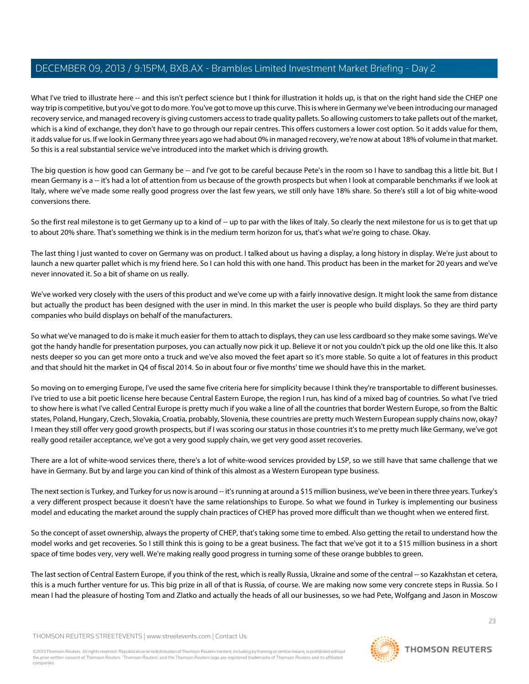What I've tried to illustrate here -- and this isn't perfect science but I think for illustration it holds up, is that on the right hand side the CHEP one way trip is competitive, but you've got to do more. You've got to move up this curve. This is where in Germany we've been introducing our managed recovery service, and managed recovery is giving customers access to trade quality pallets. So allowing customers to take pallets out of the market, which is a kind of exchange, they don't have to go through our repair centres. This offers customers a lower cost option. So it adds value for them, it adds value for us. If we look in Germany three years ago we had about 0% in managed recovery, we're now at about 18% of volume in that market. So this is a real substantial service we've introduced into the market which is driving growth.

The big question is how good can Germany be -- and I've got to be careful because Pete's in the room so I have to sandbag this a little bit. But I mean Germany is a -- it's had a lot of attention from us because of the growth prospects but when I look at comparable benchmarks if we look at Italy, where we've made some really good progress over the last few years, we still only have 18% share. So there's still a lot of big white-wood conversions there.

So the first real milestone is to get Germany up to a kind of -- up to par with the likes of Italy. So clearly the next milestone for us is to get that up to about 20% share. That's something we think is in the medium term horizon for us, that's what we're going to chase. Okay.

The last thing I just wanted to cover on Germany was on product. I talked about us having a display, a long history in display. We're just about to launch a new quarter pallet which is my friend here. So I can hold this with one hand. This product has been in the market for 20 years and we've never innovated it. So a bit of shame on us really.

We've worked very closely with the users of this product and we've come up with a fairly innovative design. It might look the same from distance but actually the product has been designed with the user in mind. In this market the user is people who build displays. So they are third party companies who build displays on behalf of the manufacturers.

So what we've managed to do is make it much easier for them to attach to displays, they can use less cardboard so they make some savings. We've got the handy handle for presentation purposes, you can actually now pick it up. Believe it or not you couldn't pick up the old one like this. It also nests deeper so you can get more onto a truck and we've also moved the feet apart so it's more stable. So quite a lot of features in this product and that should hit the market in Q4 of fiscal 2014. So in about four or five months' time we should have this in the market.

So moving on to emerging Europe, I've used the same five criteria here for simplicity because I think they're transportable to different businesses. I've tried to use a bit poetic license here because Central Eastern Europe, the region I run, has kind of a mixed bag of countries. So what I've tried to show here is what I've called Central Europe is pretty much if you wake a line of all the countries that border Western Europe, so from the Baltic states, Poland, Hungary, Czech, Slovakia, Croatia, probably, Slovenia, these countries are pretty much Western European supply chains now, okay? I mean they still offer very good growth prospects, but if I was scoring our status in those countries it's to me pretty much like Germany, we've got really good retailer acceptance, we've got a very good supply chain, we get very good asset recoveries.

There are a lot of white-wood services there, there's a lot of white-wood services provided by LSP, so we still have that same challenge that we have in Germany. But by and large you can kind of think of this almost as a Western European type business.

The next section is Turkey, and Turkey for us now is around -- it's running at around a \$15 million business, we've been in there three years. Turkey's a very different prospect because it doesn't have the same relationships to Europe. So what we found in Turkey is implementing our business model and educating the market around the supply chain practices of CHEP has proved more difficult than we thought when we entered first.

So the concept of asset ownership, always the property of CHEP, that's taking some time to embed. Also getting the retail to understand how the model works and get recoveries. So I still think this is going to be a great business. The fact that we've got it to a \$15 million business in a short space of time bodes very, very well. We're making really good progress in turning some of these orange bubbles to green.

The last section of Central Eastern Europe, if you think of the rest, which is really Russia, Ukraine and some of the central -- so Kazakhstan et cetera, this is a much further venture for us. This big prize in all of that is Russia, of course. We are making now some very concrete steps in Russia. So I mean I had the pleasure of hosting Tom and Zlatko and actually the heads of all our businesses, so we had Pete, Wolfgang and Jason in Moscow

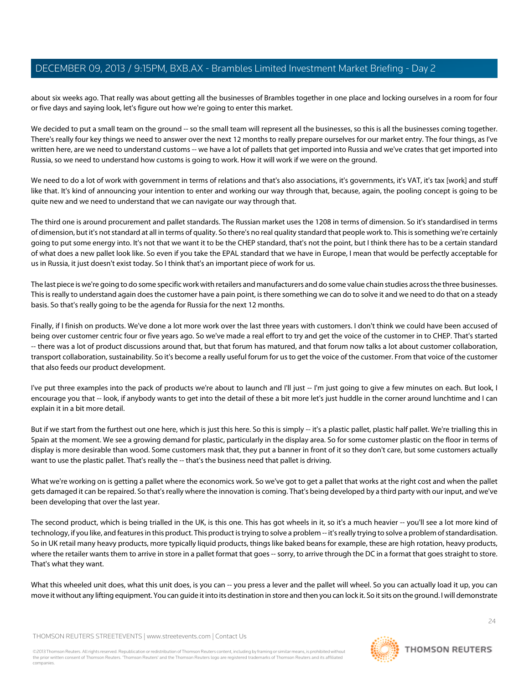about six weeks ago. That really was about getting all the businesses of Brambles together in one place and locking ourselves in a room for four or five days and saying look, let's figure out how we're going to enter this market.

We decided to put a small team on the ground -- so the small team will represent all the businesses, so this is all the businesses coming together. There's really four key things we need to answer over the next 12 months to really prepare ourselves for our market entry. The four things, as I've written here, are we need to understand customs -- we have a lot of pallets that get imported into Russia and we've crates that get imported into Russia, so we need to understand how customs is going to work. How it will work if we were on the ground.

We need to do a lot of work with government in terms of relations and that's also associations, it's governments, it's VAT, it's tax [work] and stuff like that. It's kind of announcing your intention to enter and working our way through that, because, again, the pooling concept is going to be quite new and we need to understand that we can navigate our way through that.

The third one is around procurement and pallet standards. The Russian market uses the 1208 in terms of dimension. So it's standardised in terms of dimension, but it's not standard at all in terms of quality. So there's no real quality standard that people work to. This is something we're certainly going to put some energy into. It's not that we want it to be the CHEP standard, that's not the point, but I think there has to be a certain standard of what does a new pallet look like. So even if you take the EPAL standard that we have in Europe, I mean that would be perfectly acceptable for us in Russia, it just doesn't exist today. So I think that's an important piece of work for us.

The last piece is we're going to do some specific work with retailers and manufacturers and do some value chain studies across the three businesses. This is really to understand again does the customer have a pain point, is there something we can do to solve it and we need to do that on a steady basis. So that's really going to be the agenda for Russia for the next 12 months.

Finally, if I finish on products. We've done a lot more work over the last three years with customers. I don't think we could have been accused of being over customer centric four or five years ago. So we've made a real effort to try and get the voice of the customer in to CHEP. That's started -- there was a lot of product discussions around that, but that forum has matured, and that forum now talks a lot about customer collaboration, transport collaboration, sustainability. So it's become a really useful forum for us to get the voice of the customer. From that voice of the customer that also feeds our product development.

I've put three examples into the pack of products we're about to launch and I'll just -- I'm just going to give a few minutes on each. But look, I encourage you that -- look, if anybody wants to get into the detail of these a bit more let's just huddle in the corner around lunchtime and I can explain it in a bit more detail.

But if we start from the furthest out one here, which is just this here. So this is simply -- it's a plastic pallet, plastic half pallet. We're trialling this in Spain at the moment. We see a growing demand for plastic, particularly in the display area. So for some customer plastic on the floor in terms of display is more desirable than wood. Some customers mask that, they put a banner in front of it so they don't care, but some customers actually want to use the plastic pallet. That's really the -- that's the business need that pallet is driving.

What we're working on is getting a pallet where the economics work. So we've got to get a pallet that works at the right cost and when the pallet gets damaged it can be repaired. So that's really where the innovation is coming. That's being developed by a third party with our input, and we've been developing that over the last year.

The second product, which is being trialled in the UK, is this one. This has got wheels in it, so it's a much heavier -- you'll see a lot more kind of technology, if you like, and features in this product. This product is trying to solve a problem -- it's really trying to solve a problem of standardisation. So in UK retail many heavy products, more typically liquid products, things like baked beans for example, these are high rotation, heavy products, where the retailer wants them to arrive in store in a pallet format that goes -- sorry, to arrive through the DC in a format that goes straight to store. That's what they want.

What this wheeled unit does, what this unit does, is you can -- you press a lever and the pallet will wheel. So you can actually load it up, you can move it without any lifting equipment. You can guide it into its destination in store and then you can lock it. So it sits on the ground. I will demonstrate

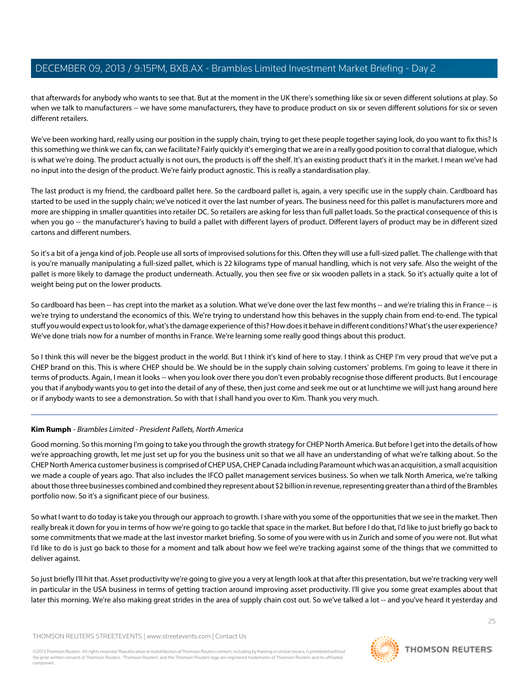that afterwards for anybody who wants to see that. But at the moment in the UK there's something like six or seven different solutions at play. So when we talk to manufacturers -- we have some manufacturers, they have to produce product on six or seven different solutions for six or seven different retailers.

We've been working hard, really using our position in the supply chain, trying to get these people together saying look, do you want to fix this? Is this something we think we can fix, can we facilitate? Fairly quickly it's emerging that we are in a really good position to corral that dialogue, which is what we're doing. The product actually is not ours, the products is off the shelf. It's an existing product that's it in the market. I mean we've had no input into the design of the product. We're fairly product agnostic. This is really a standardisation play.

The last product is my friend, the cardboard pallet here. So the cardboard pallet is, again, a very specific use in the supply chain. Cardboard has started to be used in the supply chain; we've noticed it over the last number of years. The business need for this pallet is manufacturers more and more are shipping in smaller quantities into retailer DC. So retailers are asking for less than full pallet loads. So the practical consequence of this is when you go -- the manufacturer's having to build a pallet with different layers of product. Different layers of product may be in different sized cartons and different numbers.

So it's a bit of a jenga kind of job. People use all sorts of improvised solutions for this. Often they will use a full-sized pallet. The challenge with that is you're manually manipulating a full-sized pallet, which is 22 kilograms type of manual handling, which is not very safe. Also the weight of the pallet is more likely to damage the product underneath. Actually, you then see five or six wooden pallets in a stack. So it's actually quite a lot of weight being put on the lower products.

So cardboard has been -- has crept into the market as a solution. What we've done over the last few months -- and we're trialing this in France -- is we're trying to understand the economics of this. We're trying to understand how this behaves in the supply chain from end-to-end. The typical stuff you would expect us to look for, what's the damage experience of this? How does it behave in different conditions? What's the user experience? We've done trials now for a number of months in France. We're learning some really good things about this product.

So I think this will never be the biggest product in the world. But I think it's kind of here to stay. I think as CHEP I'm very proud that we've put a CHEP brand on this. This is where CHEP should be. We should be in the supply chain solving customers' problems. I'm going to leave it there in terms of products. Again, I mean it looks -- when you look over there you don't even probably recognise those different products. But I encourage you that if anybody wants you to get into the detail of any of these, then just come and seek me out or at lunchtime we will just hang around here or if anybody wants to see a demonstration. So with that I shall hand you over to Kim. Thank you very much.

# **Kim Rumph** - Brambles Limited - President Pallets, North America

Good morning. So this morning I'm going to take you through the growth strategy for CHEP North America. But before I get into the details of how we're approaching growth, let me just set up for you the business unit so that we all have an understanding of what we're talking about. So the CHEP North America customer business is comprised of CHEP USA, CHEP Canada including Paramount which was an acquisition, a small acquisition we made a couple of years ago. That also includes the IFCO pallet management services business. So when we talk North America, we're talking about those three businesses combined and combined they represent about \$2 billion in revenue, representing greater than a third of the Brambles portfolio now. So it's a significant piece of our business.

So what I want to do today is take you through our approach to growth. I share with you some of the opportunities that we see in the market. Then really break it down for you in terms of how we're going to go tackle that space in the market. But before I do that, I'd like to just briefly go back to some commitments that we made at the last investor market briefing. So some of you were with us in Zurich and some of you were not. But what I'd like to do is just go back to those for a moment and talk about how we feel we're tracking against some of the things that we committed to deliver against.

So just briefly I'll hit that. Asset productivity we're going to give you a very at length look at that after this presentation, but we're tracking very well in particular in the USA business in terms of getting traction around improving asset productivity. I'll give you some great examples about that later this morning. We're also making great strides in the area of supply chain cost out. So we've talked a lot -- and you've heard it yesterday and

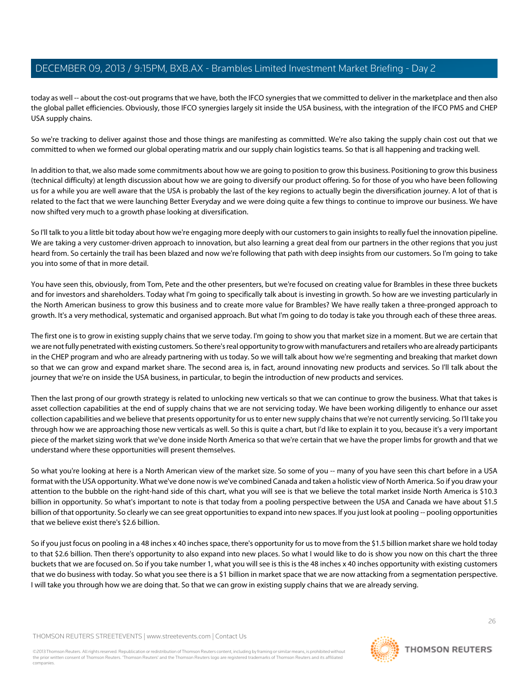today as well -- about the cost-out programs that we have, both the IFCO synergies that we committed to deliver in the marketplace and then also the global pallet efficiencies. Obviously, those IFCO synergies largely sit inside the USA business, with the integration of the IFCO PMS and CHEP USA supply chains.

So we're tracking to deliver against those and those things are manifesting as committed. We're also taking the supply chain cost out that we committed to when we formed our global operating matrix and our supply chain logistics teams. So that is all happening and tracking well.

In addition to that, we also made some commitments about how we are going to position to grow this business. Positioning to grow this business (technical difficulty) at length discussion about how we are going to diversify our product offering. So for those of you who have been following us for a while you are well aware that the USA is probably the last of the key regions to actually begin the diversification journey. A lot of that is related to the fact that we were launching Better Everyday and we were doing quite a few things to continue to improve our business. We have now shifted very much to a growth phase looking at diversification.

So I'll talk to you a little bit today about how we're engaging more deeply with our customers to gain insights to really fuel the innovation pipeline. We are taking a very customer-driven approach to innovation, but also learning a great deal from our partners in the other regions that you just heard from. So certainly the trail has been blazed and now we're following that path with deep insights from our customers. So I'm going to take you into some of that in more detail.

You have seen this, obviously, from Tom, Pete and the other presenters, but we're focused on creating value for Brambles in these three buckets and for investors and shareholders. Today what I'm going to specifically talk about is investing in growth. So how are we investing particularly in the North American business to grow this business and to create more value for Brambles? We have really taken a three-pronged approach to growth. It's a very methodical, systematic and organised approach. But what I'm going to do today is take you through each of these three areas.

The first one is to grow in existing supply chains that we serve today. I'm going to show you that market size in a moment. But we are certain that we are not fully penetrated with existing customers. So there's real opportunity to grow with manufacturers and retailers who are already participants in the CHEP program and who are already partnering with us today. So we will talk about how we're segmenting and breaking that market down so that we can grow and expand market share. The second area is, in fact, around innovating new products and services. So I'll talk about the journey that we're on inside the USA business, in particular, to begin the introduction of new products and services.

Then the last prong of our growth strategy is related to unlocking new verticals so that we can continue to grow the business. What that takes is asset collection capabilities at the end of supply chains that we are not servicing today. We have been working diligently to enhance our asset collection capabilities and we believe that presents opportunity for us to enter new supply chains that we're not currently servicing. So I'll take you through how we are approaching those new verticals as well. So this is quite a chart, but I'd like to explain it to you, because it's a very important piece of the market sizing work that we've done inside North America so that we're certain that we have the proper limbs for growth and that we understand where these opportunities will present themselves.

So what you're looking at here is a North American view of the market size. So some of you -- many of you have seen this chart before in a USA format with the USA opportunity. What we've done now is we've combined Canada and taken a holistic view of North America. So if you draw your attention to the bubble on the right-hand side of this chart, what you will see is that we believe the total market inside North America is \$10.3 billion in opportunity. So what's important to note is that today from a pooling perspective between the USA and Canada we have about \$1.5 billion of that opportunity. So clearly we can see great opportunities to expand into new spaces. If you just look at pooling -- pooling opportunities that we believe exist there's \$2.6 billion.

So if you just focus on pooling in a 48 inches x 40 inches space, there's opportunity for us to move from the \$1.5 billion market share we hold today to that \$2.6 billion. Then there's opportunity to also expand into new places. So what I would like to do is show you now on this chart the three buckets that we are focused on. So if you take number 1, what you will see is this is the 48 inches x 40 inches opportunity with existing customers that we do business with today. So what you see there is a \$1 billion in market space that we are now attacking from a segmentation perspective. I will take you through how we are doing that. So that we can grow in existing supply chains that we are already serving.

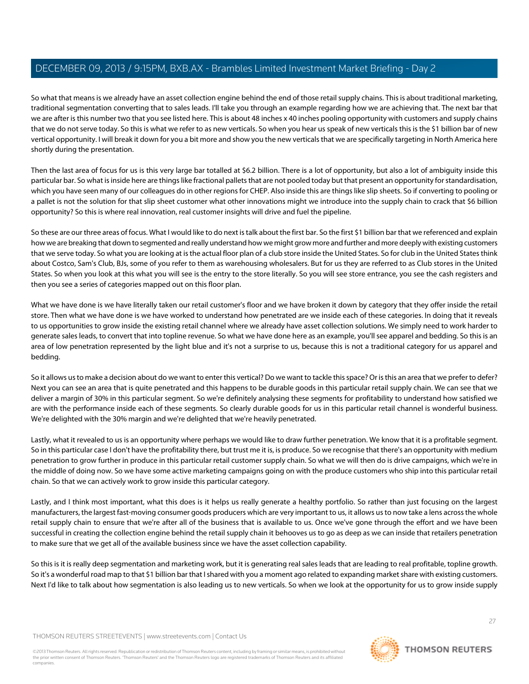So what that means is we already have an asset collection engine behind the end of those retail supply chains. This is about traditional marketing, traditional segmentation converting that to sales leads. I'll take you through an example regarding how we are achieving that. The next bar that we are after is this number two that you see listed here. This is about 48 inches x 40 inches pooling opportunity with customers and supply chains that we do not serve today. So this is what we refer to as new verticals. So when you hear us speak of new verticals this is the \$1 billion bar of new vertical opportunity. I will break it down for you a bit more and show you the new verticals that we are specifically targeting in North America here shortly during the presentation.

Then the last area of focus for us is this very large bar totalled at \$6.2 billion. There is a lot of opportunity, but also a lot of ambiguity inside this particular bar. So what is inside here are things like fractional pallets that are not pooled today but that present an opportunity for standardisation, which you have seen many of our colleagues do in other regions for CHEP. Also inside this are things like slip sheets. So if converting to pooling or a pallet is not the solution for that slip sheet customer what other innovations might we introduce into the supply chain to crack that \$6 billion opportunity? So this is where real innovation, real customer insights will drive and fuel the pipeline.

So these are our three areas of focus. What I would like to do next is talk about the first bar. So the first \$1 billion bar that we referenced and explain how we are breaking that down to segmented and really understand how we might grow more and further and more deeply with existing customers that we serve today. So what you are looking at is the actual floor plan of a club store inside the United States. So for club in the United States think about Costco, Sam's Club, BJs, some of you refer to them as warehousing wholesalers. But for us they are referred to as Club stores in the United States. So when you look at this what you will see is the entry to the store literally. So you will see store entrance, you see the cash registers and then you see a series of categories mapped out on this floor plan.

What we have done is we have literally taken our retail customer's floor and we have broken it down by category that they offer inside the retail store. Then what we have done is we have worked to understand how penetrated are we inside each of these categories. In doing that it reveals to us opportunities to grow inside the existing retail channel where we already have asset collection solutions. We simply need to work harder to generate sales leads, to convert that into topline revenue. So what we have done here as an example, you'll see apparel and bedding. So this is an area of low penetration represented by the light blue and it's not a surprise to us, because this is not a traditional category for us apparel and bedding.

So it allows us to make a decision about do we want to enter this vertical? Do we want to tackle this space? Or is this an area that we prefer to defer? Next you can see an area that is quite penetrated and this happens to be durable goods in this particular retail supply chain. We can see that we deliver a margin of 30% in this particular segment. So we're definitely analysing these segments for profitability to understand how satisfied we are with the performance inside each of these segments. So clearly durable goods for us in this particular retail channel is wonderful business. We're delighted with the 30% margin and we're delighted that we're heavily penetrated.

Lastly, what it revealed to us is an opportunity where perhaps we would like to draw further penetration. We know that it is a profitable segment. So in this particular case I don't have the profitability there, but trust me it is, is produce. So we recognise that there's an opportunity with medium penetration to grow further in produce in this particular retail customer supply chain. So what we will then do is drive campaigns, which we're in the middle of doing now. So we have some active marketing campaigns going on with the produce customers who ship into this particular retail chain. So that we can actively work to grow inside this particular category.

Lastly, and I think most important, what this does is it helps us really generate a healthy portfolio. So rather than just focusing on the largest manufacturers, the largest fast-moving consumer goods producers which are very important to us, it allows us to now take a lens across the whole retail supply chain to ensure that we're after all of the business that is available to us. Once we've gone through the effort and we have been successful in creating the collection engine behind the retail supply chain it behooves us to go as deep as we can inside that retailers penetration to make sure that we get all of the available business since we have the asset collection capability.

So this is it is really deep segmentation and marketing work, but it is generating real sales leads that are leading to real profitable, topline growth. So it's a wonderful road map to that \$1 billion bar that I shared with you a moment ago related to expanding market share with existing customers. Next I'd like to talk about how segmentation is also leading us to new verticals. So when we look at the opportunity for us to grow inside supply

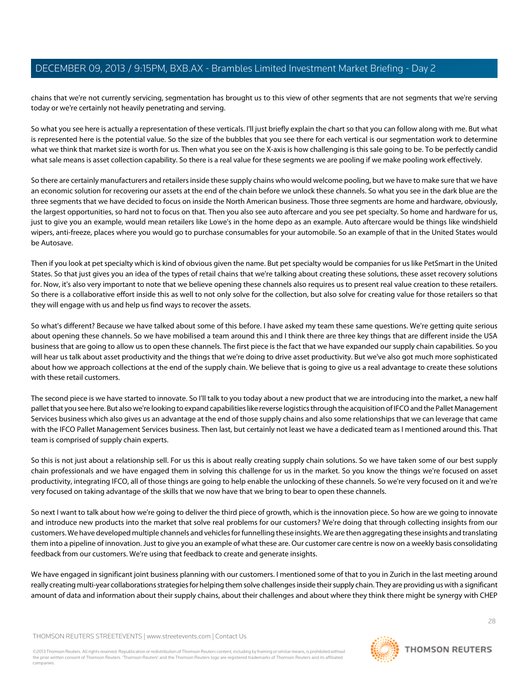chains that we're not currently servicing, segmentation has brought us to this view of other segments that are not segments that we're serving today or we're certainly not heavily penetrating and serving.

So what you see here is actually a representation of these verticals. I'll just briefly explain the chart so that you can follow along with me. But what is represented here is the potential value. So the size of the bubbles that you see there for each vertical is our segmentation work to determine what we think that market size is worth for us. Then what you see on the X-axis is how challenging is this sale going to be. To be perfectly candid what sale means is asset collection capability. So there is a real value for these segments we are pooling if we make pooling work effectively.

So there are certainly manufacturers and retailers inside these supply chains who would welcome pooling, but we have to make sure that we have an economic solution for recovering our assets at the end of the chain before we unlock these channels. So what you see in the dark blue are the three segments that we have decided to focus on inside the North American business. Those three segments are home and hardware, obviously, the largest opportunities, so hard not to focus on that. Then you also see auto aftercare and you see pet specialty. So home and hardware for us, just to give you an example, would mean retailers like Lowe's in the home depo as an example. Auto aftercare would be things like windshield wipers, anti-freeze, places where you would go to purchase consumables for your automobile. So an example of that in the United States would be Autosave.

Then if you look at pet specialty which is kind of obvious given the name. But pet specialty would be companies for us like PetSmart in the United States. So that just gives you an idea of the types of retail chains that we're talking about creating these solutions, these asset recovery solutions for. Now, it's also very important to note that we believe opening these channels also requires us to present real value creation to these retailers. So there is a collaborative effort inside this as well to not only solve for the collection, but also solve for creating value for those retailers so that they will engage with us and help us find ways to recover the assets.

So what's different? Because we have talked about some of this before. I have asked my team these same questions. We're getting quite serious about opening these channels. So we have mobilised a team around this and I think there are three key things that are different inside the USA business that are going to allow us to open these channels. The first piece is the fact that we have expanded our supply chain capabilities. So you will hear us talk about asset productivity and the things that we're doing to drive asset productivity. But we've also got much more sophisticated about how we approach collections at the end of the supply chain. We believe that is going to give us a real advantage to create these solutions with these retail customers.

The second piece is we have started to innovate. So I'll talk to you today about a new product that we are introducing into the market, a new half pallet that you see here. But also we're looking to expand capabilities like reverse logistics through the acquisition of IFCO and the Pallet Management Services business which also gives us an advantage at the end of those supply chains and also some relationships that we can leverage that came with the IFCO Pallet Management Services business. Then last, but certainly not least we have a dedicated team as I mentioned around this. That team is comprised of supply chain experts.

So this is not just about a relationship sell. For us this is about really creating supply chain solutions. So we have taken some of our best supply chain professionals and we have engaged them in solving this challenge for us in the market. So you know the things we're focused on asset productivity, integrating IFCO, all of those things are going to help enable the unlocking of these channels. So we're very focused on it and we're very focused on taking advantage of the skills that we now have that we bring to bear to open these channels.

So next I want to talk about how we're going to deliver the third piece of growth, which is the innovation piece. So how are we going to innovate and introduce new products into the market that solve real problems for our customers? We're doing that through collecting insights from our customers. We have developed multiple channels and vehicles for funnelling these insights. We are then aggregating these insights and translating them into a pipeline of innovation. Just to give you an example of what these are. Our customer care centre is now on a weekly basis consolidating feedback from our customers. We're using that feedback to create and generate insights.

We have engaged in significant joint business planning with our customers. I mentioned some of that to you in Zurich in the last meeting around really creating multi-year collaborations strategies for helping them solve challenges inside their supply chain. They are providing us with a significant amount of data and information about their supply chains, about their challenges and about where they think there might be synergy with CHEP



28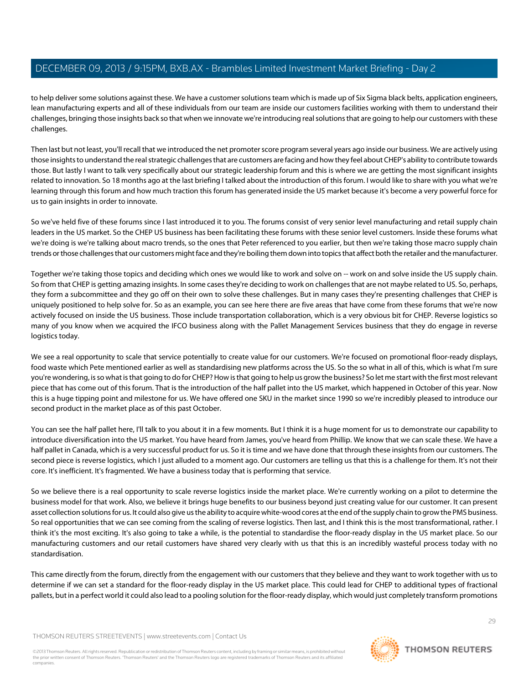to help deliver some solutions against these. We have a customer solutions team which is made up of Six Sigma black belts, application engineers, lean manufacturing experts and all of these individuals from our team are inside our customers facilities working with them to understand their challenges, bringing those insights back so that when we innovate we're introducing real solutions that are going to help our customers with these challenges.

Then last but not least, you'll recall that we introduced the net promoter score program several years ago inside our business. We are actively using those insights to understand the real strategic challenges that are customers are facing and how they feel about CHEP's ability to contribute towards those. But lastly I want to talk very specifically about our strategic leadership forum and this is where we are getting the most significant insights related to innovation. So 18 months ago at the last briefing I talked about the introduction of this forum. I would like to share with you what we're learning through this forum and how much traction this forum has generated inside the US market because it's become a very powerful force for us to gain insights in order to innovate.

So we've held five of these forums since I last introduced it to you. The forums consist of very senior level manufacturing and retail supply chain leaders in the US market. So the CHEP US business has been facilitating these forums with these senior level customers. Inside these forums what we're doing is we're talking about macro trends, so the ones that Peter referenced to you earlier, but then we're taking those macro supply chain trends or those challenges that our customers might face and they're boiling them down into topics that affect both the retailer and the manufacturer.

Together we're taking those topics and deciding which ones we would like to work and solve on -- work on and solve inside the US supply chain. So from that CHEP is getting amazing insights. In some cases they're deciding to work on challenges that are not maybe related to US. So, perhaps, they form a subcommittee and they go off on their own to solve these challenges. But in many cases they're presenting challenges that CHEP is uniquely positioned to help solve for. So as an example, you can see here there are five areas that have come from these forums that we're now actively focused on inside the US business. Those include transportation collaboration, which is a very obvious bit for CHEP. Reverse logistics so many of you know when we acquired the IFCO business along with the Pallet Management Services business that they do engage in reverse logistics today.

We see a real opportunity to scale that service potentially to create value for our customers. We're focused on promotional floor-ready displays, food waste which Pete mentioned earlier as well as standardising new platforms across the US. So the so what in all of this, which is what I'm sure you're wondering, is so what is that going to do for CHEP? How is that going to help us grow the business? So let me start with the first most relevant piece that has come out of this forum. That is the introduction of the half pallet into the US market, which happened in October of this year. Now this is a huge tipping point and milestone for us. We have offered one SKU in the market since 1990 so we're incredibly pleased to introduce our second product in the market place as of this past October.

You can see the half pallet here, I'll talk to you about it in a few moments. But I think it is a huge moment for us to demonstrate our capability to introduce diversification into the US market. You have heard from James, you've heard from Phillip. We know that we can scale these. We have a half pallet in Canada, which is a very successful product for us. So it is time and we have done that through these insights from our customers. The second piece is reverse logistics, which I just alluded to a moment ago. Our customers are telling us that this is a challenge for them. It's not their core. It's inefficient. It's fragmented. We have a business today that is performing that service.

So we believe there is a real opportunity to scale reverse logistics inside the market place. We're currently working on a pilot to determine the business model for that work. Also, we believe it brings huge benefits to our business beyond just creating value for our customer. It can present asset collection solutions for us. It could also give us the ability to acquire white-wood cores at the end of the supply chain to grow the PMS business. So real opportunities that we can see coming from the scaling of reverse logistics. Then last, and I think this is the most transformational, rather. I think it's the most exciting. It's also going to take a while, is the potential to standardise the floor-ready display in the US market place. So our manufacturing customers and our retail customers have shared very clearly with us that this is an incredibly wasteful process today with no standardisation.

This came directly from the forum, directly from the engagement with our customers that they believe and they want to work together with us to determine if we can set a standard for the floor-ready display in the US market place. This could lead for CHEP to additional types of fractional pallets, but in a perfect world it could also lead to a pooling solution for the floor-ready display, which would just completely transform promotions

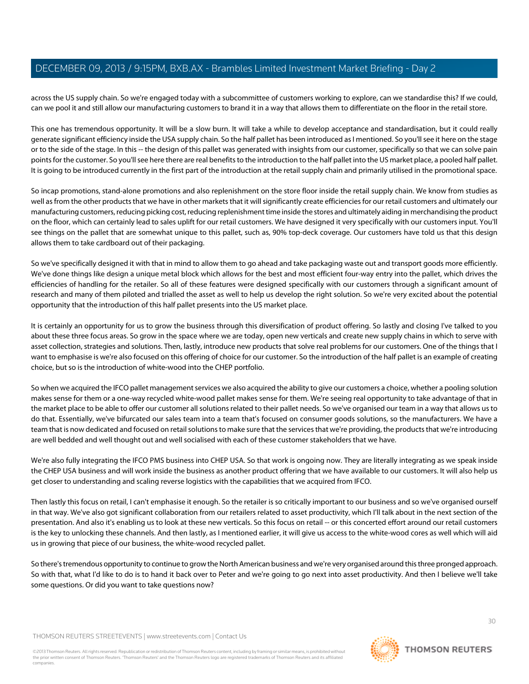across the US supply chain. So we're engaged today with a subcommittee of customers working to explore, can we standardise this? If we could, can we pool it and still allow our manufacturing customers to brand it in a way that allows them to differentiate on the floor in the retail store.

This one has tremendous opportunity. It will be a slow burn. It will take a while to develop acceptance and standardisation, but it could really generate significant efficiency inside the USA supply chain. So the half pallet has been introduced as I mentioned. So you'll see it here on the stage or to the side of the stage. In this -- the design of this pallet was generated with insights from our customer, specifically so that we can solve pain points for the customer. So you'll see here there are real benefits to the introduction to the half pallet into the US market place, a pooled half pallet. It is going to be introduced currently in the first part of the introduction at the retail supply chain and primarily utilised in the promotional space.

So incap promotions, stand-alone promotions and also replenishment on the store floor inside the retail supply chain. We know from studies as well as from the other products that we have in other markets that it will significantly create efficiencies for our retail customers and ultimately our manufacturing customers, reducing picking cost, reducing replenishment time inside the stores and ultimately aiding in merchandising the product on the floor, which can certainly lead to sales uplift for our retail customers. We have designed it very specifically with our customers input. You'll see things on the pallet that are somewhat unique to this pallet, such as, 90% top-deck coverage. Our customers have told us that this design allows them to take cardboard out of their packaging.

So we've specifically designed it with that in mind to allow them to go ahead and take packaging waste out and transport goods more efficiently. We've done things like design a unique metal block which allows for the best and most efficient four-way entry into the pallet, which drives the efficiencies of handling for the retailer. So all of these features were designed specifically with our customers through a significant amount of research and many of them piloted and trialled the asset as well to help us develop the right solution. So we're very excited about the potential opportunity that the introduction of this half pallet presents into the US market place.

It is certainly an opportunity for us to grow the business through this diversification of product offering. So lastly and closing I've talked to you about these three focus areas. So grow in the space where we are today, open new verticals and create new supply chains in which to serve with asset collection, strategies and solutions. Then, lastly, introduce new products that solve real problems for our customers. One of the things that I want to emphasise is we're also focused on this offering of choice for our customer. So the introduction of the half pallet is an example of creating choice, but so is the introduction of white-wood into the CHEP portfolio.

So when we acquired the IFCO pallet management services we also acquired the ability to give our customers a choice, whether a pooling solution makes sense for them or a one-way recycled white-wood pallet makes sense for them. We're seeing real opportunity to take advantage of that in the market place to be able to offer our customer all solutions related to their pallet needs. So we've organised our team in a way that allows us to do that. Essentially, we've bifurcated our sales team into a team that's focused on consumer goods solutions, so the manufacturers. We have a team that is now dedicated and focused on retail solutions to make sure that the services that we're providing, the products that we're introducing are well bedded and well thought out and well socialised with each of these customer stakeholders that we have.

We're also fully integrating the IFCO PMS business into CHEP USA. So that work is ongoing now. They are literally integrating as we speak inside the CHEP USA business and will work inside the business as another product offering that we have available to our customers. It will also help us get closer to understanding and scaling reverse logistics with the capabilities that we acquired from IFCO.

Then lastly this focus on retail, I can't emphasise it enough. So the retailer is so critically important to our business and so we've organised ourself in that way. We've also got significant collaboration from our retailers related to asset productivity, which I'll talk about in the next section of the presentation. And also it's enabling us to look at these new verticals. So this focus on retail -- or this concerted effort around our retail customers is the key to unlocking these channels. And then lastly, as I mentioned earlier, it will give us access to the white-wood cores as well which will aid us in growing that piece of our business, the white-wood recycled pallet.

So there's tremendous opportunity to continue to grow the North American business and we're very organised around this three pronged approach. So with that, what I'd like to do is to hand it back over to Peter and we're going to go next into asset productivity. And then I believe we'll take some questions. Or did you want to take questions now?

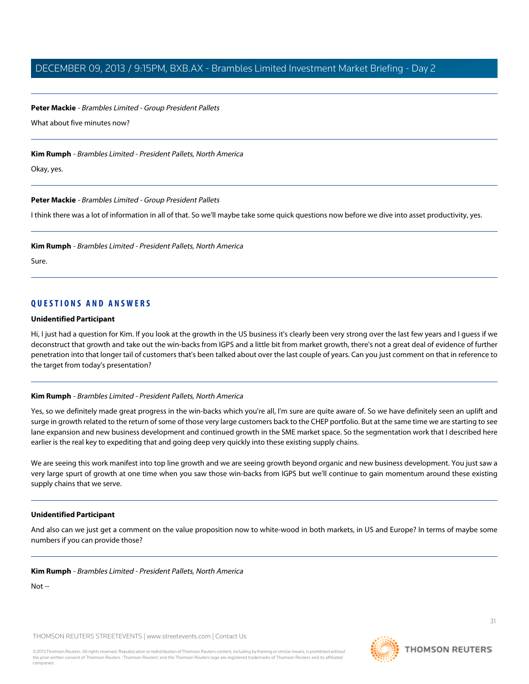**Peter Mackie** - Brambles Limited - Group President Pallets

What about five minutes now?

**Kim Rumph** - Brambles Limited - President Pallets, North America

Okay, yes.

**Peter Mackie** - Brambles Limited - Group President Pallets

I think there was a lot of information in all of that. So we'll maybe take some quick questions now before we dive into asset productivity, yes.

**Kim Rumph** - Brambles Limited - President Pallets, North America

Sure.

# **QUESTIONS AND ANSWERS**

#### **Unidentified Participant**

Hi, I just had a question for Kim. If you look at the growth in the US business it's clearly been very strong over the last few years and I guess if we deconstruct that growth and take out the win-backs from IGPS and a little bit from market growth, there's not a great deal of evidence of further penetration into that longer tail of customers that's been talked about over the last couple of years. Can you just comment on that in reference to the target from today's presentation?

#### **Kim Rumph** - Brambles Limited - President Pallets, North America

Yes, so we definitely made great progress in the win-backs which you're all, I'm sure are quite aware of. So we have definitely seen an uplift and surge in growth related to the return of some of those very large customers back to the CHEP portfolio. But at the same time we are starting to see lane expansion and new business development and continued growth in the SME market space. So the segmentation work that I described here earlier is the real key to expediting that and going deep very quickly into these existing supply chains.

We are seeing this work manifest into top line growth and we are seeing growth beyond organic and new business development. You just saw a very large spurt of growth at one time when you saw those win-backs from IGPS but we'll continue to gain momentum around these existing supply chains that we serve.

#### **Unidentified Participant**

And also can we just get a comment on the value proposition now to white-wood in both markets, in US and Europe? In terms of maybe some numbers if you can provide those?

#### **Kim Rumph** - Brambles Limited - President Pallets, North America

Not --

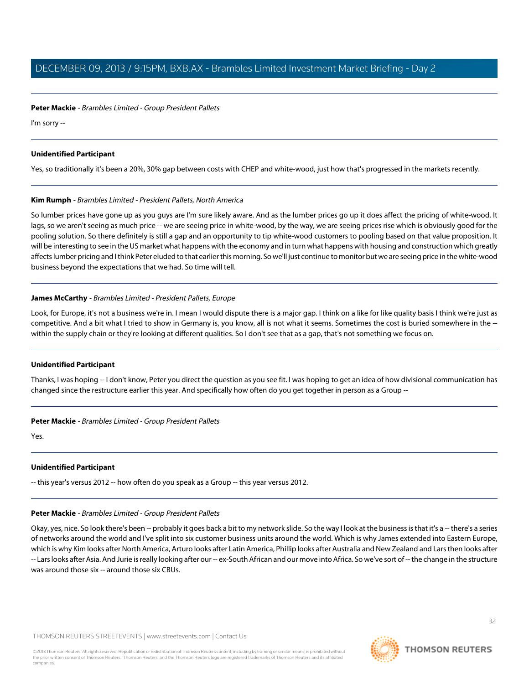**Peter Mackie** - Brambles Limited - Group President Pallets

I'm sorry --

# **Unidentified Participant**

Yes, so traditionally it's been a 20%, 30% gap between costs with CHEP and white-wood, just how that's progressed in the markets recently.

# **Kim Rumph** - Brambles Limited - President Pallets, North America

So lumber prices have gone up as you guys are I'm sure likely aware. And as the lumber prices go up it does affect the pricing of white-wood. It lags, so we aren't seeing as much price -- we are seeing price in white-wood, by the way, we are seeing prices rise which is obviously good for the pooling solution. So there definitely is still a gap and an opportunity to tip white-wood customers to pooling based on that value proposition. It will be interesting to see in the US market what happens with the economy and in turn what happens with housing and construction which greatly affects lumber pricing and I think Peter eluded to that earlier this morning. So we'll just continue to monitor but we are seeing price in the white-wood business beyond the expectations that we had. So time will tell.

# **James McCarthy** - Brambles Limited - President Pallets, Europe

Look, for Europe, it's not a business we're in. I mean I would dispute there is a major gap. I think on a like for like quality basis I think we're just as competitive. And a bit what I tried to show in Germany is, you know, all is not what it seems. Sometimes the cost is buried somewhere in the -within the supply chain or they're looking at different qualities. So I don't see that as a gap, that's not something we focus on.

# **Unidentified Participant**

Thanks, I was hoping -- I don't know, Peter you direct the question as you see fit. I was hoping to get an idea of how divisional communication has changed since the restructure earlier this year. And specifically how often do you get together in person as a Group --

**Peter Mackie** - Brambles Limited - Group President Pallets

Yes.

# **Unidentified Participant**

-- this year's versus 2012 -- how often do you speak as a Group -- this year versus 2012.

# **Peter Mackie** - Brambles Limited - Group President Pallets

Okay, yes, nice. So look there's been -- probably it goes back a bit to my network slide. So the way I look at the business is that it's a -- there's a series of networks around the world and I've split into six customer business units around the world. Which is why James extended into Eastern Europe, which is why Kim looks after North America, Arturo looks after Latin America, Phillip looks after Australia and New Zealand and Lars then looks after -- Lars looks after Asia. And Jurie is really looking after our -- ex-South African and our move into Africa. So we've sort of -- the change in the structure was around those six -- around those six CBUs.

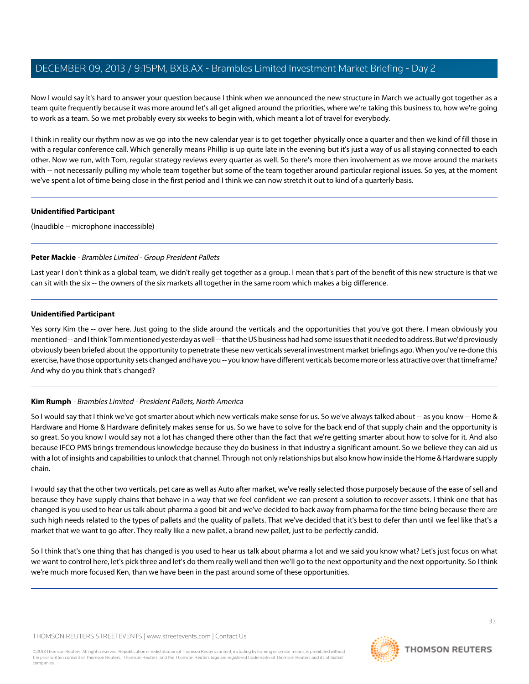Now I would say it's hard to answer your question because I think when we announced the new structure in March we actually got together as a team quite frequently because it was more around let's all get aligned around the priorities, where we're taking this business to, how we're going to work as a team. So we met probably every six weeks to begin with, which meant a lot of travel for everybody.

I think in reality our rhythm now as we go into the new calendar year is to get together physically once a quarter and then we kind of fill those in with a regular conference call. Which generally means Phillip is up quite late in the evening but it's just a way of us all staying connected to each other. Now we run, with Tom, regular strategy reviews every quarter as well. So there's more then involvement as we move around the markets with -- not necessarily pulling my whole team together but some of the team together around particular regional issues. So yes, at the moment we've spent a lot of time being close in the first period and I think we can now stretch it out to kind of a quarterly basis.

## **Unidentified Participant**

(Inaudible -- microphone inaccessible)

# **Peter Mackie** - Brambles Limited - Group President Pallets

Last year I don't think as a global team, we didn't really get together as a group. I mean that's part of the benefit of this new structure is that we can sit with the six -- the owners of the six markets all together in the same room which makes a big difference.

# **Unidentified Participant**

Yes sorry Kim the -- over here. Just going to the slide around the verticals and the opportunities that you've got there. I mean obviously you mentioned -- and I think Tom mentioned yesterday as well -- that the US business had had some issues that it needed to address. But we'd previously obviously been briefed about the opportunity to penetrate these new verticals several investment market briefings ago. When you've re-done this exercise, have those opportunity sets changed and have you -- you know have different verticals become more or less attractive over that timeframe? And why do you think that's changed?

# **Kim Rumph** - Brambles Limited - President Pallets, North America

So I would say that I think we've got smarter about which new verticals make sense for us. So we've always talked about -- as you know -- Home & Hardware and Home & Hardware definitely makes sense for us. So we have to solve for the back end of that supply chain and the opportunity is so great. So you know I would say not a lot has changed there other than the fact that we're getting smarter about how to solve for it. And also because IFCO PMS brings tremendous knowledge because they do business in that industry a significant amount. So we believe they can aid us with a lot of insights and capabilities to unlock that channel. Through not only relationships but also know how inside the Home & Hardware supply chain.

I would say that the other two verticals, pet care as well as Auto after market, we've really selected those purposely because of the ease of sell and because they have supply chains that behave in a way that we feel confident we can present a solution to recover assets. I think one that has changed is you used to hear us talk about pharma a good bit and we've decided to back away from pharma for the time being because there are such high needs related to the types of pallets and the quality of pallets. That we've decided that it's best to defer than until we feel like that's a market that we want to go after. They really like a new pallet, a brand new pallet, just to be perfectly candid.

So I think that's one thing that has changed is you used to hear us talk about pharma a lot and we said you know what? Let's just focus on what we want to control here, let's pick three and let's do them really well and then we'll go to the next opportunity and the next opportunity. So I think we're much more focused Ken, than we have been in the past around some of these opportunities.

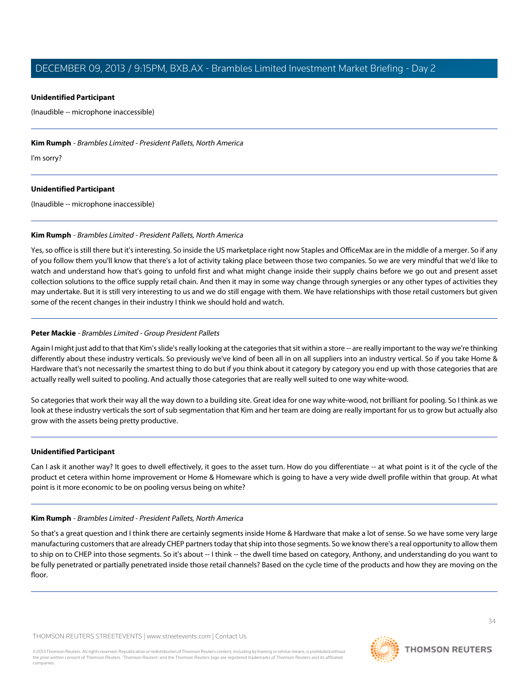## **Unidentified Participant**

(Inaudible -- microphone inaccessible)

## **Kim Rumph** - Brambles Limited - President Pallets, North America

I'm sorry?

## **Unidentified Participant**

(Inaudible -- microphone inaccessible)

## **Kim Rumph** - Brambles Limited - President Pallets, North America

Yes, so office is still there but it's interesting. So inside the US marketplace right now Staples and OfficeMax are in the middle of a merger. So if any of you follow them you'll know that there's a lot of activity taking place between those two companies. So we are very mindful that we'd like to watch and understand how that's going to unfold first and what might change inside their supply chains before we go out and present asset collection solutions to the office supply retail chain. And then it may in some way change through synergies or any other types of activities they may undertake. But it is still very interesting to us and we do still engage with them. We have relationships with those retail customers but given some of the recent changes in their industry I think we should hold and watch.

# **Peter Mackie** - Brambles Limited - Group President Pallets

Again I might just add to that that Kim's slide's really looking at the categories that sit within a store -- are really important to the way we're thinking differently about these industry verticals. So previously we've kind of been all in on all suppliers into an industry vertical. So if you take Home & Hardware that's not necessarily the smartest thing to do but if you think about it category by category you end up with those categories that are actually really well suited to pooling. And actually those categories that are really well suited to one way white-wood.

So categories that work their way all the way down to a building site. Great idea for one way white-wood, not brilliant for pooling. So I think as we look at these industry verticals the sort of sub segmentation that Kim and her team are doing are really important for us to grow but actually also grow with the assets being pretty productive.

#### **Unidentified Participant**

Can I ask it another way? It goes to dwell effectively, it goes to the asset turn. How do you differentiate -- at what point is it of the cycle of the product et cetera within home improvement or Home & Homeware which is going to have a very wide dwell profile within that group. At what point is it more economic to be on pooling versus being on white?

# **Kim Rumph** - Brambles Limited - President Pallets, North America

So that's a great question and I think there are certainly segments inside Home & Hardware that make a lot of sense. So we have some very large manufacturing customers that are already CHEP partners today that ship into those segments. So we know there's a real opportunity to allow them to ship on to CHEP into those segments. So it's about -- I think -- the dwell time based on category, Anthony, and understanding do you want to be fully penetrated or partially penetrated inside those retail channels? Based on the cycle time of the products and how they are moving on the floor.

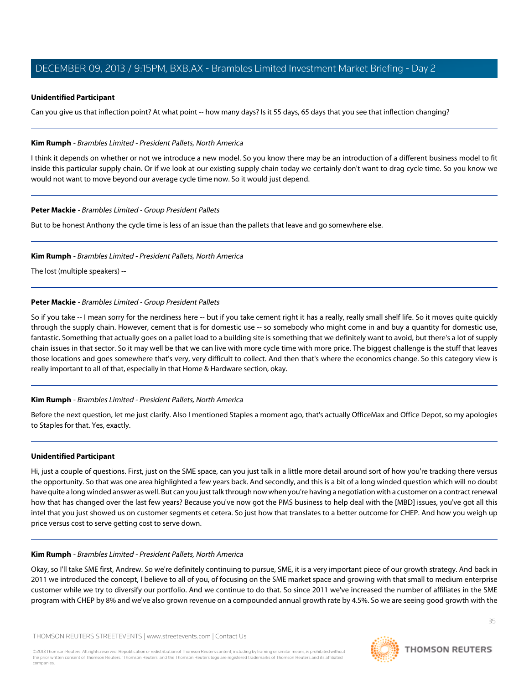#### **Unidentified Participant**

Can you give us that inflection point? At what point -- how many days? Is it 55 days, 65 days that you see that inflection changing?

#### **Kim Rumph** - Brambles Limited - President Pallets, North America

I think it depends on whether or not we introduce a new model. So you know there may be an introduction of a different business model to fit inside this particular supply chain. Or if we look at our existing supply chain today we certainly don't want to drag cycle time. So you know we would not want to move beyond our average cycle time now. So it would just depend.

## **Peter Mackie** - Brambles Limited - Group President Pallets

But to be honest Anthony the cycle time is less of an issue than the pallets that leave and go somewhere else.

## **Kim Rumph** - Brambles Limited - President Pallets, North America

The lost (multiple speakers) --

# **Peter Mackie** - Brambles Limited - Group President Pallets

So if you take -- I mean sorry for the nerdiness here -- but if you take cement right it has a really, really small shelf life. So it moves quite quickly through the supply chain. However, cement that is for domestic use -- so somebody who might come in and buy a quantity for domestic use, fantastic. Something that actually goes on a pallet load to a building site is something that we definitely want to avoid, but there's a lot of supply chain issues in that sector. So it may well be that we can live with more cycle time with more price. The biggest challenge is the stuff that leaves those locations and goes somewhere that's very, very difficult to collect. And then that's where the economics change. So this category view is really important to all of that, especially in that Home & Hardware section, okay.

#### **Kim Rumph** - Brambles Limited - President Pallets, North America

Before the next question, let me just clarify. Also I mentioned Staples a moment ago, that's actually OfficeMax and Office Depot, so my apologies to Staples for that. Yes, exactly.

#### **Unidentified Participant**

Hi, just a couple of questions. First, just on the SME space, can you just talk in a little more detail around sort of how you're tracking there versus the opportunity. So that was one area highlighted a few years back. And secondly, and this is a bit of a long winded question which will no doubt have quite a long winded answer as well. But can you just talk through now when you're having a negotiation with a customer on a contract renewal how that has changed over the last few years? Because you've now got the PMS business to help deal with the [MBD] issues, you've got all this intel that you just showed us on customer segments et cetera. So just how that translates to a better outcome for CHEP. And how you weigh up price versus cost to serve getting cost to serve down.

#### **Kim Rumph** - Brambles Limited - President Pallets, North America

Okay, so I'll take SME first, Andrew. So we're definitely continuing to pursue, SME, it is a very important piece of our growth strategy. And back in 2011 we introduced the concept, I believe to all of you, of focusing on the SME market space and growing with that small to medium enterprise customer while we try to diversify our portfolio. And we continue to do that. So since 2011 we've increased the number of affiliates in the SME program with CHEP by 8% and we've also grown revenue on a compounded annual growth rate by 4.5%. So we are seeing good growth with the

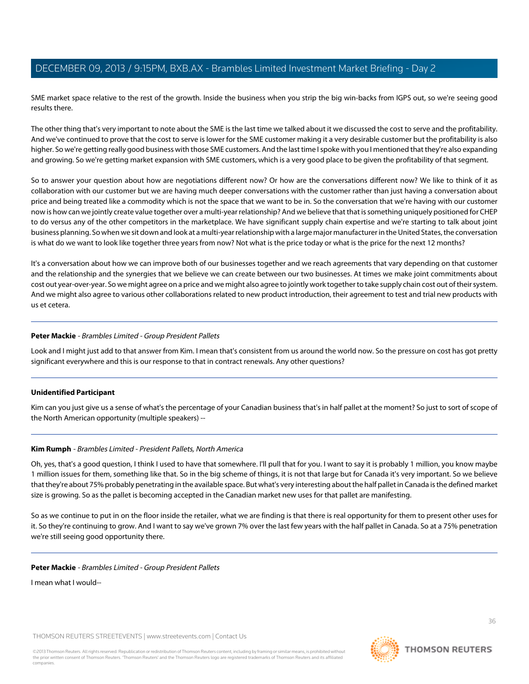SME market space relative to the rest of the growth. Inside the business when you strip the big win-backs from IGPS out, so we're seeing good results there.

The other thing that's very important to note about the SME is the last time we talked about it we discussed the cost to serve and the profitability. And we've continued to prove that the cost to serve is lower for the SME customer making it a very desirable customer but the profitability is also higher. So we're getting really good business with those SME customers. And the last time I spoke with you I mentioned that they're also expanding and growing. So we're getting market expansion with SME customers, which is a very good place to be given the profitability of that segment.

So to answer your question about how are negotiations different now? Or how are the conversations different now? We like to think of it as collaboration with our customer but we are having much deeper conversations with the customer rather than just having a conversation about price and being treated like a commodity which is not the space that we want to be in. So the conversation that we're having with our customer now is how can we jointly create value together over a multi-year relationship? And we believe that that is something uniquely positioned for CHEP to do versus any of the other competitors in the marketplace. We have significant supply chain expertise and we're starting to talk about joint business planning. So when we sit down and look at a multi-year relationship with a large major manufacturer in the United States, the conversation is what do we want to look like together three years from now? Not what is the price today or what is the price for the next 12 months?

It's a conversation about how we can improve both of our businesses together and we reach agreements that vary depending on that customer and the relationship and the synergies that we believe we can create between our two businesses. At times we make joint commitments about cost out year-over-year. So we might agree on a price and we might also agree to jointly work together to take supply chain cost out of their system. And we might also agree to various other collaborations related to new product introduction, their agreement to test and trial new products with us et cetera.

# **Peter Mackie** - Brambles Limited - Group President Pallets

Look and I might just add to that answer from Kim. I mean that's consistent from us around the world now. So the pressure on cost has got pretty significant everywhere and this is our response to that in contract renewals. Any other questions?

#### **Unidentified Participant**

Kim can you just give us a sense of what's the percentage of your Canadian business that's in half pallet at the moment? So just to sort of scope of the North American opportunity (multiple speakers) --

# **Kim Rumph** - Brambles Limited - President Pallets, North America

Oh, yes, that's a good question, I think I used to have that somewhere. I'll pull that for you. I want to say it is probably 1 million, you know maybe 1 million issues for them, something like that. So in the big scheme of things, it is not that large but for Canada it's very important. So we believe that they're about 75% probably penetrating in the available space. But what's very interesting about the half pallet in Canada is the defined market size is growing. So as the pallet is becoming accepted in the Canadian market new uses for that pallet are manifesting.

So as we continue to put in on the floor inside the retailer, what we are finding is that there is real opportunity for them to present other uses for it. So they're continuing to grow. And I want to say we've grown 7% over the last few years with the half pallet in Canada. So at a 75% penetration we're still seeing good opportunity there.

#### **Peter Mackie** - Brambles Limited - Group President Pallets

I mean what I would--



36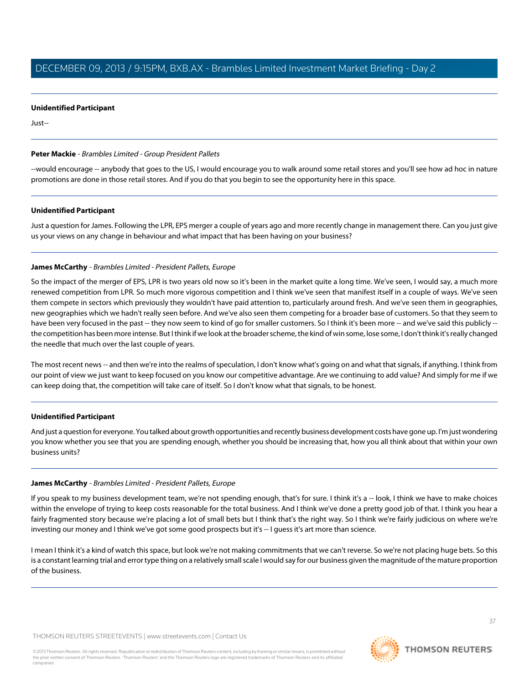## **Unidentified Participant**

Just--

## **Peter Mackie** - Brambles Limited - Group President Pallets

--would encourage -- anybody that goes to the US, I would encourage you to walk around some retail stores and you'll see how ad hoc in nature promotions are done in those retail stores. And if you do that you begin to see the opportunity here in this space.

#### **Unidentified Participant**

Just a question for James. Following the LPR, EPS merger a couple of years ago and more recently change in management there. Can you just give us your views on any change in behaviour and what impact that has been having on your business?

# **James McCarthy** - Brambles Limited - President Pallets, Europe

So the impact of the merger of EPS, LPR is two years old now so it's been in the market quite a long time. We've seen, I would say, a much more renewed competition from LPR. So much more vigorous competition and I think we've seen that manifest itself in a couple of ways. We've seen them compete in sectors which previously they wouldn't have paid attention to, particularly around fresh. And we've seen them in geographies, new geographies which we hadn't really seen before. And we've also seen them competing for a broader base of customers. So that they seem to have been very focused in the past -- they now seem to kind of go for smaller customers. So I think it's been more -- and we've said this publicly -the competition has been more intense. But I think if we look at the broader scheme, the kind of win some, lose some, I don't think it's really changed the needle that much over the last couple of years.

The most recent news -- and then we're into the realms of speculation, I don't know what's going on and what that signals, if anything. I think from our point of view we just want to keep focused on you know our competitive advantage. Are we continuing to add value? And simply for me if we can keep doing that, the competition will take care of itself. So I don't know what that signals, to be honest.

#### **Unidentified Participant**

And just a question for everyone. You talked about growth opportunities and recently business development costs have gone up. I'm just wondering you know whether you see that you are spending enough, whether you should be increasing that, how you all think about that within your own business units?

#### **James McCarthy** - Brambles Limited - President Pallets, Europe

If you speak to my business development team, we're not spending enough, that's for sure. I think it's a -- look, I think we have to make choices within the envelope of trying to keep costs reasonable for the total business. And I think we've done a pretty good job of that. I think you hear a fairly fragmented story because we're placing a lot of small bets but I think that's the right way. So I think we're fairly judicious on where we're investing our money and I think we've got some good prospects but it's -- I guess it's art more than science.

I mean I think it's a kind of watch this space, but look we're not making commitments that we can't reverse. So we're not placing huge bets. So this is a constant learning trial and error type thing on a relatively small scale I would say for our business given the magnitude of the mature proportion of the business.

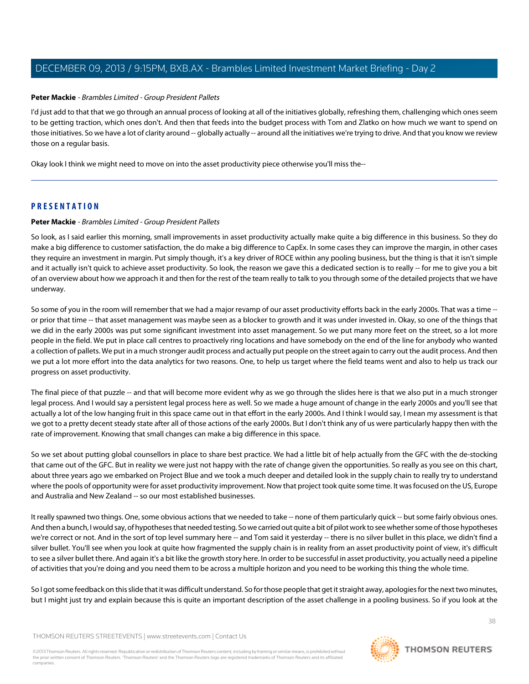## **Peter Mackie** - Brambles Limited - Group President Pallets

I'd just add to that that we go through an annual process of looking at all of the initiatives globally, refreshing them, challenging which ones seem to be getting traction, which ones don't. And then that feeds into the budget process with Tom and Zlatko on how much we want to spend on those initiatives. So we have a lot of clarity around -- globally actually -- around all the initiatives we're trying to drive. And that you know we review those on a regular basis.

Okay look I think we might need to move on into the asset productivity piece otherwise you'll miss the--

# **PRESENTATION**

## **Peter Mackie** - Brambles Limited - Group President Pallets

So look, as I said earlier this morning, small improvements in asset productivity actually make quite a big difference in this business. So they do make a big difference to customer satisfaction, the do make a big difference to CapEx. In some cases they can improve the margin, in other cases they require an investment in margin. Put simply though, it's a key driver of ROCE within any pooling business, but the thing is that it isn't simple and it actually isn't quick to achieve asset productivity. So look, the reason we gave this a dedicated section is to really -- for me to give you a bit of an overview about how we approach it and then for the rest of the team really to talk to you through some of the detailed projects that we have underway.

So some of you in the room will remember that we had a major revamp of our asset productivity efforts back in the early 2000s. That was a time -or prior that time -- that asset management was maybe seen as a blocker to growth and it was under invested in. Okay, so one of the things that we did in the early 2000s was put some significant investment into asset management. So we put many more feet on the street, so a lot more people in the field. We put in place call centres to proactively ring locations and have somebody on the end of the line for anybody who wanted a collection of pallets. We put in a much stronger audit process and actually put people on the street again to carry out the audit process. And then we put a lot more effort into the data analytics for two reasons. One, to help us target where the field teams went and also to help us track our progress on asset productivity.

The final piece of that puzzle -- and that will become more evident why as we go through the slides here is that we also put in a much stronger legal process. And I would say a persistent legal process here as well. So we made a huge amount of change in the early 2000s and you'll see that actually a lot of the low hanging fruit in this space came out in that effort in the early 2000s. And I think I would say, I mean my assessment is that we got to a pretty decent steady state after all of those actions of the early 2000s. But I don't think any of us were particularly happy then with the rate of improvement. Knowing that small changes can make a big difference in this space.

So we set about putting global counsellors in place to share best practice. We had a little bit of help actually from the GFC with the de-stocking that came out of the GFC. But in reality we were just not happy with the rate of change given the opportunities. So really as you see on this chart, about three years ago we embarked on Project Blue and we took a much deeper and detailed look in the supply chain to really try to understand where the pools of opportunity were for asset productivity improvement. Now that project took quite some time. It was focused on the US, Europe and Australia and New Zealand -- so our most established businesses.

It really spawned two things. One, some obvious actions that we needed to take -- none of them particularly quick -- but some fairly obvious ones. And then a bunch, I would say, of hypotheses that needed testing. So we carried out quite a bit of pilot work to see whether some of those hypotheses we're correct or not. And in the sort of top level summary here -- and Tom said it yesterday -- there is no silver bullet in this place, we didn't find a silver bullet. You'll see when you look at quite how fragmented the supply chain is in reality from an asset productivity point of view, it's difficult to see a silver bullet there. And again it's a bit like the growth story here. In order to be successful in asset productivity, you actually need a pipeline of activities that you're doing and you need them to be across a multiple horizon and you need to be working this thing the whole time.

So I got some feedback on this slide that it was difficult understand. So for those people that get it straight away, apologies for the next two minutes, but I might just try and explain because this is quite an important description of the asset challenge in a pooling business. So if you look at the

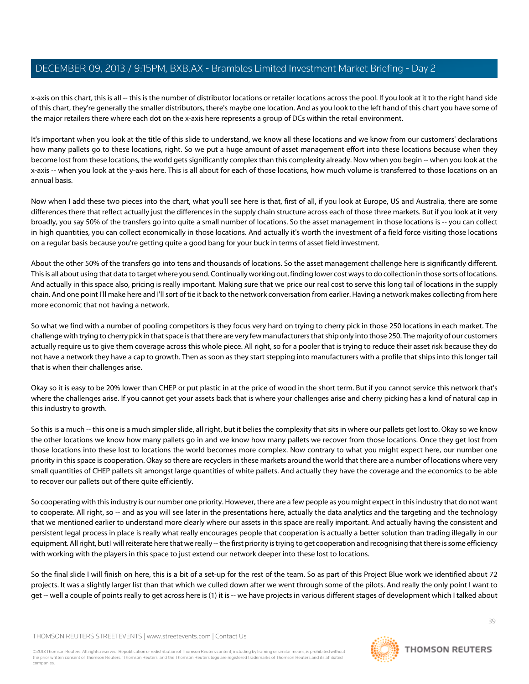x-axis on this chart, this is all -- this is the number of distributor locations or retailer locations across the pool. If you look at it to the right hand side of this chart, they're generally the smaller distributors, there's maybe one location. And as you look to the left hand of this chart you have some of the major retailers there where each dot on the x-axis here represents a group of DCs within the retail environment.

It's important when you look at the title of this slide to understand, we know all these locations and we know from our customers' declarations how many pallets go to these locations, right. So we put a huge amount of asset management effort into these locations because when they become lost from these locations, the world gets significantly complex than this complexity already. Now when you begin -- when you look at the x-axis -- when you look at the y-axis here. This is all about for each of those locations, how much volume is transferred to those locations on an annual basis.

Now when I add these two pieces into the chart, what you'll see here is that, first of all, if you look at Europe, US and Australia, there are some differences there that reflect actually just the differences in the supply chain structure across each of those three markets. But if you look at it very broadly, you say 50% of the transfers go into quite a small number of locations. So the asset management in those locations is -- you can collect in high quantities, you can collect economically in those locations. And actually it's worth the investment of a field force visiting those locations on a regular basis because you're getting quite a good bang for your buck in terms of asset field investment.

About the other 50% of the transfers go into tens and thousands of locations. So the asset management challenge here is significantly different. This is all about using that data to target where you send. Continually working out, finding lower cost ways to do collection in those sorts of locations. And actually in this space also, pricing is really important. Making sure that we price our real cost to serve this long tail of locations in the supply chain. And one point I'll make here and I'll sort of tie it back to the network conversation from earlier. Having a network makes collecting from here more economic that not having a network.

So what we find with a number of pooling competitors is they focus very hard on trying to cherry pick in those 250 locations in each market. The challenge with trying to cherry pick in that space is that there are very few manufacturers that ship only into those 250. The majority of our customers actually require us to give them coverage across this whole piece. All right, so for a pooler that is trying to reduce their asset risk because they do not have a network they have a cap to growth. Then as soon as they start stepping into manufacturers with a profile that ships into this longer tail that is when their challenges arise.

Okay so it is easy to be 20% lower than CHEP or put plastic in at the price of wood in the short term. But if you cannot service this network that's where the challenges arise. If you cannot get your assets back that is where your challenges arise and cherry picking has a kind of natural cap in this industry to growth.

So this is a much -- this one is a much simpler slide, all right, but it belies the complexity that sits in where our pallets get lost to. Okay so we know the other locations we know how many pallets go in and we know how many pallets we recover from those locations. Once they get lost from those locations into these lost to locations the world becomes more complex. Now contrary to what you might expect here, our number one priority in this space is cooperation. Okay so there are recyclers in these markets around the world that there are a number of locations where very small quantities of CHEP pallets sit amongst large quantities of white pallets. And actually they have the coverage and the economics to be able to recover our pallets out of there quite efficiently.

So cooperating with this industry is our number one priority. However, there are a few people as you might expect in this industry that do not want to cooperate. All right, so -- and as you will see later in the presentations here, actually the data analytics and the targeting and the technology that we mentioned earlier to understand more clearly where our assets in this space are really important. And actually having the consistent and persistent legal process in place is really what really encourages people that cooperation is actually a better solution than trading illegally in our equipment. All right, but I will reiterate here that we really -- the first priority is trying to get cooperation and recognising that there is some efficiency with working with the players in this space to just extend our network deeper into these lost to locations.

So the final slide I will finish on here, this is a bit of a set-up for the rest of the team. So as part of this Project Blue work we identified about 72 projects. It was a slightly larger list than that which we culled down after we went through some of the pilots. And really the only point I want to get -- well a couple of points really to get across here is (1) it is -- we have projects in various different stages of development which I talked about



**THOMSON REUTERS**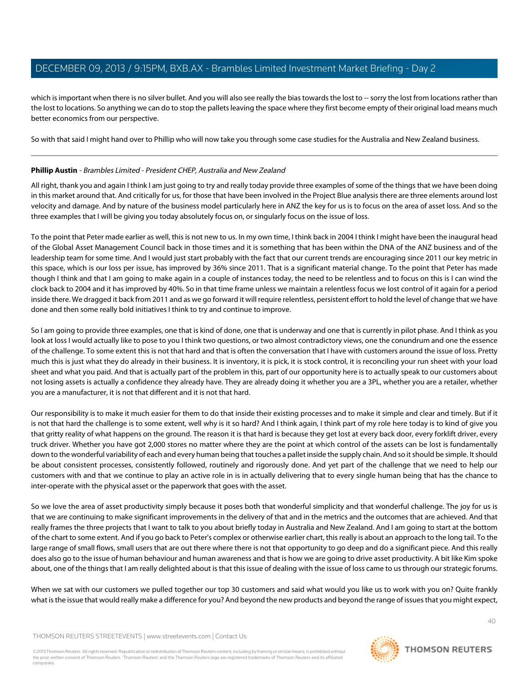which is important when there is no silver bullet. And you will also see really the bias towards the lost to -- sorry the lost from locations rather than the lost to locations. So anything we can do to stop the pallets leaving the space where they first become empty of their original load means much better economics from our perspective.

So with that said I might hand over to Phillip who will now take you through some case studies for the Australia and New Zealand business.

# **Phillip Austin** - Brambles Limited - President CHEP, Australia and New Zealand

All right, thank you and again I think I am just going to try and really today provide three examples of some of the things that we have been doing in this market around that. And critically for us, for those that have been involved in the Project Blue analysis there are three elements around lost velocity and damage. And by nature of the business model particularly here in ANZ the key for us is to focus on the area of asset loss. And so the three examples that I will be giving you today absolutely focus on, or singularly focus on the issue of loss.

To the point that Peter made earlier as well, this is not new to us. In my own time, I think back in 2004 I think I might have been the inaugural head of the Global Asset Management Council back in those times and it is something that has been within the DNA of the ANZ business and of the leadership team for some time. And I would just start probably with the fact that our current trends are encouraging since 2011 our key metric in this space, which is our loss per issue, has improved by 36% since 2011. That is a significant material change. To the point that Peter has made though I think and that I am going to make again in a couple of instances today, the need to be relentless and to focus on this is I can wind the clock back to 2004 and it has improved by 40%. So in that time frame unless we maintain a relentless focus we lost control of it again for a period inside there. We dragged it back from 2011 and as we go forward it will require relentless, persistent effort to hold the level of change that we have done and then some really bold initiatives I think to try and continue to improve.

So I am going to provide three examples, one that is kind of done, one that is underway and one that is currently in pilot phase. And I think as you look at loss I would actually like to pose to you I think two questions, or two almost contradictory views, one the conundrum and one the essence of the challenge. To some extent this is not that hard and that is often the conversation that I have with customers around the issue of loss. Pretty much this is just what they do already in their business. It is inventory, it is pick, it is stock control, it is reconciling your run sheet with your load sheet and what you paid. And that is actually part of the problem in this, part of our opportunity here is to actually speak to our customers about not losing assets is actually a confidence they already have. They are already doing it whether you are a 3PL, whether you are a retailer, whether you are a manufacturer, it is not that different and it is not that hard.

Our responsibility is to make it much easier for them to do that inside their existing processes and to make it simple and clear and timely. But if it is not that hard the challenge is to some extent, well why is it so hard? And I think again, I think part of my role here today is to kind of give you that gritty reality of what happens on the ground. The reason it is that hard is because they get lost at every back door, every forklift driver, every truck driver. Whether you have got 2,000 stores no matter where they are the point at which control of the assets can be lost is fundamentally down to the wonderful variability of each and every human being that touches a pallet inside the supply chain. And so it should be simple. It should be about consistent processes, consistently followed, routinely and rigorously done. And yet part of the challenge that we need to help our customers with and that we continue to play an active role in is in actually delivering that to every single human being that has the chance to inter-operate with the physical asset or the paperwork that goes with the asset.

So we love the area of asset productivity simply because it poses both that wonderful simplicity and that wonderful challenge. The joy for us is that we are continuing to make significant improvements in the delivery of that and in the metrics and the outcomes that are achieved. And that really frames the three projects that I want to talk to you about briefly today in Australia and New Zealand. And I am going to start at the bottom of the chart to some extent. And if you go back to Peter's complex or otherwise earlier chart, this really is about an approach to the long tail. To the large range of small flows, small users that are out there where there is not that opportunity to go deep and do a significant piece. And this really does also go to the issue of human behaviour and human awareness and that is how we are going to drive asset productivity. A bit like Kim spoke about, one of the things that I am really delighted about is that this issue of dealing with the issue of loss came to us through our strategic forums.

When we sat with our customers we pulled together our top 30 customers and said what would you like us to work with you on? Quite frankly what is the issue that would really make a difference for you? And beyond the new products and beyond the range of issues that you might expect,

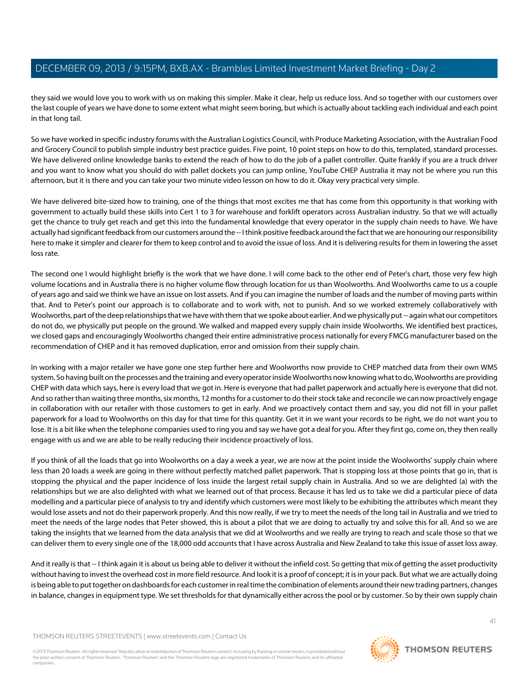they said we would love you to work with us on making this simpler. Make it clear, help us reduce loss. And so together with our customers over the last couple of years we have done to some extent what might seem boring, but which is actually about tackling each individual and each point in that long tail.

So we have worked in specific industry forums with the Australian Logistics Council, with Produce Marketing Association, with the Australian Food and Grocery Council to publish simple industry best practice guides. Five point, 10 point steps on how to do this, templated, standard processes. We have delivered online knowledge banks to extend the reach of how to do the job of a pallet controller. Quite frankly if you are a truck driver and you want to know what you should do with pallet dockets you can jump online, YouTube CHEP Australia it may not be where you run this afternoon, but it is there and you can take your two minute video lesson on how to do it. Okay very practical very simple.

We have delivered bite-sized how to training, one of the things that most excites me that has come from this opportunity is that working with government to actually build these skills into Cert 1 to 3 for warehouse and forklift operators across Australian industry. So that we will actually get the chance to truly get reach and get this into the fundamental knowledge that every operator in the supply chain needs to have. We have actually had significant feedback from our customers around the -- I think positive feedback around the fact that we are honouring our responsibility here to make it simpler and clearer for them to keep control and to avoid the issue of loss. And it is delivering results for them in lowering the asset loss rate.

The second one I would highlight briefly is the work that we have done. I will come back to the other end of Peter's chart, those very few high volume locations and in Australia there is no higher volume flow through location for us than Woolworths. And Woolworths came to us a couple of years ago and said we think we have an issue on lost assets. And if you can imagine the number of loads and the number of moving parts within that. And to Peter's point our approach is to collaborate and to work with, not to punish. And so we worked extremely collaboratively with Woolworths, part of the deep relationships that we have with them that we spoke about earlier. And we physically put -- again what our competitors do not do, we physically put people on the ground. We walked and mapped every supply chain inside Woolworths. We identified best practices, we closed gaps and encouragingly Woolworths changed their entire administrative process nationally for every FMCG manufacturer based on the recommendation of CHEP and it has removed duplication, error and omission from their supply chain.

In working with a major retailer we have gone one step further here and Woolworths now provide to CHEP matched data from their own WMS system. So having built on the processes and the training and every operator inside Woolworths now knowing what to do, Woolworths are providing CHEP with data which says, here is every load that we got in. Here is everyone that had pallet paperwork and actually here is everyone that did not. And so rather than waiting three months, six months, 12 months for a customer to do their stock take and reconcile we can now proactively engage in collaboration with our retailer with those customers to get in early. And we proactively contact them and say, you did not fill in your pallet paperwork for a load to Woolworths on this day for that time for this quantity. Get it in we want your records to be right, we do not want you to lose. It is a bit like when the telephone companies used to ring you and say we have got a deal for you. After they first go, come on, they then really engage with us and we are able to be really reducing their incidence proactively of loss.

If you think of all the loads that go into Woolworths on a day a week a year, we are now at the point inside the Woolworths' supply chain where less than 20 loads a week are going in there without perfectly matched pallet paperwork. That is stopping loss at those points that go in, that is stopping the physical and the paper incidence of loss inside the largest retail supply chain in Australia. And so we are delighted (a) with the relationships but we are also delighted with what we learned out of that process. Because it has led us to take we did a particular piece of data modelling and a particular piece of analysis to try and identify which customers were most likely to be exhibiting the attributes which meant they would lose assets and not do their paperwork properly. And this now really, if we try to meet the needs of the long tail in Australia and we tried to meet the needs of the large nodes that Peter showed, this is about a pilot that we are doing to actually try and solve this for all. And so we are taking the insights that we learned from the data analysis that we did at Woolworths and we really are trying to reach and scale those so that we can deliver them to every single one of the 18,000 odd accounts that I have across Australia and New Zealand to take this issue of asset loss away.

And it really is that -- I think again it is about us being able to deliver it without the infield cost. So getting that mix of getting the asset productivity without having to invest the overhead cost in more field resource. And look it is a proof of concept; it is in your pack. But what we are actually doing is being able to put together on dashboards for each customer in real time the combination of elements around their new trading partners, changes in balance, changes in equipment type. We set thresholds for that dynamically either across the pool or by customer. So by their own supply chain

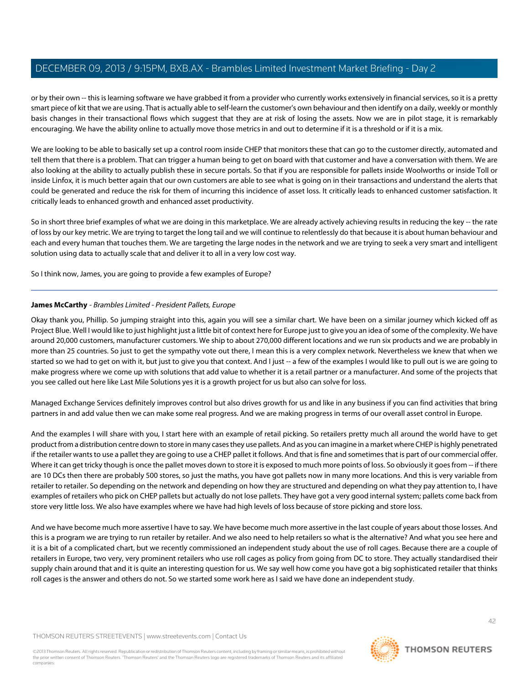or by their own -- this is learning software we have grabbed it from a provider who currently works extensively in financial services, so it is a pretty smart piece of kit that we are using. That is actually able to self-learn the customer's own behaviour and then identify on a daily, weekly or monthly basis changes in their transactional flows which suggest that they are at risk of losing the assets. Now we are in pilot stage, it is remarkably encouraging. We have the ability online to actually move those metrics in and out to determine if it is a threshold or if it is a mix.

We are looking to be able to basically set up a control room inside CHEP that monitors these that can go to the customer directly, automated and tell them that there is a problem. That can trigger a human being to get on board with that customer and have a conversation with them. We are also looking at the ability to actually publish these in secure portals. So that if you are responsible for pallets inside Woolworths or inside Toll or inside Linfox, it is much better again that our own customers are able to see what is going on in their transactions and understand the alerts that could be generated and reduce the risk for them of incurring this incidence of asset loss. It critically leads to enhanced customer satisfaction. It critically leads to enhanced growth and enhanced asset productivity.

So in short three brief examples of what we are doing in this marketplace. We are already actively achieving results in reducing the key -- the rate of loss by our key metric. We are trying to target the long tail and we will continue to relentlessly do that because it is about human behaviour and each and every human that touches them. We are targeting the large nodes in the network and we are trying to seek a very smart and intelligent solution using data to actually scale that and deliver it to all in a very low cost way.

So I think now, James, you are going to provide a few examples of Europe?

# **James McCarthy** - Brambles Limited - President Pallets, Europe

Okay thank you, Phillip. So jumping straight into this, again you will see a similar chart. We have been on a similar journey which kicked off as Project Blue. Well I would like to just highlight just a little bit of context here for Europe just to give you an idea of some of the complexity. We have around 20,000 customers, manufacturer customers. We ship to about 270,000 different locations and we run six products and we are probably in more than 25 countries. So just to get the sympathy vote out there, I mean this is a very complex network. Nevertheless we knew that when we started so we had to get on with it, but just to give you that context. And I just -- a few of the examples I would like to pull out is we are going to make progress where we come up with solutions that add value to whether it is a retail partner or a manufacturer. And some of the projects that you see called out here like Last Mile Solutions yes it is a growth project for us but also can solve for loss.

Managed Exchange Services definitely improves control but also drives growth for us and like in any business if you can find activities that bring partners in and add value then we can make some real progress. And we are making progress in terms of our overall asset control in Europe.

And the examples I will share with you, I start here with an example of retail picking. So retailers pretty much all around the world have to get product from a distribution centre down to store in many cases they use pallets. And as you can imagine in a market where CHEP is highly penetrated if the retailer wants to use a pallet they are going to use a CHEP pallet it follows. And that is fine and sometimes that is part of our commercial offer. Where it can get tricky though is once the pallet moves down to store it is exposed to much more points of loss. So obviously it goes from -- if there are 10 DCs then there are probably 500 stores, so just the maths, you have got pallets now in many more locations. And this is very variable from retailer to retailer. So depending on the network and depending on how they are structured and depending on what they pay attention to, I have examples of retailers who pick on CHEP pallets but actually do not lose pallets. They have got a very good internal system; pallets come back from store very little loss. We also have examples where we have had high levels of loss because of store picking and store loss.

And we have become much more assertive I have to say. We have become much more assertive in the last couple of years about those losses. And this is a program we are trying to run retailer by retailer. And we also need to help retailers so what is the alternative? And what you see here and it is a bit of a complicated chart, but we recently commissioned an independent study about the use of roll cages. Because there are a couple of retailers in Europe, two very, very prominent retailers who use roll cages as policy from going from DC to store. They actually standardised their supply chain around that and it is quite an interesting question for us. We say well how come you have got a big sophisticated retailer that thinks roll cages is the answer and others do not. So we started some work here as I said we have done an independent study.

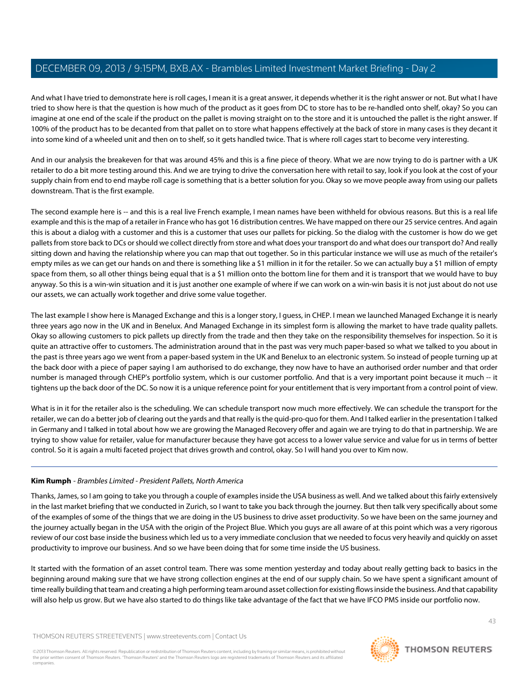And what I have tried to demonstrate here is roll cages, I mean it is a great answer, it depends whether it is the right answer or not. But what I have tried to show here is that the question is how much of the product as it goes from DC to store has to be re-handled onto shelf, okay? So you can imagine at one end of the scale if the product on the pallet is moving straight on to the store and it is untouched the pallet is the right answer. If 100% of the product has to be decanted from that pallet on to store what happens effectively at the back of store in many cases is they decant it into some kind of a wheeled unit and then on to shelf, so it gets handled twice. That is where roll cages start to become very interesting.

And in our analysis the breakeven for that was around 45% and this is a fine piece of theory. What we are now trying to do is partner with a UK retailer to do a bit more testing around this. And we are trying to drive the conversation here with retail to say, look if you look at the cost of your supply chain from end to end maybe roll cage is something that is a better solution for you. Okay so we move people away from using our pallets downstream. That is the first example.

The second example here is -- and this is a real live French example, I mean names have been withheld for obvious reasons. But this is a real life example and this is the map of a retailer in France who has got 16 distribution centres. We have mapped on there our 25 service centres. And again this is about a dialog with a customer and this is a customer that uses our pallets for picking. So the dialog with the customer is how do we get pallets from store back to DCs or should we collect directly from store and what does your transport do and what does our transport do? And really sitting down and having the relationship where you can map that out together. So in this particular instance we will use as much of the retailer's empty miles as we can get our hands on and there is something like a \$1 million in it for the retailer. So we can actually buy a \$1 million of empty space from them, so all other things being equal that is a \$1 million onto the bottom line for them and it is transport that we would have to buy anyway. So this is a win-win situation and it is just another one example of where if we can work on a win-win basis it is not just about do not use our assets, we can actually work together and drive some value together.

The last example I show here is Managed Exchange and this is a longer story, I guess, in CHEP. I mean we launched Managed Exchange it is nearly three years ago now in the UK and in Benelux. And Managed Exchange in its simplest form is allowing the market to have trade quality pallets. Okay so allowing customers to pick pallets up directly from the trade and then they take on the responsibility themselves for inspection. So it is quite an attractive offer to customers. The administration around that in the past was very much paper-based so what we talked to you about in the past is three years ago we went from a paper-based system in the UK and Benelux to an electronic system. So instead of people turning up at the back door with a piece of paper saying I am authorised to do exchange, they now have to have an authorised order number and that order number is managed through CHEP's portfolio system, which is our customer portfolio. And that is a very important point because it much -- it tightens up the back door of the DC. So now it is a unique reference point for your entitlement that is very important from a control point of view.

What is in it for the retailer also is the scheduling. We can schedule transport now much more effectively. We can schedule the transport for the retailer, we can do a better job of clearing out the yards and that really is the quid-pro-quo for them. And I talked earlier in the presentation I talked in Germany and I talked in total about how we are growing the Managed Recovery offer and again we are trying to do that in partnership. We are trying to show value for retailer, value for manufacturer because they have got access to a lower value service and value for us in terms of better control. So it is again a multi faceted project that drives growth and control, okay. So I will hand you over to Kim now.

# **Kim Rumph** - Brambles Limited - President Pallets, North America

Thanks, James, so I am going to take you through a couple of examples inside the USA business as well. And we talked about this fairly extensively in the last market briefing that we conducted in Zurich, so I want to take you back through the journey. But then talk very specifically about some of the examples of some of the things that we are doing in the US business to drive asset productivity. So we have been on the same journey and the journey actually began in the USA with the origin of the Project Blue. Which you guys are all aware of at this point which was a very rigorous review of our cost base inside the business which led us to a very immediate conclusion that we needed to focus very heavily and quickly on asset productivity to improve our business. And so we have been doing that for some time inside the US business.

It started with the formation of an asset control team. There was some mention yesterday and today about really getting back to basics in the beginning around making sure that we have strong collection engines at the end of our supply chain. So we have spent a significant amount of time really building that team and creating a high performing team around asset collection for existing flows inside the business. And that capability will also help us grow. But we have also started to do things like take advantage of the fact that we have IFCO PMS inside our portfolio now.



43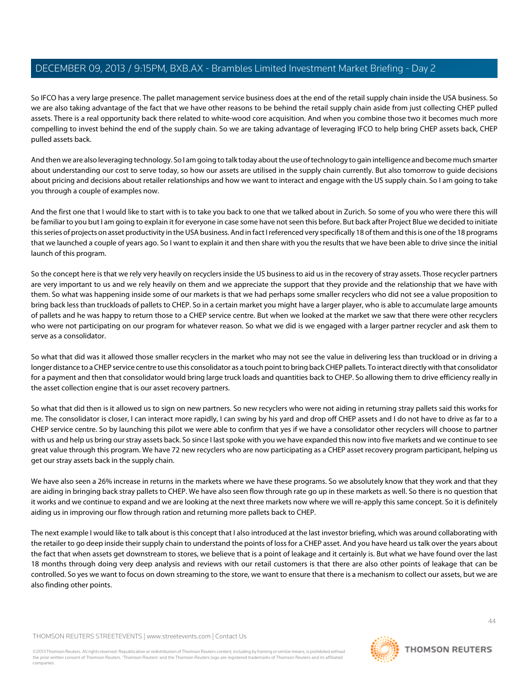So IFCO has a very large presence. The pallet management service business does at the end of the retail supply chain inside the USA business. So we are also taking advantage of the fact that we have other reasons to be behind the retail supply chain aside from just collecting CHEP pulled assets. There is a real opportunity back there related to white-wood core acquisition. And when you combine those two it becomes much more compelling to invest behind the end of the supply chain. So we are taking advantage of leveraging IFCO to help bring CHEP assets back, CHEP pulled assets back.

And then we are also leveraging technology. So I am going to talk today about the use of technology to gain intelligence and become much smarter about understanding our cost to serve today, so how our assets are utilised in the supply chain currently. But also tomorrow to guide decisions about pricing and decisions about retailer relationships and how we want to interact and engage with the US supply chain. So I am going to take you through a couple of examples now.

And the first one that I would like to start with is to take you back to one that we talked about in Zurich. So some of you who were there this will be familiar to you but I am going to explain it for everyone in case some have not seen this before. But back after Project Blue we decided to initiate this series of projects on asset productivity in the USA business. And in fact I referenced very specifically 18 of them and this is one of the 18 programs that we launched a couple of years ago. So I want to explain it and then share with you the results that we have been able to drive since the initial launch of this program.

So the concept here is that we rely very heavily on recyclers inside the US business to aid us in the recovery of stray assets. Those recycler partners are very important to us and we rely heavily on them and we appreciate the support that they provide and the relationship that we have with them. So what was happening inside some of our markets is that we had perhaps some smaller recyclers who did not see a value proposition to bring back less than truckloads of pallets to CHEP. So in a certain market you might have a larger player, who is able to accumulate large amounts of pallets and he was happy to return those to a CHEP service centre. But when we looked at the market we saw that there were other recyclers who were not participating on our program for whatever reason. So what we did is we engaged with a larger partner recycler and ask them to serve as a consolidator.

So what that did was it allowed those smaller recyclers in the market who may not see the value in delivering less than truckload or in driving a longer distance to a CHEP service centre to use this consolidator as a touch point to bring back CHEP pallets. To interact directly with that consolidator for a payment and then that consolidator would bring large truck loads and quantities back to CHEP. So allowing them to drive efficiency really in the asset collection engine that is our asset recovery partners.

So what that did then is it allowed us to sign on new partners. So new recyclers who were not aiding in returning stray pallets said this works for me. The consolidator is closer, I can interact more rapidly, I can swing by his yard and drop off CHEP assets and I do not have to drive as far to a CHEP service centre. So by launching this pilot we were able to confirm that yes if we have a consolidator other recyclers will choose to partner with us and help us bring our stray assets back. So since I last spoke with you we have expanded this now into five markets and we continue to see great value through this program. We have 72 new recyclers who are now participating as a CHEP asset recovery program participant, helping us get our stray assets back in the supply chain.

We have also seen a 26% increase in returns in the markets where we have these programs. So we absolutely know that they work and that they are aiding in bringing back stray pallets to CHEP. We have also seen flow through rate go up in these markets as well. So there is no question that it works and we continue to expand and we are looking at the next three markets now where we will re-apply this same concept. So it is definitely aiding us in improving our flow through ration and returning more pallets back to CHEP.

The next example I would like to talk about is this concept that I also introduced at the last investor briefing, which was around collaborating with the retailer to go deep inside their supply chain to understand the points of loss for a CHEP asset. And you have heard us talk over the years about the fact that when assets get downstream to stores, we believe that is a point of leakage and it certainly is. But what we have found over the last 18 months through doing very deep analysis and reviews with our retail customers is that there are also other points of leakage that can be controlled. So yes we want to focus on down streaming to the store, we want to ensure that there is a mechanism to collect our assets, but we are also finding other points.

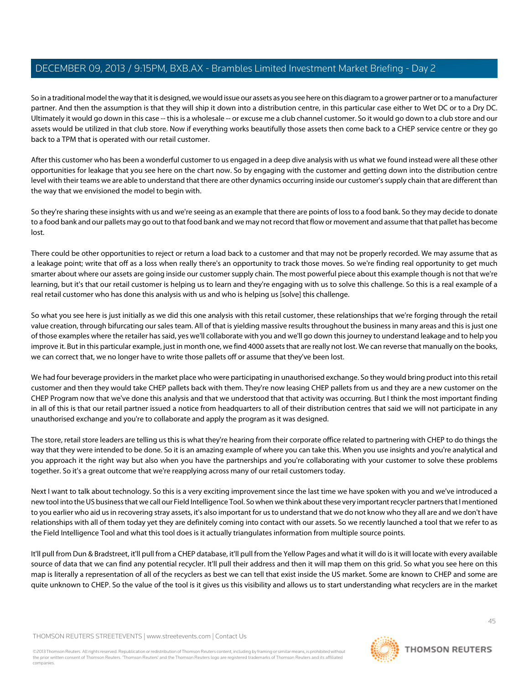So in a traditional model the way that it is designed, we would issue our assets as you see here on this diagram to a grower partner or to a manufacturer partner. And then the assumption is that they will ship it down into a distribution centre, in this particular case either to Wet DC or to a Dry DC. Ultimately it would go down in this case -- this is a wholesale -- or excuse me a club channel customer. So it would go down to a club store and our assets would be utilized in that club store. Now if everything works beautifully those assets then come back to a CHEP service centre or they go back to a TPM that is operated with our retail customer.

After this customer who has been a wonderful customer to us engaged in a deep dive analysis with us what we found instead were all these other opportunities for leakage that you see here on the chart now. So by engaging with the customer and getting down into the distribution centre level with their teams we are able to understand that there are other dynamics occurring inside our customer's supply chain that are different than the way that we envisioned the model to begin with.

So they're sharing these insights with us and we're seeing as an example that there are points of loss to a food bank. So they may decide to donate to a food bank and our pallets may go out to that food bank and we may not record that flow or movement and assume that that pallet has become lost.

There could be other opportunities to reject or return a load back to a customer and that may not be properly recorded. We may assume that as a leakage point; write that off as a loss when really there's an opportunity to track those moves. So we're finding real opportunity to get much smarter about where our assets are going inside our customer supply chain. The most powerful piece about this example though is not that we're learning, but it's that our retail customer is helping us to learn and they're engaging with us to solve this challenge. So this is a real example of a real retail customer who has done this analysis with us and who is helping us [solve] this challenge.

So what you see here is just initially as we did this one analysis with this retail customer, these relationships that we're forging through the retail value creation, through bifurcating our sales team. All of that is yielding massive results throughout the business in many areas and this is just one of those examples where the retailer has said, yes we'll collaborate with you and we'll go down this journey to understand leakage and to help you improve it. But in this particular example, just in month one, we find 4000 assets that are really not lost. We can reverse that manually on the books, we can correct that, we no longer have to write those pallets off or assume that they've been lost.

We had four beverage providers in the market place who were participating in unauthorised exchange. So they would bring product into this retail customer and then they would take CHEP pallets back with them. They're now leasing CHEP pallets from us and they are a new customer on the CHEP Program now that we've done this analysis and that we understood that that activity was occurring. But I think the most important finding in all of this is that our retail partner issued a notice from headquarters to all of their distribution centres that said we will not participate in any unauthorised exchange and you're to collaborate and apply the program as it was designed.

The store, retail store leaders are telling us this is what they're hearing from their corporate office related to partnering with CHEP to do things the way that they were intended to be done. So it is an amazing example of where you can take this. When you use insights and you're analytical and you approach it the right way but also when you have the partnerships and you're collaborating with your customer to solve these problems together. So it's a great outcome that we're reapplying across many of our retail customers today.

Next I want to talk about technology. So this is a very exciting improvement since the last time we have spoken with you and we've introduced a new tool into the US business that we call our Field Intelligence Tool. So when we think about these very important recycler partners that I mentioned to you earlier who aid us in recovering stray assets, it's also important for us to understand that we do not know who they all are and we don't have relationships with all of them today yet they are definitely coming into contact with our assets. So we recently launched a tool that we refer to as the Field Intelligence Tool and what this tool does is it actually triangulates information from multiple source points.

It'll pull from Dun & Bradstreet, it'll pull from a CHEP database, it'll pull from the Yellow Pages and what it will do is it will locate with every available source of data that we can find any potential recycler. It'll pull their address and then it will map them on this grid. So what you see here on this map is literally a representation of all of the recyclers as best we can tell that exist inside the US market. Some are known to CHEP and some are quite unknown to CHEP. So the value of the tool is it gives us this visibility and allows us to start understanding what recyclers are in the market

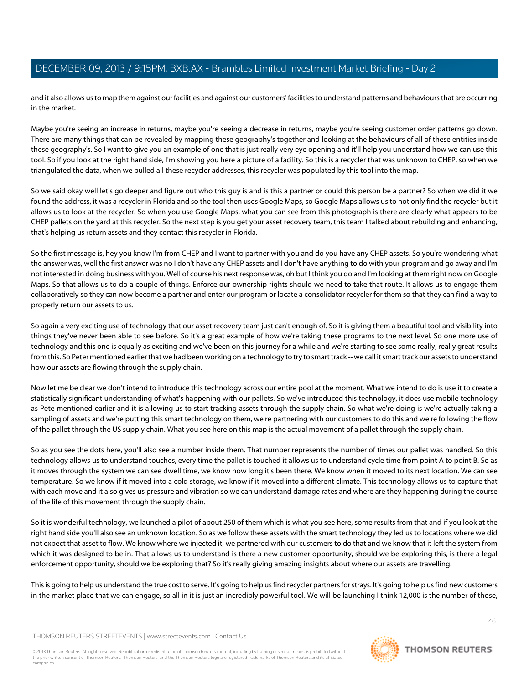and it also allows us to map them against our facilities and against our customers' facilities to understand patterns and behaviours that are occurring in the market.

Maybe you're seeing an increase in returns, maybe you're seeing a decrease in returns, maybe you're seeing customer order patterns go down. There are many things that can be revealed by mapping these geography's together and looking at the behaviours of all of these entities inside these geography's. So I want to give you an example of one that is just really very eye opening and it'll help you understand how we can use this tool. So if you look at the right hand side, I'm showing you here a picture of a facility. So this is a recycler that was unknown to CHEP, so when we triangulated the data, when we pulled all these recycler addresses, this recycler was populated by this tool into the map.

So we said okay well let's go deeper and figure out who this guy is and is this a partner or could this person be a partner? So when we did it we found the address, it was a recycler in Florida and so the tool then uses Google Maps, so Google Maps allows us to not only find the recycler but it allows us to look at the recycler. So when you use Google Maps, what you can see from this photograph is there are clearly what appears to be CHEP pallets on the yard at this recycler. So the next step is you get your asset recovery team, this team I talked about rebuilding and enhancing, that's helping us return assets and they contact this recycler in Florida.

So the first message is, hey you know I'm from CHEP and I want to partner with you and do you have any CHEP assets. So you're wondering what the answer was, well the first answer was no I don't have any CHEP assets and I don't have anything to do with your program and go away and I'm not interested in doing business with you. Well of course his next response was, oh but I think you do and I'm looking at them right now on Google Maps. So that allows us to do a couple of things. Enforce our ownership rights should we need to take that route. It allows us to engage them collaboratively so they can now become a partner and enter our program or locate a consolidator recycler for them so that they can find a way to properly return our assets to us.

So again a very exciting use of technology that our asset recovery team just can't enough of. So it is giving them a beautiful tool and visibility into things they've never been able to see before. So it's a great example of how we're taking these programs to the next level. So one more use of technology and this one is equally as exciting and we've been on this journey for a while and we're starting to see some really, really great results from this. So Peter mentioned earlier that we had been working on a technology to try to smart track -- we call it smart track our assets to understand how our assets are flowing through the supply chain.

Now let me be clear we don't intend to introduce this technology across our entire pool at the moment. What we intend to do is use it to create a statistically significant understanding of what's happening with our pallets. So we've introduced this technology, it does use mobile technology as Pete mentioned earlier and it is allowing us to start tracking assets through the supply chain. So what we're doing is we're actually taking a sampling of assets and we're putting this smart technology on them, we're partnering with our customers to do this and we're following the flow of the pallet through the US supply chain. What you see here on this map is the actual movement of a pallet through the supply chain.

So as you see the dots here, you'll also see a number inside them. That number represents the number of times our pallet was handled. So this technology allows us to understand touches, every time the pallet is touched it allows us to understand cycle time from point A to point B. So as it moves through the system we can see dwell time, we know how long it's been there. We know when it moved to its next location. We can see temperature. So we know if it moved into a cold storage, we know if it moved into a different climate. This technology allows us to capture that with each move and it also gives us pressure and vibration so we can understand damage rates and where are they happening during the course of the life of this movement through the supply chain.

So it is wonderful technology, we launched a pilot of about 250 of them which is what you see here, some results from that and if you look at the right hand side you'll also see an unknown location. So as we follow these assets with the smart technology they led us to locations where we did not expect that asset to flow. We know where we injected it, we partnered with our customers to do that and we know that it left the system from which it was designed to be in. That allows us to understand is there a new customer opportunity, should we be exploring this, is there a legal enforcement opportunity, should we be exploring that? So it's really giving amazing insights about where our assets are travelling.

This is going to help us understand the true cost to serve. It's going to help us find recycler partners for strays. It's going to help us find new customers in the market place that we can engage, so all in it is just an incredibly powerful tool. We will be launching I think 12,000 is the number of those,

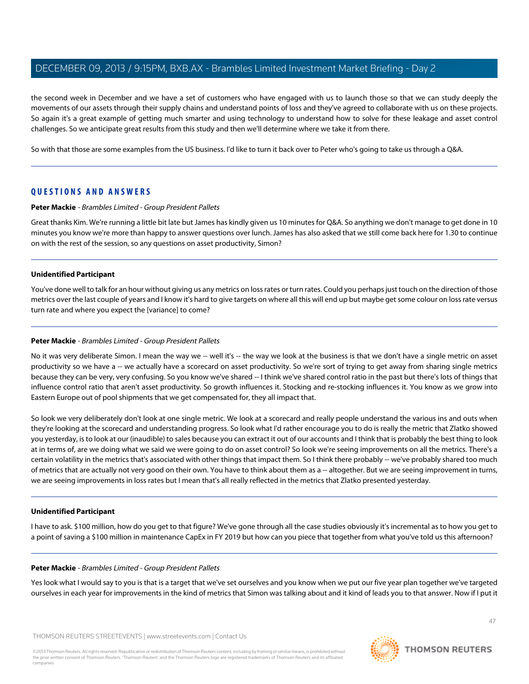the second week in December and we have a set of customers who have engaged with us to launch those so that we can study deeply the movements of our assets through their supply chains and understand points of loss and they've agreed to collaborate with us on these projects. So again it's a great example of getting much smarter and using technology to understand how to solve for these leakage and asset control challenges. So we anticipate great results from this study and then we'll determine where we take it from there.

So with that those are some examples from the US business. I'd like to turn it back over to Peter who's going to take us through a Q&A.

## **QUESTIONS AND ANSWERS**

## **Peter Mackie** - Brambles Limited - Group President Pallets

Great thanks Kim. We're running a little bit late but James has kindly given us 10 minutes for Q&A. So anything we don't manage to get done in 10 minutes you know we're more than happy to answer questions over lunch. James has also asked that we still come back here for 1.30 to continue on with the rest of the session, so any questions on asset productivity, Simon?

#### **Unidentified Participant**

You've done well to talk for an hour without giving us any metrics on loss rates or turn rates. Could you perhaps just touch on the direction of those metrics over the last couple of years and I know it's hard to give targets on where all this will end up but maybe get some colour on loss rate versus turn rate and where you expect the [variance] to come?

## **Peter Mackie** - Brambles Limited - Group President Pallets

No it was very deliberate Simon. I mean the way we -- well it's -- the way we look at the business is that we don't have a single metric on asset productivity so we have a -- we actually have a scorecard on asset productivity. So we're sort of trying to get away from sharing single metrics because they can be very, very confusing. So you know we've shared -- I think we've shared control ratio in the past but there's lots of things that influence control ratio that aren't asset productivity. So growth influences it. Stocking and re-stocking influences it. You know as we grow into Eastern Europe out of pool shipments that we get compensated for, they all impact that.

So look we very deliberately don't look at one single metric. We look at a scorecard and really people understand the various ins and outs when they're looking at the scorecard and understanding progress. So look what I'd rather encourage you to do is really the metric that Zlatko showed you yesterday, is to look at our (inaudible) to sales because you can extract it out of our accounts and I think that is probably the best thing to look at in terms of, are we doing what we said we were going to do on asset control? So look we're seeing improvements on all the metrics. There's a certain volatility in the metrics that's associated with other things that impact them. So I think there probably -- we've probably shared too much of metrics that are actually not very good on their own. You have to think about them as a -- altogether. But we are seeing improvement in turns, we are seeing improvements in loss rates but I mean that's all really reflected in the metrics that Zlatko presented yesterday.

## **Unidentified Participant**

I have to ask. \$100 million, how do you get to that figure? We've gone through all the case studies obviously it's incremental as to how you get to a point of saving a \$100 million in maintenance CapEx in FY 2019 but how can you piece that together from what you've told us this afternoon?

## **Peter Mackie** - Brambles Limited - Group President Pallets

Yes look what I would say to you is that is a target that we've set ourselves and you know when we put our five year plan together we've targeted ourselves in each year for improvements in the kind of metrics that Simon was talking about and it kind of leads you to that answer. Now if I put it

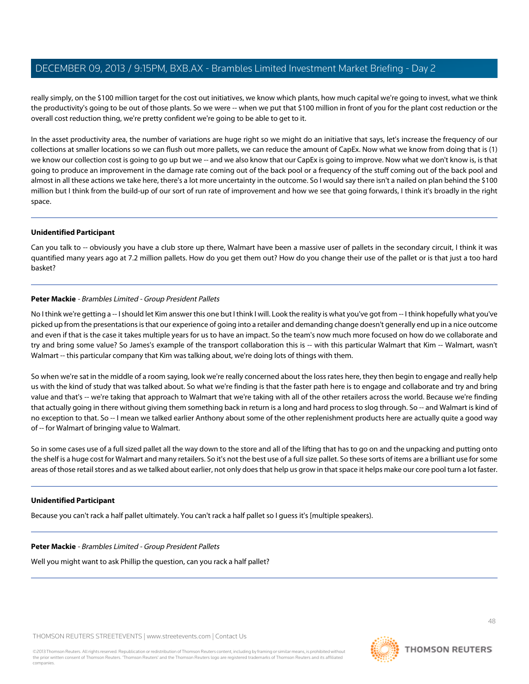really simply, on the \$100 million target for the cost out initiatives, we know which plants, how much capital we're going to invest, what we think the productivity's going to be out of those plants. So we were -- when we put that \$100 million in front of you for the plant cost reduction or the overall cost reduction thing, we're pretty confident we're going to be able to get to it.

In the asset productivity area, the number of variations are huge right so we might do an initiative that says, let's increase the frequency of our collections at smaller locations so we can flush out more pallets, we can reduce the amount of CapEx. Now what we know from doing that is (1) we know our collection cost is going to go up but we -- and we also know that our CapEx is going to improve. Now what we don't know is, is that going to produce an improvement in the damage rate coming out of the back pool or a frequency of the stuff coming out of the back pool and almost in all these actions we take here, there's a lot more uncertainty in the outcome. So I would say there isn't a nailed on plan behind the \$100 million but I think from the build-up of our sort of run rate of improvement and how we see that going forwards, I think it's broadly in the right space.

## **Unidentified Participant**

Can you talk to -- obviously you have a club store up there, Walmart have been a massive user of pallets in the secondary circuit, I think it was quantified many years ago at 7.2 million pallets. How do you get them out? How do you change their use of the pallet or is that just a too hard basket?

#### **Peter Mackie** - Brambles Limited - Group President Pallets

No I think we're getting a--I should let Kim answer this one but I think I will. Look the reality is what you've got from -- I think hopefully what you've picked up from the presentations is that our experience of going into a retailer and demanding change doesn't generally end up in a nice outcome and even if that is the case it takes multiple years for us to have an impact. So the team's now much more focused on how do we collaborate and try and bring some value? So James's example of the transport collaboration this is -- with this particular Walmart that Kim -- Walmart, wasn't Walmart -- this particular company that Kim was talking about, we're doing lots of things with them.

So when we're sat in the middle of a room saying, look we're really concerned about the loss rates here, they then begin to engage and really help us with the kind of study that was talked about. So what we're finding is that the faster path here is to engage and collaborate and try and bring value and that's -- we're taking that approach to Walmart that we're taking with all of the other retailers across the world. Because we're finding that actually going in there without giving them something back in return is a long and hard process to slog through. So -- and Walmart is kind of no exception to that. So -- I mean we talked earlier Anthony about some of the other replenishment products here are actually quite a good way of -- for Walmart of bringing value to Walmart.

So in some cases use of a full sized pallet all the way down to the store and all of the lifting that has to go on and the unpacking and putting onto the shelf is a huge cost for Walmart and many retailers. So it's not the best use of a full size pallet. So these sorts of items are a brilliant use for some areas of those retail stores and as we talked about earlier, not only does that help us grow in that space it helps make our core pool turn a lot faster.

#### **Unidentified Participant**

Because you can't rack a half pallet ultimately. You can't rack a half pallet so I guess it's [multiple speakers).

## **Peter Mackie** - Brambles Limited - Group President Pallets

Well you might want to ask Phillip the question, can you rack a half pallet?

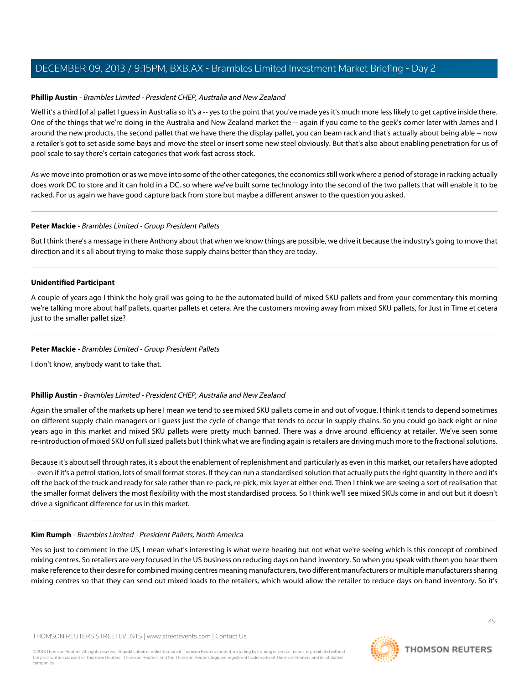### **Phillip Austin** - Brambles Limited - President CHEP, Australia and New Zealand

Well it's a third [of a] pallet I guess in Australia so it's a -- yes to the point that you've made yes it's much more less likely to get captive inside there. One of the things that we're doing in the Australia and New Zealand market the -- again if you come to the geek's corner later with James and I around the new products, the second pallet that we have there the display pallet, you can beam rack and that's actually about being able -- now a retailer's got to set aside some bays and move the steel or insert some new steel obviously. But that's also about enabling penetration for us of pool scale to say there's certain categories that work fast across stock.

As we move into promotion or as we move into some of the other categories, the economics still work where a period of storage in racking actually does work DC to store and it can hold in a DC, so where we've built some technology into the second of the two pallets that will enable it to be racked. For us again we have good capture back from store but maybe a different answer to the question you asked.

#### **Peter Mackie** - Brambles Limited - Group President Pallets

But I think there's a message in there Anthony about that when we know things are possible, we drive it because the industry's going to move that direction and it's all about trying to make those supply chains better than they are today.

#### **Unidentified Participant**

A couple of years ago I think the holy grail was going to be the automated build of mixed SKU pallets and from your commentary this morning we're talking more about half pallets, quarter pallets et cetera. Are the customers moving away from mixed SKU pallets, for Just in Time et cetera just to the smaller pallet size?

#### **Peter Mackie** - Brambles Limited - Group President Pallets

I don't know, anybody want to take that.

## **Phillip Austin** - Brambles Limited - President CHEP, Australia and New Zealand

Again the smaller of the markets up here I mean we tend to see mixed SKU pallets come in and out of vogue. I think it tends to depend sometimes on different supply chain managers or I guess just the cycle of change that tends to occur in supply chains. So you could go back eight or nine years ago in this market and mixed SKU pallets were pretty much banned. There was a drive around efficiency at retailer. We've seen some re-introduction of mixed SKU on full sized pallets but I think what we are finding again is retailers are driving much more to the fractional solutions.

Because it's about sell through rates, it's about the enablement of replenishment and particularly as even in this market, our retailers have adopted -- even if it's a petrol station, lots of small format stores. If they can run a standardised solution that actually puts the right quantity in there and it's off the back of the truck and ready for sale rather than re-pack, re-pick, mix layer at either end. Then I think we are seeing a sort of realisation that the smaller format delivers the most flexibility with the most standardised process. So I think we'll see mixed SKUs come in and out but it doesn't drive a significant difference for us in this market.

## **Kim Rumph** - Brambles Limited - President Pallets, North America

Yes so just to comment in the US, I mean what's interesting is what we're hearing but not what we're seeing which is this concept of combined mixing centres. So retailers are very focused in the US business on reducing days on hand inventory. So when you speak with them you hear them make reference to their desire for combined mixing centres meaning manufacturers, two different manufacturers or multiple manufacturers sharing mixing centres so that they can send out mixed loads to the retailers, which would allow the retailer to reduce days on hand inventory. So it's

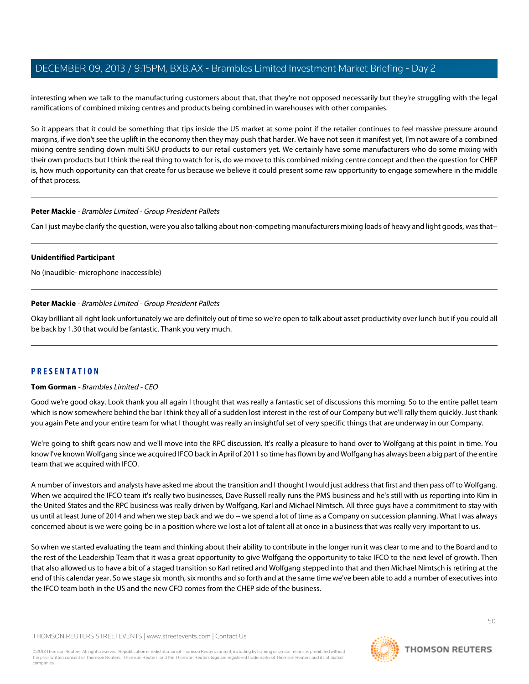interesting when we talk to the manufacturing customers about that, that they're not opposed necessarily but they're struggling with the legal ramifications of combined mixing centres and products being combined in warehouses with other companies.

So it appears that it could be something that tips inside the US market at some point if the retailer continues to feel massive pressure around margins, if we don't see the uplift in the economy then they may push that harder. We have not seen it manifest yet, I'm not aware of a combined mixing centre sending down multi SKU products to our retail customers yet. We certainly have some manufacturers who do some mixing with their own products but I think the real thing to watch for is, do we move to this combined mixing centre concept and then the question for CHEP is, how much opportunity can that create for us because we believe it could present some raw opportunity to engage somewhere in the middle of that process.

#### **Peter Mackie** - Brambles Limited - Group President Pallets

Can I just maybe clarify the question, were you also talking about non-competing manufacturers mixing loads of heavy and light goods, was that--

#### **Unidentified Participant**

No (inaudible- microphone inaccessible)

## **Peter Mackie** - Brambles Limited - Group President Pallets

Okay brilliant all right look unfortunately we are definitely out of time so we're open to talk about asset productivity over lunch but if you could all be back by 1.30 that would be fantastic. Thank you very much.

## **PRESENTATION**

## **Tom Gorman** - Brambles Limited - CEO

Good we're good okay. Look thank you all again I thought that was really a fantastic set of discussions this morning. So to the entire pallet team which is now somewhere behind the bar I think they all of a sudden lost interest in the rest of our Company but we'll rally them quickly. Just thank you again Pete and your entire team for what I thought was really an insightful set of very specific things that are underway in our Company.

We're going to shift gears now and we'll move into the RPC discussion. It's really a pleasure to hand over to Wolfgang at this point in time. You know I've known Wolfgang since we acquired IFCO back in April of 2011 so time has flown by and Wolfgang has always been a big part of the entire team that we acquired with IFCO.

A number of investors and analysts have asked me about the transition and I thought I would just address that first and then pass off to Wolfgang. When we acquired the IFCO team it's really two businesses, Dave Russell really runs the PMS business and he's still with us reporting into Kim in the United States and the RPC business was really driven by Wolfgang, Karl and Michael Nimtsch. All three guys have a commitment to stay with us until at least June of 2014 and when we step back and we do -- we spend a lot of time as a Company on succession planning. What I was always concerned about is we were going be in a position where we lost a lot of talent all at once in a business that was really very important to us.

So when we started evaluating the team and thinking about their ability to contribute in the longer run it was clear to me and to the Board and to the rest of the Leadership Team that it was a great opportunity to give Wolfgang the opportunity to take IFCO to the next level of growth. Then that also allowed us to have a bit of a staged transition so Karl retired and Wolfgang stepped into that and then Michael Nimtsch is retiring at the end of this calendar year. So we stage six month, six months and so forth and at the same time we've been able to add a number of executives into the IFCO team both in the US and the new CFO comes from the CHEP side of the business.

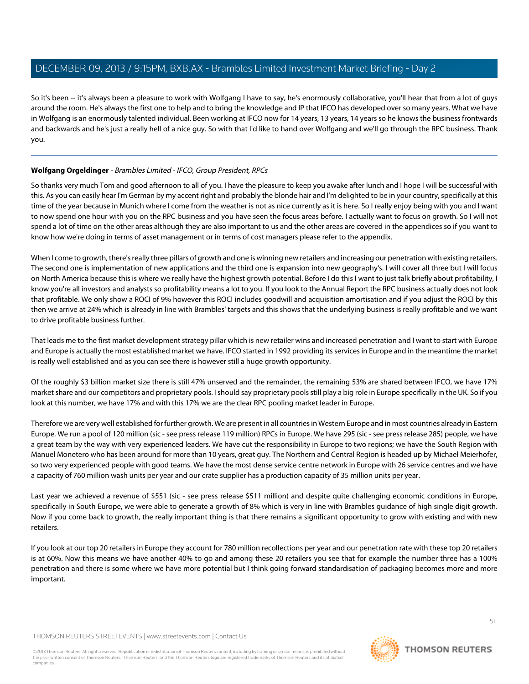So it's been -- it's always been a pleasure to work with Wolfgang I have to say, he's enormously collaborative, you'll hear that from a lot of guys around the room. He's always the first one to help and to bring the knowledge and IP that IFCO has developed over so many years. What we have in Wolfgang is an enormously talented individual. Been working at IFCO now for 14 years, 13 years, 14 years so he knows the business frontwards and backwards and he's just a really hell of a nice guy. So with that I'd like to hand over Wolfgang and we'll go through the RPC business. Thank you.

## **Wolfgang Orgeldinger** - Brambles Limited - IFCO, Group President, RPCs

So thanks very much Tom and good afternoon to all of you. I have the pleasure to keep you awake after lunch and I hope I will be successful with this. As you can easily hear I'm German by my accent right and probably the blonde hair and I'm delighted to be in your country, specifically at this time of the year because in Munich where I come from the weather is not as nice currently as it is here. So I really enjoy being with you and I want to now spend one hour with you on the RPC business and you have seen the focus areas before. I actually want to focus on growth. So I will not spend a lot of time on the other areas although they are also important to us and the other areas are covered in the appendices so if you want to know how we're doing in terms of asset management or in terms of cost managers please refer to the appendix.

When I come to growth, there's really three pillars of growth and one is winning new retailers and increasing our penetration with existing retailers. The second one is implementation of new applications and the third one is expansion into new geography's. I will cover all three but I will focus on North America because this is where we really have the highest growth potential. Before I do this I want to just talk briefly about profitability, I know you're all investors and analysts so profitability means a lot to you. If you look to the Annual Report the RPC business actually does not look that profitable. We only show a ROCI of 9% however this ROCI includes goodwill and acquisition amortisation and if you adjust the ROCI by this then we arrive at 24% which is already in line with Brambles' targets and this shows that the underlying business is really profitable and we want to drive profitable business further.

That leads me to the first market development strategy pillar which is new retailer wins and increased penetration and I want to start with Europe and Europe is actually the most established market we have. IFCO started in 1992 providing its services in Europe and in the meantime the market is really well established and as you can see there is however still a huge growth opportunity.

Of the roughly \$3 billion market size there is still 47% unserved and the remainder, the remaining 53% are shared between IFCO, we have 17% market share and our competitors and proprietary pools. I should say proprietary pools still play a big role in Europe specifically in the UK. So if you look at this number, we have 17% and with this 17% we are the clear RPC pooling market leader in Europe.

Therefore we are very well established for further growth. We are present in all countries in Western Europe and in most countries already in Eastern Europe. We run a pool of 120 million (sic - see press release 119 million) RPCs in Europe. We have 295 (sic - see press release 285) people, we have a great team by the way with very experienced leaders. We have cut the responsibility in Europe to two regions; we have the South Region with Manuel Monetero who has been around for more than 10 years, great guy. The Northern and Central Region is headed up by Michael Meierhofer, so two very experienced people with good teams. We have the most dense service centre network in Europe with 26 service centres and we have a capacity of 760 million wash units per year and our crate supplier has a production capacity of 35 million units per year.

Last year we achieved a revenue of \$551 (sic - see press release \$511 million) and despite quite challenging economic conditions in Europe, specifically in South Europe, we were able to generate a growth of 8% which is very in line with Brambles guidance of high single digit growth. Now if you come back to growth, the really important thing is that there remains a significant opportunity to grow with existing and with new retailers.

If you look at our top 20 retailers in Europe they account for 780 million recollections per year and our penetration rate with these top 20 retailers is at 60%. Now this means we have another 40% to go and among these 20 retailers you see that for example the number three has a 100% penetration and there is some where we have more potential but I think going forward standardisation of packaging becomes more and more important.

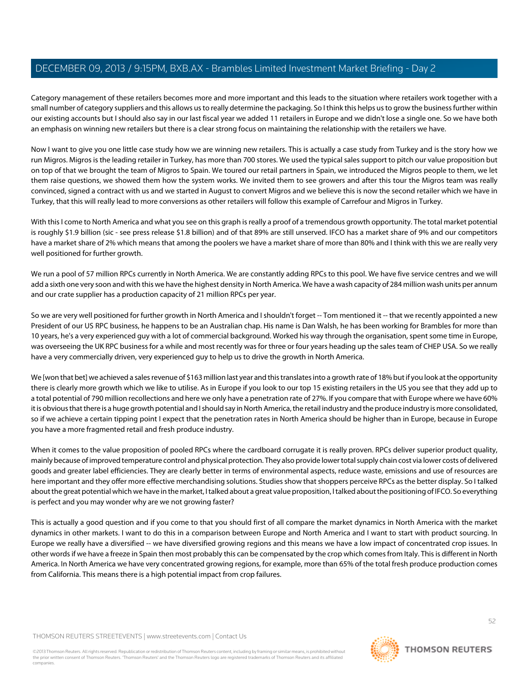Category management of these retailers becomes more and more important and this leads to the situation where retailers work together with a small number of category suppliers and this allows us to really determine the packaging. So I think this helps us to grow the business further within our existing accounts but I should also say in our last fiscal year we added 11 retailers in Europe and we didn't lose a single one. So we have both an emphasis on winning new retailers but there is a clear strong focus on maintaining the relationship with the retailers we have.

Now I want to give you one little case study how we are winning new retailers. This is actually a case study from Turkey and is the story how we run Migros. Migros is the leading retailer in Turkey, has more than 700 stores. We used the typical sales support to pitch our value proposition but on top of that we brought the team of Migros to Spain. We toured our retail partners in Spain, we introduced the Migros people to them, we let them raise questions, we showed them how the system works. We invited them to see growers and after this tour the Migros team was really convinced, signed a contract with us and we started in August to convert Migros and we believe this is now the second retailer which we have in Turkey, that this will really lead to more conversions as other retailers will follow this example of Carrefour and Migros in Turkey.

With this I come to North America and what you see on this graph is really a proof of a tremendous growth opportunity. The total market potential is roughly \$1.9 billion (sic - see press release \$1.8 billion) and of that 89% are still unserved. IFCO has a market share of 9% and our competitors have a market share of 2% which means that among the poolers we have a market share of more than 80% and I think with this we are really very well positioned for further growth.

We run a pool of 57 million RPCs currently in North America. We are constantly adding RPCs to this pool. We have five service centres and we will add a sixth one very soon and with this we have the highest density in North America. We have a wash capacity of 284 million wash units per annum and our crate supplier has a production capacity of 21 million RPCs per year.

So we are very well positioned for further growth in North America and I shouldn't forget -- Tom mentioned it -- that we recently appointed a new President of our US RPC business, he happens to be an Australian chap. His name is Dan Walsh, he has been working for Brambles for more than 10 years, he's a very experienced guy with a lot of commercial background. Worked his way through the organisation, spent some time in Europe, was overseeing the UK RPC business for a while and most recently was for three or four years heading up the sales team of CHEP USA. So we really have a very commercially driven, very experienced guy to help us to drive the growth in North America.

We [won that bet] we achieved a sales revenue of \$163 million last year and this translates into a growth rate of 18% but if you look at the opportunity there is clearly more growth which we like to utilise. As in Europe if you look to our top 15 existing retailers in the US you see that they add up to a total potential of 790 million recollections and here we only have a penetration rate of 27%. If you compare that with Europe where we have 60% it is obvious that there is a huge growth potential and I should say in North America, the retail industry and the produce industry is more consolidated, so if we achieve a certain tipping point I expect that the penetration rates in North America should be higher than in Europe, because in Europe you have a more fragmented retail and fresh produce industry.

When it comes to the value proposition of pooled RPCs where the cardboard corrugate it is really proven. RPCs deliver superior product quality, mainly because of improved temperature control and physical protection. They also provide lower total supply chain cost via lower costs of delivered goods and greater label efficiencies. They are clearly better in terms of environmental aspects, reduce waste, emissions and use of resources are here important and they offer more effective merchandising solutions. Studies show that shoppers perceive RPCs as the better display. So I talked about the great potential which we have in the market, I talked about a great value proposition, I talked about the positioning of IFCO. So everything is perfect and you may wonder why are we not growing faster?

This is actually a good question and if you come to that you should first of all compare the market dynamics in North America with the market dynamics in other markets. I want to do this in a comparison between Europe and North America and I want to start with product sourcing. In Europe we really have a diversified -- we have diversified growing regions and this means we have a low impact of concentrated crop issues. In other words if we have a freeze in Spain then most probably this can be compensated by the crop which comes from Italy. This is different in North America. In North America we have very concentrated growing regions, for example, more than 65% of the total fresh produce production comes from California. This means there is a high potential impact from crop failures.



52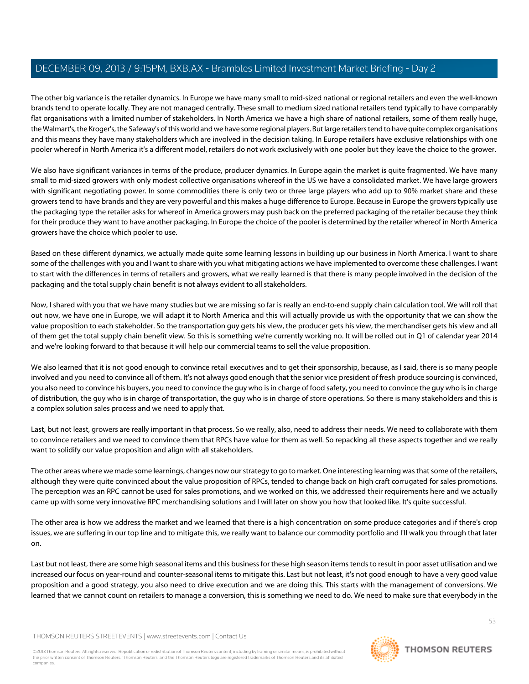The other big variance is the retailer dynamics. In Europe we have many small to mid-sized national or regional retailers and even the well-known brands tend to operate locally. They are not managed centrally. These small to medium sized national retailers tend typically to have comparably flat organisations with a limited number of stakeholders. In North America we have a high share of national retailers, some of them really huge, the Walmart's, the Kroger's, the Safeway's of this world and we have some regional players. But large retailers tend to have quite complex organisations and this means they have many stakeholders which are involved in the decision taking. In Europe retailers have exclusive relationships with one pooler whereof in North America it's a different model, retailers do not work exclusively with one pooler but they leave the choice to the grower.

We also have significant variances in terms of the produce, producer dynamics. In Europe again the market is quite fragmented. We have many small to mid-sized growers with only modest collective organisations whereof in the US we have a consolidated market. We have large growers with significant negotiating power. In some commodities there is only two or three large players who add up to 90% market share and these growers tend to have brands and they are very powerful and this makes a huge difference to Europe. Because in Europe the growers typically use the packaging type the retailer asks for whereof in America growers may push back on the preferred packaging of the retailer because they think for their produce they want to have another packaging. In Europe the choice of the pooler is determined by the retailer whereof in North America growers have the choice which pooler to use.

Based on these different dynamics, we actually made quite some learning lessons in building up our business in North America. I want to share some of the challenges with you and I want to share with you what mitigating actions we have implemented to overcome these challenges. I want to start with the differences in terms of retailers and growers, what we really learned is that there is many people involved in the decision of the packaging and the total supply chain benefit is not always evident to all stakeholders.

Now, I shared with you that we have many studies but we are missing so far is really an end-to-end supply chain calculation tool. We will roll that out now, we have one in Europe, we will adapt it to North America and this will actually provide us with the opportunity that we can show the value proposition to each stakeholder. So the transportation guy gets his view, the producer gets his view, the merchandiser gets his view and all of them get the total supply chain benefit view. So this is something we're currently working no. It will be rolled out in Q1 of calendar year 2014 and we're looking forward to that because it will help our commercial teams to sell the value proposition.

We also learned that it is not good enough to convince retail executives and to get their sponsorship, because, as I said, there is so many people involved and you need to convince all of them. It's not always good enough that the senior vice president of fresh produce sourcing is convinced, you also need to convince his buyers, you need to convince the guy who is in charge of food safety, you need to convince the guy who is in charge of distribution, the guy who is in charge of transportation, the guy who is in charge of store operations. So there is many stakeholders and this is a complex solution sales process and we need to apply that.

Last, but not least, growers are really important in that process. So we really, also, need to address their needs. We need to collaborate with them to convince retailers and we need to convince them that RPCs have value for them as well. So repacking all these aspects together and we really want to solidify our value proposition and align with all stakeholders.

The other areas where we made some learnings, changes now our strategy to go to market. One interesting learning was that some of the retailers, although they were quite convinced about the value proposition of RPCs, tended to change back on high craft corrugated for sales promotions. The perception was an RPC cannot be used for sales promotions, and we worked on this, we addressed their requirements here and we actually came up with some very innovative RPC merchandising solutions and I will later on show you how that looked like. It's quite successful.

The other area is how we address the market and we learned that there is a high concentration on some produce categories and if there's crop issues, we are suffering in our top line and to mitigate this, we really want to balance our commodity portfolio and I'll walk you through that later on.

Last but not least, there are some high seasonal items and this business for these high season items tends to result in poor asset utilisation and we increased our focus on year-round and counter-seasonal items to mitigate this. Last but not least, it's not good enough to have a very good value proposition and a good strategy, you also need to drive execution and we are doing this. This starts with the management of conversions. We learned that we cannot count on retailers to manage a conversion, this is something we need to do. We need to make sure that everybody in the

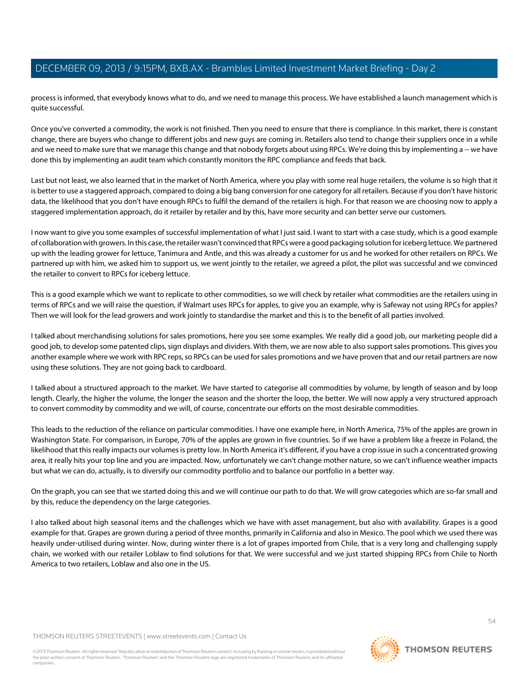process is informed, that everybody knows what to do, and we need to manage this process. We have established a launch management which is quite successful.

Once you've converted a commodity, the work is not finished. Then you need to ensure that there is compliance. In this market, there is constant change, there are buyers who change to different jobs and new guys are coming in. Retailers also tend to change their suppliers once in a while and we need to make sure that we manage this change and that nobody forgets about using RPCs. We're doing this by implementing a -- we have done this by implementing an audit team which constantly monitors the RPC compliance and feeds that back.

Last but not least, we also learned that in the market of North America, where you play with some real huge retailers, the volume is so high that it is better to use a staggered approach, compared to doing a big bang conversion for one category for all retailers. Because if you don't have historic data, the likelihood that you don't have enough RPCs to fulfil the demand of the retailers is high. For that reason we are choosing now to apply a staggered implementation approach, do it retailer by retailer and by this, have more security and can better serve our customers.

I now want to give you some examples of successful implementation of what I just said. I want to start with a case study, which is a good example of collaboration with growers. In this case, the retailer wasn't convinced that RPCs were a good packaging solution for iceberg lettuce. We partnered up with the leading grower for lettuce, Tanimura and Antle, and this was already a customer for us and he worked for other retailers on RPCs. We partnered up with him, we asked him to support us, we went jointly to the retailer, we agreed a pilot, the pilot was successful and we convinced the retailer to convert to RPCs for iceberg lettuce.

This is a good example which we want to replicate to other commodities, so we will check by retailer what commodities are the retailers using in terms of RPCs and we will raise the question, if Walmart uses RPCs for apples, to give you an example, why is Safeway not using RPCs for apples? Then we will look for the lead growers and work jointly to standardise the market and this is to the benefit of all parties involved.

I talked about merchandising solutions for sales promotions, here you see some examples. We really did a good job, our marketing people did a good job, to develop some patented clips, sign displays and dividers. With them, we are now able to also support sales promotions. This gives you another example where we work with RPC reps, so RPCs can be used for sales promotions and we have proven that and our retail partners are now using these solutions. They are not going back to cardboard.

I talked about a structured approach to the market. We have started to categorise all commodities by volume, by length of season and by loop length. Clearly, the higher the volume, the longer the season and the shorter the loop, the better. We will now apply a very structured approach to convert commodity by commodity and we will, of course, concentrate our efforts on the most desirable commodities.

This leads to the reduction of the reliance on particular commodities. I have one example here, in North America, 75% of the apples are grown in Washington State. For comparison, in Europe, 70% of the apples are grown in five countries. So if we have a problem like a freeze in Poland, the likelihood that this really impacts our volumes is pretty low. In North America it's different, if you have a crop issue in such a concentrated growing area, it really hits your top line and you are impacted. Now, unfortunately we can't change mother nature, so we can't influence weather impacts but what we can do, actually, is to diversify our commodity portfolio and to balance our portfolio in a better way.

On the graph, you can see that we started doing this and we will continue our path to do that. We will grow categories which are so-far small and by this, reduce the dependency on the large categories.

I also talked about high seasonal items and the challenges which we have with asset management, but also with availability. Grapes is a good example for that. Grapes are grown during a period of three months, primarily in California and also in Mexico. The pool which we used there was heavily under-utilised during winter. Now, during winter there is a lot of grapes imported from Chile, that is a very long and challenging supply chain, we worked with our retailer Loblaw to find solutions for that. We were successful and we just started shipping RPCs from Chile to North America to two retailers, Loblaw and also one in the US.

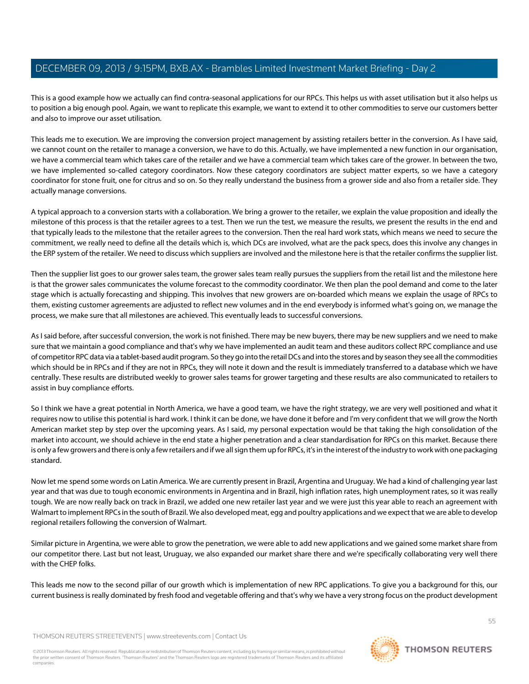This is a good example how we actually can find contra-seasonal applications for our RPCs. This helps us with asset utilisation but it also helps us to position a big enough pool. Again, we want to replicate this example, we want to extend it to other commodities to serve our customers better and also to improve our asset utilisation.

This leads me to execution. We are improving the conversion project management by assisting retailers better in the conversion. As I have said, we cannot count on the retailer to manage a conversion, we have to do this. Actually, we have implemented a new function in our organisation, we have a commercial team which takes care of the retailer and we have a commercial team which takes care of the grower. In between the two, we have implemented so-called category coordinators. Now these category coordinators are subject matter experts, so we have a category coordinator for stone fruit, one for citrus and so on. So they really understand the business from a grower side and also from a retailer side. They actually manage conversions.

A typical approach to a conversion starts with a collaboration. We bring a grower to the retailer, we explain the value proposition and ideally the milestone of this process is that the retailer agrees to a test. Then we run the test, we measure the results, we present the results in the end and that typically leads to the milestone that the retailer agrees to the conversion. Then the real hard work stats, which means we need to secure the commitment, we really need to define all the details which is, which DCs are involved, what are the pack specs, does this involve any changes in the ERP system of the retailer. We need to discuss which suppliers are involved and the milestone here is that the retailer confirms the supplier list.

Then the supplier list goes to our grower sales team, the grower sales team really pursues the suppliers from the retail list and the milestone here is that the grower sales communicates the volume forecast to the commodity coordinator. We then plan the pool demand and come to the later stage which is actually forecasting and shipping. This involves that new growers are on-boarded which means we explain the usage of RPCs to them, existing customer agreements are adjusted to reflect new volumes and in the end everybody is informed what's going on, we manage the process, we make sure that all milestones are achieved. This eventually leads to successful conversions.

As I said before, after successful conversion, the work is not finished. There may be new buyers, there may be new suppliers and we need to make sure that we maintain a good compliance and that's why we have implemented an audit team and these auditors collect RPC compliance and use of competitor RPC data via a tablet-based audit program. So they go into the retail DCs and into the stores and by season they see all the commodities which should be in RPCs and if they are not in RPCs, they will note it down and the result is immediately transferred to a database which we have centrally. These results are distributed weekly to grower sales teams for grower targeting and these results are also communicated to retailers to assist in buy compliance efforts.

So I think we have a great potential in North America, we have a good team, we have the right strategy, we are very well positioned and what it requires now to utilise this potential is hard work. I think it can be done, we have done it before and I'm very confident that we will grow the North American market step by step over the upcoming years. As I said, my personal expectation would be that taking the high consolidation of the market into account, we should achieve in the end state a higher penetration and a clear standardisation for RPCs on this market. Because there is only a few growers and there is only a few retailers and if we all sign them up for RPCs, it's in the interest of the industry to work with one packaging standard.

Now let me spend some words on Latin America. We are currently present in Brazil, Argentina and Uruguay. We had a kind of challenging year last year and that was due to tough economic environments in Argentina and in Brazil, high inflation rates, high unemployment rates, so it was really tough. We are now really back on track in Brazil, we added one new retailer last year and we were just this year able to reach an agreement with Walmart to implement RPCs in the south of Brazil. We also developed meat, egg and poultry applications and we expect that we are able to develop regional retailers following the conversion of Walmart.

Similar picture in Argentina, we were able to grow the penetration, we were able to add new applications and we gained some market share from our competitor there. Last but not least, Uruguay, we also expanded our market share there and we're specifically collaborating very well there with the CHEP folks.

This leads me now to the second pillar of our growth which is implementation of new RPC applications. To give you a background for this, our current business is really dominated by fresh food and vegetable offering and that's why we have a very strong focus on the product development

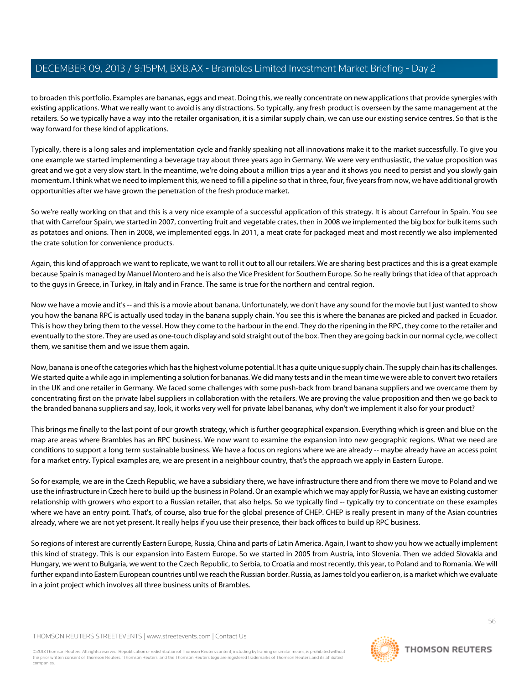to broaden this portfolio. Examples are bananas, eggs and meat. Doing this, we really concentrate on new applications that provide synergies with existing applications. What we really want to avoid is any distractions. So typically, any fresh product is overseen by the same management at the retailers. So we typically have a way into the retailer organisation, it is a similar supply chain, we can use our existing service centres. So that is the way forward for these kind of applications.

Typically, there is a long sales and implementation cycle and frankly speaking not all innovations make it to the market successfully. To give you one example we started implementing a beverage tray about three years ago in Germany. We were very enthusiastic, the value proposition was great and we got a very slow start. In the meantime, we're doing about a million trips a year and it shows you need to persist and you slowly gain momentum. I think what we need to implement this, we need to fill a pipeline so that in three, four, five years from now, we have additional growth opportunities after we have grown the penetration of the fresh produce market.

So we're really working on that and this is a very nice example of a successful application of this strategy. It is about Carrefour in Spain. You see that with Carrefour Spain, we started in 2007, converting fruit and vegetable crates, then in 2008 we implemented the big box for bulk items such as potatoes and onions. Then in 2008, we implemented eggs. In 2011, a meat crate for packaged meat and most recently we also implemented the crate solution for convenience products.

Again, this kind of approach we want to replicate, we want to roll it out to all our retailers. We are sharing best practices and this is a great example because Spain is managed by Manuel Montero and he is also the Vice President for Southern Europe. So he really brings that idea of that approach to the guys in Greece, in Turkey, in Italy and in France. The same is true for the northern and central region.

Now we have a movie and it's -- and this is a movie about banana. Unfortunately, we don't have any sound for the movie but I just wanted to show you how the banana RPC is actually used today in the banana supply chain. You see this is where the bananas are picked and packed in Ecuador. This is how they bring them to the vessel. How they come to the harbour in the end. They do the ripening in the RPC, they come to the retailer and eventually to the store. They are used as one-touch display and sold straight out of the box. Then they are going back in our normal cycle, we collect them, we sanitise them and we issue them again.

Now, banana is one of the categories which has the highest volume potential. It has a quite unique supply chain. The supply chain has its challenges. We started quite a while ago in implementing a solution for bananas. We did many tests and in the mean time we were able to convert two retailers in the UK and one retailer in Germany. We faced some challenges with some push-back from brand banana suppliers and we overcame them by concentrating first on the private label suppliers in collaboration with the retailers. We are proving the value proposition and then we go back to the branded banana suppliers and say, look, it works very well for private label bananas, why don't we implement it also for your product?

This brings me finally to the last point of our growth strategy, which is further geographical expansion. Everything which is green and blue on the map are areas where Brambles has an RPC business. We now want to examine the expansion into new geographic regions. What we need are conditions to support a long term sustainable business. We have a focus on regions where we are already -- maybe already have an access point for a market entry. Typical examples are, we are present in a neighbour country, that's the approach we apply in Eastern Europe.

So for example, we are in the Czech Republic, we have a subsidiary there, we have infrastructure there and from there we move to Poland and we use the infrastructure in Czech here to build up the business in Poland. Or an example which we may apply for Russia, we have an existing customer relationship with growers who export to a Russian retailer, that also helps. So we typically find -- typically try to concentrate on these examples where we have an entry point. That's, of course, also true for the global presence of CHEP. CHEP is really present in many of the Asian countries already, where we are not yet present. It really helps if you use their presence, their back offices to build up RPC business.

So regions of interest are currently Eastern Europe, Russia, China and parts of Latin America. Again, I want to show you how we actually implement this kind of strategy. This is our expansion into Eastern Europe. So we started in 2005 from Austria, into Slovenia. Then we added Slovakia and Hungary, we went to Bulgaria, we went to the Czech Republic, to Serbia, to Croatia and most recently, this year, to Poland and to Romania. We will further expand into Eastern European countries until we reach the Russian border. Russia, as James told you earlier on, is a market which we evaluate in a joint project which involves all three business units of Brambles.

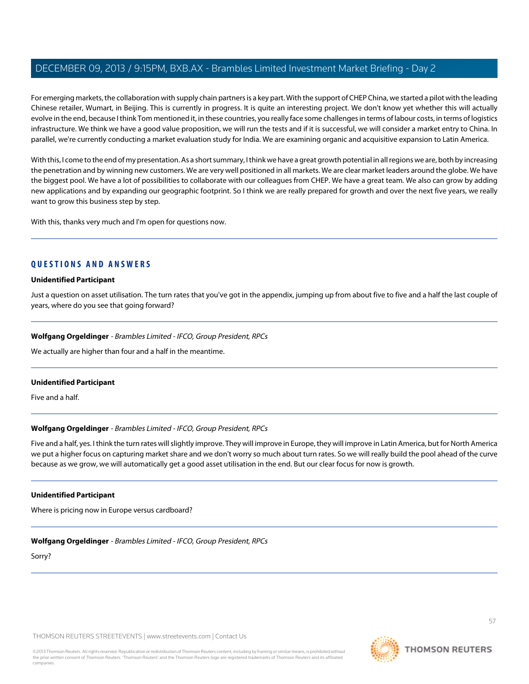For emerging markets, the collaboration with supply chain partners is a key part. With the support of CHEP China, we started a pilot with the leading Chinese retailer, Wumart, in Beijing. This is currently in progress. It is quite an interesting project. We don't know yet whether this will actually evolve in the end, because I think Tom mentioned it, in these countries, you really face some challenges in terms of labour costs, in terms of logistics infrastructure. We think we have a good value proposition, we will run the tests and if it is successful, we will consider a market entry to China. In parallel, we're currently conducting a market evaluation study for India. We are examining organic and acquisitive expansion to Latin America.

With this, I come to the end of my presentation. As a short summary, I think we have a great growth potential in all regions we are, both by increasing the penetration and by winning new customers. We are very well positioned in all markets. We are clear market leaders around the globe. We have the biggest pool. We have a lot of possibilities to collaborate with our colleagues from CHEP. We have a great team. We also can grow by adding new applications and by expanding our geographic footprint. So I think we are really prepared for growth and over the next five years, we really want to grow this business step by step.

With this, thanks very much and I'm open for questions now.

## **QUESTIONS AND ANSWERS**

#### **Unidentified Participant**

Just a question on asset utilisation. The turn rates that you've got in the appendix, jumping up from about five to five and a half the last couple of years, where do you see that going forward?

## **Wolfgang Orgeldinger** - Brambles Limited - IFCO, Group President, RPCs

We actually are higher than four and a half in the meantime.

#### **Unidentified Participant**

Five and a half.

## **Wolfgang Orgeldinger** - Brambles Limited - IFCO, Group President, RPCs

Five and a half, yes. I think the turn rates will slightly improve. They will improve in Europe, they will improve in Latin America, but for North America we put a higher focus on capturing market share and we don't worry so much about turn rates. So we will really build the pool ahead of the curve because as we grow, we will automatically get a good asset utilisation in the end. But our clear focus for now is growth.

#### **Unidentified Participant**

Where is pricing now in Europe versus cardboard?

**Wolfgang Orgeldinger** - Brambles Limited - IFCO, Group President, RPCs

Sorry?

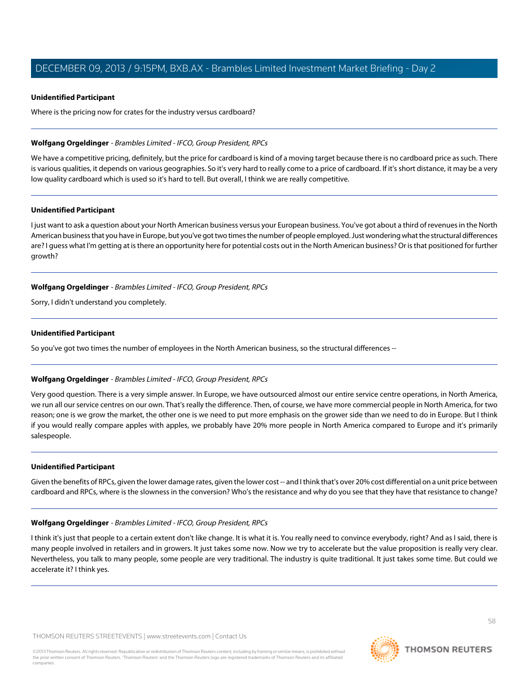#### **Unidentified Participant**

Where is the pricing now for crates for the industry versus cardboard?

### **Wolfgang Orgeldinger** - Brambles Limited - IFCO, Group President, RPCs

We have a competitive pricing, definitely, but the price for cardboard is kind of a moving target because there is no cardboard price as such. There is various qualities, it depends on various geographies. So it's very hard to really come to a price of cardboard. If it's short distance, it may be a very low quality cardboard which is used so it's hard to tell. But overall, I think we are really competitive.

#### **Unidentified Participant**

I just want to ask a question about your North American business versus your European business. You've got about a third of revenues in the North American business that you have in Europe, but you've got two times the number of people employed. Just wondering what the structural differences are? I guess what I'm getting at is there an opportunity here for potential costs out in the North American business? Or is that positioned for further growth?

#### **Wolfgang Orgeldinger** - Brambles Limited - IFCO, Group President, RPCs

Sorry, I didn't understand you completely.

## **Unidentified Participant**

So you've got two times the number of employees in the North American business, so the structural differences --

## **Wolfgang Orgeldinger** - Brambles Limited - IFCO, Group President, RPCs

Very good question. There is a very simple answer. In Europe, we have outsourced almost our entire service centre operations, in North America, we run all our service centres on our own. That's really the difference. Then, of course, we have more commercial people in North America, for two reason; one is we grow the market, the other one is we need to put more emphasis on the grower side than we need to do in Europe. But I think if you would really compare apples with apples, we probably have 20% more people in North America compared to Europe and it's primarily salespeople.

#### **Unidentified Participant**

Given the benefits of RPCs, given the lower damage rates, given the lower cost -- and I think that's over 20% cost differential on a unit price between cardboard and RPCs, where is the slowness in the conversion? Who's the resistance and why do you see that they have that resistance to change?

## **Wolfgang Orgeldinger** - Brambles Limited - IFCO, Group President, RPCs

I think it's just that people to a certain extent don't like change. It is what it is. You really need to convince everybody, right? And as I said, there is many people involved in retailers and in growers. It just takes some now. Now we try to accelerate but the value proposition is really very clear. Nevertheless, you talk to many people, some people are very traditional. The industry is quite traditional. It just takes some time. But could we accelerate it? I think yes.

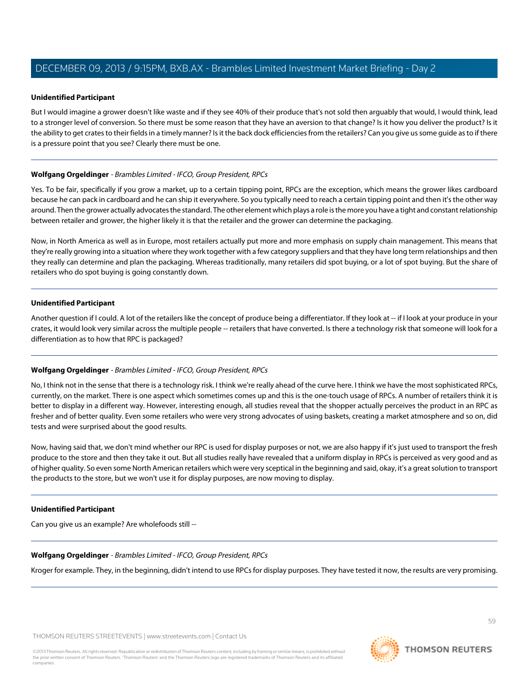#### **Unidentified Participant**

But I would imagine a grower doesn't like waste and if they see 40% of their produce that's not sold then arguably that would, I would think, lead to a stronger level of conversion. So there must be some reason that they have an aversion to that change? Is it how you deliver the product? Is it the ability to get crates to their fields in a timely manner? Is it the back dock efficiencies from the retailers? Can you give us some guide as to if there is a pressure point that you see? Clearly there must be one.

### **Wolfgang Orgeldinger** - Brambles Limited - IFCO, Group President, RPCs

Yes. To be fair, specifically if you grow a market, up to a certain tipping point, RPCs are the exception, which means the grower likes cardboard because he can pack in cardboard and he can ship it everywhere. So you typically need to reach a certain tipping point and then it's the other way around. Then the grower actually advocates the standard. The other element which plays a role is the more you have a tight and constant relationship between retailer and grower, the higher likely it is that the retailer and the grower can determine the packaging.

Now, in North America as well as in Europe, most retailers actually put more and more emphasis on supply chain management. This means that they're really growing into a situation where they work together with a few category suppliers and that they have long term relationships and then they really can determine and plan the packaging. Whereas traditionally, many retailers did spot buying, or a lot of spot buying. But the share of retailers who do spot buying is going constantly down.

#### **Unidentified Participant**

Another question if I could. A lot of the retailers like the concept of produce being a differentiator. If they look at -- if I look at your produce in your crates, it would look very similar across the multiple people -- retailers that have converted. Is there a technology risk that someone will look for a differentiation as to how that RPC is packaged?

## **Wolfgang Orgeldinger** - Brambles Limited - IFCO, Group President, RPCs

No, I think not in the sense that there is a technology risk. I think we're really ahead of the curve here. I think we have the most sophisticated RPCs, currently, on the market. There is one aspect which sometimes comes up and this is the one-touch usage of RPCs. A number of retailers think it is better to display in a different way. However, interesting enough, all studies reveal that the shopper actually perceives the product in an RPC as fresher and of better quality. Even some retailers who were very strong advocates of using baskets, creating a market atmosphere and so on, did tests and were surprised about the good results.

Now, having said that, we don't mind whether our RPC is used for display purposes or not, we are also happy if it's just used to transport the fresh produce to the store and then they take it out. But all studies really have revealed that a uniform display in RPCs is perceived as very good and as of higher quality. So even some North American retailers which were very sceptical in the beginning and said, okay, it's a great solution to transport the products to the store, but we won't use it for display purposes, are now moving to display.

#### **Unidentified Participant**

Can you give us an example? Are wholefoods still --

#### **Wolfgang Orgeldinger** - Brambles Limited - IFCO, Group President, RPCs

Kroger for example. They, in the beginning, didn't intend to use RPCs for display purposes. They have tested it now, the results are very promising.

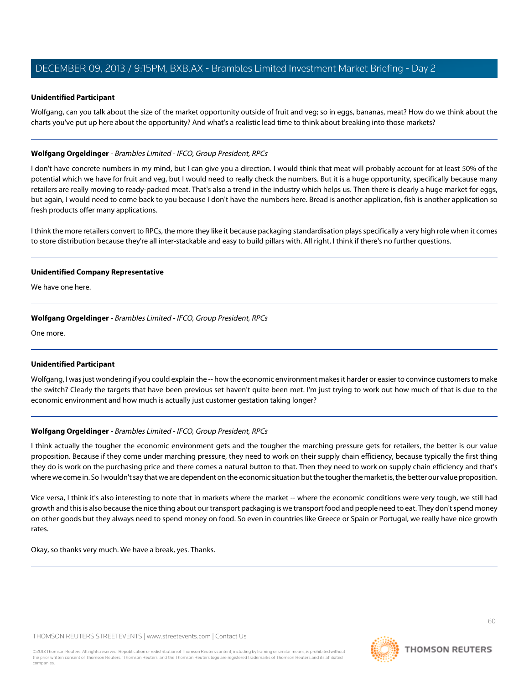#### **Unidentified Participant**

Wolfgang, can you talk about the size of the market opportunity outside of fruit and veg; so in eggs, bananas, meat? How do we think about the charts you've put up here about the opportunity? And what's a realistic lead time to think about breaking into those markets?

#### **Wolfgang Orgeldinger** - Brambles Limited - IFCO, Group President, RPCs

I don't have concrete numbers in my mind, but I can give you a direction. I would think that meat will probably account for at least 50% of the potential which we have for fruit and veg, but I would need to really check the numbers. But it is a huge opportunity, specifically because many retailers are really moving to ready-packed meat. That's also a trend in the industry which helps us. Then there is clearly a huge market for eggs, but again, I would need to come back to you because I don't have the numbers here. Bread is another application, fish is another application so fresh products offer many applications.

I think the more retailers convert to RPCs, the more they like it because packaging standardisation plays specifically a very high role when it comes to store distribution because they're all inter-stackable and easy to build pillars with. All right, I think if there's no further questions.

#### **Unidentified Company Representative**

We have one here.

#### **Wolfgang Orgeldinger** - Brambles Limited - IFCO, Group President, RPCs

One more.

## **Unidentified Participant**

Wolfgang, I was just wondering if you could explain the -- how the economic environment makes it harder or easier to convince customers to make the switch? Clearly the targets that have been previous set haven't quite been met. I'm just trying to work out how much of that is due to the economic environment and how much is actually just customer gestation taking longer?

## **Wolfgang Orgeldinger** - Brambles Limited - IFCO, Group President, RPCs

I think actually the tougher the economic environment gets and the tougher the marching pressure gets for retailers, the better is our value proposition. Because if they come under marching pressure, they need to work on their supply chain efficiency, because typically the first thing they do is work on the purchasing price and there comes a natural button to that. Then they need to work on supply chain efficiency and that's where we come in. So I wouldn't say that we are dependent on the economic situation but the tougher the market is, the better our value proposition.

Vice versa, I think it's also interesting to note that in markets where the market -- where the economic conditions were very tough, we still had growth and this is also because the nice thing about our transport packaging is we transport food and people need to eat. They don't spend money on other goods but they always need to spend money on food. So even in countries like Greece or Spain or Portugal, we really have nice growth rates.

Okay, so thanks very much. We have a break, yes. Thanks.

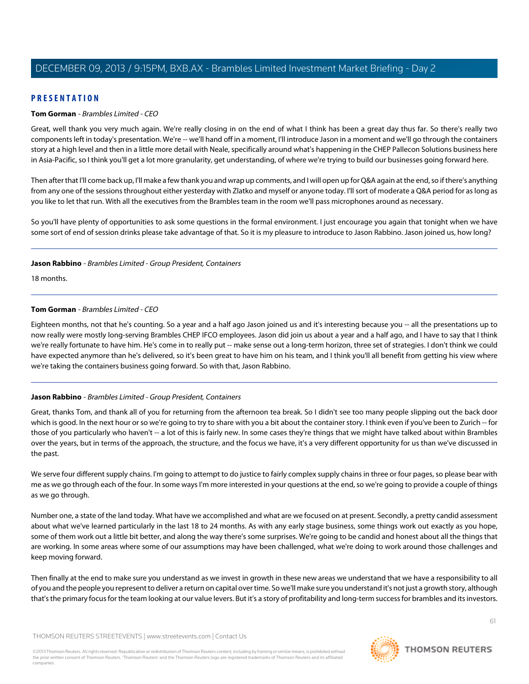## **PRESENTATION**

#### **Tom Gorman** - Brambles Limited - CEO

Great, well thank you very much again. We're really closing in on the end of what I think has been a great day thus far. So there's really two components left in today's presentation. We're -- we'll hand off in a moment, I'll introduce Jason in a moment and we'll go through the containers story at a high level and then in a little more detail with Neale, specifically around what's happening in the CHEP Pallecon Solutions business here in Asia-Pacific, so I think you'll get a lot more granularity, get understanding, of where we're trying to build our businesses going forward here.

Then after that I'll come back up, I'll make a few thank you and wrap up comments, and I will open up for Q&A again at the end, so if there's anything from any one of the sessions throughout either yesterday with Zlatko and myself or anyone today. I'll sort of moderate a Q&A period for as long as you like to let that run. With all the executives from the Brambles team in the room we'll pass microphones around as necessary.

So you'll have plenty of opportunities to ask some questions in the formal environment. I just encourage you again that tonight when we have some sort of end of session drinks please take advantage of that. So it is my pleasure to introduce to Jason Rabbino. Jason joined us, how long?

#### **Jason Rabbino** - Brambles Limited - Group President, Containers

18 months.

#### **Tom Gorman** - Brambles Limited - CEO

Eighteen months, not that he's counting. So a year and a half ago Jason joined us and it's interesting because you -- all the presentations up to now really were mostly long-serving Brambles CHEP IFCO employees. Jason did join us about a year and a half ago, and I have to say that I think we're really fortunate to have him. He's come in to really put -- make sense out a long-term horizon, three set of strategies. I don't think we could have expected anymore than he's delivered, so it's been great to have him on his team, and I think you'll all benefit from getting his view where we're taking the containers business going forward. So with that, Jason Rabbino.

## **Jason Rabbino** - Brambles Limited - Group President, Containers

Great, thanks Tom, and thank all of you for returning from the afternoon tea break. So I didn't see too many people slipping out the back door which is good. In the next hour or so we're going to try to share with you a bit about the container story. I think even if you've been to Zurich -- for those of you particularly who haven't -- a lot of this is fairly new. In some cases they're things that we might have talked about within Brambles over the years, but in terms of the approach, the structure, and the focus we have, it's a very different opportunity for us than we've discussed in the past.

We serve four different supply chains. I'm going to attempt to do justice to fairly complex supply chains in three or four pages, so please bear with me as we go through each of the four. In some ways I'm more interested in your questions at the end, so we're going to provide a couple of things as we go through.

Number one, a state of the land today. What have we accomplished and what are we focused on at present. Secondly, a pretty candid assessment about what we've learned particularly in the last 18 to 24 months. As with any early stage business, some things work out exactly as you hope, some of them work out a little bit better, and along the way there's some surprises. We're going to be candid and honest about all the things that are working. In some areas where some of our assumptions may have been challenged, what we're doing to work around those challenges and keep moving forward.

Then finally at the end to make sure you understand as we invest in growth in these new areas we understand that we have a responsibility to all of you and the people you represent to deliver a return on capital over time. So we'll make sure you understand it's not just a growth story, although that's the primary focus for the team looking at our value levers. But it's a story of profitability and long-term success for brambles and its investors.

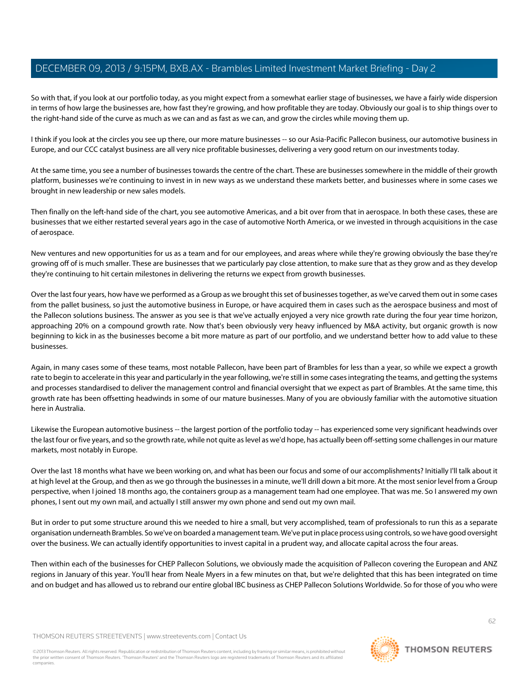So with that, if you look at our portfolio today, as you might expect from a somewhat earlier stage of businesses, we have a fairly wide dispersion in terms of how large the businesses are, how fast they're growing, and how profitable they are today. Obviously our goal is to ship things over to the right-hand side of the curve as much as we can and as fast as we can, and grow the circles while moving them up.

I think if you look at the circles you see up there, our more mature businesses -- so our Asia-Pacific Pallecon business, our automotive business in Europe, and our CCC catalyst business are all very nice profitable businesses, delivering a very good return on our investments today.

At the same time, you see a number of businesses towards the centre of the chart. These are businesses somewhere in the middle of their growth platform, businesses we're continuing to invest in in new ways as we understand these markets better, and businesses where in some cases we brought in new leadership or new sales models.

Then finally on the left-hand side of the chart, you see automotive Americas, and a bit over from that in aerospace. In both these cases, these are businesses that we either restarted several years ago in the case of automotive North America, or we invested in through acquisitions in the case of aerospace.

New ventures and new opportunities for us as a team and for our employees, and areas where while they're growing obviously the base they're growing off of is much smaller. These are businesses that we particularly pay close attention, to make sure that as they grow and as they develop they're continuing to hit certain milestones in delivering the returns we expect from growth businesses.

Over the last four years, how have we performed as a Group as we brought this set of businesses together, as we've carved them out in some cases from the pallet business, so just the automotive business in Europe, or have acquired them in cases such as the aerospace business and most of the Pallecon solutions business. The answer as you see is that we've actually enjoyed a very nice growth rate during the four year time horizon, approaching 20% on a compound growth rate. Now that's been obviously very heavy influenced by M&A activity, but organic growth is now beginning to kick in as the businesses become a bit more mature as part of our portfolio, and we understand better how to add value to these businesses.

Again, in many cases some of these teams, most notable Pallecon, have been part of Brambles for less than a year, so while we expect a growth rate to begin to accelerate in this year and particularly in the year following, we're still in some cases integrating the teams, and getting the systems and processes standardised to deliver the management control and financial oversight that we expect as part of Brambles. At the same time, this growth rate has been offsetting headwinds in some of our mature businesses. Many of you are obviously familiar with the automotive situation here in Australia.

Likewise the European automotive business -- the largest portion of the portfolio today -- has experienced some very significant headwinds over the last four or five years, and so the growth rate, while not quite as level as we'd hope, has actually been off-setting some challenges in our mature markets, most notably in Europe.

Over the last 18 months what have we been working on, and what has been our focus and some of our accomplishments? Initially I'll talk about it at high level at the Group, and then as we go through the businesses in a minute, we'll drill down a bit more. At the most senior level from a Group perspective, when I joined 18 months ago, the containers group as a management team had one employee. That was me. So I answered my own phones, I sent out my own mail, and actually I still answer my own phone and send out my own mail.

But in order to put some structure around this we needed to hire a small, but very accomplished, team of professionals to run this as a separate organisation underneath Brambles. So we've on boarded a management team. We've put in place process using controls, so we have good oversight over the business. We can actually identify opportunities to invest capital in a prudent way, and allocate capital across the four areas.

Then within each of the businesses for CHEP Pallecon Solutions, we obviously made the acquisition of Pallecon covering the European and ANZ regions in January of this year. You'll hear from Neale Myers in a few minutes on that, but we're delighted that this has been integrated on time and on budget and has allowed us to rebrand our entire global IBC business as CHEP Pallecon Solutions Worldwide. So for those of you who were

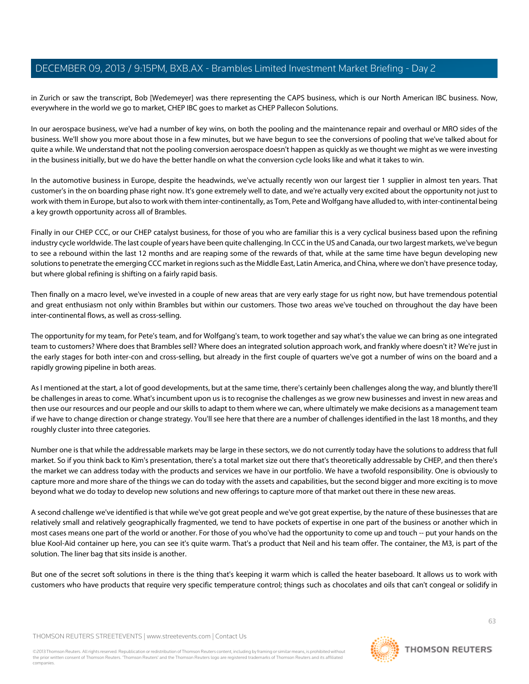in Zurich or saw the transcript, Bob [Wedemeyer] was there representing the CAPS business, which is our North American IBC business. Now, everywhere in the world we go to market, CHEP IBC goes to market as CHEP Pallecon Solutions.

In our aerospace business, we've had a number of key wins, on both the pooling and the maintenance repair and overhaul or MRO sides of the business. We'll show you more about those in a few minutes, but we have begun to see the conversions of pooling that we've talked about for quite a while. We understand that not the pooling conversion aerospace doesn't happen as quickly as we thought we might as we were investing in the business initially, but we do have the better handle on what the conversion cycle looks like and what it takes to win.

In the automotive business in Europe, despite the headwinds, we've actually recently won our largest tier 1 supplier in almost ten years. That customer's in the on boarding phase right now. It's gone extremely well to date, and we're actually very excited about the opportunity not just to work with them in Europe, but also to work with them inter-continentally, as Tom, Pete and Wolfgang have alluded to, with inter-continental being a key growth opportunity across all of Brambles.

Finally in our CHEP CCC, or our CHEP catalyst business, for those of you who are familiar this is a very cyclical business based upon the refining industry cycle worldwide. The last couple of years have been quite challenging. In CCC in the US and Canada, our two largest markets, we've begun to see a rebound within the last 12 months and are reaping some of the rewards of that, while at the same time have begun developing new solutions to penetrate the emerging CCC market in regions such as the Middle East, Latin America, and China, where we don't have presence today, but where global refining is shifting on a fairly rapid basis.

Then finally on a macro level, we've invested in a couple of new areas that are very early stage for us right now, but have tremendous potential and great enthusiasm not only within Brambles but within our customers. Those two areas we've touched on throughout the day have been inter-continental flows, as well as cross-selling.

The opportunity for my team, for Pete's team, and for Wolfgang's team, to work together and say what's the value we can bring as one integrated team to customers? Where does that Brambles sell? Where does an integrated solution approach work, and frankly where doesn't it? We're just in the early stages for both inter-con and cross-selling, but already in the first couple of quarters we've got a number of wins on the board and a rapidly growing pipeline in both areas.

As I mentioned at the start, a lot of good developments, but at the same time, there's certainly been challenges along the way, and bluntly there'll be challenges in areas to come. What's incumbent upon us is to recognise the challenges as we grow new businesses and invest in new areas and then use our resources and our people and our skills to adapt to them where we can, where ultimately we make decisions as a management team if we have to change direction or change strategy. You'll see here that there are a number of challenges identified in the last 18 months, and they roughly cluster into three categories.

Number one is that while the addressable markets may be large in these sectors, we do not currently today have the solutions to address that full market. So if you think back to Kim's presentation, there's a total market size out there that's theoretically addressable by CHEP, and then there's the market we can address today with the products and services we have in our portfolio. We have a twofold responsibility. One is obviously to capture more and more share of the things we can do today with the assets and capabilities, but the second bigger and more exciting is to move beyond what we do today to develop new solutions and new offerings to capture more of that market out there in these new areas.

A second challenge we've identified is that while we've got great people and we've got great expertise, by the nature of these businesses that are relatively small and relatively geographically fragmented, we tend to have pockets of expertise in one part of the business or another which in most cases means one part of the world or another. For those of you who've had the opportunity to come up and touch -- put your hands on the blue Kool-Aid container up here, you can see it's quite warm. That's a product that Neil and his team offer. The container, the M3, is part of the solution. The liner bag that sits inside is another.

But one of the secret soft solutions in there is the thing that's keeping it warm which is called the heater baseboard. It allows us to work with customers who have products that require very specific temperature control; things such as chocolates and oils that can't congeal or solidify in



**THOMSON REUTERS**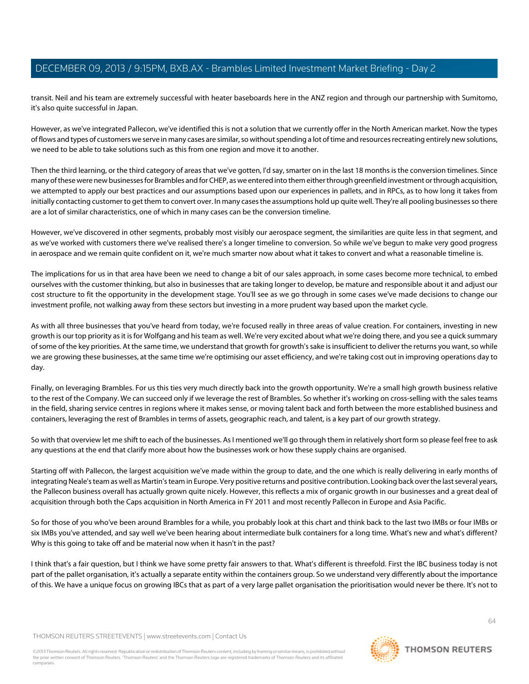transit. Neil and his team are extremely successful with heater baseboards here in the ANZ region and through our partnership with Sumitomo, it's also quite successful in Japan.

However, as we've integrated Pallecon, we've identified this is not a solution that we currently offer in the North American market. Now the types of flows and types of customers we serve in many cases are similar, so without spending a lot of time and resources recreating entirely new solutions, we need to be able to take solutions such as this from one region and move it to another.

Then the third learning, or the third category of areas that we've gotten, I'd say, smarter on in the last 18 months is the conversion timelines. Since many of these were new businesses for Brambles and for CHEP, as we entered into them either through greenfield investment or through acquisition, we attempted to apply our best practices and our assumptions based upon our experiences in pallets, and in RPCs, as to how long it takes from initially contacting customer to get them to convert over. In many cases the assumptions hold up quite well. They're all pooling businesses so there are a lot of similar characteristics, one of which in many cases can be the conversion timeline.

However, we've discovered in other segments, probably most visibly our aerospace segment, the similarities are quite less in that segment, and as we've worked with customers there we've realised there's a longer timeline to conversion. So while we've begun to make very good progress in aerospace and we remain quite confident on it, we're much smarter now about what it takes to convert and what a reasonable timeline is.

The implications for us in that area have been we need to change a bit of our sales approach, in some cases become more technical, to embed ourselves with the customer thinking, but also in businesses that are taking longer to develop, be mature and responsible about it and adjust our cost structure to fit the opportunity in the development stage. You'll see as we go through in some cases we've made decisions to change our investment profile, not walking away from these sectors but investing in a more prudent way based upon the market cycle.

As with all three businesses that you've heard from today, we're focused really in three areas of value creation. For containers, investing in new growth is our top priority as it is for Wolfgang and his team as well. We're very excited about what we're doing there, and you see a quick summary of some of the key priorities. At the same time, we understand that growth for growth's sake is insufficient to deliver the returns you want, so while we are growing these businesses, at the same time we're optimising our asset efficiency, and we're taking cost out in improving operations day to day.

Finally, on leveraging Brambles. For us this ties very much directly back into the growth opportunity. We're a small high growth business relative to the rest of the Company. We can succeed only if we leverage the rest of Brambles. So whether it's working on cross-selling with the sales teams in the field, sharing service centres in regions where it makes sense, or moving talent back and forth between the more established business and containers, leveraging the rest of Brambles in terms of assets, geographic reach, and talent, is a key part of our growth strategy.

So with that overview let me shift to each of the businesses. As I mentioned we'll go through them in relatively short form so please feel free to ask any questions at the end that clarify more about how the businesses work or how these supply chains are organised.

Starting off with Pallecon, the largest acquisition we've made within the group to date, and the one which is really delivering in early months of integrating Neale's team as well as Martin's team in Europe. Very positive returns and positive contribution. Looking back over the last several years, the Pallecon business overall has actually grown quite nicely. However, this reflects a mix of organic growth in our businesses and a great deal of acquisition through both the Caps acquisition in North America in FY 2011 and most recently Pallecon in Europe and Asia Pacific.

So for those of you who've been around Brambles for a while, you probably look at this chart and think back to the last two IMBs or four IMBs or six IMBs you've attended, and say well we've been hearing about intermediate bulk containers for a long time. What's new and what's different? Why is this going to take off and be material now when it hasn't in the past?

I think that's a fair question, but I think we have some pretty fair answers to that. What's different is threefold. First the IBC business today is not part of the pallet organisation, it's actually a separate entity within the containers group. So we understand very differently about the importance of this. We have a unique focus on growing IBCs that as part of a very large pallet organisation the prioritisation would never be there. It's not to

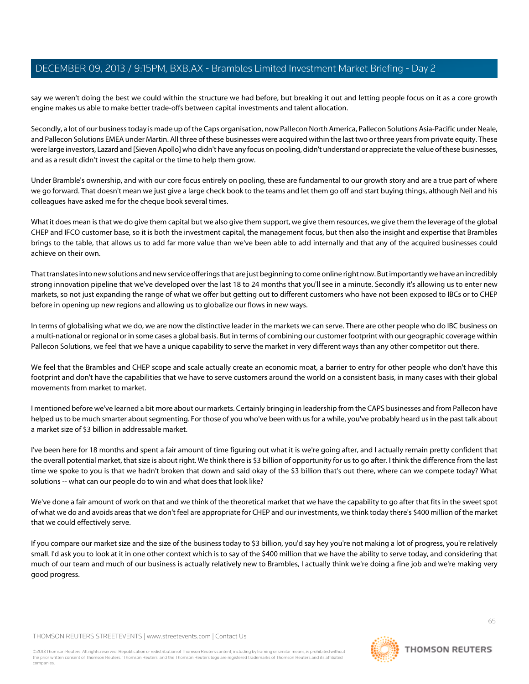say we weren't doing the best we could within the structure we had before, but breaking it out and letting people focus on it as a core growth engine makes us able to make better trade-offs between capital investments and talent allocation.

Secondly, a lot of our business today is made up of the Caps organisation, now Pallecon North America, Pallecon Solutions Asia-Pacific under Neale, and Pallecon Solutions EMEA under Martin. All three of these businesses were acquired within the last two or three years from private equity. These were large investors, Lazard and [Sieven Apollo] who didn't have any focus on pooling, didn't understand or appreciate the value of these businesses, and as a result didn't invest the capital or the time to help them grow.

Under Bramble's ownership, and with our core focus entirely on pooling, these are fundamental to our growth story and are a true part of where we go forward. That doesn't mean we just give a large check book to the teams and let them go off and start buying things, although Neil and his colleagues have asked me for the cheque book several times.

What it does mean is that we do give them capital but we also give them support, we give them resources, we give them the leverage of the global CHEP and IFCO customer base, so it is both the investment capital, the management focus, but then also the insight and expertise that Brambles brings to the table, that allows us to add far more value than we've been able to add internally and that any of the acquired businesses could achieve on their own.

That translates into new solutions and new service offerings that are just beginning to come online right now. But importantly we have an incredibly strong innovation pipeline that we've developed over the last 18 to 24 months that you'll see in a minute. Secondly it's allowing us to enter new markets, so not just expanding the range of what we offer but getting out to different customers who have not been exposed to IBCs or to CHEP before in opening up new regions and allowing us to globalize our flows in new ways.

In terms of globalising what we do, we are now the distinctive leader in the markets we can serve. There are other people who do IBC business on a multi-national or regional or in some cases a global basis. But in terms of combining our customer footprint with our geographic coverage within Pallecon Solutions, we feel that we have a unique capability to serve the market in very different ways than any other competitor out there.

We feel that the Brambles and CHEP scope and scale actually create an economic moat, a barrier to entry for other people who don't have this footprint and don't have the capabilities that we have to serve customers around the world on a consistent basis, in many cases with their global movements from market to market.

I mentioned before we've learned a bit more about our markets. Certainly bringing in leadership from the CAPS businesses and from Pallecon have helped us to be much smarter about segmenting. For those of you who've been with us for a while, you've probably heard us in the past talk about a market size of \$3 billion in addressable market.

I've been here for 18 months and spent a fair amount of time figuring out what it is we're going after, and I actually remain pretty confident that the overall potential market, that size is about right. We think there is \$3 billion of opportunity for us to go after. I think the difference from the last time we spoke to you is that we hadn't broken that down and said okay of the \$3 billion that's out there, where can we compete today? What solutions -- what can our people do to win and what does that look like?

We've done a fair amount of work on that and we think of the theoretical market that we have the capability to go after that fits in the sweet spot of what we do and avoids areas that we don't feel are appropriate for CHEP and our investments, we think today there's \$400 million of the market that we could effectively serve.

If you compare our market size and the size of the business today to \$3 billion, you'd say hey you're not making a lot of progress, you're relatively small. I'd ask you to look at it in one other context which is to say of the \$400 million that we have the ability to serve today, and considering that much of our team and much of our business is actually relatively new to Brambles, I actually think we're doing a fine job and we're making very good progress.

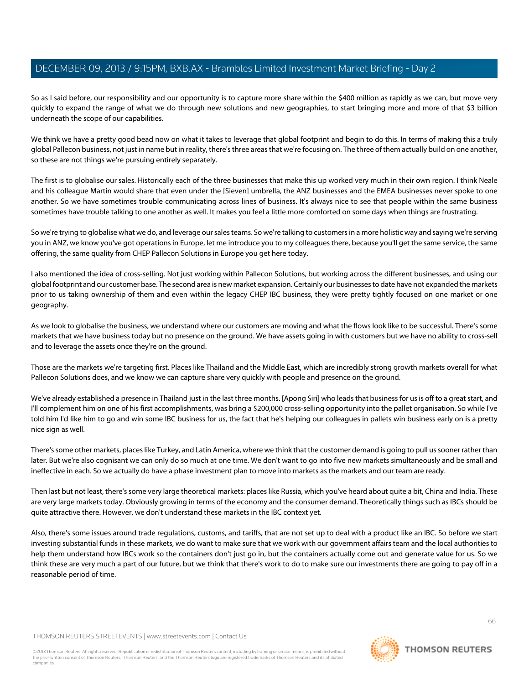So as I said before, our responsibility and our opportunity is to capture more share within the \$400 million as rapidly as we can, but move very quickly to expand the range of what we do through new solutions and new geographies, to start bringing more and more of that \$3 billion underneath the scope of our capabilities.

We think we have a pretty good bead now on what it takes to leverage that global footprint and begin to do this. In terms of making this a truly global Pallecon business, not just in name but in reality, there's three areas that we're focusing on. The three of them actually build on one another, so these are not things we're pursuing entirely separately.

The first is to globalise our sales. Historically each of the three businesses that make this up worked very much in their own region. I think Neale and his colleague Martin would share that even under the [Sieven] umbrella, the ANZ businesses and the EMEA businesses never spoke to one another. So we have sometimes trouble communicating across lines of business. It's always nice to see that people within the same business sometimes have trouble talking to one another as well. It makes you feel a little more comforted on some days when things are frustrating.

So we're trying to globalise what we do, and leverage our sales teams. So we're talking to customers in a more holistic way and saying we're serving you in ANZ, we know you've got operations in Europe, let me introduce you to my colleagues there, because you'll get the same service, the same offering, the same quality from CHEP Pallecon Solutions in Europe you get here today.

I also mentioned the idea of cross-selling. Not just working within Pallecon Solutions, but working across the different businesses, and using our global footprint and our customer base. The second area is new market expansion. Certainly our businesses to date have not expanded the markets prior to us taking ownership of them and even within the legacy CHEP IBC business, they were pretty tightly focused on one market or one geography.

As we look to globalise the business, we understand where our customers are moving and what the flows look like to be successful. There's some markets that we have business today but no presence on the ground. We have assets going in with customers but we have no ability to cross-sell and to leverage the assets once they're on the ground.

Those are the markets we're targeting first. Places like Thailand and the Middle East, which are incredibly strong growth markets overall for what Pallecon Solutions does, and we know we can capture share very quickly with people and presence on the ground.

We've already established a presence in Thailand just in the last three months. [Apong Siri] who leads that business for us is off to a great start, and I'll complement him on one of his first accomplishments, was bring a \$200,000 cross-selling opportunity into the pallet organisation. So while I've told him I'd like him to go and win some IBC business for us, the fact that he's helping our colleagues in pallets win business early on is a pretty nice sign as well.

There's some other markets, places like Turkey, and Latin America, where we think that the customer demand is going to pull us sooner rather than later. But we're also cognisant we can only do so much at one time. We don't want to go into five new markets simultaneously and be small and ineffective in each. So we actually do have a phase investment plan to move into markets as the markets and our team are ready.

Then last but not least, there's some very large theoretical markets: places like Russia, which you've heard about quite a bit, China and India. These are very large markets today. Obviously growing in terms of the economy and the consumer demand. Theoretically things such as IBCs should be quite attractive there. However, we don't understand these markets in the IBC context yet.

Also, there's some issues around trade regulations, customs, and tariffs, that are not set up to deal with a product like an IBC. So before we start investing substantial funds in these markets, we do want to make sure that we work with our government affairs team and the local authorities to help them understand how IBCs work so the containers don't just go in, but the containers actually come out and generate value for us. So we think these are very much a part of our future, but we think that there's work to do to make sure our investments there are going to pay off in a reasonable period of time.

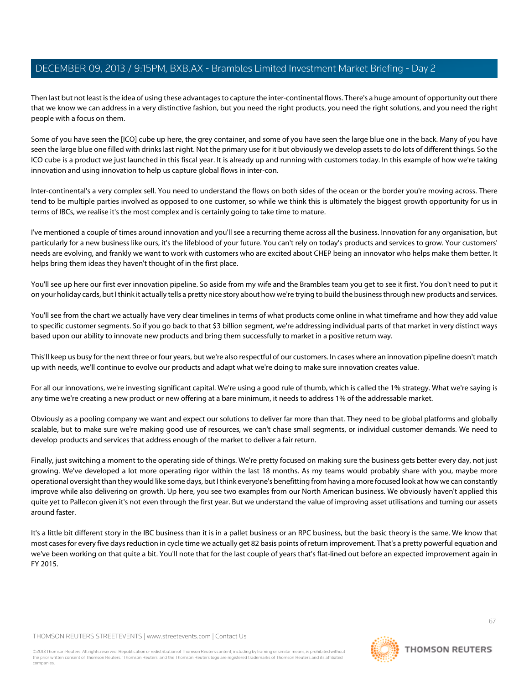Then last but not least is the idea of using these advantages to capture the inter-continental flows. There's a huge amount of opportunity out there that we know we can address in a very distinctive fashion, but you need the right products, you need the right solutions, and you need the right people with a focus on them.

Some of you have seen the [ICO] cube up here, the grey container, and some of you have seen the large blue one in the back. Many of you have seen the large blue one filled with drinks last night. Not the primary use for it but obviously we develop assets to do lots of different things. So the ICO cube is a product we just launched in this fiscal year. It is already up and running with customers today. In this example of how we're taking innovation and using innovation to help us capture global flows in inter-con.

Inter-continental's a very complex sell. You need to understand the flows on both sides of the ocean or the border you're moving across. There tend to be multiple parties involved as opposed to one customer, so while we think this is ultimately the biggest growth opportunity for us in terms of IBCs, we realise it's the most complex and is certainly going to take time to mature.

I've mentioned a couple of times around innovation and you'll see a recurring theme across all the business. Innovation for any organisation, but particularly for a new business like ours, it's the lifeblood of your future. You can't rely on today's products and services to grow. Your customers' needs are evolving, and frankly we want to work with customers who are excited about CHEP being an innovator who helps make them better. It helps bring them ideas they haven't thought of in the first place.

You'll see up here our first ever innovation pipeline. So aside from my wife and the Brambles team you get to see it first. You don't need to put it on your holiday cards, but I think it actually tells a pretty nice story about how we're trying to build the business through new products and services.

You'll see from the chart we actually have very clear timelines in terms of what products come online in what timeframe and how they add value to specific customer segments. So if you go back to that \$3 billion segment, we're addressing individual parts of that market in very distinct ways based upon our ability to innovate new products and bring them successfully to market in a positive return way.

This'll keep us busy for the next three or four years, but we're also respectful of our customers. In cases where an innovation pipeline doesn't match up with needs, we'll continue to evolve our products and adapt what we're doing to make sure innovation creates value.

For all our innovations, we're investing significant capital. We're using a good rule of thumb, which is called the 1% strategy. What we're saying is any time we're creating a new product or new offering at a bare minimum, it needs to address 1% of the addressable market.

Obviously as a pooling company we want and expect our solutions to deliver far more than that. They need to be global platforms and globally scalable, but to make sure we're making good use of resources, we can't chase small segments, or individual customer demands. We need to develop products and services that address enough of the market to deliver a fair return.

Finally, just switching a moment to the operating side of things. We're pretty focused on making sure the business gets better every day, not just growing. We've developed a lot more operating rigor within the last 18 months. As my teams would probably share with you, maybe more operational oversight than they would like some days, but I think everyone's benefitting from having a more focused look at how we can constantly improve while also delivering on growth. Up here, you see two examples from our North American business. We obviously haven't applied this quite yet to Pallecon given it's not even through the first year. But we understand the value of improving asset utilisations and turning our assets around faster.

It's a little bit different story in the IBC business than it is in a pallet business or an RPC business, but the basic theory is the same. We know that most cases for every five days reduction in cycle time we actually get 82 basis points of return improvement. That's a pretty powerful equation and we've been working on that quite a bit. You'll note that for the last couple of years that's flat-lined out before an expected improvement again in FY 2015.

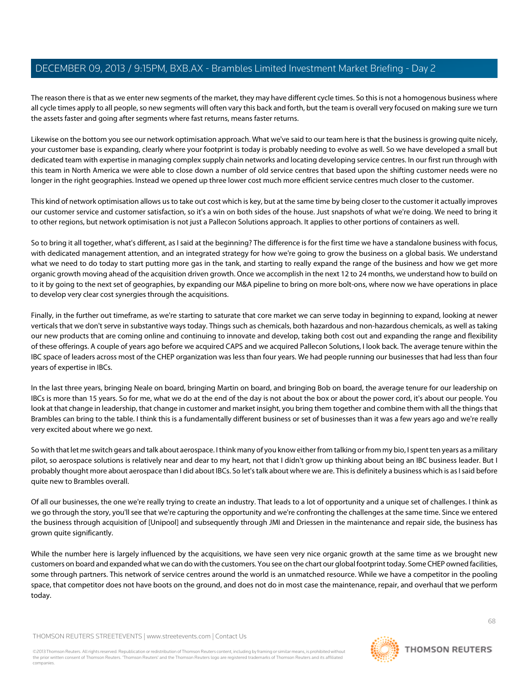The reason there is that as we enter new segments of the market, they may have different cycle times. So this is not a homogenous business where all cycle times apply to all people, so new segments will often vary this back and forth, but the team is overall very focused on making sure we turn the assets faster and going after segments where fast returns, means faster returns.

Likewise on the bottom you see our network optimisation approach. What we've said to our team here is that the business is growing quite nicely, your customer base is expanding, clearly where your footprint is today is probably needing to evolve as well. So we have developed a small but dedicated team with expertise in managing complex supply chain networks and locating developing service centres. In our first run through with this team in North America we were able to close down a number of old service centres that based upon the shifting customer needs were no longer in the right geographies. Instead we opened up three lower cost much more efficient service centres much closer to the customer.

This kind of network optimisation allows us to take out cost which is key, but at the same time by being closer to the customer it actually improves our customer service and customer satisfaction, so it's a win on both sides of the house. Just snapshots of what we're doing. We need to bring it to other regions, but network optimisation is not just a Pallecon Solutions approach. It applies to other portions of containers as well.

So to bring it all together, what's different, as I said at the beginning? The difference is for the first time we have a standalone business with focus, with dedicated management attention, and an integrated strategy for how we're going to grow the business on a global basis. We understand what we need to do today to start putting more gas in the tank, and starting to really expand the range of the business and how we get more organic growth moving ahead of the acquisition driven growth. Once we accomplish in the next 12 to 24 months, we understand how to build on to it by going to the next set of geographies, by expanding our M&A pipeline to bring on more bolt-ons, where now we have operations in place to develop very clear cost synergies through the acquisitions.

Finally, in the further out timeframe, as we're starting to saturate that core market we can serve today in beginning to expand, looking at newer verticals that we don't serve in substantive ways today. Things such as chemicals, both hazardous and non-hazardous chemicals, as well as taking our new products that are coming online and continuing to innovate and develop, taking both cost out and expanding the range and flexibility of these offerings. A couple of years ago before we acquired CAPS and we acquired Pallecon Solutions, I look back. The average tenure within the IBC space of leaders across most of the CHEP organization was less than four years. We had people running our businesses that had less than four years of expertise in IBCs.

In the last three years, bringing Neale on board, bringing Martin on board, and bringing Bob on board, the average tenure for our leadership on IBCs is more than 15 years. So for me, what we do at the end of the day is not about the box or about the power cord, it's about our people. You look at that change in leadership, that change in customer and market insight, you bring them together and combine them with all the things that Brambles can bring to the table. I think this is a fundamentally different business or set of businesses than it was a few years ago and we're really very excited about where we go next.

So with that let me switch gears and talk about aerospace. I think many of you know either from talking or from my bio, I spent ten years as a military pilot, so aerospace solutions is relatively near and dear to my heart, not that I didn't grow up thinking about being an IBC business leader. But I probably thought more about aerospace than I did about IBCs. So let's talk about where we are. This is definitely a business which is as I said before quite new to Brambles overall.

Of all our businesses, the one we're really trying to create an industry. That leads to a lot of opportunity and a unique set of challenges. I think as we go through the story, you'll see that we're capturing the opportunity and we're confronting the challenges at the same time. Since we entered the business through acquisition of [Unipool] and subsequently through JMI and Driessen in the maintenance and repair side, the business has grown quite significantly.

While the number here is largely influenced by the acquisitions, we have seen very nice organic growth at the same time as we brought new customers on board and expanded what we can do with the customers. You see on the chart our global footprint today. Some CHEP owned facilities, some through partners. This network of service centres around the world is an unmatched resource. While we have a competitor in the pooling space, that competitor does not have boots on the ground, and does not do in most case the maintenance, repair, and overhaul that we perform today.

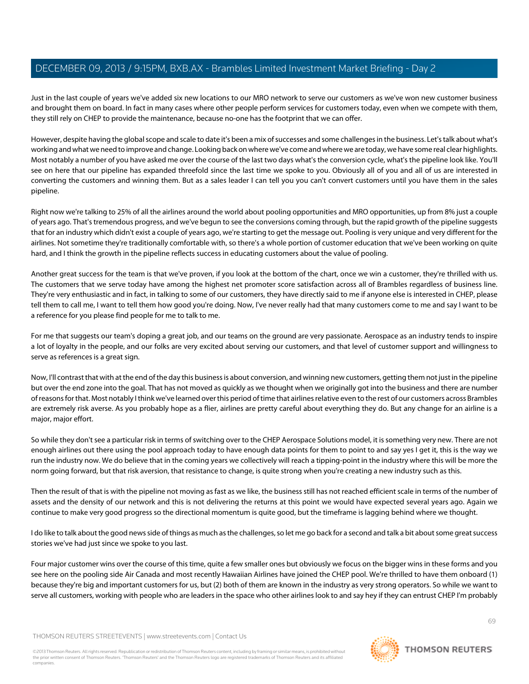Just in the last couple of years we've added six new locations to our MRO network to serve our customers as we've won new customer business and brought them on board. In fact in many cases where other people perform services for customers today, even when we compete with them, they still rely on CHEP to provide the maintenance, because no-one has the footprint that we can offer.

However, despite having the global scope and scale to date it's been a mix of successes and some challenges in the business. Let's talk about what's working and what we need to improve and change. Looking back on where we've come and where we are today, we have some real clear highlights. Most notably a number of you have asked me over the course of the last two days what's the conversion cycle, what's the pipeline look like. You'll see on here that our pipeline has expanded threefold since the last time we spoke to you. Obviously all of you and all of us are interested in converting the customers and winning them. But as a sales leader I can tell you you can't convert customers until you have them in the sales pipeline.

Right now we're talking to 25% of all the airlines around the world about pooling opportunities and MRO opportunities, up from 8% just a couple of years ago. That's tremendous progress, and we've begun to see the conversions coming through, but the rapid growth of the pipeline suggests that for an industry which didn't exist a couple of years ago, we're starting to get the message out. Pooling is very unique and very different for the airlines. Not sometime they're traditionally comfortable with, so there's a whole portion of customer education that we've been working on quite hard, and I think the growth in the pipeline reflects success in educating customers about the value of pooling.

Another great success for the team is that we've proven, if you look at the bottom of the chart, once we win a customer, they're thrilled with us. The customers that we serve today have among the highest net promoter score satisfaction across all of Brambles regardless of business line. They're very enthusiastic and in fact, in talking to some of our customers, they have directly said to me if anyone else is interested in CHEP, please tell them to call me, I want to tell them how good you're doing. Now, I've never really had that many customers come to me and say I want to be a reference for you please find people for me to talk to me.

For me that suggests our team's doping a great job, and our teams on the ground are very passionate. Aerospace as an industry tends to inspire a lot of loyalty in the people, and our folks are very excited about serving our customers, and that level of customer support and willingness to serve as references is a great sign.

Now, I'll contrast that with at the end of the day this business is about conversion, and winning new customers, getting them not just in the pipeline but over the end zone into the goal. That has not moved as quickly as we thought when we originally got into the business and there are number of reasons for that. Most notably I think we've learned over this period of time that airlines relative even to the rest of our customers across Brambles are extremely risk averse. As you probably hope as a flier, airlines are pretty careful about everything they do. But any change for an airline is a major, major effort.

So while they don't see a particular risk in terms of switching over to the CHEP Aerospace Solutions model, it is something very new. There are not enough airlines out there using the pool approach today to have enough data points for them to point to and say yes I get it, this is the way we run the industry now. We do believe that in the coming years we collectively will reach a tipping-point in the industry where this will be more the norm going forward, but that risk aversion, that resistance to change, is quite strong when you're creating a new industry such as this.

Then the result of that is with the pipeline not moving as fast as we like, the business still has not reached efficient scale in terms of the number of assets and the density of our network and this is not delivering the returns at this point we would have expected several years ago. Again we continue to make very good progress so the directional momentum is quite good, but the timeframe is lagging behind where we thought.

I do like to talk about the good news side of things as much as the challenges, so let me go back for a second and talk a bit about some great success stories we've had just since we spoke to you last.

Four major customer wins over the course of this time, quite a few smaller ones but obviously we focus on the bigger wins in these forms and you see here on the pooling side Air Canada and most recently Hawaiian Airlines have joined the CHEP pool. We're thrilled to have them onboard (1) because they're big and important customers for us, but (2) both of them are known in the industry as very strong operators. So while we want to serve all customers, working with people who are leaders in the space who other airlines look to and say hey if they can entrust CHEP I'm probably

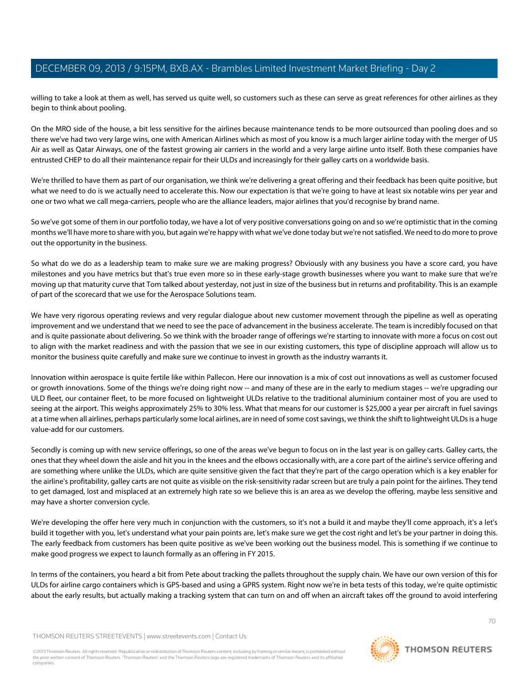willing to take a look at them as well, has served us quite well, so customers such as these can serve as great references for other airlines as they begin to think about pooling.

On the MRO side of the house, a bit less sensitive for the airlines because maintenance tends to be more outsourced than pooling does and so there we've had two very large wins, one with American Airlines which as most of you know is a much larger airline today with the merger of US Air as well as Qatar Airways, one of the fastest growing air carriers in the world and a very large airline unto itself. Both these companies have entrusted CHEP to do all their maintenance repair for their ULDs and increasingly for their galley carts on a worldwide basis.

We're thrilled to have them as part of our organisation, we think we're delivering a great offering and their feedback has been quite positive, but what we need to do is we actually need to accelerate this. Now our expectation is that we're going to have at least six notable wins per year and one or two what we call mega-carriers, people who are the alliance leaders, major airlines that you'd recognise by brand name.

So we've got some of them in our portfolio today, we have a lot of very positive conversations going on and so we're optimistic that in the coming months we'll have more to share with you, but again we're happy with what we've done today but we're not satisfied. We need to do more to prove out the opportunity in the business.

So what do we do as a leadership team to make sure we are making progress? Obviously with any business you have a score card, you have milestones and you have metrics but that's true even more so in these early-stage growth businesses where you want to make sure that we're moving up that maturity curve that Tom talked about yesterday, not just in size of the business but in returns and profitability. This is an example of part of the scorecard that we use for the Aerospace Solutions team.

We have very rigorous operating reviews and very regular dialogue about new customer movement through the pipeline as well as operating improvement and we understand that we need to see the pace of advancement in the business accelerate. The team is incredibly focused on that and is quite passionate about delivering. So we think with the broader range of offerings we're starting to innovate with more a focus on cost out to align with the market readiness and with the passion that we see in our existing customers, this type of discipline approach will allow us to monitor the business quite carefully and make sure we continue to invest in growth as the industry warrants it.

Innovation within aerospace is quite fertile like within Pallecon. Here our innovation is a mix of cost out innovations as well as customer focused or growth innovations. Some of the things we're doing right now -- and many of these are in the early to medium stages -- we're upgrading our ULD fleet, our container fleet, to be more focused on lightweight ULDs relative to the traditional aluminium container most of you are used to seeing at the airport. This weighs approximately 25% to 30% less. What that means for our customer is \$25,000 a year per aircraft in fuel savings at a time when all airlines, perhaps particularly some local airlines, are in need of some cost savings, we think the shift to lightweight ULDs is a huge value-add for our customers.

Secondly is coming up with new service offerings, so one of the areas we've begun to focus on in the last year is on galley carts. Galley carts, the ones that they wheel down the aisle and hit you in the knees and the elbows occasionally with, are a core part of the airline's service offering and are something where unlike the ULDs, which are quite sensitive given the fact that they're part of the cargo operation which is a key enabler for the airline's profitability, galley carts are not quite as visible on the risk-sensitivity radar screen but are truly a pain point for the airlines. They tend to get damaged, lost and misplaced at an extremely high rate so we believe this is an area as we develop the offering, maybe less sensitive and may have a shorter conversion cycle.

We're developing the offer here very much in conjunction with the customers, so it's not a build it and maybe they'll come approach, it's a let's build it together with you, let's understand what your pain points are, let's make sure we get the cost right and let's be your partner in doing this. The early feedback from customers has been quite positive as we've been working out the business model. This is something if we continue to make good progress we expect to launch formally as an offering in FY 2015.

In terms of the containers, you heard a bit from Pete about tracking the pallets throughout the supply chain. We have our own version of this for ULDs for airline cargo containers which is GPS-based and using a GPRS system. Right now we're in beta tests of this today, we're quite optimistic about the early results, but actually making a tracking system that can turn on and off when an aircraft takes off the ground to avoid interfering

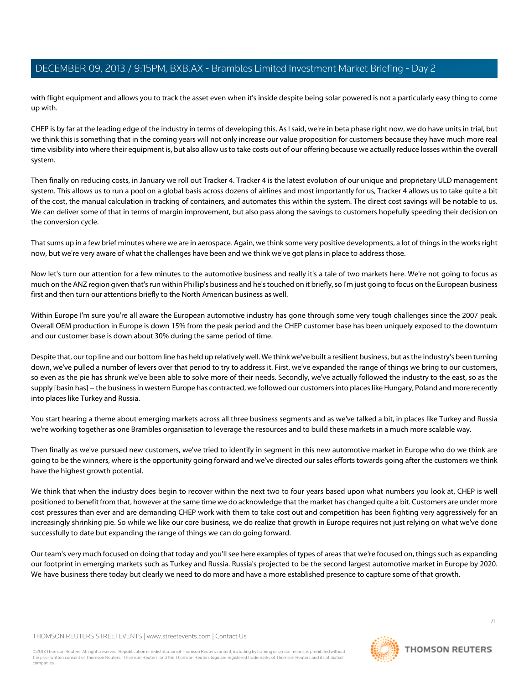with flight equipment and allows you to track the asset even when it's inside despite being solar powered is not a particularly easy thing to come up with.

CHEP is by far at the leading edge of the industry in terms of developing this. As I said, we're in beta phase right now, we do have units in trial, but we think this is something that in the coming years will not only increase our value proposition for customers because they have much more real time visibility into where their equipment is, but also allow us to take costs out of our offering because we actually reduce losses within the overall system.

Then finally on reducing costs, in January we roll out Tracker 4. Tracker 4 is the latest evolution of our unique and proprietary ULD management system. This allows us to run a pool on a global basis across dozens of airlines and most importantly for us, Tracker 4 allows us to take quite a bit of the cost, the manual calculation in tracking of containers, and automates this within the system. The direct cost savings will be notable to us. We can deliver some of that in terms of margin improvement, but also pass along the savings to customers hopefully speeding their decision on the conversion cycle.

That sums up in a few brief minutes where we are in aerospace. Again, we think some very positive developments, a lot of things in the works right now, but we're very aware of what the challenges have been and we think we've got plans in place to address those.

Now let's turn our attention for a few minutes to the automotive business and really it's a tale of two markets here. We're not going to focus as much on the ANZ region given that's run within Phillip's business and he's touched on it briefly, so I'm just going to focus on the European business first and then turn our attentions briefly to the North American business as well.

Within Europe I'm sure you're all aware the European automotive industry has gone through some very tough challenges since the 2007 peak. Overall OEM production in Europe is down 15% from the peak period and the CHEP customer base has been uniquely exposed to the downturn and our customer base is down about 30% during the same period of time.

Despite that, our top line and our bottom line has held up relatively well. We think we've built a resilient business, but as the industry's been turning down, we've pulled a number of levers over that period to try to address it. First, we've expanded the range of things we bring to our customers, so even as the pie has shrunk we've been able to solve more of their needs. Secondly, we've actually followed the industry to the east, so as the supply [basin has] -- the business in western Europe has contracted, we followed our customers into places like Hungary, Poland and more recently into places like Turkey and Russia.

You start hearing a theme about emerging markets across all three business segments and as we've talked a bit, in places like Turkey and Russia we're working together as one Brambles organisation to leverage the resources and to build these markets in a much more scalable way.

Then finally as we've pursued new customers, we've tried to identify in segment in this new automotive market in Europe who do we think are going to be the winners, where is the opportunity going forward and we've directed our sales efforts towards going after the customers we think have the highest growth potential.

We think that when the industry does begin to recover within the next two to four years based upon what numbers you look at, CHEP is well positioned to benefit from that, however at the same time we do acknowledge that the market has changed quite a bit. Customers are under more cost pressures than ever and are demanding CHEP work with them to take cost out and competition has been fighting very aggressively for an increasingly shrinking pie. So while we like our core business, we do realize that growth in Europe requires not just relying on what we've done successfully to date but expanding the range of things we can do going forward.

Our team's very much focused on doing that today and you'll see here examples of types of areas that we're focused on, things such as expanding our footprint in emerging markets such as Turkey and Russia. Russia's projected to be the second largest automotive market in Europe by 2020. We have business there today but clearly we need to do more and have a more established presence to capture some of that growth.

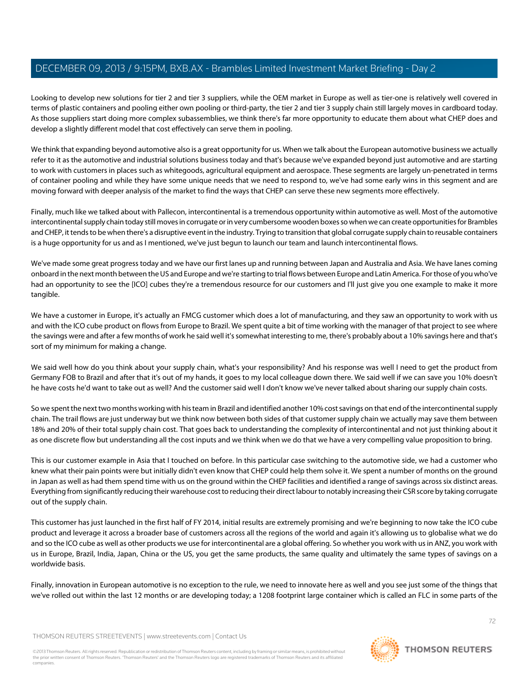Looking to develop new solutions for tier 2 and tier 3 suppliers, while the OEM market in Europe as well as tier-one is relatively well covered in terms of plastic containers and pooling either own pooling or third-party, the tier 2 and tier 3 supply chain still largely moves in cardboard today. As those suppliers start doing more complex subassemblies, we think there's far more opportunity to educate them about what CHEP does and develop a slightly different model that cost effectively can serve them in pooling.

We think that expanding beyond automotive also is a great opportunity for us. When we talk about the European automotive business we actually refer to it as the automotive and industrial solutions business today and that's because we've expanded beyond just automotive and are starting to work with customers in places such as whitegoods, agricultural equipment and aerospace. These segments are largely un-penetrated in terms of container pooling and while they have some unique needs that we need to respond to, we've had some early wins in this segment and are moving forward with deeper analysis of the market to find the ways that CHEP can serve these new segments more effectively.

Finally, much like we talked about with Pallecon, intercontinental is a tremendous opportunity within automotive as well. Most of the automotive intercontinental supply chain today still moves in corrugate or in very cumbersome wooden boxes so when we can create opportunities for Brambles and CHEP, it tends to be when there's a disruptive event in the industry. Trying to transition that global corrugate supply chain to reusable containers is a huge opportunity for us and as I mentioned, we've just begun to launch our team and launch intercontinental flows.

We've made some great progress today and we have our first lanes up and running between Japan and Australia and Asia. We have lanes coming onboard in the next month between the US and Europe and we're starting to trial flows between Europe and Latin America. For those of you who've had an opportunity to see the [ICO] cubes they're a tremendous resource for our customers and I'll just give you one example to make it more tangible.

We have a customer in Europe, it's actually an FMCG customer which does a lot of manufacturing, and they saw an opportunity to work with us and with the ICO cube product on flows from Europe to Brazil. We spent quite a bit of time working with the manager of that project to see where the savings were and after a few months of work he said well it's somewhat interesting to me, there's probably about a 10% savings here and that's sort of my minimum for making a change.

We said well how do you think about your supply chain, what's your responsibility? And his response was well I need to get the product from Germany FOB to Brazil and after that it's out of my hands, it goes to my local colleague down there. We said well if we can save you 10% doesn't he have costs he'd want to take out as well? And the customer said well I don't know we've never talked about sharing our supply chain costs.

So we spent the next two months working with his team in Brazil and identified another 10% cost savings on that end of the intercontinental supply chain. The trail flows are just underway but we think now between both sides of that customer supply chain we actually may save them between 18% and 20% of their total supply chain cost. That goes back to understanding the complexity of intercontinental and not just thinking about it as one discrete flow but understanding all the cost inputs and we think when we do that we have a very compelling value proposition to bring.

This is our customer example in Asia that I touched on before. In this particular case switching to the automotive side, we had a customer who knew what their pain points were but initially didn't even know that CHEP could help them solve it. We spent a number of months on the ground in Japan as well as had them spend time with us on the ground within the CHEP facilities and identified a range of savings across six distinct areas. Everything from significantly reducing their warehouse cost to reducing their direct labour to notably increasing their CSR score by taking corrugate out of the supply chain.

This customer has just launched in the first half of FY 2014, initial results are extremely promising and we're beginning to now take the ICO cube product and leverage it across a broader base of customers across all the regions of the world and again it's allowing us to globalise what we do and so the ICO cube as well as other products we use for intercontinental are a global offering. So whether you work with us in ANZ, you work with us in Europe, Brazil, India, Japan, China or the US, you get the same products, the same quality and ultimately the same types of savings on a worldwide basis.

Finally, innovation in European automotive is no exception to the rule, we need to innovate here as well and you see just some of the things that we've rolled out within the last 12 months or are developing today; a 1208 footprint large container which is called an FLC in some parts of the

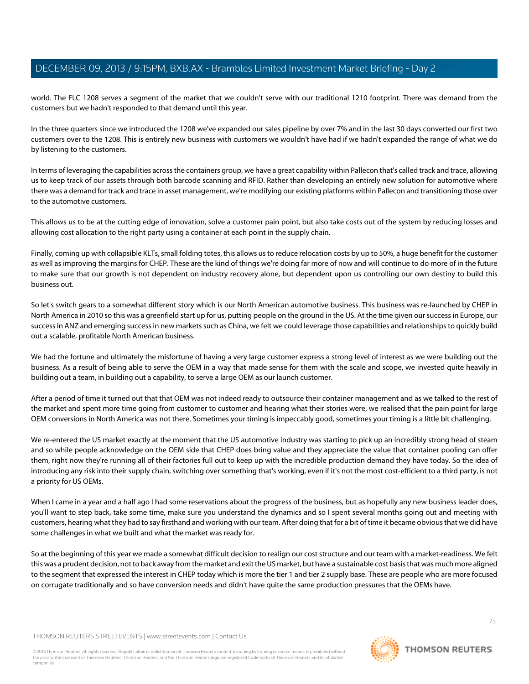world. The FLC 1208 serves a segment of the market that we couldn't serve with our traditional 1210 footprint. There was demand from the customers but we hadn't responded to that demand until this year.

In the three quarters since we introduced the 1208 we've expanded our sales pipeline by over 7% and in the last 30 days converted our first two customers over to the 1208. This is entirely new business with customers we wouldn't have had if we hadn't expanded the range of what we do by listening to the customers.

In terms of leveraging the capabilities across the containers group, we have a great capability within Pallecon that's called track and trace, allowing us to keep track of our assets through both barcode scanning and RFID. Rather than developing an entirely new solution for automotive where there was a demand for track and trace in asset management, we're modifying our existing platforms within Pallecon and transitioning those over to the automotive customers.

This allows us to be at the cutting edge of innovation, solve a customer pain point, but also take costs out of the system by reducing losses and allowing cost allocation to the right party using a container at each point in the supply chain.

Finally, coming up with collapsible KLTs, small folding totes, this allows us to reduce relocation costs by up to 50%, a huge benefit for the customer as well as improving the margins for CHEP. These are the kind of things we're doing far more of now and will continue to do more of in the future to make sure that our growth is not dependent on industry recovery alone, but dependent upon us controlling our own destiny to build this business out.

So let's switch gears to a somewhat different story which is our North American automotive business. This business was re-launched by CHEP in North America in 2010 so this was a greenfield start up for us, putting people on the ground in the US. At the time given our success in Europe, our success in ANZ and emerging success in new markets such as China, we felt we could leverage those capabilities and relationships to quickly build out a scalable, profitable North American business.

We had the fortune and ultimately the misfortune of having a very large customer express a strong level of interest as we were building out the business. As a result of being able to serve the OEM in a way that made sense for them with the scale and scope, we invested quite heavily in building out a team, in building out a capability, to serve a large OEM as our launch customer.

After a period of time it turned out that that OEM was not indeed ready to outsource their container management and as we talked to the rest of the market and spent more time going from customer to customer and hearing what their stories were, we realised that the pain point for large OEM conversions in North America was not there. Sometimes your timing is impeccably good, sometimes your timing is a little bit challenging.

We re-entered the US market exactly at the moment that the US automotive industry was starting to pick up an incredibly strong head of steam and so while people acknowledge on the OEM side that CHEP does bring value and they appreciate the value that container pooling can offer them, right now they're running all of their factories full out to keep up with the incredible production demand they have today. So the idea of introducing any risk into their supply chain, switching over something that's working, even if it's not the most cost-efficient to a third party, is not a priority for US OEMs.

When I came in a year and a half ago I had some reservations about the progress of the business, but as hopefully any new business leader does, you'll want to step back, take some time, make sure you understand the dynamics and so I spent several months going out and meeting with customers, hearing what they had to say firsthand and working with our team. After doing that for a bit of time it became obvious that we did have some challenges in what we built and what the market was ready for.

So at the beginning of this year we made a somewhat difficult decision to realign our cost structure and our team with a market-readiness. We felt this was a prudent decision, not to back away from the market and exit the US market, but have a sustainable cost basis that was much more aligned to the segment that expressed the interest in CHEP today which is more the tier 1 and tier 2 supply base. These are people who are more focused on corrugate traditionally and so have conversion needs and didn't have quite the same production pressures that the OEMs have.

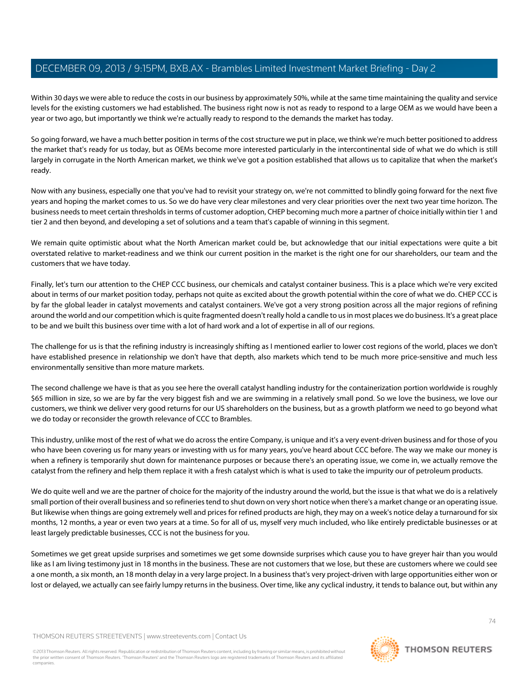Within 30 days we were able to reduce the costs in our business by approximately 50%, while at the same time maintaining the quality and service levels for the existing customers we had established. The business right now is not as ready to respond to a large OEM as we would have been a year or two ago, but importantly we think we're actually ready to respond to the demands the market has today.

So going forward, we have a much better position in terms of the cost structure we put in place, we think we're much better positioned to address the market that's ready for us today, but as OEMs become more interested particularly in the intercontinental side of what we do which is still largely in corrugate in the North American market, we think we've got a position established that allows us to capitalize that when the market's ready.

Now with any business, especially one that you've had to revisit your strategy on, we're not committed to blindly going forward for the next five years and hoping the market comes to us. So we do have very clear milestones and very clear priorities over the next two year time horizon. The business needs to meet certain thresholds in terms of customer adoption, CHEP becoming much more a partner of choice initially within tier 1 and tier 2 and then beyond, and developing a set of solutions and a team that's capable of winning in this segment.

We remain quite optimistic about what the North American market could be, but acknowledge that our initial expectations were quite a bit overstated relative to market-readiness and we think our current position in the market is the right one for our shareholders, our team and the customers that we have today.

Finally, let's turn our attention to the CHEP CCC business, our chemicals and catalyst container business. This is a place which we're very excited about in terms of our market position today, perhaps not quite as excited about the growth potential within the core of what we do. CHEP CCC is by far the global leader in catalyst movements and catalyst containers. We've got a very strong position across all the major regions of refining around the world and our competition which is quite fragmented doesn't really hold a candle to us in most places we do business. It's a great place to be and we built this business over time with a lot of hard work and a lot of expertise in all of our regions.

The challenge for us is that the refining industry is increasingly shifting as I mentioned earlier to lower cost regions of the world, places we don't have established presence in relationship we don't have that depth, also markets which tend to be much more price-sensitive and much less environmentally sensitive than more mature markets.

The second challenge we have is that as you see here the overall catalyst handling industry for the containerization portion worldwide is roughly \$65 million in size, so we are by far the very biggest fish and we are swimming in a relatively small pond. So we love the business, we love our customers, we think we deliver very good returns for our US shareholders on the business, but as a growth platform we need to go beyond what we do today or reconsider the growth relevance of CCC to Brambles.

This industry, unlike most of the rest of what we do across the entire Company, is unique and it's a very event-driven business and for those of you who have been covering us for many years or investing with us for many years, you've heard about CCC before. The way we make our money is when a refinery is temporarily shut down for maintenance purposes or because there's an operating issue, we come in, we actually remove the catalyst from the refinery and help them replace it with a fresh catalyst which is what is used to take the impurity our of petroleum products.

We do quite well and we are the partner of choice for the majority of the industry around the world, but the issue is that what we do is a relatively small portion of their overall business and so refineries tend to shut down on very short notice when there's a market change or an operating issue. But likewise when things are going extremely well and prices for refined products are high, they may on a week's notice delay a turnaround for six months, 12 months, a year or even two years at a time. So for all of us, myself very much included, who like entirely predictable businesses or at least largely predictable businesses, CCC is not the business for you.

Sometimes we get great upside surprises and sometimes we get some downside surprises which cause you to have greyer hair than you would like as I am living testimony just in 18 months in the business. These are not customers that we lose, but these are customers where we could see a one month, a six month, an 18 month delay in a very large project. In a business that's very project-driven with large opportunities either won or lost or delayed, we actually can see fairly lumpy returns in the business. Over time, like any cyclical industry, it tends to balance out, but within any

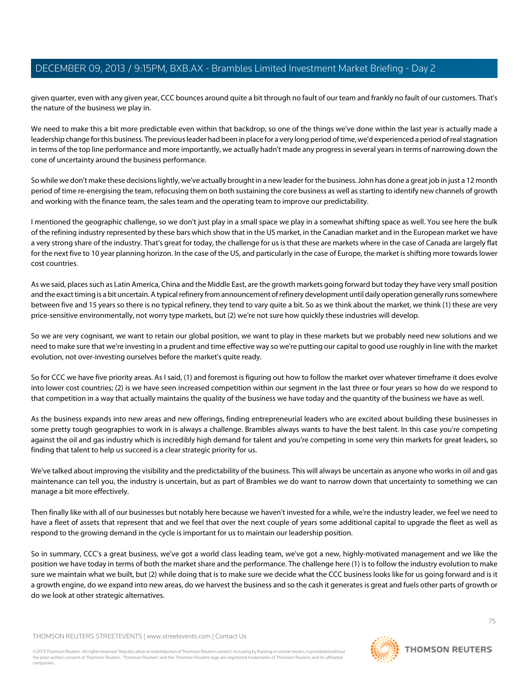given quarter, even with any given year, CCC bounces around quite a bit through no fault of our team and frankly no fault of our customers. That's the nature of the business we play in.

We need to make this a bit more predictable even within that backdrop, so one of the things we've done within the last year is actually made a leadership change for this business. The previous leader had been in place for a very long period of time, we'd experienced a period of real stagnation in terms of the top line performance and more importantly, we actually hadn't made any progress in several years in terms of narrowing down the cone of uncertainty around the business performance.

So while we don't make these decisions lightly, we've actually brought in a new leader for the business. John has done a great job in just a 12 month period of time re-energising the team, refocusing them on both sustaining the core business as well as starting to identify new channels of growth and working with the finance team, the sales team and the operating team to improve our predictability.

I mentioned the geographic challenge, so we don't just play in a small space we play in a somewhat shifting space as well. You see here the bulk of the refining industry represented by these bars which show that in the US market, in the Canadian market and in the European market we have a very strong share of the industry. That's great for today, the challenge for us is that these are markets where in the case of Canada are largely flat for the next five to 10 year planning horizon. In the case of the US, and particularly in the case of Europe, the market is shifting more towards lower cost countries.

As we said, places such as Latin America, China and the Middle East, are the growth markets going forward but today they have very small position and the exact timing is a bit uncertain. A typical refinery from announcement of refinery development until daily operation generally runs somewhere between five and 15 years so there is no typical refinery, they tend to vary quite a bit. So as we think about the market, we think (1) these are very price-sensitive environmentally, not worry type markets, but (2) we're not sure how quickly these industries will develop.

So we are very cognisant, we want to retain our global position, we want to play in these markets but we probably need new solutions and we need to make sure that we're investing in a prudent and time effective way so we're putting our capital to good use roughly in line with the market evolution, not over-investing ourselves before the market's quite ready.

So for CCC we have five priority areas. As I said, (1) and foremost is figuring out how to follow the market over whatever timeframe it does evolve into lower cost countries; (2) is we have seen increased competition within our segment in the last three or four years so how do we respond to that competition in a way that actually maintains the quality of the business we have today and the quantity of the business we have as well.

As the business expands into new areas and new offerings, finding entrepreneurial leaders who are excited about building these businesses in some pretty tough geographies to work in is always a challenge. Brambles always wants to have the best talent. In this case you're competing against the oil and gas industry which is incredibly high demand for talent and you're competing in some very thin markets for great leaders, so finding that talent to help us succeed is a clear strategic priority for us.

We've talked about improving the visibility and the predictability of the business. This will always be uncertain as anyone who works in oil and gas maintenance can tell you, the industry is uncertain, but as part of Brambles we do want to narrow down that uncertainty to something we can manage a bit more effectively.

Then finally like with all of our businesses but notably here because we haven't invested for a while, we're the industry leader, we feel we need to have a fleet of assets that represent that and we feel that over the next couple of years some additional capital to upgrade the fleet as well as respond to the growing demand in the cycle is important for us to maintain our leadership position.

So in summary, CCC's a great business, we've got a world class leading team, we've got a new, highly-motivated management and we like the position we have today in terms of both the market share and the performance. The challenge here (1) is to follow the industry evolution to make sure we maintain what we built, but (2) while doing that is to make sure we decide what the CCC business looks like for us going forward and is it a growth engine, do we expand into new areas, do we harvest the business and so the cash it generates is great and fuels other parts of growth or do we look at other strategic alternatives.

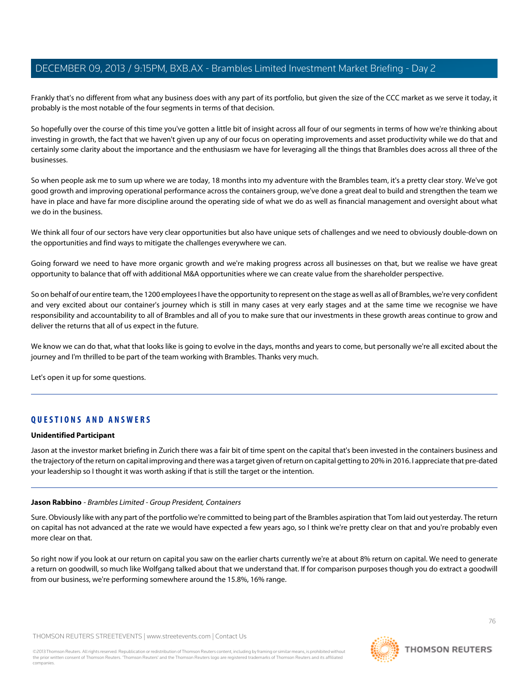Frankly that's no different from what any business does with any part of its portfolio, but given the size of the CCC market as we serve it today, it probably is the most notable of the four segments in terms of that decision.

So hopefully over the course of this time you've gotten a little bit of insight across all four of our segments in terms of how we're thinking about investing in growth, the fact that we haven't given up any of our focus on operating improvements and asset productivity while we do that and certainly some clarity about the importance and the enthusiasm we have for leveraging all the things that Brambles does across all three of the businesses.

So when people ask me to sum up where we are today, 18 months into my adventure with the Brambles team, it's a pretty clear story. We've got good growth and improving operational performance across the containers group, we've done a great deal to build and strengthen the team we have in place and have far more discipline around the operating side of what we do as well as financial management and oversight about what we do in the business.

We think all four of our sectors have very clear opportunities but also have unique sets of challenges and we need to obviously double-down on the opportunities and find ways to mitigate the challenges everywhere we can.

Going forward we need to have more organic growth and we're making progress across all businesses on that, but we realise we have great opportunity to balance that off with additional M&A opportunities where we can create value from the shareholder perspective.

So on behalf of our entire team, the 1200 employees I have the opportunity to represent on the stage as well as all of Brambles, we're very confident and very excited about our container's journey which is still in many cases at very early stages and at the same time we recognise we have responsibility and accountability to all of Brambles and all of you to make sure that our investments in these growth areas continue to grow and deliver the returns that all of us expect in the future.

We know we can do that, what that looks like is going to evolve in the days, months and years to come, but personally we're all excited about the journey and I'm thrilled to be part of the team working with Brambles. Thanks very much.

Let's open it up for some questions.

## **QUESTIONS AND ANSWERS**

## **Unidentified Participant**

Jason at the investor market briefing in Zurich there was a fair bit of time spent on the capital that's been invested in the containers business and the trajectory of the return on capital improving and there was a target given of return on capital getting to 20% in 2016. I appreciate that pre-dated your leadership so I thought it was worth asking if that is still the target or the intention.

## **Jason Rabbino** - Brambles Limited - Group President, Containers

Sure. Obviously like with any part of the portfolio we're committed to being part of the Brambles aspiration that Tom laid out yesterday. The return on capital has not advanced at the rate we would have expected a few years ago, so I think we're pretty clear on that and you're probably even more clear on that.

So right now if you look at our return on capital you saw on the earlier charts currently we're at about 8% return on capital. We need to generate a return on goodwill, so much like Wolfgang talked about that we understand that. If for comparison purposes though you do extract a goodwill from our business, we're performing somewhere around the 15.8%, 16% range.

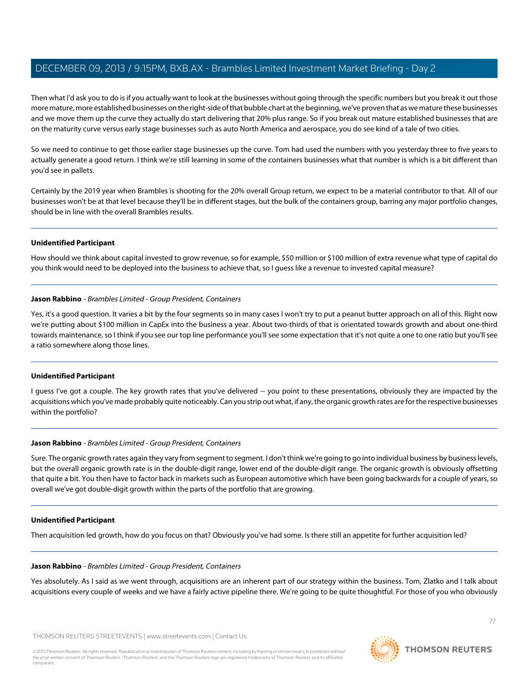Then what I'd ask you to do is if you actually want to look at the businesses without going through the specific numbers but you break it out those more mature, more established businesses on the right-side of that bubble chart at the beginning, we've proven that as we mature these businesses and we move them up the curve they actually do start delivering that 20% plus range. So if you break out mature established businesses that are on the maturity curve versus early stage businesses such as auto North America and aerospace, you do see kind of a tale of two cities.

So we need to continue to get those earlier stage businesses up the curve. Tom had used the numbers with you yesterday three to five years to actually generate a good return. I think we're still learning in some of the containers businesses what that number is which is a bit different than you'd see in pallets.

Certainly by the 2019 year when Brambles is shooting for the 20% overall Group return, we expect to be a material contributor to that. All of our businesses won't be at that level because they'll be in different stages, but the bulk of the containers group, barring any major portfolio changes, should be in line with the overall Brambles results.

#### **Unidentified Participant**

How should we think about capital invested to grow revenue, so for example, \$50 million or \$100 million of extra revenue what type of capital do you think would need to be deployed into the business to achieve that, so I guess like a revenue to invested capital measure?

#### **Jason Rabbino** - Brambles Limited - Group President, Containers

Yes, it's a good question. It varies a bit by the four segments so in many cases I won't try to put a peanut butter approach on all of this. Right now we're putting about \$100 million in CapEx into the business a year. About two-thirds of that is orientated towards growth and about one-third towards maintenance, so I think if you see our top line performance you'll see some expectation that it's not quite a one to one ratio but you'll see a ratio somewhere along those lines.

## **Unidentified Participant**

I quess I've got a couple. The key growth rates that you've delivered -- you point to these presentations, obviously they are impacted by the acquisitions which you've made probably quite noticeably. Can you strip out what, if any, the organic growth rates are for the respective businesses within the portfolio?

## **Jason Rabbino** - Brambles Limited - Group President, Containers

Sure. The organic growth rates again they vary from segment to segment. I don't think we're going to go into individual business by business levels, but the overall organic growth rate is in the double-digit range, lower end of the double-digit range. The organic growth is obviously offsetting that quite a bit. You then have to factor back in markets such as European automotive which have been going backwards for a couple of years, so overall we've got double-digit growth within the parts of the portfolio that are growing.

#### **Unidentified Participant**

Then acquisition led growth, how do you focus on that? Obviously you've had some. Is there still an appetite for further acquisition led?

#### **Jason Rabbino** - Brambles Limited - Group President, Containers

Yes absolutely. As I said as we went through, acquisitions are an inherent part of our strategy within the business. Tom, Zlatko and I talk about acquisitions every couple of weeks and we have a fairly active pipeline there. We're going to be quite thoughtful. For those of you who obviously

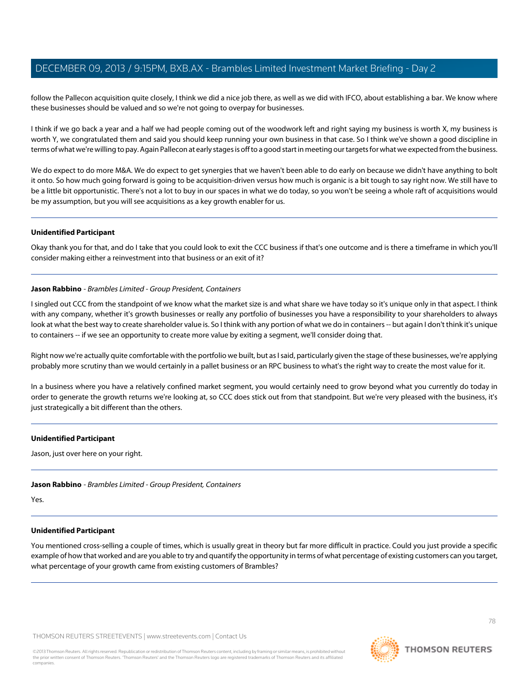follow the Pallecon acquisition quite closely, I think we did a nice job there, as well as we did with IFCO, about establishing a bar. We know where these businesses should be valued and so we're not going to overpay for businesses.

I think if we go back a year and a half we had people coming out of the woodwork left and right saying my business is worth X, my business is worth Y, we congratulated them and said you should keep running your own business in that case. So I think we've shown a good discipline in terms of what we're willing to pay. Again Pallecon at early stages is off to a good start in meeting our targets for what we expected from the business.

We do expect to do more M&A. We do expect to get synergies that we haven't been able to do early on because we didn't have anything to bolt it onto. So how much going forward is going to be acquisition-driven versus how much is organic is a bit tough to say right now. We still have to be a little bit opportunistic. There's not a lot to buy in our spaces in what we do today, so you won't be seeing a whole raft of acquisitions would be my assumption, but you will see acquisitions as a key growth enabler for us.

#### **Unidentified Participant**

Okay thank you for that, and do I take that you could look to exit the CCC business if that's one outcome and is there a timeframe in which you'll consider making either a reinvestment into that business or an exit of it?

#### **Jason Rabbino** - Brambles Limited - Group President, Containers

I singled out CCC from the standpoint of we know what the market size is and what share we have today so it's unique only in that aspect. I think with any company, whether it's growth businesses or really any portfolio of businesses you have a responsibility to your shareholders to always look at what the best way to create shareholder value is. So I think with any portion of what we do in containers -- but again I don't think it's unique to containers -- if we see an opportunity to create more value by exiting a segment, we'll consider doing that.

Right now we're actually quite comfortable with the portfolio we built, but as I said, particularly given the stage of these businesses, we're applying probably more scrutiny than we would certainly in a pallet business or an RPC business to what's the right way to create the most value for it.

In a business where you have a relatively confined market segment, you would certainly need to grow beyond what you currently do today in order to generate the growth returns we're looking at, so CCC does stick out from that standpoint. But we're very pleased with the business, it's just strategically a bit different than the others.

#### **Unidentified Participant**

Jason, just over here on your right.

## **Jason Rabbino** - Brambles Limited - Group President, Containers

Yes.

## **Unidentified Participant**

You mentioned cross-selling a couple of times, which is usually great in theory but far more difficult in practice. Could you just provide a specific example of how that worked and are you able to try and quantify the opportunity in terms of what percentage of existing customers can you target, what percentage of your growth came from existing customers of Brambles?

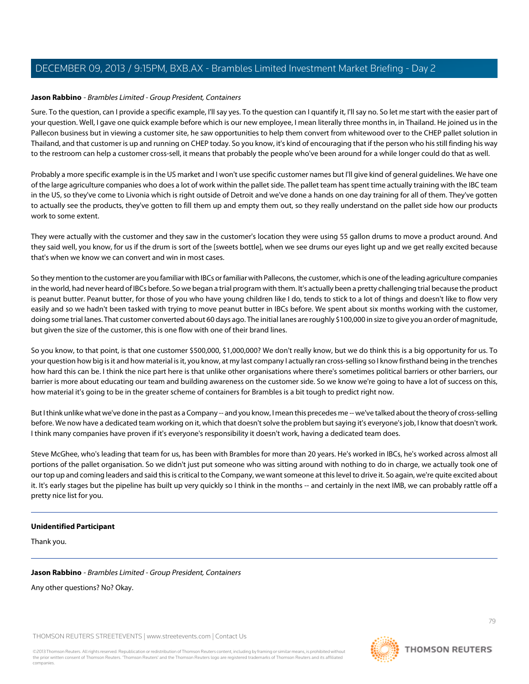#### **Jason Rabbino** - Brambles Limited - Group President, Containers

Sure. To the question, can I provide a specific example, I'll say yes. To the question can I quantify it, I'll say no. So let me start with the easier part of your question. Well, I gave one quick example before which is our new employee, I mean literally three months in, in Thailand. He joined us in the Pallecon business but in viewing a customer site, he saw opportunities to help them convert from whitewood over to the CHEP pallet solution in Thailand, and that customer is up and running on CHEP today. So you know, it's kind of encouraging that if the person who his still finding his way to the restroom can help a customer cross-sell, it means that probably the people who've been around for a while longer could do that as well.

Probably a more specific example is in the US market and I won't use specific customer names but I'll give kind of general guidelines. We have one of the large agriculture companies who does a lot of work within the pallet side. The pallet team has spent time actually training with the IBC team in the US, so they've come to Livonia which is right outside of Detroit and we've done a hands on one day training for all of them. They've gotten to actually see the products, they've gotten to fill them up and empty them out, so they really understand on the pallet side how our products work to some extent.

They were actually with the customer and they saw in the customer's location they were using 55 gallon drums to move a product around. And they said well, you know, for us if the drum is sort of the [sweets bottle], when we see drums our eyes light up and we get really excited because that's when we know we can convert and win in most cases.

So they mention to the customer are you familiar with IBCs or familiar with Pallecons, the customer, which is one of the leading agriculture companies in the world, had never heard of IBCs before. So we began a trial program with them. It's actually been a pretty challenging trial because the product is peanut butter. Peanut butter, for those of you who have young children like I do, tends to stick to a lot of things and doesn't like to flow very easily and so we hadn't been tasked with trying to move peanut butter in IBCs before. We spent about six months working with the customer, doing some trial lanes. That customer converted about 60 days ago. The initial lanes are roughly \$100,000 in size to give you an order of magnitude, but given the size of the customer, this is one flow with one of their brand lines.

So you know, to that point, is that one customer \$500,000, \$1,000,000? We don't really know, but we do think this is a big opportunity for us. To your question how big is it and how material is it, you know, at my last company I actually ran cross-selling so I know firsthand being in the trenches how hard this can be. I think the nice part here is that unlike other organisations where there's sometimes political barriers or other barriers, our barrier is more about educating our team and building awareness on the customer side. So we know we're going to have a lot of success on this, how material it's going to be in the greater scheme of containers for Brambles is a bit tough to predict right now.

But I think unlike what we've done in the past as a Company -- and you know, I mean this precedes me -- we've talked about the theory of cross-selling before. We now have a dedicated team working on it, which that doesn't solve the problem but saying it's everyone's job, I know that doesn't work. I think many companies have proven if it's everyone's responsibility it doesn't work, having a dedicated team does.

Steve McGhee, who's leading that team for us, has been with Brambles for more than 20 years. He's worked in IBCs, he's worked across almost all portions of the pallet organisation. So we didn't just put someone who was sitting around with nothing to do in charge, we actually took one of our top up and coming leaders and said this is critical to the Company, we want someone at this level to drive it. So again, we're quite excited about it. It's early stages but the pipeline has built up very quickly so I think in the months -- and certainly in the next IMB, we can probably rattle off a pretty nice list for you.

#### **Unidentified Participant**

Thank you.

#### **Jason Rabbino** - Brambles Limited - Group President, Containers

Any other questions? No? Okay.

THOMSON REUTERS STREETEVENTS | [www.streetevents.com](http://www.streetevents.com) | [Contact Us](http://www010.streetevents.com/contact.asp)

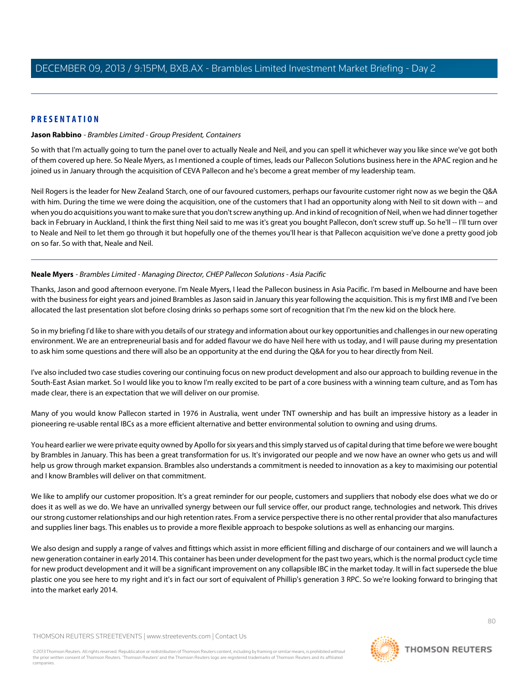## **PRESENTATION**

#### **Jason Rabbino** - Brambles Limited - Group President, Containers

So with that I'm actually going to turn the panel over to actually Neale and Neil, and you can spell it whichever way you like since we've got both of them covered up here. So Neale Myers, as I mentioned a couple of times, leads our Pallecon Solutions business here in the APAC region and he joined us in January through the acquisition of CEVA Pallecon and he's become a great member of my leadership team.

Neil Rogers is the leader for New Zealand Starch, one of our favoured customers, perhaps our favourite customer right now as we begin the Q&A with him. During the time we were doing the acquisition, one of the customers that I had an opportunity along with Neil to sit down with -- and when you do acquisitions you want to make sure that you don't screw anything up. And in kind of recognition of Neil, when we had dinner together back in February in Auckland, I think the first thing Neil said to me was it's great you bought Pallecon, don't screw stuff up. So he'll -- I'll turn over to Neale and Neil to let them go through it but hopefully one of the themes you'll hear is that Pallecon acquisition we've done a pretty good job on so far. So with that, Neale and Neil.

#### **Neale Myers** - Brambles Limited - Managing Director, CHEP Pallecon Solutions - Asia Pacific

Thanks, Jason and good afternoon everyone. I'm Neale Myers, I lead the Pallecon business in Asia Pacific. I'm based in Melbourne and have been with the business for eight years and joined Brambles as Jason said in January this year following the acquisition. This is my first IMB and I've been allocated the last presentation slot before closing drinks so perhaps some sort of recognition that I'm the new kid on the block here.

So in my briefing I'd like to share with you details of our strategy and information about our key opportunities and challenges in our new operating environment. We are an entrepreneurial basis and for added flavour we do have Neil here with us today, and I will pause during my presentation to ask him some questions and there will also be an opportunity at the end during the Q&A for you to hear directly from Neil.

I've also included two case studies covering our continuing focus on new product development and also our approach to building revenue in the South-East Asian market. So I would like you to know I'm really excited to be part of a core business with a winning team culture, and as Tom has made clear, there is an expectation that we will deliver on our promise.

Many of you would know Pallecon started in 1976 in Australia, went under TNT ownership and has built an impressive history as a leader in pioneering re-usable rental IBCs as a more efficient alternative and better environmental solution to owning and using drums.

You heard earlier we were private equity owned by Apollo for six years and this simply starved us of capital during that time before we were bought by Brambles in January. This has been a great transformation for us. It's invigorated our people and we now have an owner who gets us and will help us grow through market expansion. Brambles also understands a commitment is needed to innovation as a key to maximising our potential and I know Brambles will deliver on that commitment.

We like to amplify our customer proposition. It's a great reminder for our people, customers and suppliers that nobody else does what we do or does it as well as we do. We have an unrivalled synergy between our full service offer, our product range, technologies and network. This drives our strong customer relationships and our high retention rates. From a service perspective there is no other rental provider that also manufactures and supplies liner bags. This enables us to provide a more flexible approach to bespoke solutions as well as enhancing our margins.

We also design and supply a range of valves and fittings which assist in more efficient filling and discharge of our containers and we will launch a new generation container in early 2014. This container has been under development for the past two years, which is the normal product cycle time for new product development and it will be a significant improvement on any collapsible IBC in the market today. It will in fact supersede the blue plastic one you see here to my right and it's in fact our sort of equivalent of Phillip's generation 3 RPC. So we're looking forward to bringing that into the market early 2014.

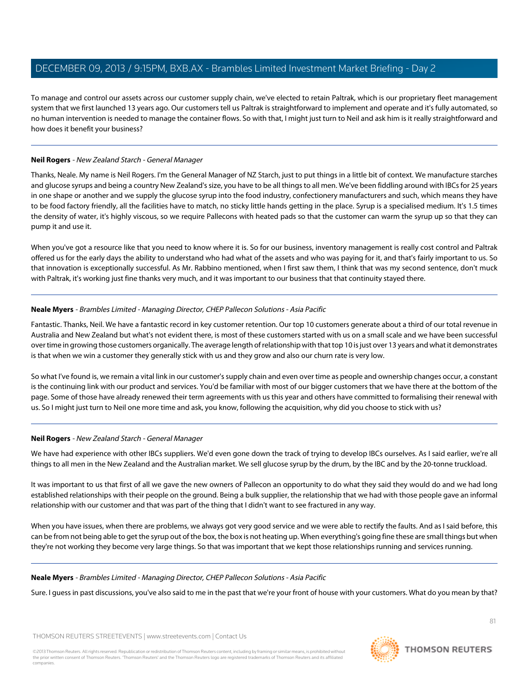To manage and control our assets across our customer supply chain, we've elected to retain Paltrak, which is our proprietary fleet management system that we first launched 13 years ago. Our customers tell us Paltrak is straightforward to implement and operate and it's fully automated, so no human intervention is needed to manage the container flows. So with that, I might just turn to Neil and ask him is it really straightforward and how does it benefit your business?

# **Neil Rogers** - New Zealand Starch - General Manager

Thanks, Neale. My name is Neil Rogers. I'm the General Manager of NZ Starch, just to put things in a little bit of context. We manufacture starches and glucose syrups and being a country New Zealand's size, you have to be all things to all men. We've been fiddling around with IBCs for 25 years in one shape or another and we supply the glucose syrup into the food industry, confectionery manufacturers and such, which means they have to be food factory friendly, all the facilities have to match, no sticky little hands getting in the place. Syrup is a specialised medium. It's 1.5 times the density of water, it's highly viscous, so we require Pallecons with heated pads so that the customer can warm the syrup up so that they can pump it and use it.

When you've got a resource like that you need to know where it is. So for our business, inventory management is really cost control and Paltrak offered us for the early days the ability to understand who had what of the assets and who was paying for it, and that's fairly important to us. So that innovation is exceptionally successful. As Mr. Rabbino mentioned, when I first saw them, I think that was my second sentence, don't muck with Paltrak, it's working just fine thanks very much, and it was important to our business that that continuity stayed there.

# **Neale Myers** - Brambles Limited - Managing Director, CHEP Pallecon Solutions - Asia Pacific

Fantastic. Thanks, Neil. We have a fantastic record in key customer retention. Our top 10 customers generate about a third of our total revenue in Australia and New Zealand but what's not evident there, is most of these customers started with us on a small scale and we have been successful over time in growing those customers organically. The average length of relationship with that top 10 is just over 13 years and what it demonstrates is that when we win a customer they generally stick with us and they grow and also our churn rate is very low.

So what I've found is, we remain a vital link in our customer's supply chain and even over time as people and ownership changes occur, a constant is the continuing link with our product and services. You'd be familiar with most of our bigger customers that we have there at the bottom of the page. Some of those have already renewed their term agreements with us this year and others have committed to formalising their renewal with us. So I might just turn to Neil one more time and ask, you know, following the acquisition, why did you choose to stick with us?

# **Neil Rogers** - New Zealand Starch - General Manager

We have had experience with other IBCs suppliers. We'd even gone down the track of trying to develop IBCs ourselves. As I said earlier, we're all things to all men in the New Zealand and the Australian market. We sell glucose syrup by the drum, by the IBC and by the 20-tonne truckload.

It was important to us that first of all we gave the new owners of Pallecon an opportunity to do what they said they would do and we had long established relationships with their people on the ground. Being a bulk supplier, the relationship that we had with those people gave an informal relationship with our customer and that was part of the thing that I didn't want to see fractured in any way.

When you have issues, when there are problems, we always got very good service and we were able to rectify the faults. And as I said before, this can be from not being able to get the syrup out of the box, the box is not heating up. When everything's going fine these are small things but when they're not working they become very large things. So that was important that we kept those relationships running and services running.

# **Neale Myers** - Brambles Limited - Managing Director, CHEP Pallecon Solutions - Asia Pacific

Sure. I guess in past discussions, you've also said to me in the past that we're your front of house with your customers. What do you mean by that?

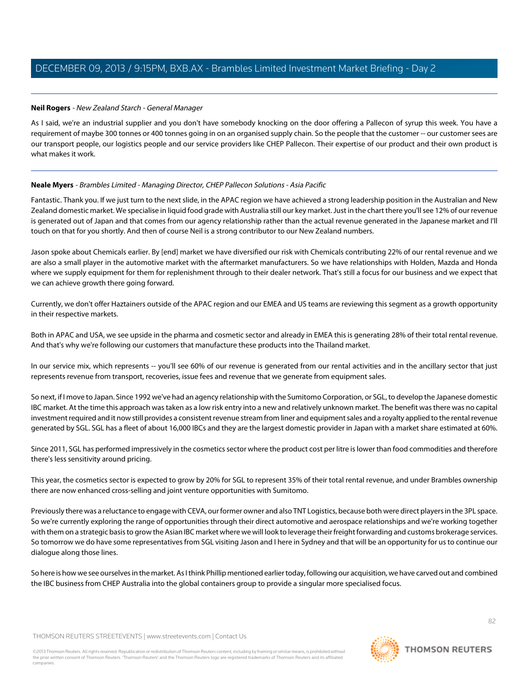## **Neil Rogers** - New Zealand Starch - General Manager

As I said, we're an industrial supplier and you don't have somebody knocking on the door offering a Pallecon of syrup this week. You have a requirement of maybe 300 tonnes or 400 tonnes going in on an organised supply chain. So the people that the customer -- our customer sees are our transport people, our logistics people and our service providers like CHEP Pallecon. Their expertise of our product and their own product is what makes it work.

## **Neale Myers** - Brambles Limited - Managing Director, CHEP Pallecon Solutions - Asia Pacific

Fantastic. Thank you. If we just turn to the next slide, in the APAC region we have achieved a strong leadership position in the Australian and New Zealand domestic market. We specialise in liquid food grade with Australia still our key market. Just in the chart there you'll see 12% of our revenue is generated out of Japan and that comes from our agency relationship rather than the actual revenue generated in the Japanese market and I'll touch on that for you shortly. And then of course Neil is a strong contributor to our New Zealand numbers.

Jason spoke about Chemicals earlier. By [end] market we have diversified our risk with Chemicals contributing 22% of our rental revenue and we are also a small player in the automotive market with the aftermarket manufacturers. So we have relationships with Holden, Mazda and Honda where we supply equipment for them for replenishment through to their dealer network. That's still a focus for our business and we expect that we can achieve growth there going forward.

Currently, we don't offer Haztainers outside of the APAC region and our EMEA and US teams are reviewing this segment as a growth opportunity in their respective markets.

Both in APAC and USA, we see upside in the pharma and cosmetic sector and already in EMEA this is generating 28% of their total rental revenue. And that's why we're following our customers that manufacture these products into the Thailand market.

In our service mix, which represents -- you'll see 60% of our revenue is generated from our rental activities and in the ancillary sector that just represents revenue from transport, recoveries, issue fees and revenue that we generate from equipment sales.

So next, if I move to Japan. Since 1992 we've had an agency relationship with the Sumitomo Corporation, or SGL, to develop the Japanese domestic IBC market. At the time this approach was taken as a low risk entry into a new and relatively unknown market. The benefit was there was no capital investment required and it now still provides a consistent revenue stream from liner and equipment sales and a royalty applied to the rental revenue generated by SGL. SGL has a fleet of about 16,000 IBCs and they are the largest domestic provider in Japan with a market share estimated at 60%.

Since 2011, SGL has performed impressively in the cosmetics sector where the product cost per litre is lower than food commodities and therefore there's less sensitivity around pricing.

This year, the cosmetics sector is expected to grow by 20% for SGL to represent 35% of their total rental revenue, and under Brambles ownership there are now enhanced cross-selling and joint venture opportunities with Sumitomo.

Previously there was a reluctance to engage with CEVA, our former owner and also TNT Logistics, because both were direct players in the 3PL space. So we're currently exploring the range of opportunities through their direct automotive and aerospace relationships and we're working together with them on a strategic basis to grow the Asian IBC market where we will look to leverage their freight forwarding and customs brokerage services. So tomorrow we do have some representatives from SGL visiting Jason and I here in Sydney and that will be an opportunity for us to continue our dialogue along those lines.

So here is how we see ourselves in the market. As I think Phillip mentioned earlier today, following our acquisition, we have carved out and combined the IBC business from CHEP Australia into the global containers group to provide a singular more specialised focus.

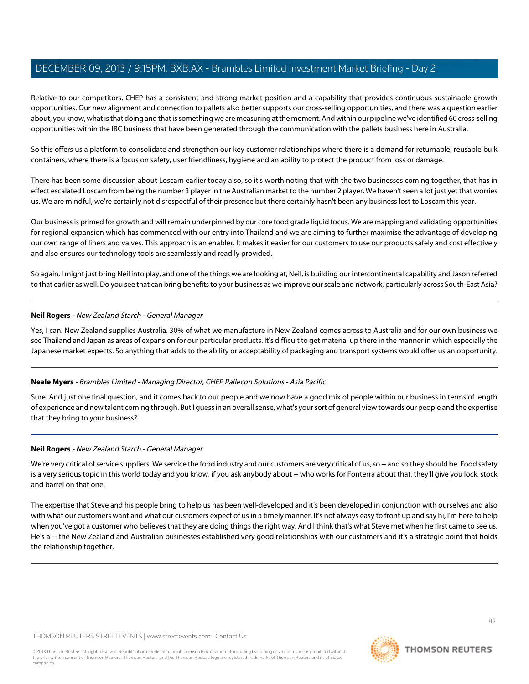Relative to our competitors, CHEP has a consistent and strong market position and a capability that provides continuous sustainable growth opportunities. Our new alignment and connection to pallets also better supports our cross-selling opportunities, and there was a question earlier about, you know, what is that doing and that is something we are measuring at the moment. And within our pipeline we've identified 60 cross-selling opportunities within the IBC business that have been generated through the communication with the pallets business here in Australia.

So this offers us a platform to consolidate and strengthen our key customer relationships where there is a demand for returnable, reusable bulk containers, where there is a focus on safety, user friendliness, hygiene and an ability to protect the product from loss or damage.

There has been some discussion about Loscam earlier today also, so it's worth noting that with the two businesses coming together, that has in effect escalated Loscam from being the number 3 player in the Australian market to the number 2 player. We haven't seen a lot just yet that worries us. We are mindful, we're certainly not disrespectful of their presence but there certainly hasn't been any business lost to Loscam this year.

Our business is primed for growth and will remain underpinned by our core food grade liquid focus. We are mapping and validating opportunities for regional expansion which has commenced with our entry into Thailand and we are aiming to further maximise the advantage of developing our own range of liners and valves. This approach is an enabler. It makes it easier for our customers to use our products safely and cost effectively and also ensures our technology tools are seamlessly and readily provided.

So again, I might just bring Neil into play, and one of the things we are looking at, Neil, is building our intercontinental capability and Jason referred to that earlier as well. Do you see that can bring benefits to your business as we improve our scale and network, particularly across South-East Asia?

## **Neil Rogers** - New Zealand Starch - General Manager

Yes, I can. New Zealand supplies Australia. 30% of what we manufacture in New Zealand comes across to Australia and for our own business we see Thailand and Japan as areas of expansion for our particular products. It's difficult to get material up there in the manner in which especially the Japanese market expects. So anything that adds to the ability or acceptability of packaging and transport systems would offer us an opportunity.

# **Neale Myers** - Brambles Limited - Managing Director, CHEP Pallecon Solutions - Asia Pacific

Sure. And just one final question, and it comes back to our people and we now have a good mix of people within our business in terms of length of experience and new talent coming through. But I guess in an overall sense, what's your sort of general view towards our people and the expertise that they bring to your business?

# **Neil Rogers** - New Zealand Starch - General Manager

We're very critical of service suppliers. We service the food industry and our customers are very critical of us, so -- and so they should be. Food safety is a very serious topic in this world today and you know, if you ask anybody about -- who works for Fonterra about that, they'll give you lock, stock and barrel on that one.

The expertise that Steve and his people bring to help us has been well-developed and it's been developed in conjunction with ourselves and also with what our customers want and what our customers expect of us in a timely manner. It's not always easy to front up and say hi, I'm here to help when you've got a customer who believes that they are doing things the right way. And I think that's what Steve met when he first came to see us. He's a -- the New Zealand and Australian businesses established very good relationships with our customers and it's a strategic point that holds the relationship together.

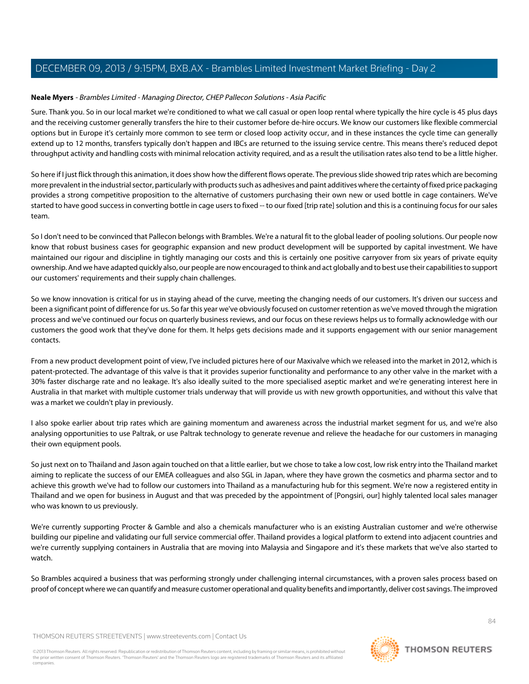## **Neale Myers** - Brambles Limited - Managing Director, CHEP Pallecon Solutions - Asia Pacific

Sure. Thank you. So in our local market we're conditioned to what we call casual or open loop rental where typically the hire cycle is 45 plus days and the receiving customer generally transfers the hire to their customer before de-hire occurs. We know our customers like flexible commercial options but in Europe it's certainly more common to see term or closed loop activity occur, and in these instances the cycle time can generally extend up to 12 months, transfers typically don't happen and IBCs are returned to the issuing service centre. This means there's reduced depot throughput activity and handling costs with minimal relocation activity required, and as a result the utilisation rates also tend to be a little higher.

So here if I just flick through this animation, it does show how the different flows operate. The previous slide showed trip rates which are becoming more prevalent in the industrial sector, particularly with products such as adhesives and paint additives where the certainty of fixed price packaging provides a strong competitive proposition to the alternative of customers purchasing their own new or used bottle in cage containers. We've started to have good success in converting bottle in cage users to fixed -- to our fixed [trip rate] solution and this is a continuing focus for our sales team.

So I don't need to be convinced that Pallecon belongs with Brambles. We're a natural fit to the global leader of pooling solutions. Our people now know that robust business cases for geographic expansion and new product development will be supported by capital investment. We have maintained our rigour and discipline in tightly managing our costs and this is certainly one positive carryover from six years of private equity ownership. And we have adapted quickly also, our people are now encouraged to think and act globally and to best use their capabilities to support our customers' requirements and their supply chain challenges.

So we know innovation is critical for us in staying ahead of the curve, meeting the changing needs of our customers. It's driven our success and been a significant point of difference for us. So far this year we've obviously focused on customer retention as we've moved through the migration process and we've continued our focus on quarterly business reviews, and our focus on these reviews helps us to formally acknowledge with our customers the good work that they've done for them. It helps gets decisions made and it supports engagement with our senior management contacts.

From a new product development point of view, I've included pictures here of our Maxivalve which we released into the market in 2012, which is patent-protected. The advantage of this valve is that it provides superior functionality and performance to any other valve in the market with a 30% faster discharge rate and no leakage. It's also ideally suited to the more specialised aseptic market and we're generating interest here in Australia in that market with multiple customer trials underway that will provide us with new growth opportunities, and without this valve that was a market we couldn't play in previously.

I also spoke earlier about trip rates which are gaining momentum and awareness across the industrial market segment for us, and we're also analysing opportunities to use Paltrak, or use Paltrak technology to generate revenue and relieve the headache for our customers in managing their own equipment pools.

So just next on to Thailand and Jason again touched on that a little earlier, but we chose to take a low cost, low risk entry into the Thailand market aiming to replicate the success of our EMEA colleagues and also SGL in Japan, where they have grown the cosmetics and pharma sector and to achieve this growth we've had to follow our customers into Thailand as a manufacturing hub for this segment. We're now a registered entity in Thailand and we open for business in August and that was preceded by the appointment of [Pongsiri, our] highly talented local sales manager who was known to us previously.

We're currently supporting Procter & Gamble and also a chemicals manufacturer who is an existing Australian customer and we're otherwise building our pipeline and validating our full service commercial offer. Thailand provides a logical platform to extend into adjacent countries and we're currently supplying containers in Australia that are moving into Malaysia and Singapore and it's these markets that we've also started to watch.

So Brambles acquired a business that was performing strongly under challenging internal circumstances, with a proven sales process based on proof of concept where we can quantify and measure customer operational and quality benefits and importantly, deliver cost savings. The improved

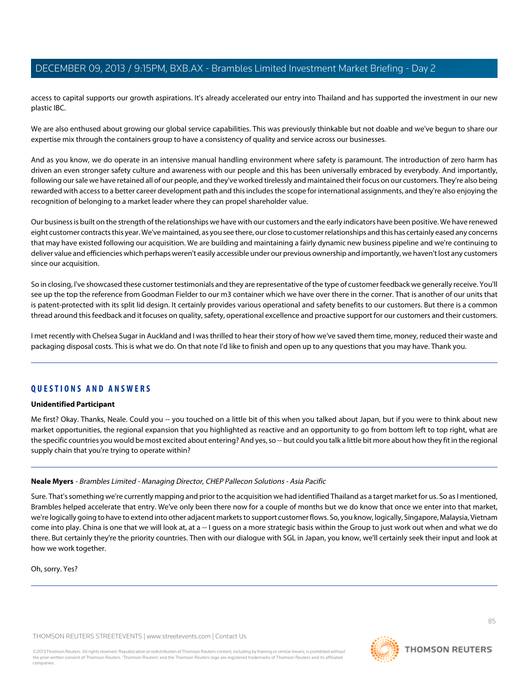access to capital supports our growth aspirations. It's already accelerated our entry into Thailand and has supported the investment in our new plastic IBC.

We are also enthused about growing our global service capabilities. This was previously thinkable but not doable and we've begun to share our expertise mix through the containers group to have a consistency of quality and service across our businesses.

And as you know, we do operate in an intensive manual handling environment where safety is paramount. The introduction of zero harm has driven an even stronger safety culture and awareness with our people and this has been universally embraced by everybody. And importantly, following our sale we have retained all of our people, and they've worked tirelessly and maintained their focus on our customers. They're also being rewarded with access to a better career development path and this includes the scope for international assignments, and they're also enjoying the recognition of belonging to a market leader where they can propel shareholder value.

Our business is built on the strength of the relationships we have with our customers and the early indicators have been positive. We have renewed eight customer contracts this year. We've maintained, as you see there, our close to customer relationships and this has certainly eased any concerns that may have existed following our acquisition. We are building and maintaining a fairly dynamic new business pipeline and we're continuing to deliver value and efficiencies which perhaps weren't easily accessible under our previous ownership and importantly, we haven't lost any customers since our acquisition.

So in closing, I've showcased these customer testimonials and they are representative of the type of customer feedback we generally receive. You'll see up the top the reference from Goodman Fielder to our m3 container which we have over there in the corner. That is another of our units that is patent-protected with its split lid design. It certainly provides various operational and safety benefits to our customers. But there is a common thread around this feedback and it focuses on quality, safety, operational excellence and proactive support for our customers and their customers.

I met recently with Chelsea Sugar in Auckland and I was thrilled to hear their story of how we've saved them time, money, reduced their waste and packaging disposal costs. This is what we do. On that note I'd like to finish and open up to any questions that you may have. Thank you.

# **QUESTIONS AND ANSWERS**

#### **Unidentified Participant**

Me first? Okay. Thanks, Neale. Could you -- you touched on a little bit of this when you talked about Japan, but if you were to think about new market opportunities, the regional expansion that you highlighted as reactive and an opportunity to go from bottom left to top right, what are the specific countries you would be most excited about entering? And yes, so -- but could you talk a little bit more about how they fit in the regional supply chain that you're trying to operate within?

# **Neale Myers** - Brambles Limited - Managing Director, CHEP Pallecon Solutions - Asia Pacific

Sure. That's something we're currently mapping and prior to the acquisition we had identified Thailand as a target market for us. So as I mentioned, Brambles helped accelerate that entry. We've only been there now for a couple of months but we do know that once we enter into that market, we're logically going to have to extend into other adjacent markets to support customer flows. So, you know, logically, Singapore, Malaysia, Vietnam come into play. China is one that we will look at, at a -- I guess on a more strategic basis within the Group to just work out when and what we do there. But certainly they're the priority countries. Then with our dialogue with SGL in Japan, you know, we'll certainly seek their input and look at how we work together.

Oh, sorry. Yes?

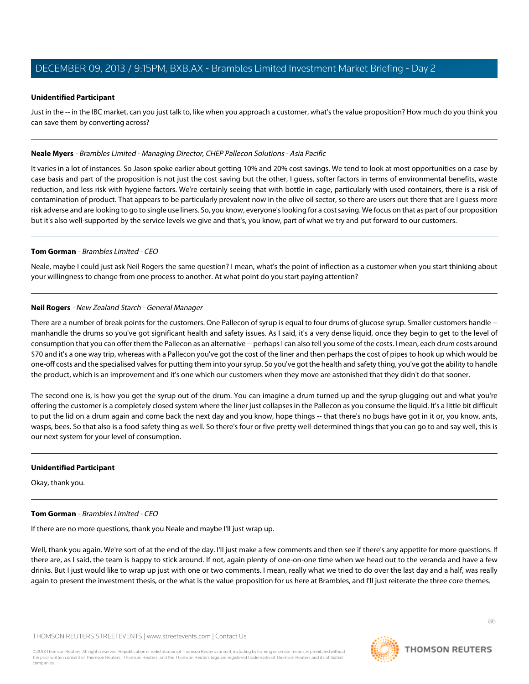## **Unidentified Participant**

Just in the -- in the IBC market, can you just talk to, like when you approach a customer, what's the value proposition? How much do you think you can save them by converting across?

#### **Neale Myers** - Brambles Limited - Managing Director, CHEP Pallecon Solutions - Asia Pacific

It varies in a lot of instances. So Jason spoke earlier about getting 10% and 20% cost savings. We tend to look at most opportunities on a case by case basis and part of the proposition is not just the cost saving but the other, I guess, softer factors in terms of environmental benefits, waste reduction, and less risk with hygiene factors. We're certainly seeing that with bottle in cage, particularly with used containers, there is a risk of contamination of product. That appears to be particularly prevalent now in the olive oil sector, so there are users out there that are I guess more risk adverse and are looking to go to single use liners. So, you know, everyone's looking for a cost saving. We focus on that as part of our proposition but it's also well-supported by the service levels we give and that's, you know, part of what we try and put forward to our customers.

## **Tom Gorman** - Brambles Limited - CEO

Neale, maybe I could just ask Neil Rogers the same question? I mean, what's the point of inflection as a customer when you start thinking about your willingness to change from one process to another. At what point do you start paying attention?

# **Neil Rogers** - New Zealand Starch - General Manager

There are a number of break points for the customers. One Pallecon of syrup is equal to four drums of glucose syrup. Smaller customers handle - manhandle the drums so you've got significant health and safety issues. As I said, it's a very dense liquid, once they begin to get to the level of consumption that you can offer them the Pallecon as an alternative -- perhaps I can also tell you some of the costs. I mean, each drum costs around \$70 and it's a one way trip, whereas with a Pallecon you've got the cost of the liner and then perhaps the cost of pipes to hook up which would be one-off costs and the specialised valves for putting them into your syrup. So you've got the health and safety thing, you've got the ability to handle the product, which is an improvement and it's one which our customers when they move are astonished that they didn't do that sooner.

The second one is, is how you get the syrup out of the drum. You can imagine a drum turned up and the syrup glugging out and what you're offering the customer is a completely closed system where the liner just collapses in the Pallecon as you consume the liquid. It's a little bit difficult to put the lid on a drum again and come back the next day and you know, hope things -- that there's no bugs have got in it or, you know, ants, wasps, bees. So that also is a food safety thing as well. So there's four or five pretty well-determined things that you can go to and say well, this is our next system for your level of consumption.

#### **Unidentified Participant**

Okay, thank you.

# **Tom Gorman** - Brambles Limited - CEO

If there are no more questions, thank you Neale and maybe I'll just wrap up.

Well, thank you again. We're sort of at the end of the day. I'll just make a few comments and then see if there's any appetite for more questions. If there are, as I said, the team is happy to stick around. If not, again plenty of one-on-one time when we head out to the veranda and have a few drinks. But I just would like to wrap up just with one or two comments. I mean, really what we tried to do over the last day and a half, was really again to present the investment thesis, or the what is the value proposition for us here at Brambles, and I'll just reiterate the three core themes.

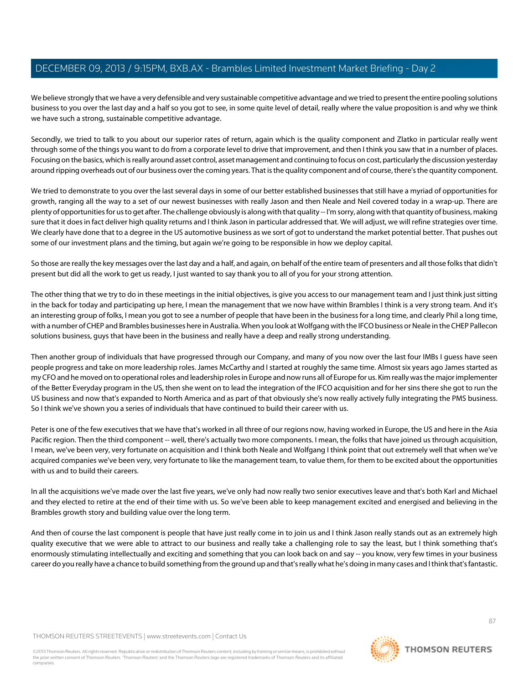We believe strongly that we have a very defensible and very sustainable competitive advantage and we tried to present the entire pooling solutions business to you over the last day and a half so you got to see, in some quite level of detail, really where the value proposition is and why we think we have such a strong, sustainable competitive advantage.

Secondly, we tried to talk to you about our superior rates of return, again which is the quality component and Zlatko in particular really went through some of the things you want to do from a corporate level to drive that improvement, and then I think you saw that in a number of places. Focusing on the basics, which is really around asset control, asset management and continuing to focus on cost, particularly the discussion yesterday around ripping overheads out of our business over the coming years. That is the quality component and of course, there's the quantity component.

We tried to demonstrate to you over the last several days in some of our better established businesses that still have a myriad of opportunities for growth, ranging all the way to a set of our newest businesses with really Jason and then Neale and Neil covered today in a wrap-up. There are plenty of opportunities for us to get after. The challenge obviously is along with that quality -- I'm sorry, along with that quantity of business, making sure that it does in fact deliver high quality returns and I think Jason in particular addressed that. We will adjust, we will refine strategies over time. We clearly have done that to a degree in the US automotive business as we sort of got to understand the market potential better. That pushes out some of our investment plans and the timing, but again we're going to be responsible in how we deploy capital.

So those are really the key messages over the last day and a half, and again, on behalf of the entire team of presenters and all those folks that didn't present but did all the work to get us ready, I just wanted to say thank you to all of you for your strong attention.

The other thing that we try to do in these meetings in the initial objectives, is give you access to our management team and I just think just sitting in the back for today and participating up here, I mean the management that we now have within Brambles I think is a very strong team. And it's an interesting group of folks, I mean you got to see a number of people that have been in the business for a long time, and clearly Phil a long time, with a number of CHEP and Brambles businesses here in Australia. When you look at Wolfgang with the IFCO business or Neale in the CHEP Pallecon solutions business, guys that have been in the business and really have a deep and really strong understanding.

Then another group of individuals that have progressed through our Company, and many of you now over the last four IMBs I guess have seen people progress and take on more leadership roles. James McCarthy and I started at roughly the same time. Almost six years ago James started as my CFO and he moved on to operational roles and leadership roles in Europe and now runs all of Europe for us. Kim really was the major implementer of the Better Everyday program in the US, then she went on to lead the integration of the IFCO acquisition and for her sins there she got to run the US business and now that's expanded to North America and as part of that obviously she's now really actively fully integrating the PMS business. So I think we've shown you a series of individuals that have continued to build their career with us.

Peter is one of the few executives that we have that's worked in all three of our regions now, having worked in Europe, the US and here in the Asia Pacific region. Then the third component -- well, there's actually two more components. I mean, the folks that have joined us through acquisition, I mean, we've been very, very fortunate on acquisition and I think both Neale and Wolfgang I think point that out extremely well that when we've acquired companies we've been very, very fortunate to like the management team, to value them, for them to be excited about the opportunities with us and to build their careers.

In all the acquisitions we've made over the last five years, we've only had now really two senior executives leave and that's both Karl and Michael and they elected to retire at the end of their time with us. So we've been able to keep management excited and energised and believing in the Brambles growth story and building value over the long term.

And then of course the last component is people that have just really come in to join us and I think Jason really stands out as an extremely high quality executive that we were able to attract to our business and really take a challenging role to say the least, but I think something that's enormously stimulating intellectually and exciting and something that you can look back on and say -- you know, very few times in your business career do you really have a chance to build something from the ground up and that's really what he's doing in many cases and I think that's fantastic.